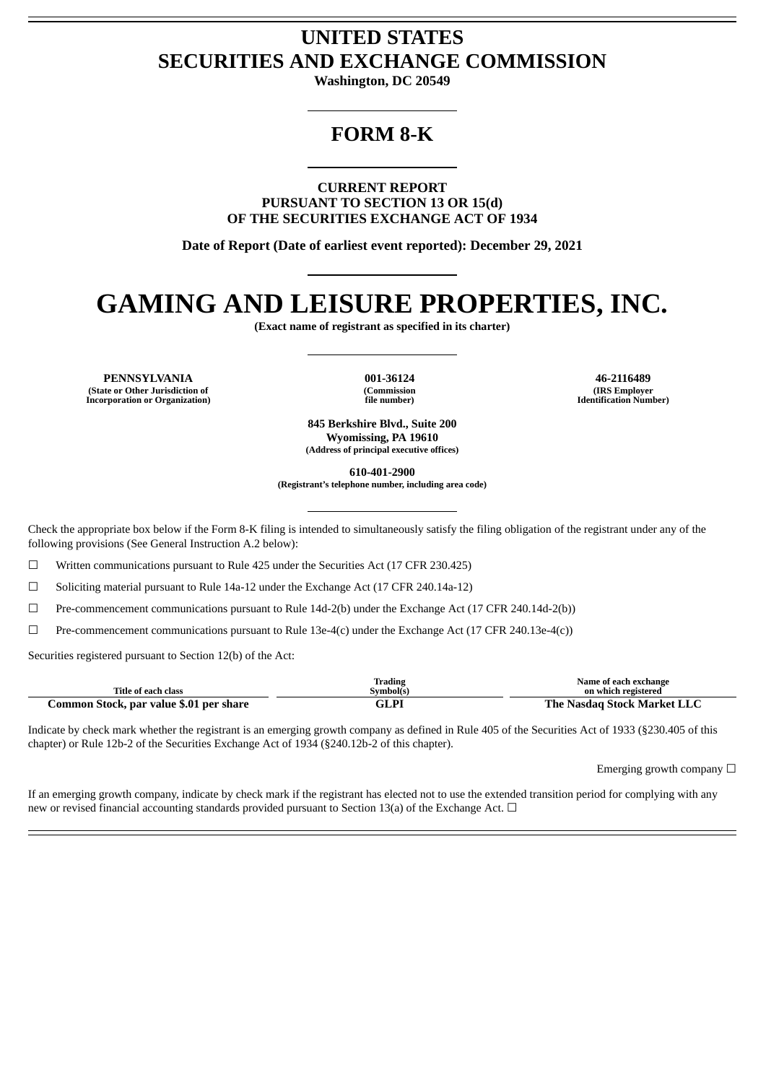# **UNITED STATES SECURITIES AND EXCHANGE COMMISSION**

**Washington, DC 20549**

# **FORM 8-K**

**CURRENT REPORT PURSUANT TO SECTION 13 OR 15(d) OF THE SECURITIES EXCHANGE ACT OF 1934**

**Date of Report (Date of earliest event reported): December 29, 2021**

# **GAMING AND LEISURE PROPERTIES, INC.**

**(Exact name of registrant as specified in its charter)**

**PENNSYLVANIA 001-36124 46-2116489 (State or Other Jurisdiction of Incorporation or Organization)**

**(Commission file number)**

**(IRS Employer Identification Number)**

**845 Berkshire Blvd., Suite 200 Wyomissing, PA 19610 (Address of principal executive offices)**

**610-401-2900**

**(Registrant's telephone number, including area code)**

Check the appropriate box below if the Form 8-K filing is intended to simultaneously satisfy the filing obligation of the registrant under any of the following provisions (See General Instruction A.2 below):

☐ Written communications pursuant to Rule 425 under the Securities Act (17 CFR 230.425)

☐ Soliciting material pursuant to Rule 14a-12 under the Exchange Act (17 CFR 240.14a-12)

☐ Pre-commencement communications pursuant to Rule 14d-2(b) under the Exchange Act (17 CFR 240.14d-2(b))

☐ Pre-commencement communications pursuant to Rule 13e-4(c) under the Exchange Act (17 CFR 240.13e-4(c))

Securities registered pursuant to Section 12(b) of the Act:

|                                         | trading  | Name of each exchange              |
|-----------------------------------------|----------|------------------------------------|
| <b>Title of each class</b>              | Svmbol(s | on which registered                |
| Common Stock, par value \$.01 per share | 5LPI     | : Nasdag Stock Market LLC<br>The . |

Indicate by check mark whether the registrant is an emerging growth company as defined in Rule 405 of the Securities Act of 1933 (§230.405 of this chapter) or Rule 12b-2 of the Securities Exchange Act of 1934 (§240.12b-2 of this chapter).

Emerging growth company  $\Box$ 

If an emerging growth company, indicate by check mark if the registrant has elected not to use the extended transition period for complying with any new or revised financial accounting standards provided pursuant to Section 13(a) of the Exchange Act.  $\Box$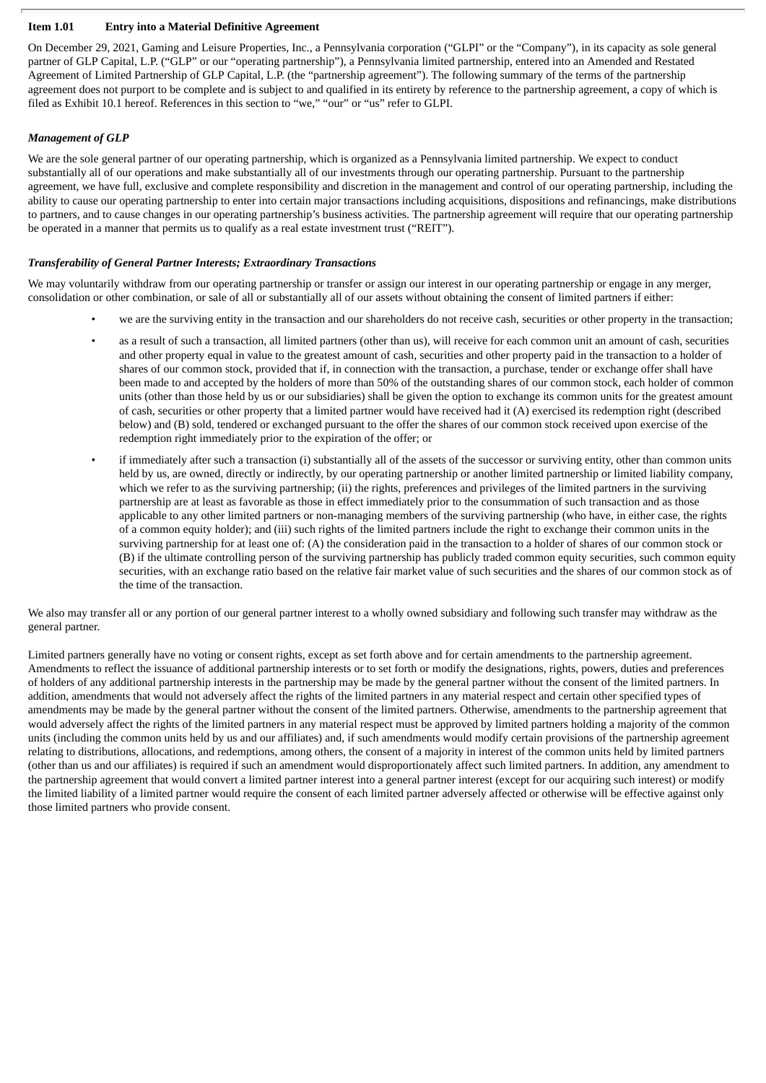#### **Item 1.01 Entry into a Material Definitive Agreement**

On December 29, 2021, Gaming and Leisure Properties, Inc., a Pennsylvania corporation ("GLPI" or the "Company"), in its capacity as sole general partner of GLP Capital, L.P. ("GLP" or our "operating partnership"), a Pennsylvania limited partnership, entered into an Amended and Restated Agreement of Limited Partnership of GLP Capital, L.P. (the "partnership agreement"). The following summary of the terms of the partnership agreement does not purport to be complete and is subject to and qualified in its entirety by reference to the partnership agreement, a copy of which is filed as Exhibit 10.1 hereof. References in this section to "we," "our" or "us" refer to GLPI.

# *Management of GLP*

We are the sole general partner of our operating partnership, which is organized as a Pennsylvania limited partnership. We expect to conduct substantially all of our operations and make substantially all of our investments through our operating partnership. Pursuant to the partnership agreement, we have full, exclusive and complete responsibility and discretion in the management and control of our operating partnership, including the ability to cause our operating partnership to enter into certain major transactions including acquisitions, dispositions and refinancings, make distributions to partners, and to cause changes in our operating partnership's business activities. The partnership agreement will require that our operating partnership be operated in a manner that permits us to qualify as a real estate investment trust ("REIT").

#### *Transferability of General Partner Interests; Extraordinary Transactions*

We may voluntarily withdraw from our operating partnership or transfer or assign our interest in our operating partnership or engage in any merger, consolidation or other combination, or sale of all or substantially all of our assets without obtaining the consent of limited partners if either:

- we are the surviving entity in the transaction and our shareholders do not receive cash, securities or other property in the transaction;
- as a result of such a transaction, all limited partners (other than us), will receive for each common unit an amount of cash, securities and other property equal in value to the greatest amount of cash, securities and other property paid in the transaction to a holder of shares of our common stock, provided that if, in connection with the transaction, a purchase, tender or exchange offer shall have been made to and accepted by the holders of more than 50% of the outstanding shares of our common stock, each holder of common units (other than those held by us or our subsidiaries) shall be given the option to exchange its common units for the greatest amount of cash, securities or other property that a limited partner would have received had it (A) exercised its redemption right (described below) and (B) sold, tendered or exchanged pursuant to the offer the shares of our common stock received upon exercise of the redemption right immediately prior to the expiration of the offer; or
- if immediately after such a transaction (i) substantially all of the assets of the successor or surviving entity, other than common units held by us, are owned, directly or indirectly, by our operating partnership or another limited partnership or limited liability company, which we refer to as the surviving partnership; (ii) the rights, preferences and privileges of the limited partners in the surviving partnership are at least as favorable as those in effect immediately prior to the consummation of such transaction and as those applicable to any other limited partners or non-managing members of the surviving partnership (who have, in either case, the rights of a common equity holder); and (iii) such rights of the limited partners include the right to exchange their common units in the surviving partnership for at least one of: (A) the consideration paid in the transaction to a holder of shares of our common stock or (B) if the ultimate controlling person of the surviving partnership has publicly traded common equity securities, such common equity securities, with an exchange ratio based on the relative fair market value of such securities and the shares of our common stock as of the time of the transaction.

We also may transfer all or any portion of our general partner interest to a wholly owned subsidiary and following such transfer may withdraw as the general partner.

Limited partners generally have no voting or consent rights, except as set forth above and for certain amendments to the partnership agreement. Amendments to reflect the issuance of additional partnership interests or to set forth or modify the designations, rights, powers, duties and preferences of holders of any additional partnership interests in the partnership may be made by the general partner without the consent of the limited partners. In addition, amendments that would not adversely affect the rights of the limited partners in any material respect and certain other specified types of amendments may be made by the general partner without the consent of the limited partners. Otherwise, amendments to the partnership agreement that would adversely affect the rights of the limited partners in any material respect must be approved by limited partners holding a majority of the common units (including the common units held by us and our affiliates) and, if such amendments would modify certain provisions of the partnership agreement relating to distributions, allocations, and redemptions, among others, the consent of a majority in interest of the common units held by limited partners (other than us and our affiliates) is required if such an amendment would disproportionately affect such limited partners. In addition, any amendment to the partnership agreement that would convert a limited partner interest into a general partner interest (except for our acquiring such interest) or modify the limited liability of a limited partner would require the consent of each limited partner adversely affected or otherwise will be effective against only those limited partners who provide consent.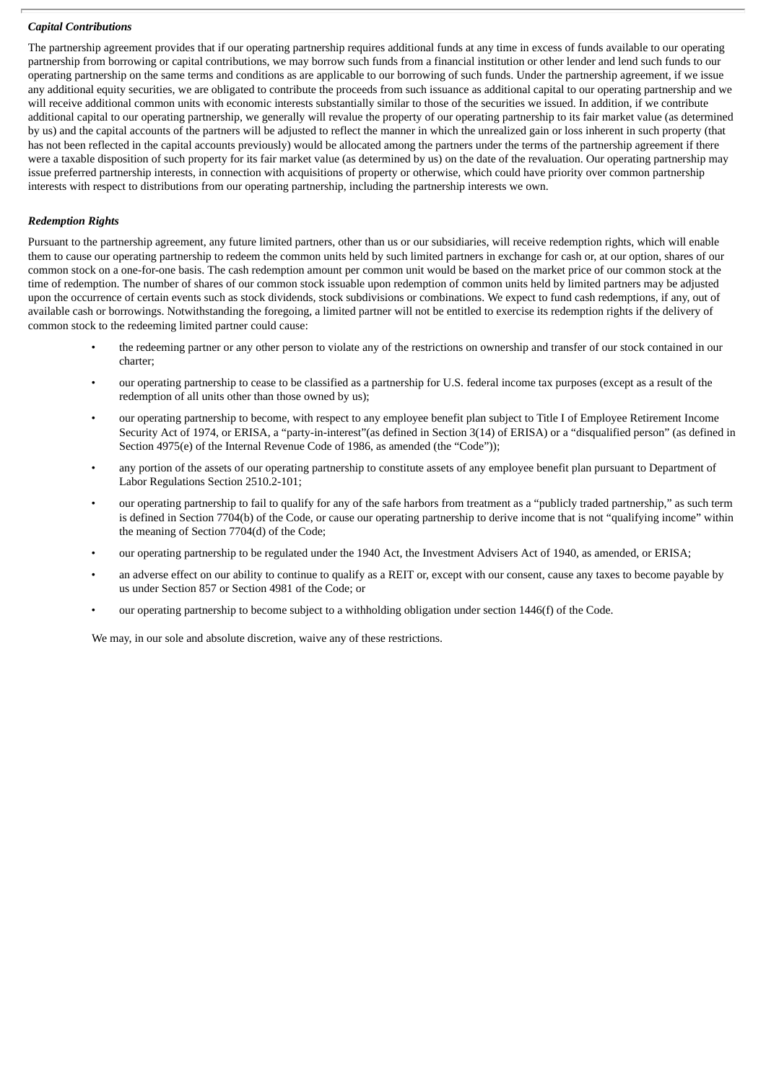#### *Capital Contributions*

The partnership agreement provides that if our operating partnership requires additional funds at any time in excess of funds available to our operating partnership from borrowing or capital contributions, we may borrow such funds from a financial institution or other lender and lend such funds to our operating partnership on the same terms and conditions as are applicable to our borrowing of such funds. Under the partnership agreement, if we issue any additional equity securities, we are obligated to contribute the proceeds from such issuance as additional capital to our operating partnership and we will receive additional common units with economic interests substantially similar to those of the securities we issued. In addition, if we contribute additional capital to our operating partnership, we generally will revalue the property of our operating partnership to its fair market value (as determined by us) and the capital accounts of the partners will be adjusted to reflect the manner in which the unrealized gain or loss inherent in such property (that has not been reflected in the capital accounts previously) would be allocated among the partners under the terms of the partnership agreement if there were a taxable disposition of such property for its fair market value (as determined by us) on the date of the revaluation. Our operating partnership may issue preferred partnership interests, in connection with acquisitions of property or otherwise, which could have priority over common partnership interests with respect to distributions from our operating partnership, including the partnership interests we own.

#### *Redemption Rights*

Pursuant to the partnership agreement, any future limited partners, other than us or our subsidiaries, will receive redemption rights, which will enable them to cause our operating partnership to redeem the common units held by such limited partners in exchange for cash or, at our option, shares of our common stock on a one-for-one basis. The cash redemption amount per common unit would be based on the market price of our common stock at the time of redemption. The number of shares of our common stock issuable upon redemption of common units held by limited partners may be adjusted upon the occurrence of certain events such as stock dividends, stock subdivisions or combinations. We expect to fund cash redemptions, if any, out of available cash or borrowings. Notwithstanding the foregoing, a limited partner will not be entitled to exercise its redemption rights if the delivery of common stock to the redeeming limited partner could cause:

- the redeeming partner or any other person to violate any of the restrictions on ownership and transfer of our stock contained in our charter;
- our operating partnership to cease to be classified as a partnership for U.S. federal income tax purposes (except as a result of the redemption of all units other than those owned by us);
- our operating partnership to become, with respect to any employee benefit plan subject to Title I of Employee Retirement Income Security Act of 1974, or ERISA, a "party-in-interest"(as defined in Section 3(14) of ERISA) or a "disqualified person" (as defined in Section 4975(e) of the Internal Revenue Code of 1986, as amended (the "Code"));
- any portion of the assets of our operating partnership to constitute assets of any employee benefit plan pursuant to Department of Labor Regulations Section 2510.2-101;
- our operating partnership to fail to qualify for any of the safe harbors from treatment as a "publicly traded partnership," as such term is defined in Section 7704(b) of the Code, or cause our operating partnership to derive income that is not "qualifying income" within the meaning of Section 7704(d) of the Code;
- our operating partnership to be regulated under the 1940 Act, the Investment Advisers Act of 1940, as amended, or ERISA;
- an adverse effect on our ability to continue to qualify as a REIT or, except with our consent, cause any taxes to become payable by us under Section 857 or Section 4981 of the Code; or
- our operating partnership to become subject to a withholding obligation under section 1446(f) of the Code.

We may, in our sole and absolute discretion, waive any of these restrictions.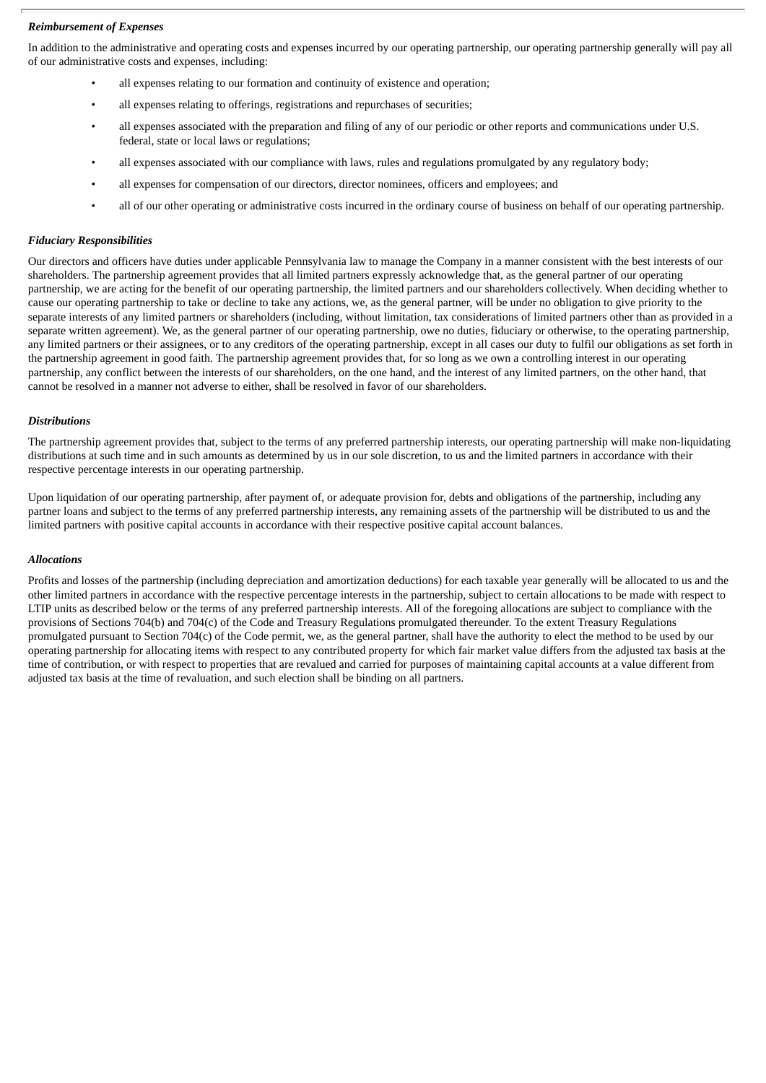# *Reimbursement of Expenses*

In addition to the administrative and operating costs and expenses incurred by our operating partnership, our operating partnership generally will pay all of our administrative costs and expenses, including:

- all expenses relating to our formation and continuity of existence and operation;
- all expenses relating to offerings, registrations and repurchases of securities;
- all expenses associated with the preparation and filing of any of our periodic or other reports and communications under U.S. federal, state or local laws or regulations;
- all expenses associated with our compliance with laws, rules and regulations promulgated by any regulatory body;
- all expenses for compensation of our directors, director nominees, officers and employees; and
- all of our other operating or administrative costs incurred in the ordinary course of business on behalf of our operating partnership.

# *Fiduciary Responsibilities*

Our directors and officers have duties under applicable Pennsylvania law to manage the Company in a manner consistent with the best interests of our shareholders. The partnership agreement provides that all limited partners expressly acknowledge that, as the general partner of our operating partnership, we are acting for the benefit of our operating partnership, the limited partners and our shareholders collectively. When deciding whether to cause our operating partnership to take or decline to take any actions, we, as the general partner, will be under no obligation to give priority to the separate interests of any limited partners or shareholders (including, without limitation, tax considerations of limited partners other than as provided in a separate written agreement). We, as the general partner of our operating partnership, owe no duties, fiduciary or otherwise, to the operating partnership, any limited partners or their assignees, or to any creditors of the operating partnership, except in all cases our duty to fulfil our obligations as set forth in the partnership agreement in good faith. The partnership agreement provides that, for so long as we own a controlling interest in our operating partnership, any conflict between the interests of our shareholders, on the one hand, and the interest of any limited partners, on the other hand, that cannot be resolved in a manner not adverse to either, shall be resolved in favor of our shareholders.

# *Distributions*

The partnership agreement provides that, subject to the terms of any preferred partnership interests, our operating partnership will make non-liquidating distributions at such time and in such amounts as determined by us in our sole discretion, to us and the limited partners in accordance with their respective percentage interests in our operating partnership.

Upon liquidation of our operating partnership, after payment of, or adequate provision for, debts and obligations of the partnership, including any partner loans and subject to the terms of any preferred partnership interests, any remaining assets of the partnership will be distributed to us and the limited partners with positive capital accounts in accordance with their respective positive capital account balances.

# *Allocations*

Profits and losses of the partnership (including depreciation and amortization deductions) for each taxable year generally will be allocated to us and the other limited partners in accordance with the respective percentage interests in the partnership, subject to certain allocations to be made with respect to LTIP units as described below or the terms of any preferred partnership interests. All of the foregoing allocations are subject to compliance with the provisions of Sections 704(b) and 704(c) of the Code and Treasury Regulations promulgated thereunder. To the extent Treasury Regulations promulgated pursuant to Section 704(c) of the Code permit, we, as the general partner, shall have the authority to elect the method to be used by our operating partnership for allocating items with respect to any contributed property for which fair market value differs from the adjusted tax basis at the time of contribution, or with respect to properties that are revalued and carried for purposes of maintaining capital accounts at a value different from adjusted tax basis at the time of revaluation, and such election shall be binding on all partners.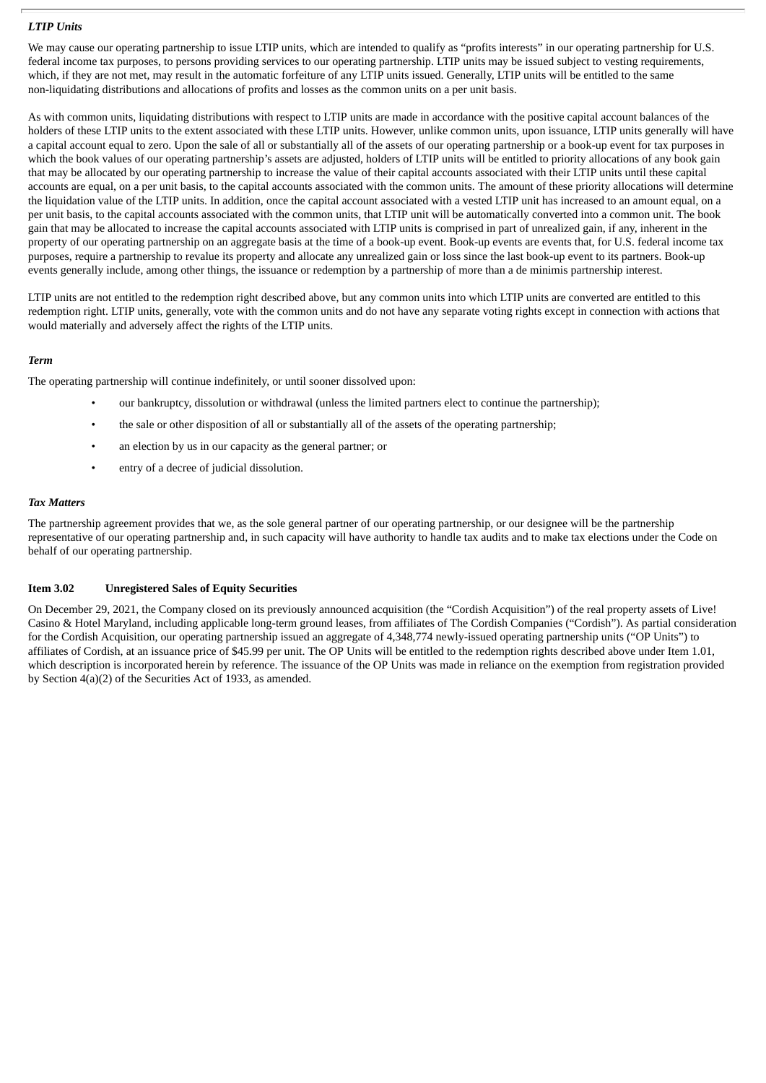#### *LTIP Units*

We may cause our operating partnership to issue LTIP units, which are intended to qualify as "profits interests" in our operating partnership for U.S. federal income tax purposes, to persons providing services to our operating partnership. LTIP units may be issued subject to vesting requirements, which, if they are not met, may result in the automatic forfeiture of any LTIP units issued. Generally, LTIP units will be entitled to the same non-liquidating distributions and allocations of profits and losses as the common units on a per unit basis.

As with common units, liquidating distributions with respect to LTIP units are made in accordance with the positive capital account balances of the holders of these LTIP units to the extent associated with these LTIP units. However, unlike common units, upon issuance, LTIP units generally will have a capital account equal to zero. Upon the sale of all or substantially all of the assets of our operating partnership or a book-up event for tax purposes in which the book values of our operating partnership's assets are adjusted, holders of LTIP units will be entitled to priority allocations of any book gain that may be allocated by our operating partnership to increase the value of their capital accounts associated with their LTIP units until these capital accounts are equal, on a per unit basis, to the capital accounts associated with the common units. The amount of these priority allocations will determine the liquidation value of the LTIP units. In addition, once the capital account associated with a vested LTIP unit has increased to an amount equal, on a per unit basis, to the capital accounts associated with the common units, that LTIP unit will be automatically converted into a common unit. The book gain that may be allocated to increase the capital accounts associated with LTIP units is comprised in part of unrealized gain, if any, inherent in the property of our operating partnership on an aggregate basis at the time of a book-up event. Book-up events are events that, for U.S. federal income tax purposes, require a partnership to revalue its property and allocate any unrealized gain or loss since the last book-up event to its partners. Book-up events generally include, among other things, the issuance or redemption by a partnership of more than a de minimis partnership interest.

LTIP units are not entitled to the redemption right described above, but any common units into which LTIP units are converted are entitled to this redemption right. LTIP units, generally, vote with the common units and do not have any separate voting rights except in connection with actions that would materially and adversely affect the rights of the LTIP units.

# *Term*

The operating partnership will continue indefinitely, or until sooner dissolved upon:

- our bankruptcy, dissolution or withdrawal (unless the limited partners elect to continue the partnership);
- the sale or other disposition of all or substantially all of the assets of the operating partnership;
- an election by us in our capacity as the general partner; or
- entry of a decree of judicial dissolution.

#### *Tax Matters*

The partnership agreement provides that we, as the sole general partner of our operating partnership, or our designee will be the partnership representative of our operating partnership and, in such capacity will have authority to handle tax audits and to make tax elections under the Code on behalf of our operating partnership.

# **Item 3.02 Unregistered Sales of Equity Securities**

On December 29, 2021, the Company closed on its previously announced acquisition (the "Cordish Acquisition") of the real property assets of Live! Casino & Hotel Maryland, including applicable long-term ground leases, from affiliates of The Cordish Companies ("Cordish"). As partial consideration for the Cordish Acquisition, our operating partnership issued an aggregate of 4,348,774 newly-issued operating partnership units ("OP Units") to affiliates of Cordish, at an issuance price of \$45.99 per unit. The OP Units will be entitled to the redemption rights described above under Item 1.01, which description is incorporated herein by reference. The issuance of the OP Units was made in reliance on the exemption from registration provided by Section 4(a)(2) of the Securities Act of 1933, as amended.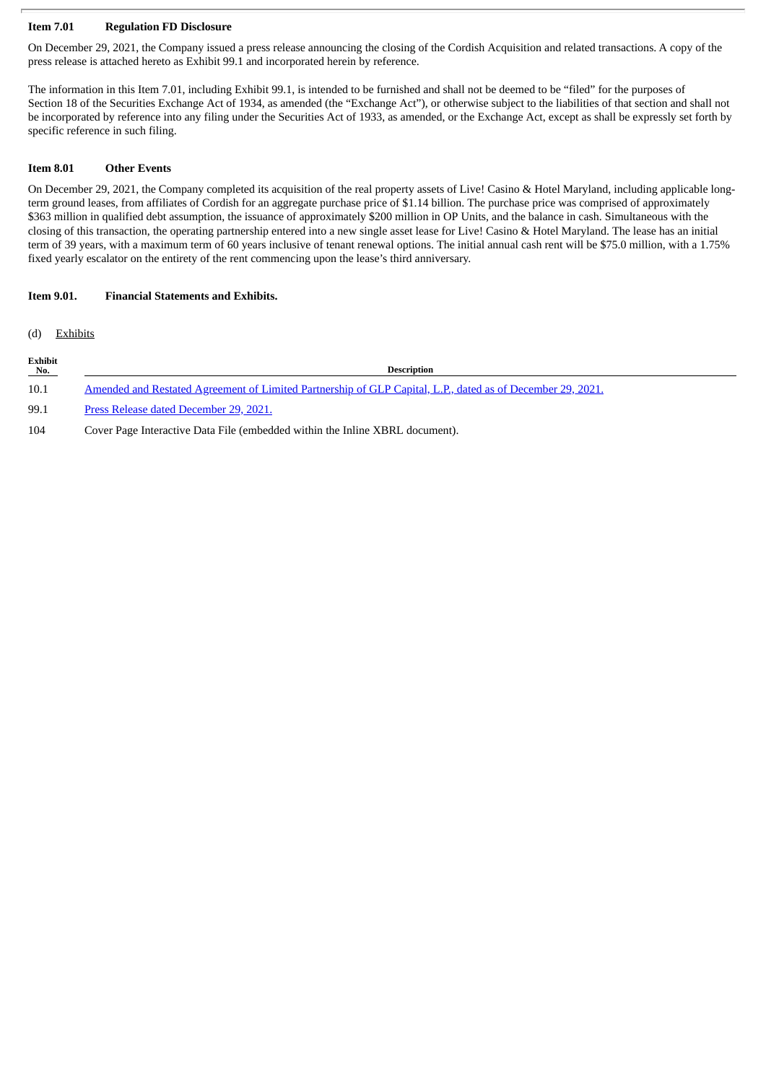# **Item 7.01 Regulation FD Disclosure**

On December 29, 2021, the Company issued a press release announcing the closing of the Cordish Acquisition and related transactions. A copy of the press release is attached hereto as Exhibit 99.1 and incorporated herein by reference.

The information in this Item 7.01, including Exhibit 99.1, is intended to be furnished and shall not be deemed to be "filed" for the purposes of Section 18 of the Securities Exchange Act of 1934, as amended (the "Exchange Act"), or otherwise subject to the liabilities of that section and shall not be incorporated by reference into any filing under the Securities Act of 1933, as amended, or the Exchange Act, except as shall be expressly set forth by specific reference in such filing.

# **Item 8.01 Other Events**

On December 29, 2021, the Company completed its acquisition of the real property assets of Live! Casino & Hotel Maryland, including applicable longterm ground leases, from affiliates of Cordish for an aggregate purchase price of \$1.14 billion. The purchase price was comprised of approximately \$363 million in qualified debt assumption, the issuance of approximately \$200 million in OP Units, and the balance in cash. Simultaneous with the closing of this transaction, the operating partnership entered into a new single asset lease for Live! Casino & Hotel Maryland. The lease has an initial term of 39 years, with a maximum term of 60 years inclusive of tenant renewal options. The initial annual cash rent will be \$75.0 million, with a 1.75% fixed yearly escalator on the entirety of the rent commencing upon the lease's third anniversary.

# **Item 9.01. Financial Statements and Exhibits.**

(d) Exhibits

| Exhibit<br>No. | <b>Description</b>                                                                                         |
|----------------|------------------------------------------------------------------------------------------------------------|
| 10.1           | Amended and Restated Agreement of Limited Partnership of GLP Capital, L.P., dated as of December 29, 2021. |
| 99.1           | Press Release dated December 29, 2021.                                                                     |

104 Cover Page Interactive Data File (embedded within the Inline XBRL document).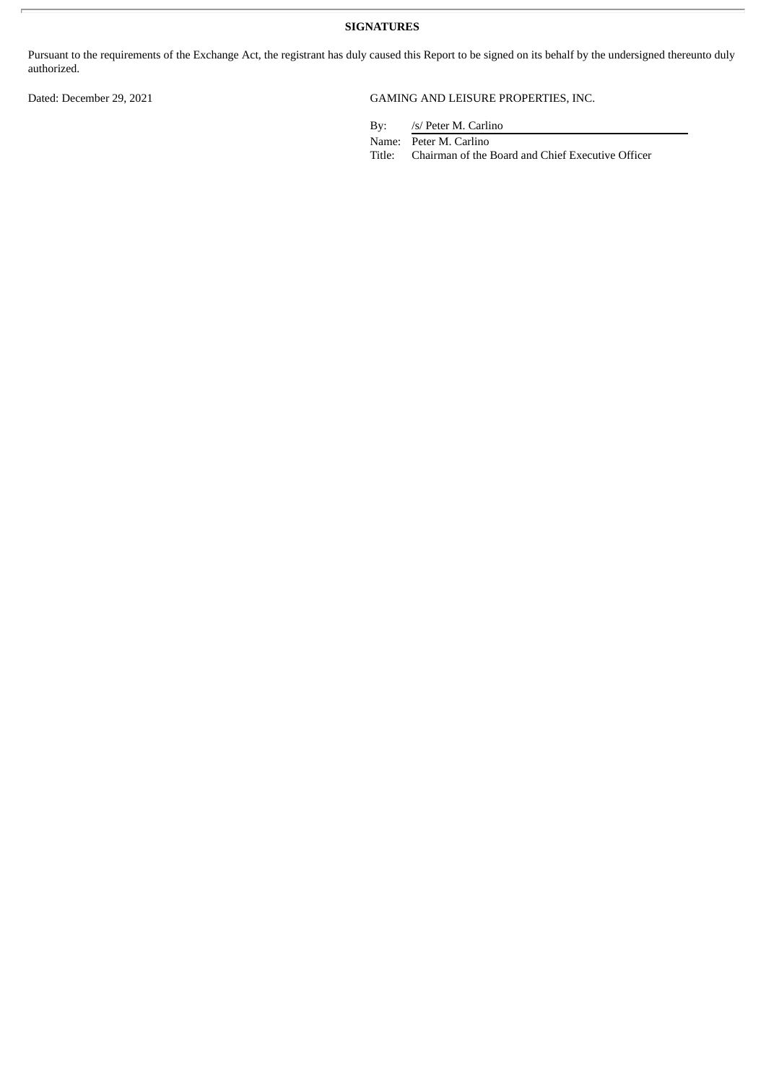**SIGNATURES**

Pursuant to the requirements of the Exchange Act, the registrant has duly caused this Report to be signed on its behalf by the undersigned thereunto duly authorized.

# Dated: December 29, 2021 GAMING AND LEISURE PROPERTIES, INC.

By: /s/ Peter M. Carlino

Name: Peter M. Carlino

Title: Chairman of the Board and Chief Executive Officer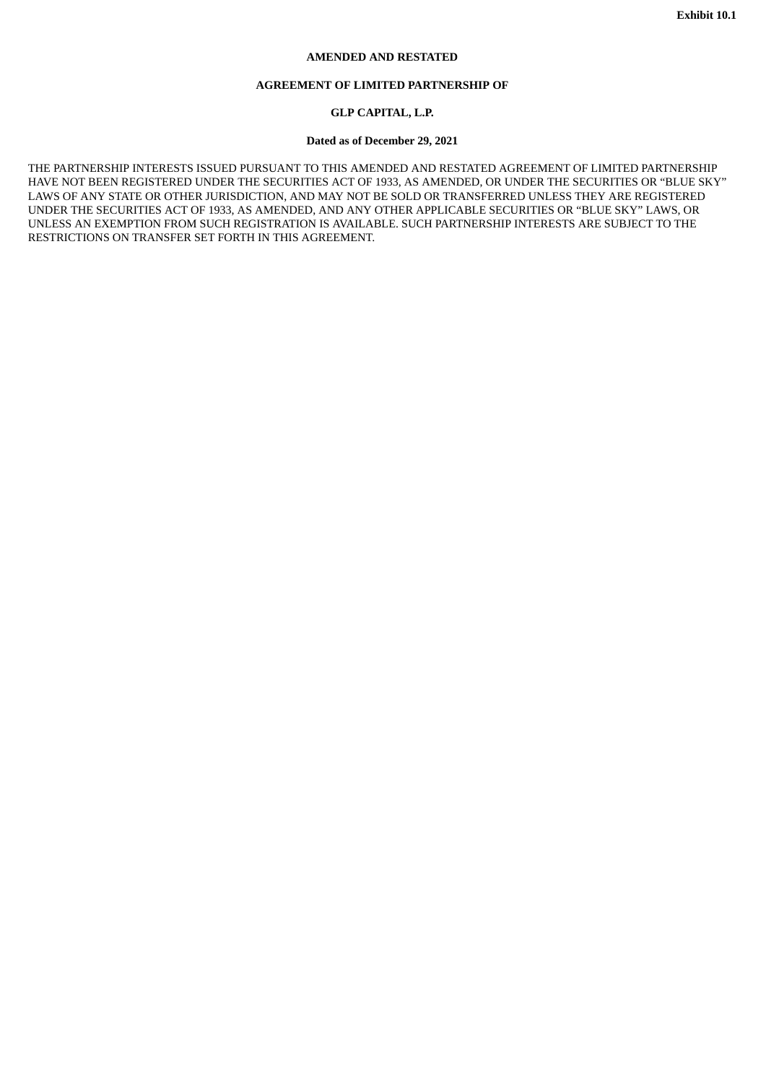#### **AMENDED AND RESTATED**

#### **AGREEMENT OF LIMITED PARTNERSHIP OF**

# **GLP CAPITAL, L.P.**

#### **Dated as of December 29, 2021**

<span id="page-7-0"></span>THE PARTNERSHIP INTERESTS ISSUED PURSUANT TO THIS AMENDED AND RESTATED AGREEMENT OF LIMITED PARTNERSHIP HAVE NOT BEEN REGISTERED UNDER THE SECURITIES ACT OF 1933, AS AMENDED, OR UNDER THE SECURITIES OR "BLUE SKY" LAWS OF ANY STATE OR OTHER JURISDICTION, AND MAY NOT BE SOLD OR TRANSFERRED UNLESS THEY ARE REGISTERED UNDER THE SECURITIES ACT OF 1933, AS AMENDED, AND ANY OTHER APPLICABLE SECURITIES OR "BLUE SKY" LAWS, OR UNLESS AN EXEMPTION FROM SUCH REGISTRATION IS AVAILABLE. SUCH PARTNERSHIP INTERESTS ARE SUBJECT TO THE RESTRICTIONS ON TRANSFER SET FORTH IN THIS AGREEMENT.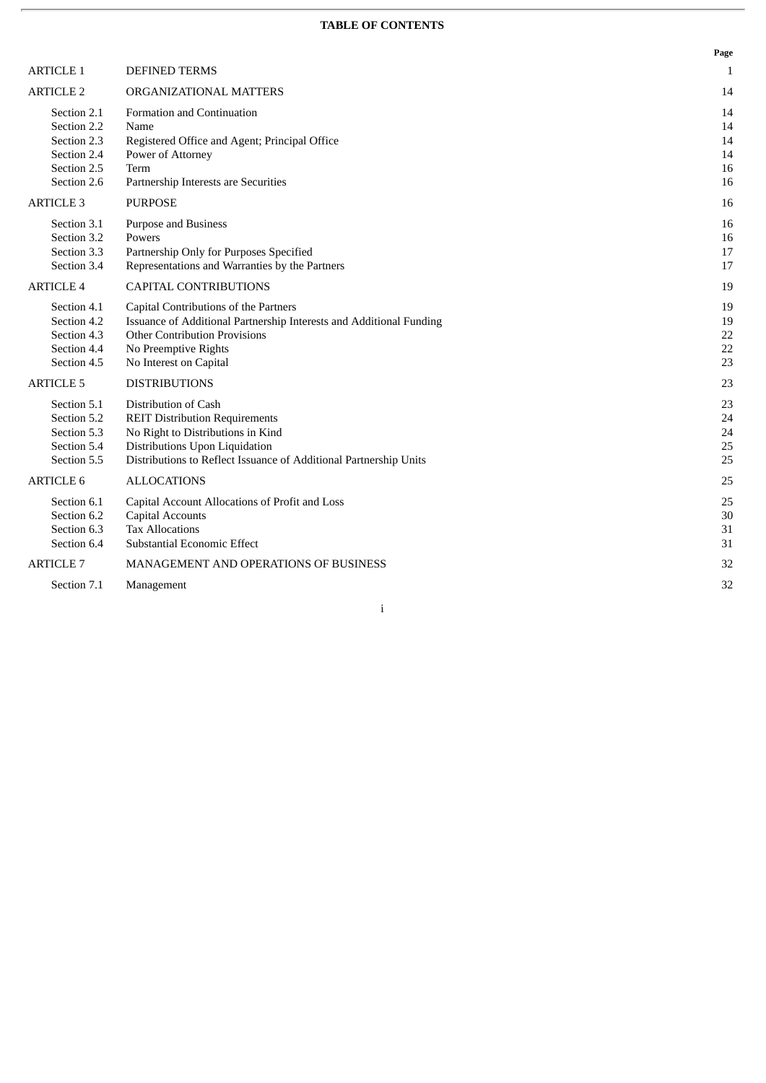# **TABLE OF CONTENTS**

|                                                                                        |                                                                                                                                                                                                           | Page                             |
|----------------------------------------------------------------------------------------|-----------------------------------------------------------------------------------------------------------------------------------------------------------------------------------------------------------|----------------------------------|
| <b>ARTICLE 1</b>                                                                       | <b>DEFINED TERMS</b>                                                                                                                                                                                      | 1                                |
| <b>ARTICLE 2</b>                                                                       | ORGANIZATIONAL MATTERS                                                                                                                                                                                    | 14                               |
| Section 2.1<br>Section 2.2<br>Section 2.3<br>Section 2.4<br>Section 2.5<br>Section 2.6 | Formation and Continuation<br>Name<br>Registered Office and Agent; Principal Office<br>Power of Attorney<br>Term<br>Partnership Interests are Securities                                                  | 14<br>14<br>14<br>14<br>16<br>16 |
| <b>ARTICLE 3</b>                                                                       | <b>PURPOSE</b>                                                                                                                                                                                            | 16                               |
| Section 3.1<br>Section 3.2<br>Section 3.3<br>Section 3.4                               | Purpose and Business<br>Powers<br>Partnership Only for Purposes Specified<br>Representations and Warranties by the Partners                                                                               | 16<br>16<br>17<br>17             |
| <b>ARTICLE 4</b>                                                                       | <b>CAPITAL CONTRIBUTIONS</b>                                                                                                                                                                              | 19                               |
| Section 4.1<br>Section 4.2<br>Section 4.3<br>Section 4.4<br>Section 4.5                | Capital Contributions of the Partners<br>Issuance of Additional Partnership Interests and Additional Funding<br><b>Other Contribution Provisions</b><br>No Preemptive Rights<br>No Interest on Capital    | 19<br>19<br>22<br>22<br>23       |
| <b>ARTICLE 5</b>                                                                       | <b>DISTRIBUTIONS</b>                                                                                                                                                                                      | 23                               |
| Section 5.1<br>Section 5.2<br>Section 5.3<br>Section 5.4<br>Section 5.5                | Distribution of Cash<br><b>REIT Distribution Requirements</b><br>No Right to Distributions in Kind<br>Distributions Upon Liquidation<br>Distributions to Reflect Issuance of Additional Partnership Units | 23<br>24<br>24<br>25<br>25       |
| <b>ARTICLE 6</b>                                                                       | <b>ALLOCATIONS</b>                                                                                                                                                                                        | 25                               |
| Section 6.1<br>Section 6.2<br>Section 6.3<br>Section 6.4                               | Capital Account Allocations of Profit and Loss<br><b>Capital Accounts</b><br><b>Tax Allocations</b><br>Substantial Economic Effect                                                                        | 25<br>30<br>31<br>31             |
| <b>ARTICLE 7</b>                                                                       | <b>MANAGEMENT AND OPERATIONS OF BUSINESS</b>                                                                                                                                                              | 32                               |
| Section 7.1                                                                            | Management                                                                                                                                                                                                | 32                               |

i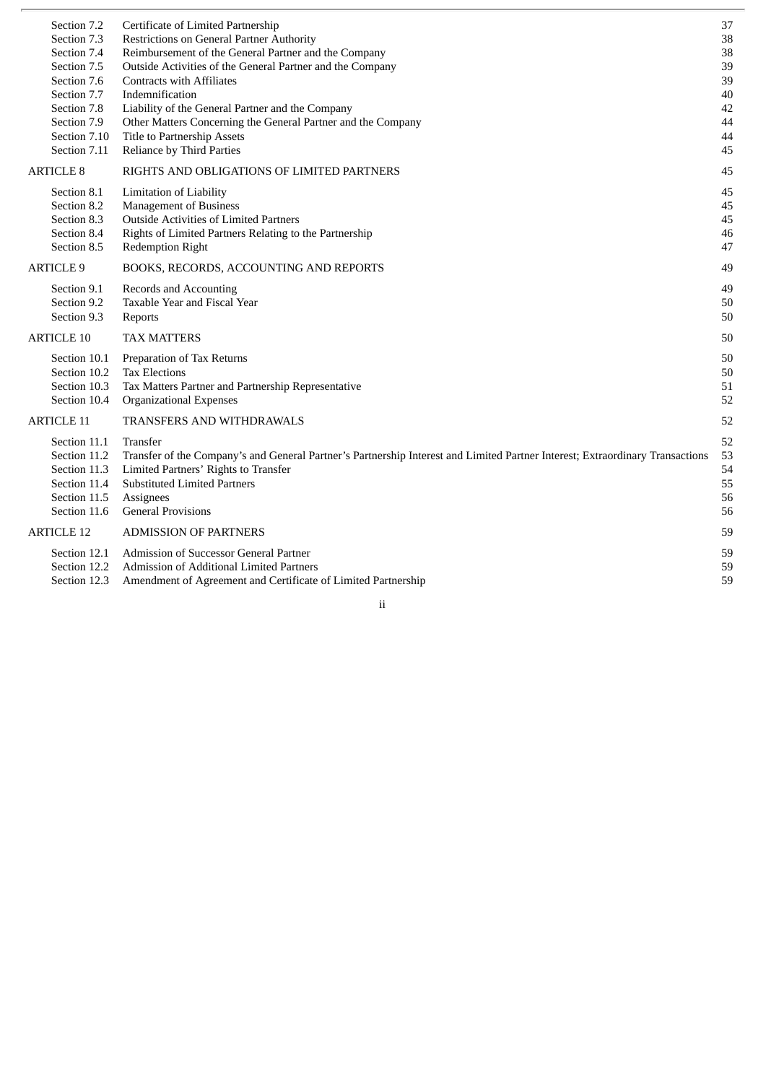| Section 7.2       | Certificate of Limited Partnership                                                                                            | 37 |
|-------------------|-------------------------------------------------------------------------------------------------------------------------------|----|
| Section 7.3       | Restrictions on General Partner Authority                                                                                     | 38 |
| Section 7.4       | Reimbursement of the General Partner and the Company                                                                          | 38 |
| Section 7.5       | Outside Activities of the General Partner and the Company                                                                     | 39 |
| Section 7.6       | <b>Contracts with Affiliates</b>                                                                                              | 39 |
| Section 7.7       | Indemnification                                                                                                               | 40 |
| Section 7.8       | Liability of the General Partner and the Company                                                                              | 42 |
| Section 7.9       | Other Matters Concerning the General Partner and the Company                                                                  | 44 |
| Section 7.10      | Title to Partnership Assets                                                                                                   | 44 |
| Section 7.11      | Reliance by Third Parties                                                                                                     | 45 |
| <b>ARTICLE 8</b>  | RIGHTS AND OBLIGATIONS OF LIMITED PARTNERS                                                                                    | 45 |
| Section 8.1       | Limitation of Liability                                                                                                       | 45 |
| Section 8.2       | <b>Management of Business</b>                                                                                                 | 45 |
| Section 8.3       | Outside Activities of Limited Partners                                                                                        | 45 |
| Section 8.4       | Rights of Limited Partners Relating to the Partnership                                                                        | 46 |
| Section 8.5       | <b>Redemption Right</b>                                                                                                       | 47 |
| <b>ARTICLE 9</b>  | BOOKS, RECORDS, ACCOUNTING AND REPORTS                                                                                        | 49 |
| Section 9.1       | Records and Accounting                                                                                                        | 49 |
| Section 9.2       | Taxable Year and Fiscal Year                                                                                                  | 50 |
| Section 9.3       | Reports                                                                                                                       | 50 |
| <b>ARTICLE 10</b> | <b>TAX MATTERS</b>                                                                                                            | 50 |
| Section 10.1      | Preparation of Tax Returns                                                                                                    | 50 |
| Section 10.2      | <b>Tax Elections</b>                                                                                                          | 50 |
| Section 10.3      | Tax Matters Partner and Partnership Representative                                                                            | 51 |
| Section 10.4      | <b>Organizational Expenses</b>                                                                                                | 52 |
| <b>ARTICLE 11</b> | TRANSFERS AND WITHDRAWALS                                                                                                     | 52 |
| Section 11.1      | Transfer                                                                                                                      | 52 |
| Section 11.2      | Transfer of the Company's and General Partner's Partnership Interest and Limited Partner Interest; Extraordinary Transactions | 53 |
| Section 11.3      | Limited Partners' Rights to Transfer                                                                                          | 54 |
| Section 11.4      | <b>Substituted Limited Partners</b>                                                                                           | 55 |
| Section 11.5      | Assignees                                                                                                                     | 56 |
| Section 11.6      | <b>General Provisions</b>                                                                                                     | 56 |
| <b>ARTICLE 12</b> | <b>ADMISSION OF PARTNERS</b>                                                                                                  | 59 |
| Section 12.1      | Admission of Successor General Partner                                                                                        | 59 |
| Section 12.2      | Admission of Additional Limited Partners                                                                                      | 59 |
| Section 12.3      | Amendment of Agreement and Certificate of Limited Partnership                                                                 | 59 |
|                   |                                                                                                                               |    |

ii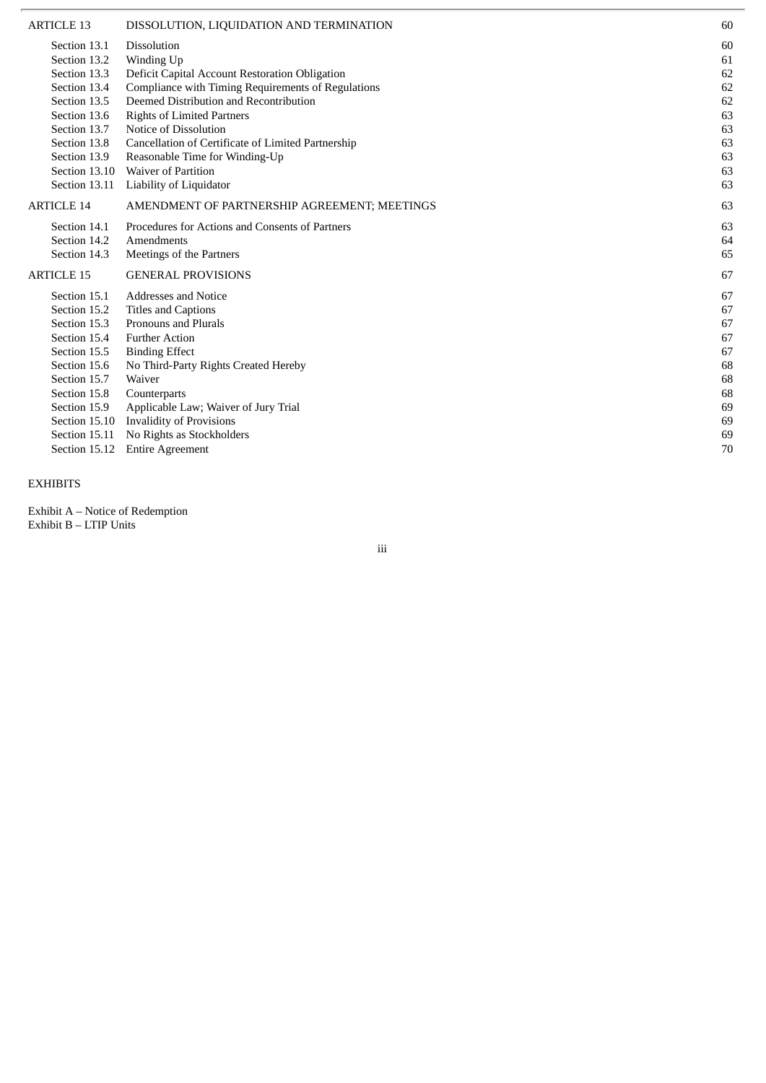| ARTICLE 13        | DISSOLUTION, LIQUIDATION AND TERMINATION           | 60 |
|-------------------|----------------------------------------------------|----|
| Section 13.1      | Dissolution                                        | 60 |
| Section 13.2      | Winding Up                                         | 61 |
| Section 13.3      | Deficit Capital Account Restoration Obligation     | 62 |
| Section 13.4      | Compliance with Timing Requirements of Regulations | 62 |
| Section 13.5      | Deemed Distribution and Recontribution             | 62 |
| Section 13.6      | <b>Rights of Limited Partners</b>                  | 63 |
| Section 13.7      | Notice of Dissolution                              | 63 |
| Section 13.8      | Cancellation of Certificate of Limited Partnership | 63 |
| Section 13.9      | Reasonable Time for Winding-Up                     | 63 |
| Section 13.10     | <b>Waiver of Partition</b>                         | 63 |
| Section 13.11     | Liability of Liquidator                            | 63 |
| <b>ARTICLE 14</b> | AMENDMENT OF PARTNERSHIP AGREEMENT; MEETINGS       | 63 |
| Section 14.1      | Procedures for Actions and Consents of Partners    | 63 |
| Section 14.2      | Amendments                                         | 64 |
| Section 14.3      | Meetings of the Partners                           | 65 |
| ARTICLE 15        | <b>GENERAL PROVISIONS</b>                          | 67 |
| Section 15.1      | <b>Addresses and Notice</b>                        | 67 |
| Section 15.2      | <b>Titles and Captions</b>                         | 67 |
| Section 15.3      | Pronouns and Plurals                               | 67 |
| Section 15.4      | <b>Further Action</b>                              | 67 |
| Section 15.5      | <b>Binding Effect</b>                              | 67 |
| Section 15.6      | No Third-Party Rights Created Hereby               | 68 |
| Section 15.7      | Waiver                                             | 68 |
| Section 15.8      | Counterparts                                       | 68 |
| Section 15.9      | Applicable Law; Waiver of Jury Trial               | 69 |
| Section 15.10     | <b>Invalidity of Provisions</b>                    | 69 |
| Section 15.11     | No Rights as Stockholders                          | 69 |
| Section 15.12     | <b>Entire Agreement</b>                            | 70 |

#### EXHIBITS

Exhibit A – Notice of Redemption Exhibit B - LTIP Units

i i i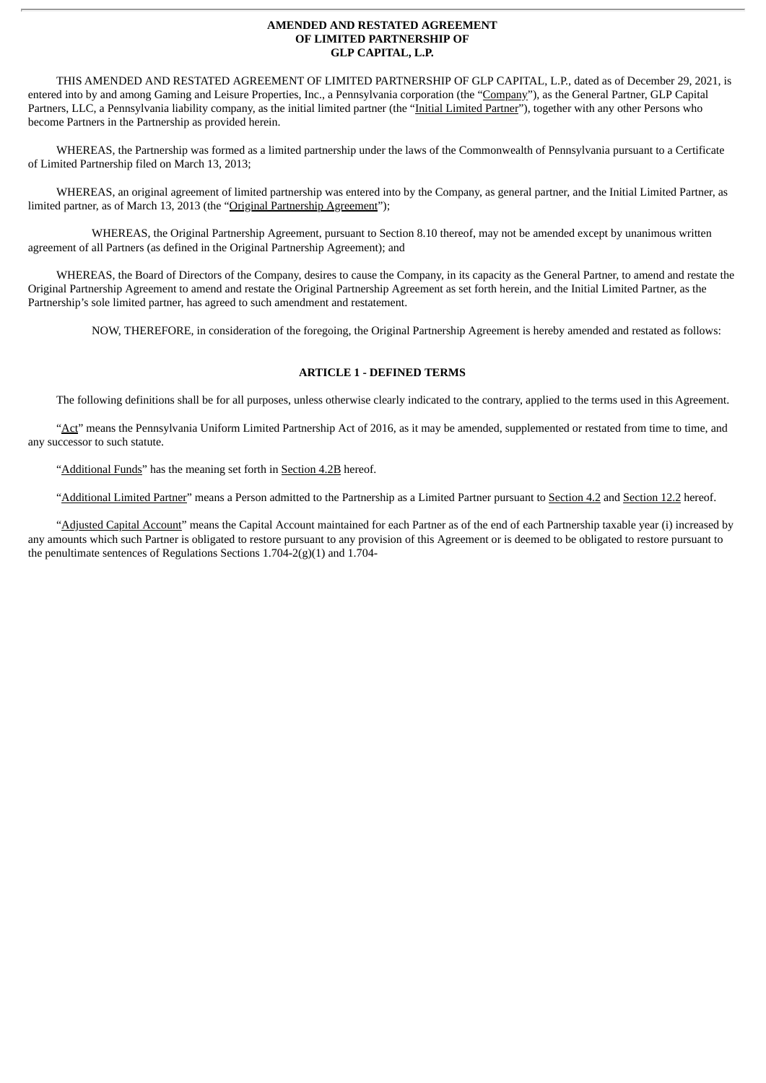#### **AMENDED AND RESTATED AGREEMENT OF LIMITED PARTNERSHIP OF GLP CAPITAL, L.P.**

THIS AMENDED AND RESTATED AGREEMENT OF LIMITED PARTNERSHIP OF GLP CAPITAL, L.P., dated as of December 29, 2021, is entered into by and among Gaming and Leisure Properties, Inc., a Pennsylvania corporation (the "Company"), as the General Partner, GLP Capital Partners, LLC, a Pennsylvania liability company, as the initial limited partner (the "Initial Limited Partner"), together with any other Persons who become Partners in the Partnership as provided herein.

WHEREAS, the Partnership was formed as a limited partnership under the laws of the Commonwealth of Pennsylvania pursuant to a Certificate of Limited Partnership filed on March 13, 2013;

WHEREAS, an original agreement of limited partnership was entered into by the Company, as general partner, and the Initial Limited Partner, as limited partner, as of March 13, 2013 (the "Original Partnership Agreement");

WHEREAS, the Original Partnership Agreement, pursuant to Section 8.10 thereof, may not be amended except by unanimous written agreement of all Partners (as defined in the Original Partnership Agreement); and

WHEREAS, the Board of Directors of the Company, desires to cause the Company, in its capacity as the General Partner, to amend and restate the Original Partnership Agreement to amend and restate the Original Partnership Agreement as set forth herein, and the Initial Limited Partner, as the Partnership's sole limited partner, has agreed to such amendment and restatement.

NOW, THEREFORE, in consideration of the foregoing, the Original Partnership Agreement is hereby amended and restated as follows:

# **ARTICLE 1 - DEFINED TERMS**

The following definitions shall be for all purposes, unless otherwise clearly indicated to the contrary, applied to the terms used in this Agreement.

"Act" means the Pennsylvania Uniform Limited Partnership Act of 2016, as it may be amended, supplemented or restated from time to time, and any successor to such statute.

"Additional Funds" has the meaning set forth in Section 4.2B hereof.

"Additional Limited Partner" means a Person admitted to the Partnership as a Limited Partner pursuant to Section 4.2 and Section 12.2 hereof.

"Adjusted Capital Account" means the Capital Account maintained for each Partner as of the end of each Partnership taxable year (i) increased by any amounts which such Partner is obligated to restore pursuant to any provision of this Agreement or is deemed to be obligated to restore pursuant to the penultimate sentences of Regulations Sections 1.704-2(g)(1) and 1.704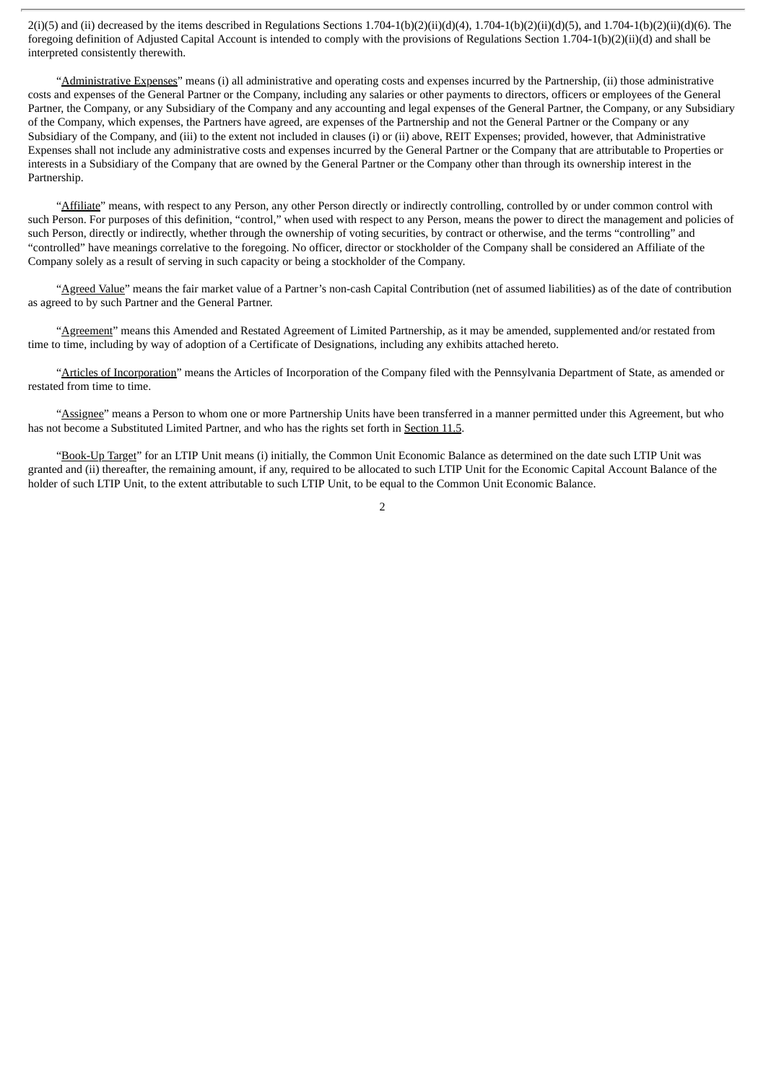$2(i)$ (5) and (ii) decreased by the items described in Regulations Sections  $1.704-1(b)(2)(ii)(d)(4)$ ,  $1.704-1(b)(2)(ii)(d)(5)$ , and  $1.704-1(b)(2)(ii)(d)(6)$ . The foregoing definition of Adjusted Capital Account is intended to comply with the provisions of Regulations Section 1.704-1(b)(2)(ii)(d) and shall be interpreted consistently therewith.

"Administrative Expenses" means (i) all administrative and operating costs and expenses incurred by the Partnership, (ii) those administrative costs and expenses of the General Partner or the Company, including any salaries or other payments to directors, officers or employees of the General Partner, the Company, or any Subsidiary of the Company and any accounting and legal expenses of the General Partner, the Company, or any Subsidiary of the Company, which expenses, the Partners have agreed, are expenses of the Partnership and not the General Partner or the Company or any Subsidiary of the Company, and (iii) to the extent not included in clauses (i) or (ii) above, REIT Expenses; provided, however, that Administrative Expenses shall not include any administrative costs and expenses incurred by the General Partner or the Company that are attributable to Properties or interests in a Subsidiary of the Company that are owned by the General Partner or the Company other than through its ownership interest in the Partnership.

"Affiliate" means, with respect to any Person, any other Person directly or indirectly controlling, controlled by or under common control with such Person. For purposes of this definition, "control," when used with respect to any Person, means the power to direct the management and policies of such Person, directly or indirectly, whether through the ownership of voting securities, by contract or otherwise, and the terms "controlling" and "controlled" have meanings correlative to the foregoing. No officer, director or stockholder of the Company shall be considered an Affiliate of the Company solely as a result of serving in such capacity or being a stockholder of the Company.

"Agreed Value" means the fair market value of a Partner's non-cash Capital Contribution (net of assumed liabilities) as of the date of contribution as agreed to by such Partner and the General Partner.

"Agreement" means this Amended and Restated Agreement of Limited Partnership, as it may be amended, supplemented and/or restated from time to time, including by way of adoption of a Certificate of Designations, including any exhibits attached hereto.

"Articles of Incorporation" means the Articles of Incorporation of the Company filed with the Pennsylvania Department of State, as amended or restated from time to time.

"Assignee" means a Person to whom one or more Partnership Units have been transferred in a manner permitted under this Agreement, but who has not become a Substituted Limited Partner, and who has the rights set forth in Section 11.5.

"Book-Up Target" for an LTIP Unit means (i) initially, the Common Unit Economic Balance as determined on the date such LTIP Unit was granted and (ii) thereafter, the remaining amount, if any, required to be allocated to such LTIP Unit for the Economic Capital Account Balance of the holder of such LTIP Unit, to the extent attributable to such LTIP Unit, to be equal to the Common Unit Economic Balance.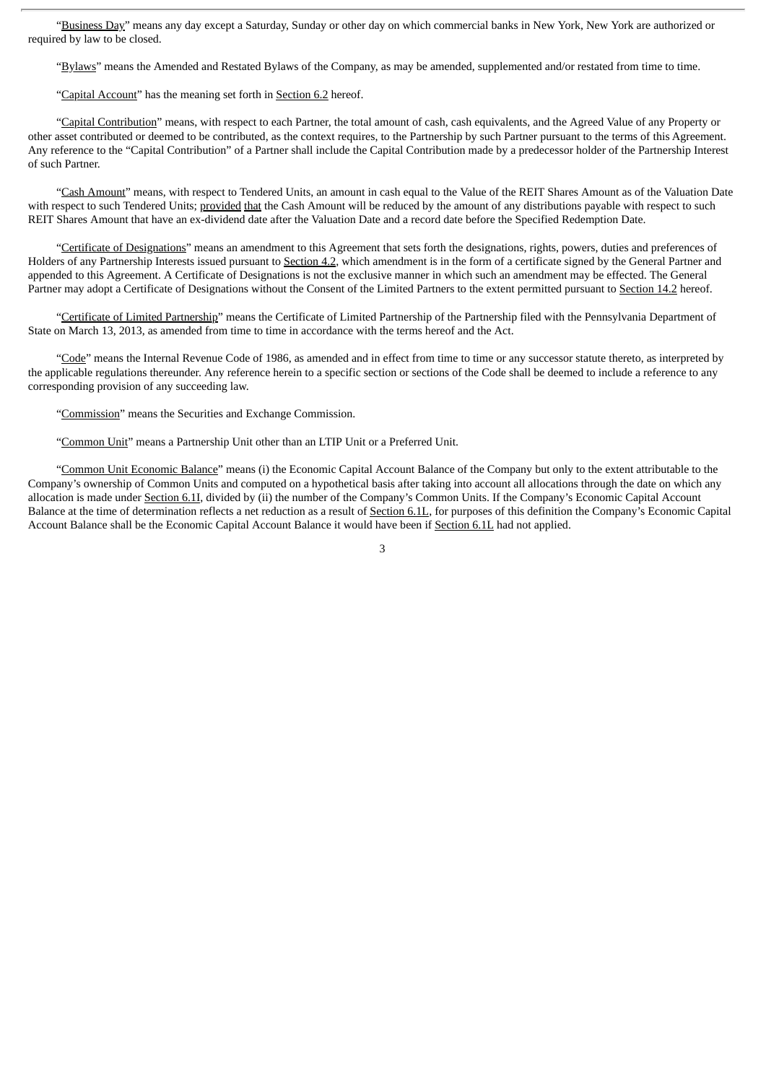"Business Day" means any day except a Saturday, Sunday or other day on which commercial banks in New York, New York are authorized or required by law to be closed.

"Bylaws" means the Amended and Restated Bylaws of the Company, as may be amended, supplemented and/or restated from time to time.

"Capital Account" has the meaning set forth in Section 6.2 hereof.

"Capital Contribution" means, with respect to each Partner, the total amount of cash, cash equivalents, and the Agreed Value of any Property or other asset contributed or deemed to be contributed, as the context requires, to the Partnership by such Partner pursuant to the terms of this Agreement. Any reference to the "Capital Contribution" of a Partner shall include the Capital Contribution made by a predecessor holder of the Partnership Interest of such Partner.

"Cash Amount" means, with respect to Tendered Units, an amount in cash equal to the Value of the REIT Shares Amount as of the Valuation Date with respect to such Tendered Units; provided that the Cash Amount will be reduced by the amount of any distributions payable with respect to such REIT Shares Amount that have an ex-dividend date after the Valuation Date and a record date before the Specified Redemption Date.

"Certificate of Designations" means an amendment to this Agreement that sets forth the designations, rights, powers, duties and preferences of Holders of any Partnership Interests issued pursuant to Section 4.2, which amendment is in the form of a certificate signed by the General Partner and appended to this Agreement. A Certificate of Designations is not the exclusive manner in which such an amendment may be effected. The General Partner may adopt a Certificate of Designations without the Consent of the Limited Partners to the extent permitted pursuant to Section 14.2 hereof.

"Certificate of Limited Partnership" means the Certificate of Limited Partnership of the Partnership filed with the Pennsylvania Department of State on March 13, 2013, as amended from time to time in accordance with the terms hereof and the Act.

"Code" means the Internal Revenue Code of 1986, as amended and in effect from time to time or any successor statute thereto, as interpreted by the applicable regulations thereunder. Any reference herein to a specific section or sections of the Code shall be deemed to include a reference to any corresponding provision of any succeeding law.

"Commission" means the Securities and Exchange Commission.

"Common Unit" means a Partnership Unit other than an LTIP Unit or a Preferred Unit.

"Common Unit Economic Balance" means (i) the Economic Capital Account Balance of the Company but only to the extent attributable to the Company's ownership of Common Units and computed on a hypothetical basis after taking into account all allocations through the date on which any allocation is made under Section 6.11, divided by (ii) the number of the Company's Common Units. If the Company's Economic Capital Account Balance at the time of determination reflects a net reduction as a result of Section 6.1L, for purposes of this definition the Company's Economic Capital Account Balance shall be the Economic Capital Account Balance it would have been if Section 6.1L had not applied.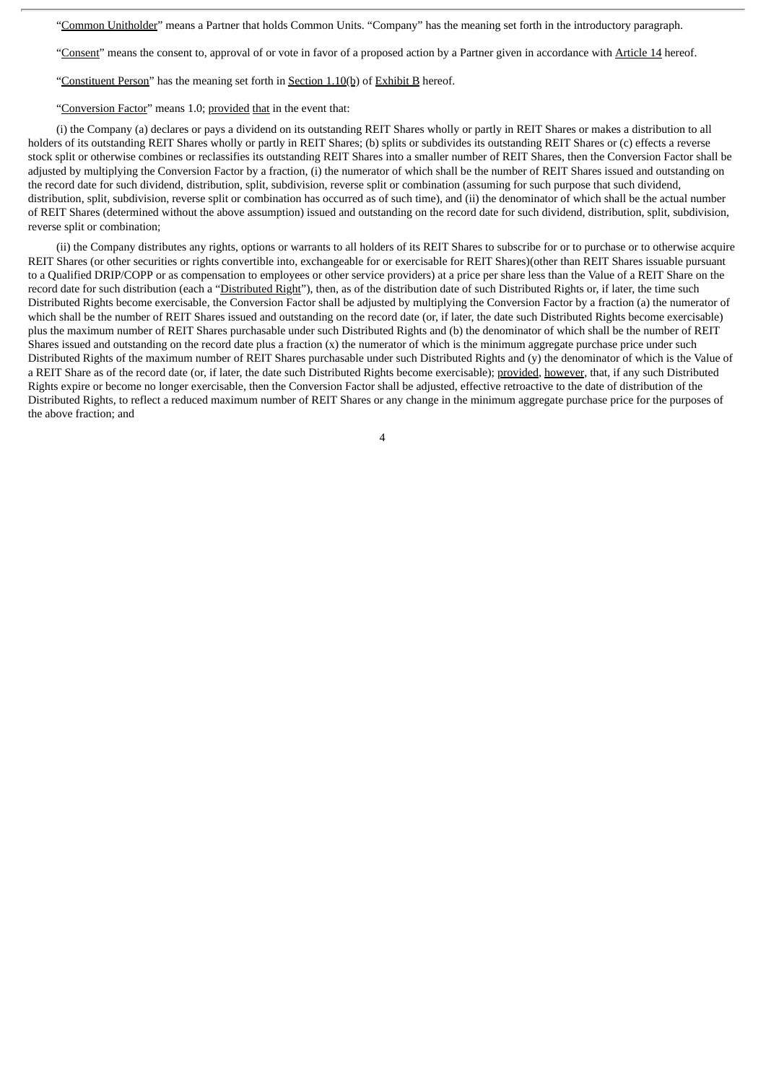"Common Unitholder" means a Partner that holds Common Units. "Company" has the meaning set forth in the introductory paragraph.

"Consent" means the consent to, approval of or vote in favor of a proposed action by a Partner given in accordance with Article 14 hereof.

"Constituent Person" has the meaning set forth in Section 1.10(b) of Exhibit B hereof.

"Conversion Factor" means 1.0; provided that in the event that:

(i) the Company (a) declares or pays a dividend on its outstanding REIT Shares wholly or partly in REIT Shares or makes a distribution to all holders of its outstanding REIT Shares wholly or partly in REIT Shares; (b) splits or subdivides its outstanding REIT Shares or (c) effects a reverse stock split or otherwise combines or reclassifies its outstanding REIT Shares into a smaller number of REIT Shares, then the Conversion Factor shall be adjusted by multiplying the Conversion Factor by a fraction, (i) the numerator of which shall be the number of REIT Shares issued and outstanding on the record date for such dividend, distribution, split, subdivision, reverse split or combination (assuming for such purpose that such dividend, distribution, split, subdivision, reverse split or combination has occurred as of such time), and (ii) the denominator of which shall be the actual number of REIT Shares (determined without the above assumption) issued and outstanding on the record date for such dividend, distribution, split, subdivision, reverse split or combination;

(ii) the Company distributes any rights, options or warrants to all holders of its REIT Shares to subscribe for or to purchase or to otherwise acquire REIT Shares (or other securities or rights convertible into, exchangeable for or exercisable for REIT Shares)(other than REIT Shares issuable pursuant to a Qualified DRIP/COPP or as compensation to employees or other service providers) at a price per share less than the Value of a REIT Share on the record date for such distribution (each a "Distributed Right"), then, as of the distribution date of such Distributed Rights or, if later, the time such Distributed Rights become exercisable, the Conversion Factor shall be adjusted by multiplying the Conversion Factor by a fraction (a) the numerator of which shall be the number of REIT Shares issued and outstanding on the record date (or, if later, the date such Distributed Rights become exercisable) plus the maximum number of REIT Shares purchasable under such Distributed Rights and (b) the denominator of which shall be the number of REIT Shares issued and outstanding on the record date plus a fraction (x) the numerator of which is the minimum aggregate purchase price under such Distributed Rights of the maximum number of REIT Shares purchasable under such Distributed Rights and (y) the denominator of which is the Value of a REIT Share as of the record date (or, if later, the date such Distributed Rights become exercisable); provided, however, that, if any such Distributed Rights expire or become no longer exercisable, then the Conversion Factor shall be adjusted, effective retroactive to the date of distribution of the Distributed Rights, to reflect a reduced maximum number of REIT Shares or any change in the minimum aggregate purchase price for the purposes of the above fraction; and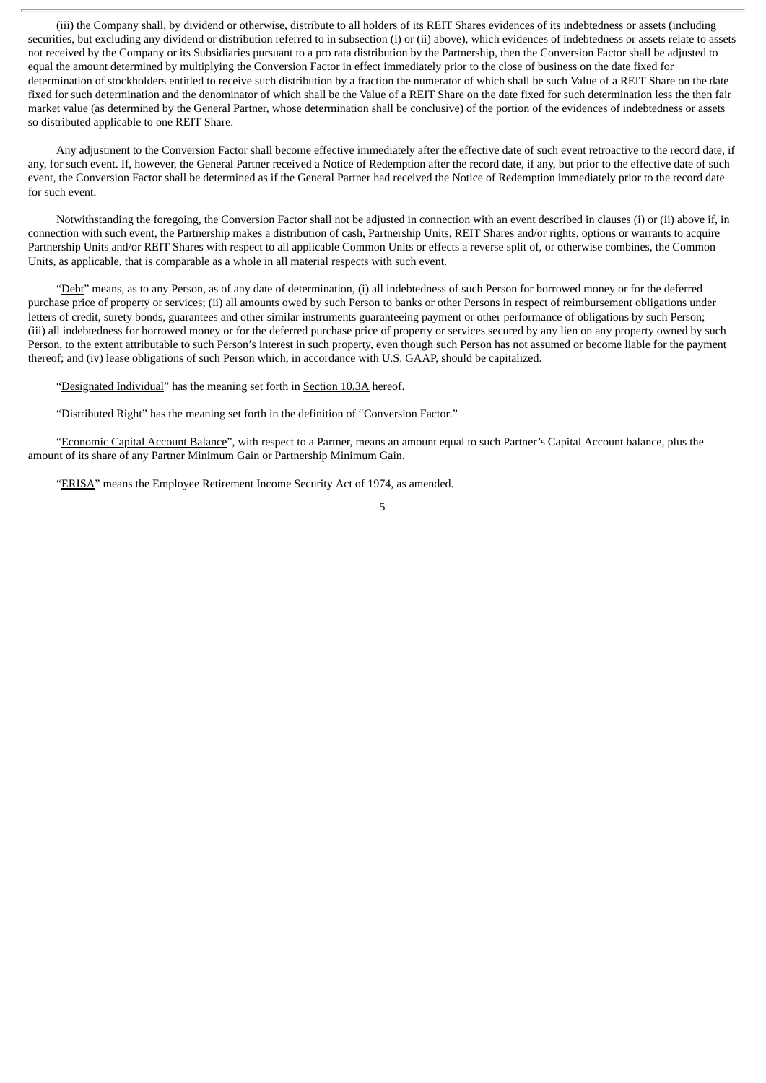(iii) the Company shall, by dividend or otherwise, distribute to all holders of its REIT Shares evidences of its indebtedness or assets (including securities, but excluding any dividend or distribution referred to in subsection (i) or (ii) above), which evidences of indebtedness or assets relate to assets not received by the Company or its Subsidiaries pursuant to a pro rata distribution by the Partnership, then the Conversion Factor shall be adjusted to equal the amount determined by multiplying the Conversion Factor in effect immediately prior to the close of business on the date fixed for determination of stockholders entitled to receive such distribution by a fraction the numerator of which shall be such Value of a REIT Share on the date fixed for such determination and the denominator of which shall be the Value of a REIT Share on the date fixed for such determination less the then fair market value (as determined by the General Partner, whose determination shall be conclusive) of the portion of the evidences of indebtedness or assets so distributed applicable to one REIT Share.

Any adjustment to the Conversion Factor shall become effective immediately after the effective date of such event retroactive to the record date, if any, for such event. If, however, the General Partner received a Notice of Redemption after the record date, if any, but prior to the effective date of such event, the Conversion Factor shall be determined as if the General Partner had received the Notice of Redemption immediately prior to the record date for such event.

Notwithstanding the foregoing, the Conversion Factor shall not be adjusted in connection with an event described in clauses (i) or (ii) above if, in connection with such event, the Partnership makes a distribution of cash, Partnership Units, REIT Shares and/or rights, options or warrants to acquire Partnership Units and/or REIT Shares with respect to all applicable Common Units or effects a reverse split of, or otherwise combines, the Common Units, as applicable, that is comparable as a whole in all material respects with such event.

"Debt" means, as to any Person, as of any date of determination, (i) all indebtedness of such Person for borrowed money or for the deferred purchase price of property or services; (ii) all amounts owed by such Person to banks or other Persons in respect of reimbursement obligations under letters of credit, surety bonds, guarantees and other similar instruments guaranteeing payment or other performance of obligations by such Person; (iii) all indebtedness for borrowed money or for the deferred purchase price of property or services secured by any lien on any property owned by such Person, to the extent attributable to such Person's interest in such property, even though such Person has not assumed or become liable for the payment thereof; and (iv) lease obligations of such Person which, in accordance with U.S. GAAP, should be capitalized.

"Designated Individual" has the meaning set forth in Section 10.3A hereof.

"Distributed Right" has the meaning set forth in the definition of "Conversion Factor."

"Economic Capital Account Balance", with respect to a Partner, means an amount equal to such Partner's Capital Account balance, plus the amount of its share of any Partner Minimum Gain or Partnership Minimum Gain.

"ERISA" means the Employee Retirement Income Security Act of 1974, as amended.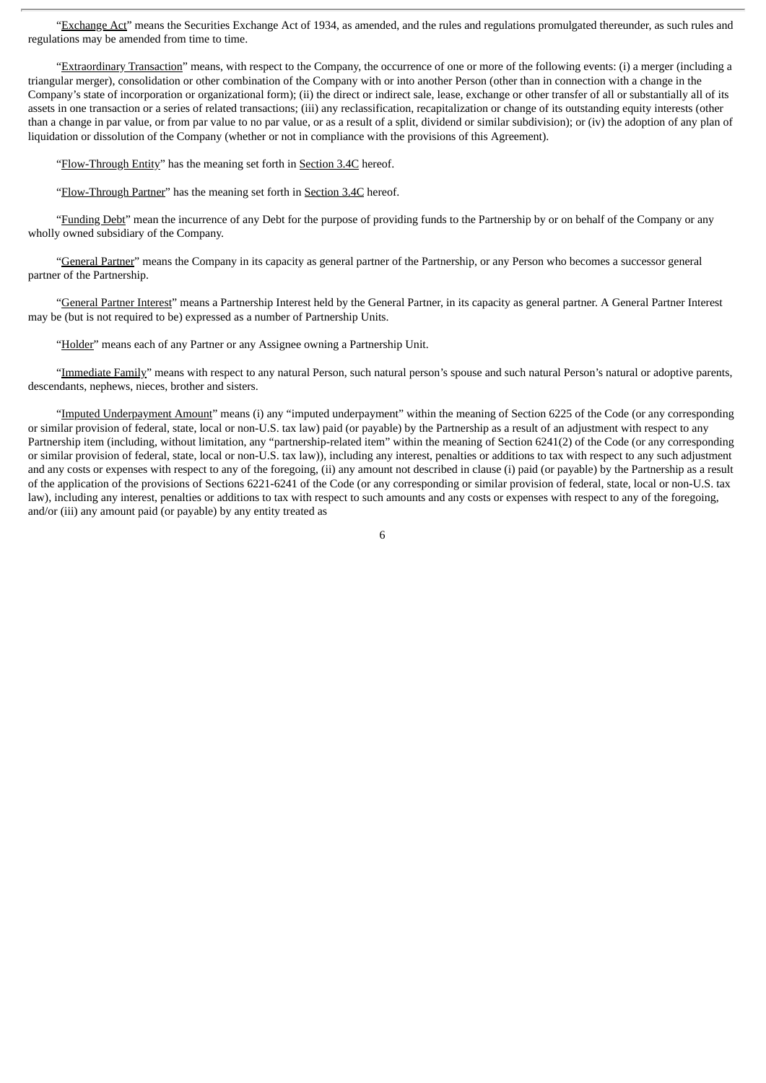"Exchange Act" means the Securities Exchange Act of 1934, as amended, and the rules and regulations promulgated thereunder, as such rules and regulations may be amended from time to time.

"Extraordinary Transaction" means, with respect to the Company, the occurrence of one or more of the following events: (i) a merger (including a triangular merger), consolidation or other combination of the Company with or into another Person (other than in connection with a change in the Company's state of incorporation or organizational form); (ii) the direct or indirect sale, lease, exchange or other transfer of all or substantially all of its assets in one transaction or a series of related transactions; (iii) any reclassification, recapitalization or change of its outstanding equity interests (other than a change in par value, or from par value to no par value, or as a result of a split, dividend or similar subdivision); or (iv) the adoption of any plan of liquidation or dissolution of the Company (whether or not in compliance with the provisions of this Agreement).

"Flow-Through Entity" has the meaning set forth in Section 3.4C hereof.

"Flow-Through Partner" has the meaning set forth in Section 3.4C hereof.

"Funding Debt" mean the incurrence of any Debt for the purpose of providing funds to the Partnership by or on behalf of the Company or any wholly owned subsidiary of the Company.

"General Partner" means the Company in its capacity as general partner of the Partnership, or any Person who becomes a successor general partner of the Partnership.

"General Partner Interest" means a Partnership Interest held by the General Partner, in its capacity as general partner. A General Partner Interest may be (but is not required to be) expressed as a number of Partnership Units.

"Holder" means each of any Partner or any Assignee owning a Partnership Unit.

"Immediate Family" means with respect to any natural Person, such natural person's spouse and such natural Person's natural or adoptive parents, descendants, nephews, nieces, brother and sisters.

"Imputed Underpayment Amount" means (i) any "imputed underpayment" within the meaning of Section 6225 of the Code (or any corresponding or similar provision of federal, state, local or non-U.S. tax law) paid (or payable) by the Partnership as a result of an adjustment with respect to any Partnership item (including, without limitation, any "partnership-related item" within the meaning of Section 6241(2) of the Code (or any corresponding or similar provision of federal, state, local or non-U.S. tax law)), including any interest, penalties or additions to tax with respect to any such adjustment and any costs or expenses with respect to any of the foregoing, (ii) any amount not described in clause (i) paid (or payable) by the Partnership as a result of the application of the provisions of Sections 6221-6241 of the Code (or any corresponding or similar provision of federal, state, local or non-U.S. tax law), including any interest, penalties or additions to tax with respect to such amounts and any costs or expenses with respect to any of the foregoing, and/or (iii) any amount paid (or payable) by any entity treated as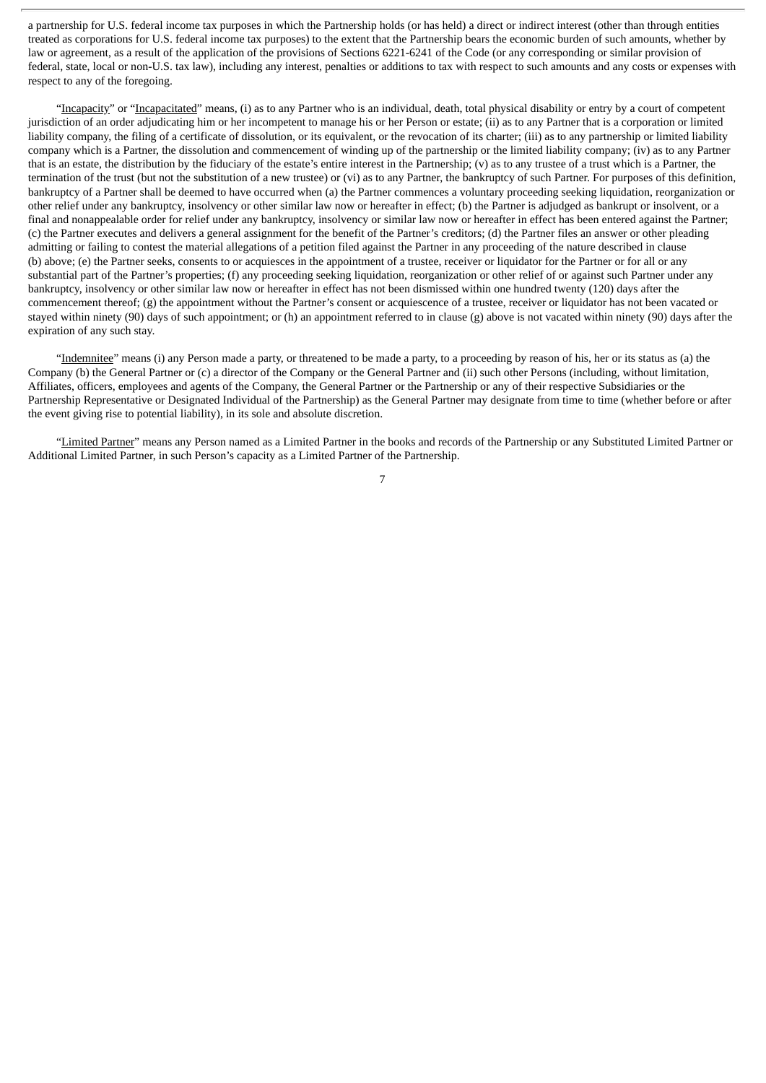a partnership for U.S. federal income tax purposes in which the Partnership holds (or has held) a direct or indirect interest (other than through entities treated as corporations for U.S. federal income tax purposes) to the extent that the Partnership bears the economic burden of such amounts, whether by law or agreement, as a result of the application of the provisions of Sections 6221-6241 of the Code (or any corresponding or similar provision of federal, state, local or non-U.S. tax law), including any interest, penalties or additions to tax with respect to such amounts and any costs or expenses with respect to any of the foregoing.

"Incapacity" or "Incapacitated" means, (i) as to any Partner who is an individual, death, total physical disability or entry by a court of competent jurisdiction of an order adjudicating him or her incompetent to manage his or her Person or estate; (ii) as to any Partner that is a corporation or limited liability company, the filing of a certificate of dissolution, or its equivalent, or the revocation of its charter; (iii) as to any partnership or limited liability company which is a Partner, the dissolution and commencement of winding up of the partnership or the limited liability company; (iv) as to any Partner that is an estate, the distribution by the fiduciary of the estate's entire interest in the Partnership; (v) as to any trustee of a trust which is a Partner, the termination of the trust (but not the substitution of a new trustee) or (vi) as to any Partner, the bankruptcy of such Partner. For purposes of this definition, bankruptcy of a Partner shall be deemed to have occurred when (a) the Partner commences a voluntary proceeding seeking liquidation, reorganization or other relief under any bankruptcy, insolvency or other similar law now or hereafter in effect; (b) the Partner is adjudged as bankrupt or insolvent, or a final and nonappealable order for relief under any bankruptcy, insolvency or similar law now or hereafter in effect has been entered against the Partner; (c) the Partner executes and delivers a general assignment for the benefit of the Partner's creditors; (d) the Partner files an answer or other pleading admitting or failing to contest the material allegations of a petition filed against the Partner in any proceeding of the nature described in clause (b) above; (e) the Partner seeks, consents to or acquiesces in the appointment of a trustee, receiver or liquidator for the Partner or for all or any substantial part of the Partner's properties; (f) any proceeding seeking liquidation, reorganization or other relief of or against such Partner under any bankruptcy, insolvency or other similar law now or hereafter in effect has not been dismissed within one hundred twenty (120) days after the commencement thereof; (g) the appointment without the Partner's consent or acquiescence of a trustee, receiver or liquidator has not been vacated or stayed within ninety (90) days of such appointment; or (h) an appointment referred to in clause (g) above is not vacated within ninety (90) days after the expiration of any such stay.

"Indemnitee" means (i) any Person made a party, or threatened to be made a party, to a proceeding by reason of his, her or its status as (a) the Company (b) the General Partner or (c) a director of the Company or the General Partner and (ii) such other Persons (including, without limitation, Affiliates, officers, employees and agents of the Company, the General Partner or the Partnership or any of their respective Subsidiaries or the Partnership Representative or Designated Individual of the Partnership) as the General Partner may designate from time to time (whether before or after the event giving rise to potential liability), in its sole and absolute discretion.

"Limited Partner" means any Person named as a Limited Partner in the books and records of the Partnership or any Substituted Limited Partner or Additional Limited Partner, in such Person's capacity as a Limited Partner of the Partnership.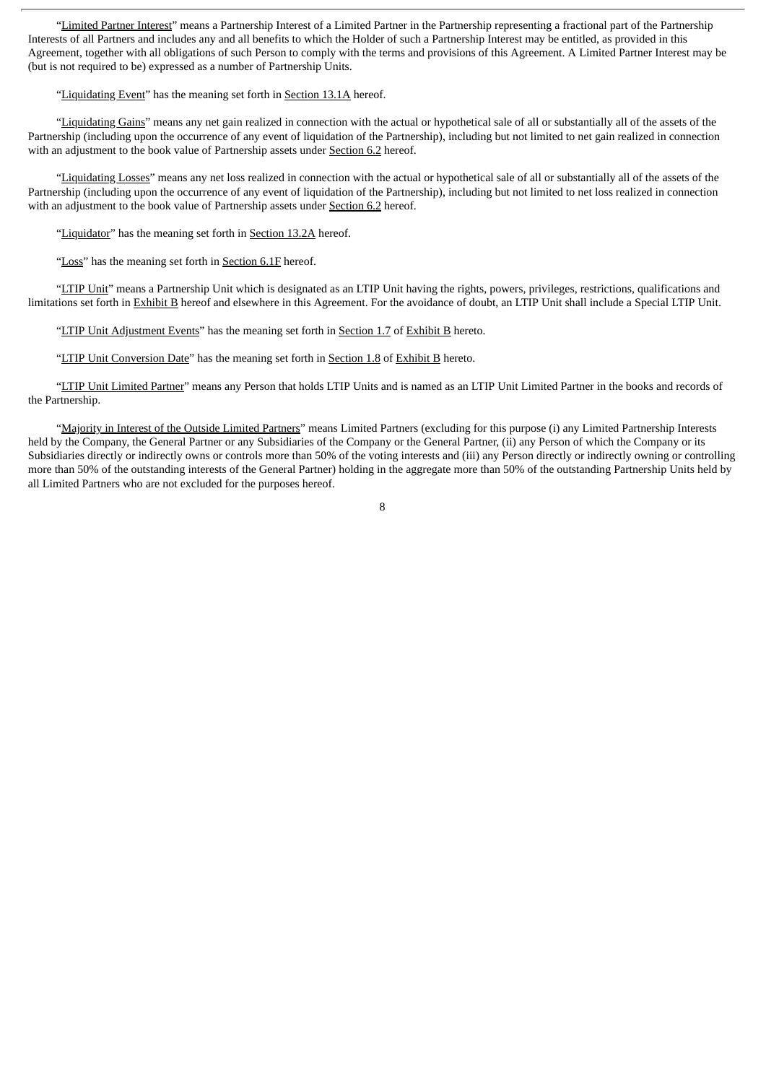"Limited Partner Interest" means a Partnership Interest of a Limited Partner in the Partnership representing a fractional part of the Partnership Interests of all Partners and includes any and all benefits to which the Holder of such a Partnership Interest may be entitled, as provided in this Agreement, together with all obligations of such Person to comply with the terms and provisions of this Agreement. A Limited Partner Interest may be (but is not required to be) expressed as a number of Partnership Units.

"Liquidating Event" has the meaning set forth in Section 13.1A hereof.

"Liquidating Gains" means any net gain realized in connection with the actual or hypothetical sale of all or substantially all of the assets of the Partnership (including upon the occurrence of any event of liquidation of the Partnership), including but not limited to net gain realized in connection with an adjustment to the book value of Partnership assets under Section 6.2 hereof.

"Liquidating Losses" means any net loss realized in connection with the actual or hypothetical sale of all or substantially all of the assets of the Partnership (including upon the occurrence of any event of liquidation of the Partnership), including but not limited to net loss realized in connection with an adjustment to the book value of Partnership assets under Section 6.2 hereof.

"Liquidator" has the meaning set forth in Section 13.2A hereof.

"Loss" has the meaning set forth in Section 6.1F hereof.

"LTIP Unit" means a Partnership Unit which is designated as an LTIP Unit having the rights, powers, privileges, restrictions, qualifications and limitations set forth in Exhibit B hereof and elsewhere in this Agreement. For the avoidance of doubt, an LTIP Unit shall include a Special LTIP Unit.

"LTIP Unit Adjustment Events" has the meaning set forth in Section 1.7 of Exhibit B hereto.

"LTIP Unit Conversion Date" has the meaning set forth in Section 1.8 of Exhibit B hereto.

"LTIP Unit Limited Partner" means any Person that holds LTIP Units and is named as an LTIP Unit Limited Partner in the books and records of the Partnership.

"Majority in Interest of the Outside Limited Partners" means Limited Partners (excluding for this purpose (i) any Limited Partnership Interests held by the Company, the General Partner or any Subsidiaries of the Company or the General Partner, (ii) any Person of which the Company or its Subsidiaries directly or indirectly owns or controls more than 50% of the voting interests and (iii) any Person directly or indirectly owning or controlling more than 50% of the outstanding interests of the General Partner) holding in the aggregate more than 50% of the outstanding Partnership Units held by all Limited Partners who are not excluded for the purposes hereof.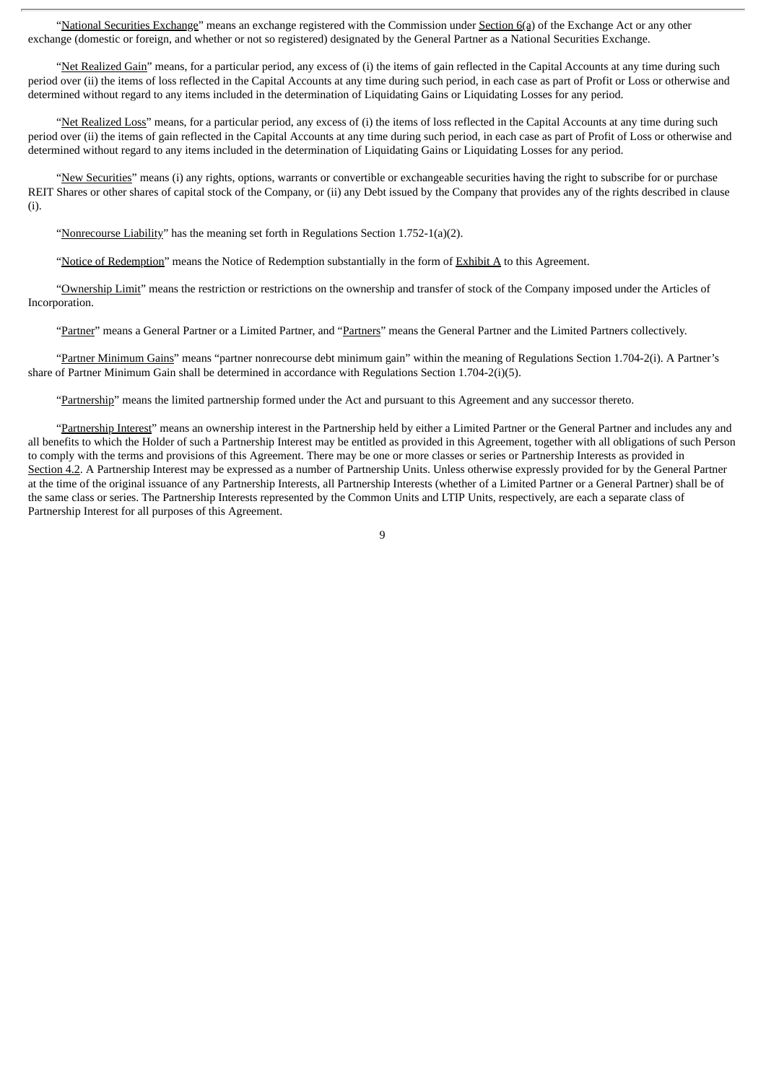"National Securities Exchange" means an exchange registered with the Commission under Section 6(a) of the Exchange Act or any other exchange (domestic or foreign, and whether or not so registered) designated by the General Partner as a National Securities Exchange.

"Net Realized Gain" means, for a particular period, any excess of (i) the items of gain reflected in the Capital Accounts at any time during such period over (ii) the items of loss reflected in the Capital Accounts at any time during such period, in each case as part of Profit or Loss or otherwise and determined without regard to any items included in the determination of Liquidating Gains or Liquidating Losses for any period.

"Net Realized Loss" means, for a particular period, any excess of (i) the items of loss reflected in the Capital Accounts at any time during such period over (ii) the items of gain reflected in the Capital Accounts at any time during such period, in each case as part of Profit of Loss or otherwise and determined without regard to any items included in the determination of Liquidating Gains or Liquidating Losses for any period.

"New Securities" means (i) any rights, options, warrants or convertible or exchangeable securities having the right to subscribe for or purchase REIT Shares or other shares of capital stock of the Company, or (ii) any Debt issued by the Company that provides any of the rights described in clause (i).

"Nonrecourse Liability" has the meaning set forth in Regulations Section 1.752-1(a)(2).

"Notice of Redemption" means the Notice of Redemption substantially in the form of Exhibit A to this Agreement.

"Ownership Limit" means the restriction or restrictions on the ownership and transfer of stock of the Company imposed under the Articles of Incorporation.

"Partner" means a General Partner or a Limited Partner, and "Partners" means the General Partner and the Limited Partners collectively.

"Partner Minimum Gains" means "partner nonrecourse debt minimum gain" within the meaning of Regulations Section 1.704-2(i). A Partner's share of Partner Minimum Gain shall be determined in accordance with Regulations Section 1.704-2(i)(5).

"Partnership" means the limited partnership formed under the Act and pursuant to this Agreement and any successor thereto.

"Partnership Interest" means an ownership interest in the Partnership held by either a Limited Partner or the General Partner and includes any and all benefits to which the Holder of such a Partnership Interest may be entitled as provided in this Agreement, together with all obligations of such Person to comply with the terms and provisions of this Agreement. There may be one or more classes or series or Partnership Interests as provided in Section 4.2. A Partnership Interest may be expressed as a number of Partnership Units. Unless otherwise expressly provided for by the General Partner at the time of the original issuance of any Partnership Interests, all Partnership Interests (whether of a Limited Partner or a General Partner) shall be of the same class or series. The Partnership Interests represented by the Common Units and LTIP Units, respectively, are each a separate class of Partnership Interest for all purposes of this Agreement.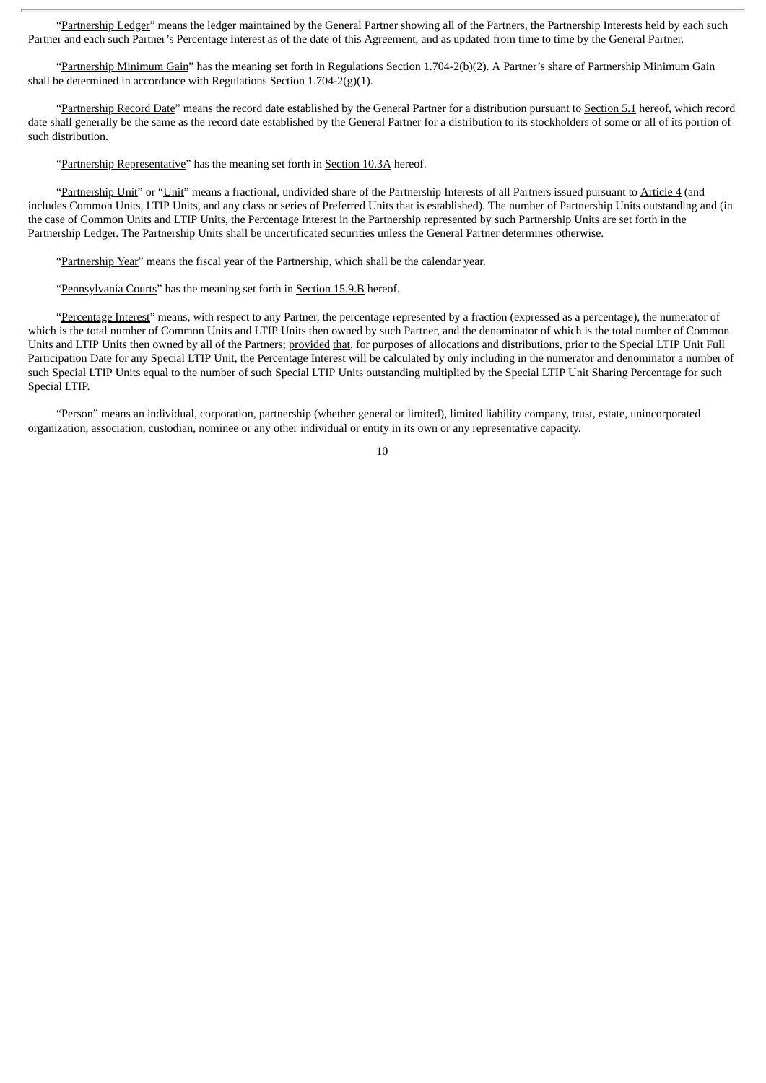"Partnership Ledger" means the ledger maintained by the General Partner showing all of the Partners, the Partnership Interests held by each such Partner and each such Partner's Percentage Interest as of the date of this Agreement, and as updated from time to time by the General Partner.

"Partnership Minimum Gain" has the meaning set forth in Regulations Section 1.704-2(b)(2). A Partner's share of Partnership Minimum Gain shall be determined in accordance with Regulations Section  $1.704-2(g)(1)$ .

"Partnership Record Date" means the record date established by the General Partner for a distribution pursuant to Section 5.1 hereof, which record date shall generally be the same as the record date established by the General Partner for a distribution to its stockholders of some or all of its portion of such distribution.

"Partnership Representative" has the meaning set forth in Section 10.3A hereof.

"Partnership Unit" or "Unit" means a fractional, undivided share of the Partnership Interests of all Partners issued pursuant to Article 4 (and includes Common Units, LTIP Units, and any class or series of Preferred Units that is established). The number of Partnership Units outstanding and (in the case of Common Units and LTIP Units, the Percentage Interest in the Partnership represented by such Partnership Units are set forth in the Partnership Ledger. The Partnership Units shall be uncertificated securities unless the General Partner determines otherwise.

"Partnership Year" means the fiscal year of the Partnership, which shall be the calendar year.

"Pennsylvania Courts" has the meaning set forth in Section 15.9.B hereof.

"Percentage Interest" means, with respect to any Partner, the percentage represented by a fraction (expressed as a percentage), the numerator of which is the total number of Common Units and LTIP Units then owned by such Partner, and the denominator of which is the total number of Common Units and LTIP Units then owned by all of the Partners; provided that, for purposes of allocations and distributions, prior to the Special LTIP Unit Full Participation Date for any Special LTIP Unit, the Percentage Interest will be calculated by only including in the numerator and denominator a number of such Special LTIP Units equal to the number of such Special LTIP Units outstanding multiplied by the Special LTIP Unit Sharing Percentage for such Special LTIP.

"Person" means an individual, corporation, partnership (whether general or limited), limited liability company, trust, estate, unincorporated organization, association, custodian, nominee or any other individual or entity in its own or any representative capacity.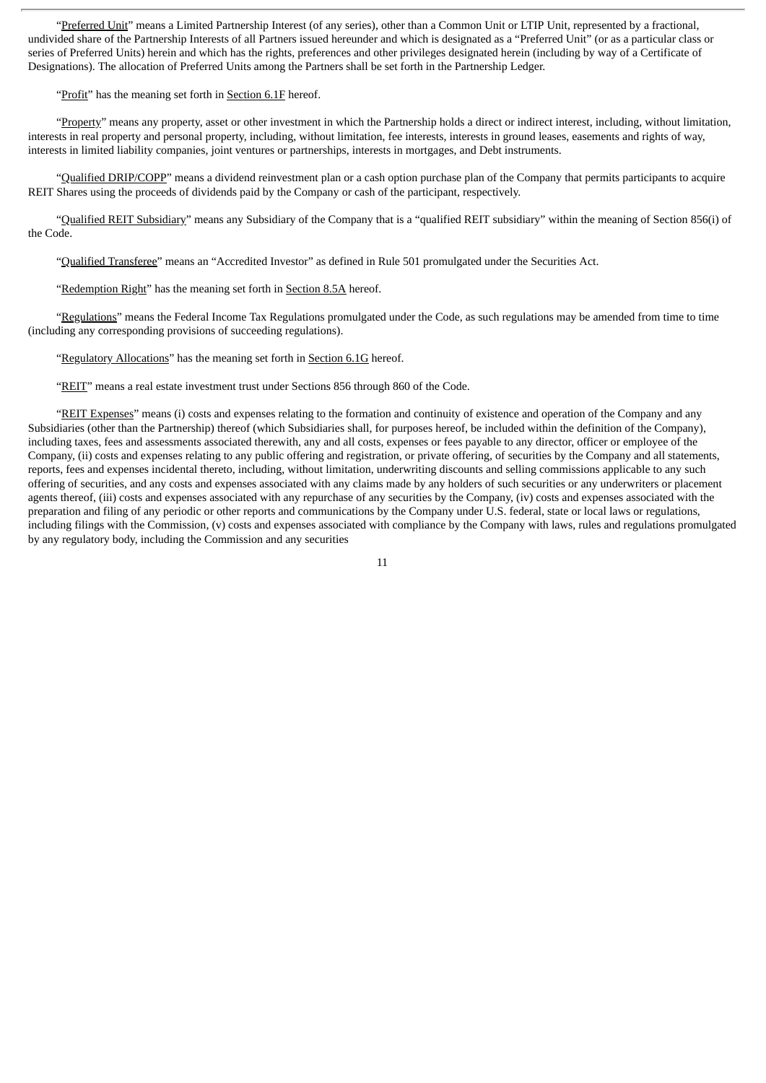"Preferred Unit" means a Limited Partnership Interest (of any series), other than a Common Unit or LTIP Unit, represented by a fractional, undivided share of the Partnership Interests of all Partners issued hereunder and which is designated as a "Preferred Unit" (or as a particular class or series of Preferred Units) herein and which has the rights, preferences and other privileges designated herein (including by way of a Certificate of Designations). The allocation of Preferred Units among the Partners shall be set forth in the Partnership Ledger.

"Profit" has the meaning set forth in Section 6.1F hereof.

"Property" means any property, asset or other investment in which the Partnership holds a direct or indirect interest, including, without limitation, interests in real property and personal property, including, without limitation, fee interests, interests in ground leases, easements and rights of way, interests in limited liability companies, joint ventures or partnerships, interests in mortgages, and Debt instruments.

"Qualified DRIP/COPP" means a dividend reinvestment plan or a cash option purchase plan of the Company that permits participants to acquire REIT Shares using the proceeds of dividends paid by the Company or cash of the participant, respectively.

"Qualified REIT Subsidiary" means any Subsidiary of the Company that is a "qualified REIT subsidiary" within the meaning of Section 856(i) of the Code.

"Qualified Transferee" means an "Accredited Investor" as defined in Rule 501 promulgated under the Securities Act.

"Redemption Right" has the meaning set forth in Section 8.5A hereof.

"Regulations" means the Federal Income Tax Regulations promulgated under the Code, as such regulations may be amended from time to time (including any corresponding provisions of succeeding regulations).

"Regulatory Allocations" has the meaning set forth in Section 6.1G hereof.

"REIT" means a real estate investment trust under Sections 856 through 860 of the Code.

"REIT Expenses" means (i) costs and expenses relating to the formation and continuity of existence and operation of the Company and any Subsidiaries (other than the Partnership) thereof (which Subsidiaries shall, for purposes hereof, be included within the definition of the Company), including taxes, fees and assessments associated therewith, any and all costs, expenses or fees payable to any director, officer or employee of the Company, (ii) costs and expenses relating to any public offering and registration, or private offering, of securities by the Company and all statements, reports, fees and expenses incidental thereto, including, without limitation, underwriting discounts and selling commissions applicable to any such offering of securities, and any costs and expenses associated with any claims made by any holders of such securities or any underwriters or placement agents thereof, (iii) costs and expenses associated with any repurchase of any securities by the Company, (iv) costs and expenses associated with the preparation and filing of any periodic or other reports and communications by the Company under U.S. federal, state or local laws or regulations, including filings with the Commission, (v) costs and expenses associated with compliance by the Company with laws, rules and regulations promulgated by any regulatory body, including the Commission and any securities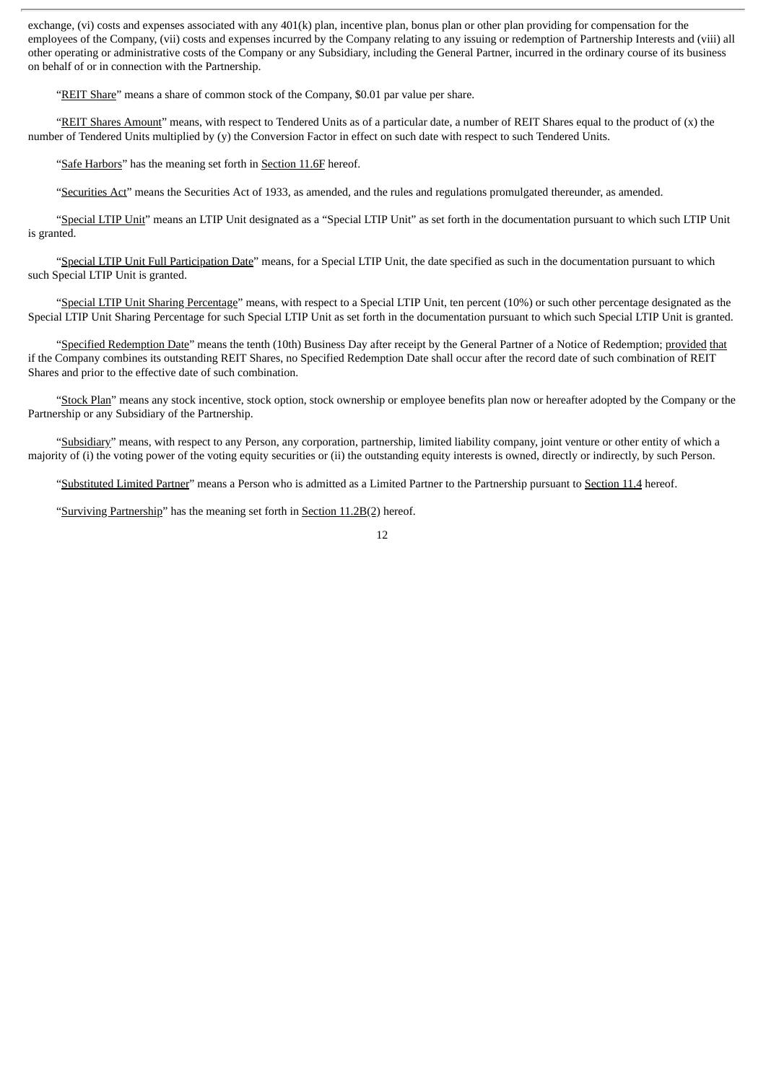exchange, (vi) costs and expenses associated with any 401(k) plan, incentive plan, bonus plan or other plan providing for compensation for the employees of the Company, (vii) costs and expenses incurred by the Company relating to any issuing or redemption of Partnership Interests and (viii) all other operating or administrative costs of the Company or any Subsidiary, including the General Partner, incurred in the ordinary course of its business on behalf of or in connection with the Partnership.

"REIT Share" means a share of common stock of the Company, \$0.01 par value per share.

"REIT Shares Amount" means, with respect to Tendered Units as of a particular date, a number of REIT Shares equal to the product of  $(x)$  the number of Tendered Units multiplied by (y) the Conversion Factor in effect on such date with respect to such Tendered Units.

"Safe Harbors" has the meaning set forth in Section 11.6F hereof.

"Securities Act" means the Securities Act of 1933, as amended, and the rules and regulations promulgated thereunder, as amended.

"Special LTIP Unit" means an LTIP Unit designated as a "Special LTIP Unit" as set forth in the documentation pursuant to which such LTIP Unit is granted.

"Special LTIP Unit Full Participation Date" means, for a Special LTIP Unit, the date specified as such in the documentation pursuant to which such Special LTIP Unit is granted.

"Special LTIP Unit Sharing Percentage" means, with respect to a Special LTIP Unit, ten percent (10%) or such other percentage designated as the Special LTIP Unit Sharing Percentage for such Special LTIP Unit as set forth in the documentation pursuant to which such Special LTIP Unit is granted.

"Specified Redemption Date" means the tenth (10th) Business Day after receipt by the General Partner of a Notice of Redemption; provided that if the Company combines its outstanding REIT Shares, no Specified Redemption Date shall occur after the record date of such combination of REIT Shares and prior to the effective date of such combination.

"Stock Plan" means any stock incentive, stock option, stock ownership or employee benefits plan now or hereafter adopted by the Company or the Partnership or any Subsidiary of the Partnership.

"Subsidiary" means, with respect to any Person, any corporation, partnership, limited liability company, joint venture or other entity of which a majority of (i) the voting power of the voting equity securities or (ii) the outstanding equity interests is owned, directly or indirectly, by such Person.

"Substituted Limited Partner" means a Person who is admitted as a Limited Partner to the Partnership pursuant to Section 11.4 hereof.

"Surviving Partnership" has the meaning set forth in Section 11.2B(2) hereof.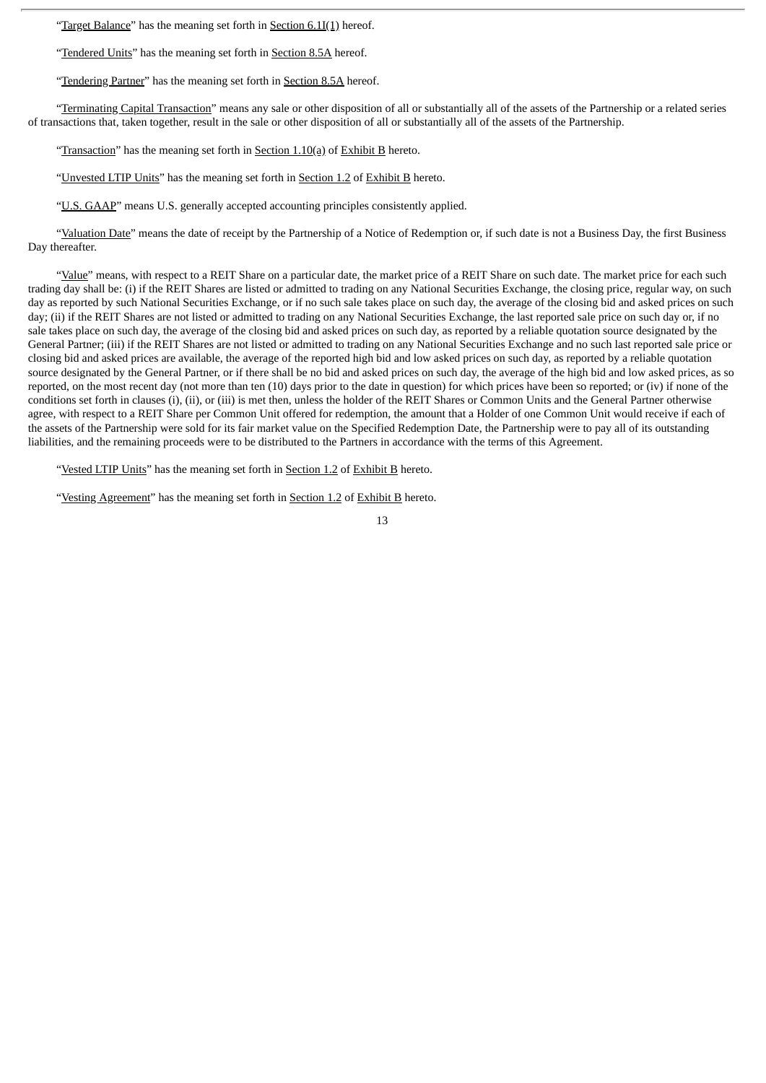"Target Balance" has the meaning set forth in Section 6.1I(1) hereof.

"Tendered Units" has the meaning set forth in Section 8.5A hereof.

"Tendering Partner" has the meaning set forth in Section 8.5A hereof.

"Terminating Capital Transaction" means any sale or other disposition of all or substantially all of the assets of the Partnership or a related series of transactions that, taken together, result in the sale or other disposition of all or substantially all of the assets of the Partnership.

"Transaction" has the meaning set forth in Section 1.10(a) of Exhibit B hereto.

"Unvested LTIP Units" has the meaning set forth in Section 1.2 of Exhibit B hereto.

"U.S. GAAP" means U.S. generally accepted accounting principles consistently applied.

"Valuation Date" means the date of receipt by the Partnership of a Notice of Redemption or, if such date is not a Business Day, the first Business Day thereafter.

"Value" means, with respect to a REIT Share on a particular date, the market price of a REIT Share on such date. The market price for each such trading day shall be: (i) if the REIT Shares are listed or admitted to trading on any National Securities Exchange, the closing price, regular way, on such day as reported by such National Securities Exchange, or if no such sale takes place on such day, the average of the closing bid and asked prices on such day; (ii) if the REIT Shares are not listed or admitted to trading on any National Securities Exchange, the last reported sale price on such day or, if no sale takes place on such day, the average of the closing bid and asked prices on such day, as reported by a reliable quotation source designated by the General Partner; (iii) if the REIT Shares are not listed or admitted to trading on any National Securities Exchange and no such last reported sale price or closing bid and asked prices are available, the average of the reported high bid and low asked prices on such day, as reported by a reliable quotation source designated by the General Partner, or if there shall be no bid and asked prices on such day, the average of the high bid and low asked prices, as so reported, on the most recent day (not more than ten (10) days prior to the date in question) for which prices have been so reported; or (iv) if none of the conditions set forth in clauses (i), (ii), or (iii) is met then, unless the holder of the REIT Shares or Common Units and the General Partner otherwise agree, with respect to a REIT Share per Common Unit offered for redemption, the amount that a Holder of one Common Unit would receive if each of the assets of the Partnership were sold for its fair market value on the Specified Redemption Date, the Partnership were to pay all of its outstanding liabilities, and the remaining proceeds were to be distributed to the Partners in accordance with the terms of this Agreement.

"Vested LTIP Units" has the meaning set forth in **Section 1.2** of Exhibit B hereto.

"Vesting Agreement" has the meaning set forth in Section 1.2 of Exhibit B hereto.

<sup>13</sup>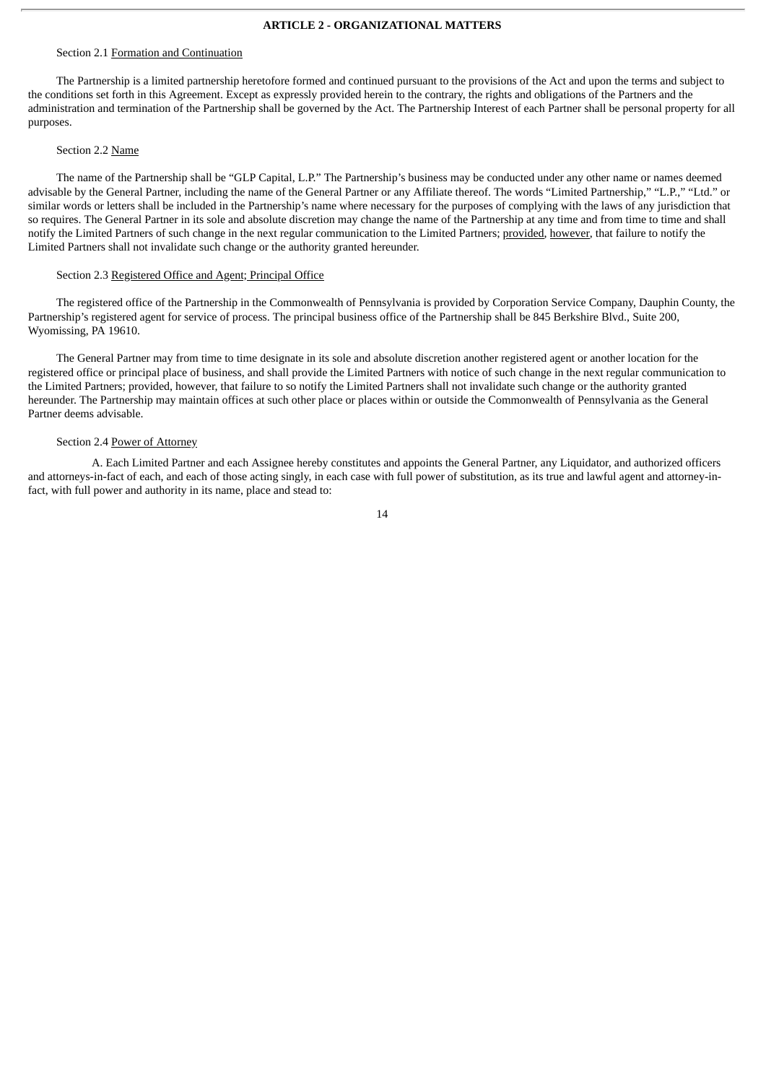# **ARTICLE 2 - ORGANIZATIONAL MATTERS**

#### Section 2.1 Formation and Continuation

The Partnership is a limited partnership heretofore formed and continued pursuant to the provisions of the Act and upon the terms and subject to the conditions set forth in this Agreement. Except as expressly provided herein to the contrary, the rights and obligations of the Partners and the administration and termination of the Partnership shall be governed by the Act. The Partnership Interest of each Partner shall be personal property for all purposes.

#### Section 2.2 Name

The name of the Partnership shall be "GLP Capital, L.P." The Partnership's business may be conducted under any other name or names deemed advisable by the General Partner, including the name of the General Partner or any Affiliate thereof. The words "Limited Partnership," "L.P.," "Ltd." or similar words or letters shall be included in the Partnership's name where necessary for the purposes of complying with the laws of any jurisdiction that so requires. The General Partner in its sole and absolute discretion may change the name of the Partnership at any time and from time to time and shall notify the Limited Partners of such change in the next regular communication to the Limited Partners; provided, however, that failure to notify the Limited Partners shall not invalidate such change or the authority granted hereunder.

# Section 2.3 Registered Office and Agent; Principal Office

The registered office of the Partnership in the Commonwealth of Pennsylvania is provided by Corporation Service Company, Dauphin County, the Partnership's registered agent for service of process. The principal business office of the Partnership shall be 845 Berkshire Blvd., Suite 200, Wyomissing, PA 19610.

The General Partner may from time to time designate in its sole and absolute discretion another registered agent or another location for the registered office or principal place of business, and shall provide the Limited Partners with notice of such change in the next regular communication to the Limited Partners; provided, however, that failure to so notify the Limited Partners shall not invalidate such change or the authority granted hereunder. The Partnership may maintain offices at such other place or places within or outside the Commonwealth of Pennsylvania as the General Partner deems advisable.

#### Section 2.4 Power of Attorney

A. Each Limited Partner and each Assignee hereby constitutes and appoints the General Partner, any Liquidator, and authorized officers and attorneys-in-fact of each, and each of those acting singly, in each case with full power of substitution, as its true and lawful agent and attorney-infact, with full power and authority in its name, place and stead to: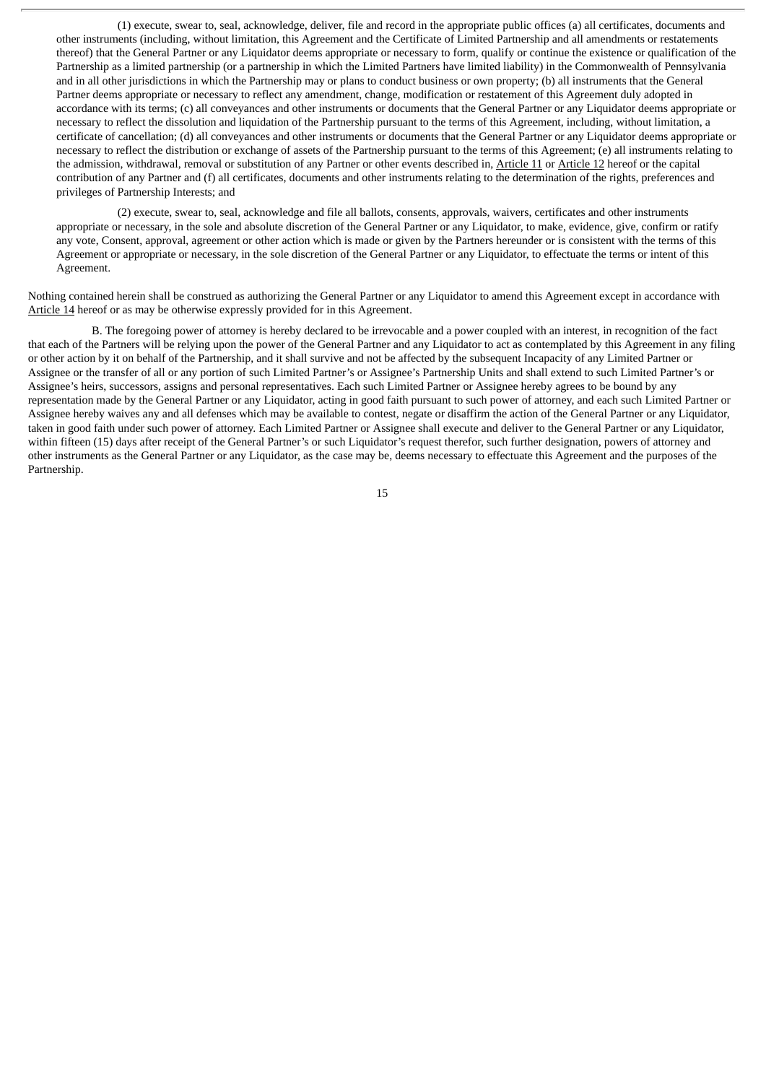(1) execute, swear to, seal, acknowledge, deliver, file and record in the appropriate public offices (a) all certificates, documents and other instruments (including, without limitation, this Agreement and the Certificate of Limited Partnership and all amendments or restatements thereof) that the General Partner or any Liquidator deems appropriate or necessary to form, qualify or continue the existence or qualification of the Partnership as a limited partnership (or a partnership in which the Limited Partners have limited liability) in the Commonwealth of Pennsylvania and in all other jurisdictions in which the Partnership may or plans to conduct business or own property; (b) all instruments that the General Partner deems appropriate or necessary to reflect any amendment, change, modification or restatement of this Agreement duly adopted in accordance with its terms; (c) all conveyances and other instruments or documents that the General Partner or any Liquidator deems appropriate or necessary to reflect the dissolution and liquidation of the Partnership pursuant to the terms of this Agreement, including, without limitation, a certificate of cancellation; (d) all conveyances and other instruments or documents that the General Partner or any Liquidator deems appropriate or necessary to reflect the distribution or exchange of assets of the Partnership pursuant to the terms of this Agreement; (e) all instruments relating to the admission, withdrawal, removal or substitution of any Partner or other events described in, Article 11 or Article 12 hereof or the capital contribution of any Partner and (f) all certificates, documents and other instruments relating to the determination of the rights, preferences and privileges of Partnership Interests; and

(2) execute, swear to, seal, acknowledge and file all ballots, consents, approvals, waivers, certificates and other instruments appropriate or necessary, in the sole and absolute discretion of the General Partner or any Liquidator, to make, evidence, give, confirm or ratify any vote, Consent, approval, agreement or other action which is made or given by the Partners hereunder or is consistent with the terms of this Agreement or appropriate or necessary, in the sole discretion of the General Partner or any Liquidator, to effectuate the terms or intent of this Agreement.

Nothing contained herein shall be construed as authorizing the General Partner or any Liquidator to amend this Agreement except in accordance with Article 14 hereof or as may be otherwise expressly provided for in this Agreement.

B. The foregoing power of attorney is hereby declared to be irrevocable and a power coupled with an interest, in recognition of the fact that each of the Partners will be relying upon the power of the General Partner and any Liquidator to act as contemplated by this Agreement in any filing or other action by it on behalf of the Partnership, and it shall survive and not be affected by the subsequent Incapacity of any Limited Partner or Assignee or the transfer of all or any portion of such Limited Partner's or Assignee's Partnership Units and shall extend to such Limited Partner's or Assignee's heirs, successors, assigns and personal representatives. Each such Limited Partner or Assignee hereby agrees to be bound by any representation made by the General Partner or any Liquidator, acting in good faith pursuant to such power of attorney, and each such Limited Partner or Assignee hereby waives any and all defenses which may be available to contest, negate or disaffirm the action of the General Partner or any Liquidator, taken in good faith under such power of attorney. Each Limited Partner or Assignee shall execute and deliver to the General Partner or any Liquidator, within fifteen (15) days after receipt of the General Partner's or such Liquidator's request therefor, such further designation, powers of attorney and other instruments as the General Partner or any Liquidator, as the case may be, deems necessary to effectuate this Agreement and the purposes of the Partnership.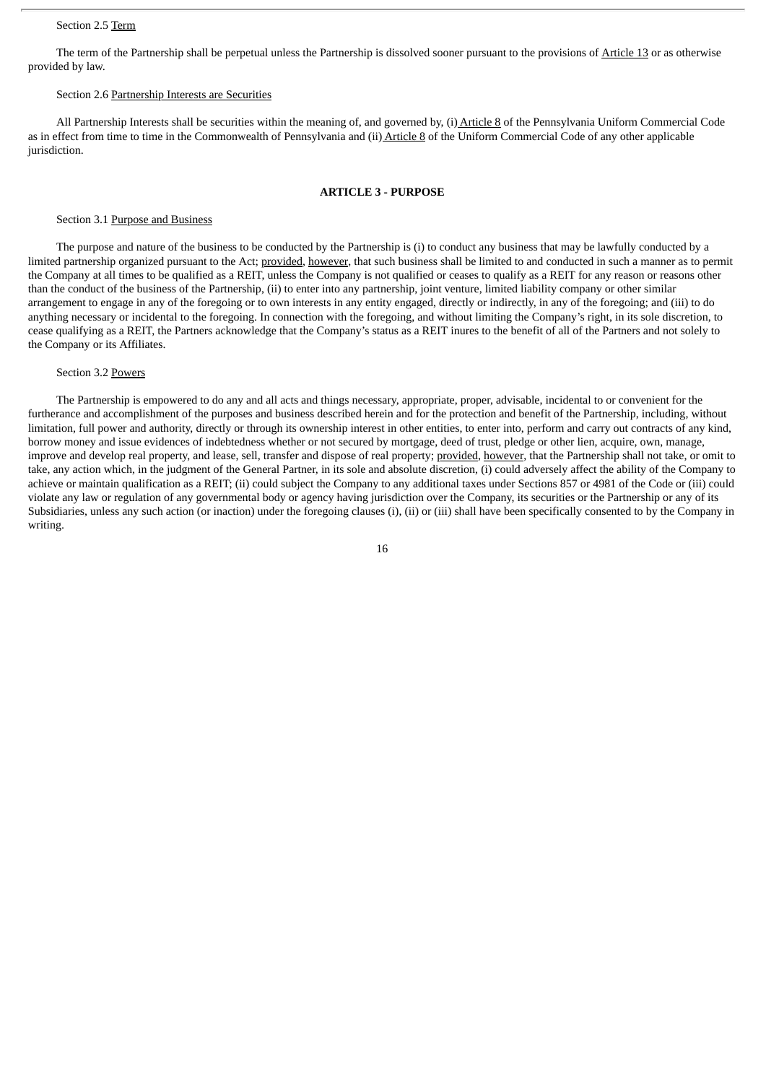#### Section 2.5 Term

The term of the Partnership shall be perpetual unless the Partnership is dissolved sooner pursuant to the provisions of Article 13 or as otherwise provided by law.

#### Section 2.6 Partnership Interests are Securities

All Partnership Interests shall be securities within the meaning of, and governed by, (i) Article 8 of the Pennsylvania Uniform Commercial Code as in effect from time to time in the Commonwealth of Pennsylvania and (ii) Article 8 of the Uniform Commercial Code of any other applicable jurisdiction.

# **ARTICLE 3 - PURPOSE**

#### Section 3.1 Purpose and Business

The purpose and nature of the business to be conducted by the Partnership is (i) to conduct any business that may be lawfully conducted by a limited partnership organized pursuant to the Act; provided, however, that such business shall be limited to and conducted in such a manner as to permit the Company at all times to be qualified as a REIT, unless the Company is not qualified or ceases to qualify as a REIT for any reason or reasons other than the conduct of the business of the Partnership, (ii) to enter into any partnership, joint venture, limited liability company or other similar arrangement to engage in any of the foregoing or to own interests in any entity engaged, directly or indirectly, in any of the foregoing; and (iii) to do anything necessary or incidental to the foregoing. In connection with the foregoing, and without limiting the Company's right, in its sole discretion, to cease qualifying as a REIT, the Partners acknowledge that the Company's status as a REIT inures to the benefit of all of the Partners and not solely to the Company or its Affiliates.

#### Section 3.2 Powers

The Partnership is empowered to do any and all acts and things necessary, appropriate, proper, advisable, incidental to or convenient for the furtherance and accomplishment of the purposes and business described herein and for the protection and benefit of the Partnership, including, without limitation, full power and authority, directly or through its ownership interest in other entities, to enter into, perform and carry out contracts of any kind, borrow money and issue evidences of indebtedness whether or not secured by mortgage, deed of trust, pledge or other lien, acquire, own, manage, improve and develop real property, and lease, sell, transfer and dispose of real property; provided, however, that the Partnership shall not take, or omit to take, any action which, in the judgment of the General Partner, in its sole and absolute discretion, (i) could adversely affect the ability of the Company to achieve or maintain qualification as a REIT; (ii) could subject the Company to any additional taxes under Sections 857 or 4981 of the Code or (iii) could violate any law or regulation of any governmental body or agency having jurisdiction over the Company, its securities or the Partnership or any of its Subsidiaries, unless any such action (or inaction) under the foregoing clauses (i), (ii) or (iii) shall have been specifically consented to by the Company in writing.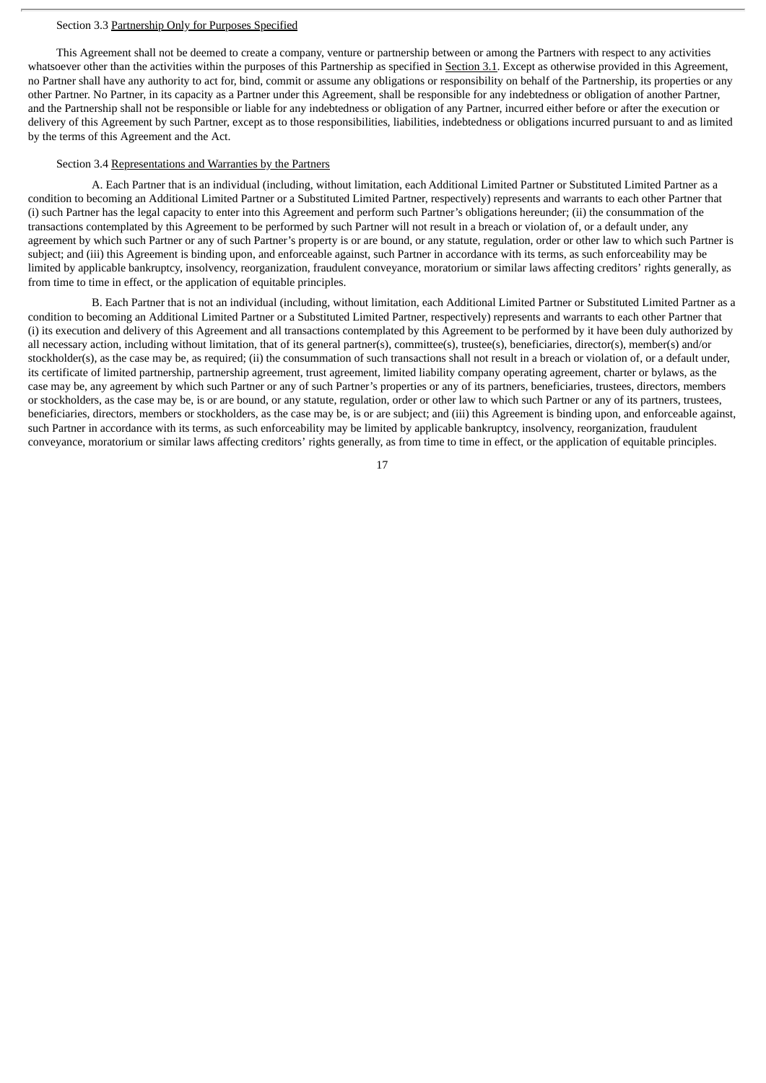#### Section 3.3 Partnership Only for Purposes Specified

This Agreement shall not be deemed to create a company, venture or partnership between or among the Partners with respect to any activities whatsoever other than the activities within the purposes of this Partnership as specified in Section 3.1. Except as otherwise provided in this Agreement, no Partner shall have any authority to act for, bind, commit or assume any obligations or responsibility on behalf of the Partnership, its properties or any other Partner. No Partner, in its capacity as a Partner under this Agreement, shall be responsible for any indebtedness or obligation of another Partner, and the Partnership shall not be responsible or liable for any indebtedness or obligation of any Partner, incurred either before or after the execution or delivery of this Agreement by such Partner, except as to those responsibilities, liabilities, indebtedness or obligations incurred pursuant to and as limited by the terms of this Agreement and the Act.

#### Section 3.4 Representations and Warranties by the Partners

A. Each Partner that is an individual (including, without limitation, each Additional Limited Partner or Substituted Limited Partner as a condition to becoming an Additional Limited Partner or a Substituted Limited Partner, respectively) represents and warrants to each other Partner that (i) such Partner has the legal capacity to enter into this Agreement and perform such Partner's obligations hereunder; (ii) the consummation of the transactions contemplated by this Agreement to be performed by such Partner will not result in a breach or violation of, or a default under, any agreement by which such Partner or any of such Partner's property is or are bound, or any statute, regulation, order or other law to which such Partner is subject; and (iii) this Agreement is binding upon, and enforceable against, such Partner in accordance with its terms, as such enforceability may be limited by applicable bankruptcy, insolvency, reorganization, fraudulent conveyance, moratorium or similar laws affecting creditors' rights generally, as from time to time in effect, or the application of equitable principles.

B. Each Partner that is not an individual (including, without limitation, each Additional Limited Partner or Substituted Limited Partner as a condition to becoming an Additional Limited Partner or a Substituted Limited Partner, respectively) represents and warrants to each other Partner that (i) its execution and delivery of this Agreement and all transactions contemplated by this Agreement to be performed by it have been duly authorized by all necessary action, including without limitation, that of its general partner(s), committee(s), trustee(s), beneficiaries, director(s), member(s) and/or stockholder(s), as the case may be, as required; (ii) the consummation of such transactions shall not result in a breach or violation of, or a default under, its certificate of limited partnership, partnership agreement, trust agreement, limited liability company operating agreement, charter or bylaws, as the case may be, any agreement by which such Partner or any of such Partner's properties or any of its partners, beneficiaries, trustees, directors, members or stockholders, as the case may be, is or are bound, or any statute, regulation, order or other law to which such Partner or any of its partners, trustees, beneficiaries, directors, members or stockholders, as the case may be, is or are subject; and (iii) this Agreement is binding upon, and enforceable against, such Partner in accordance with its terms, as such enforceability may be limited by applicable bankruptcy, insolvency, reorganization, fraudulent conveyance, moratorium or similar laws affecting creditors' rights generally, as from time to time in effect, or the application of equitable principles.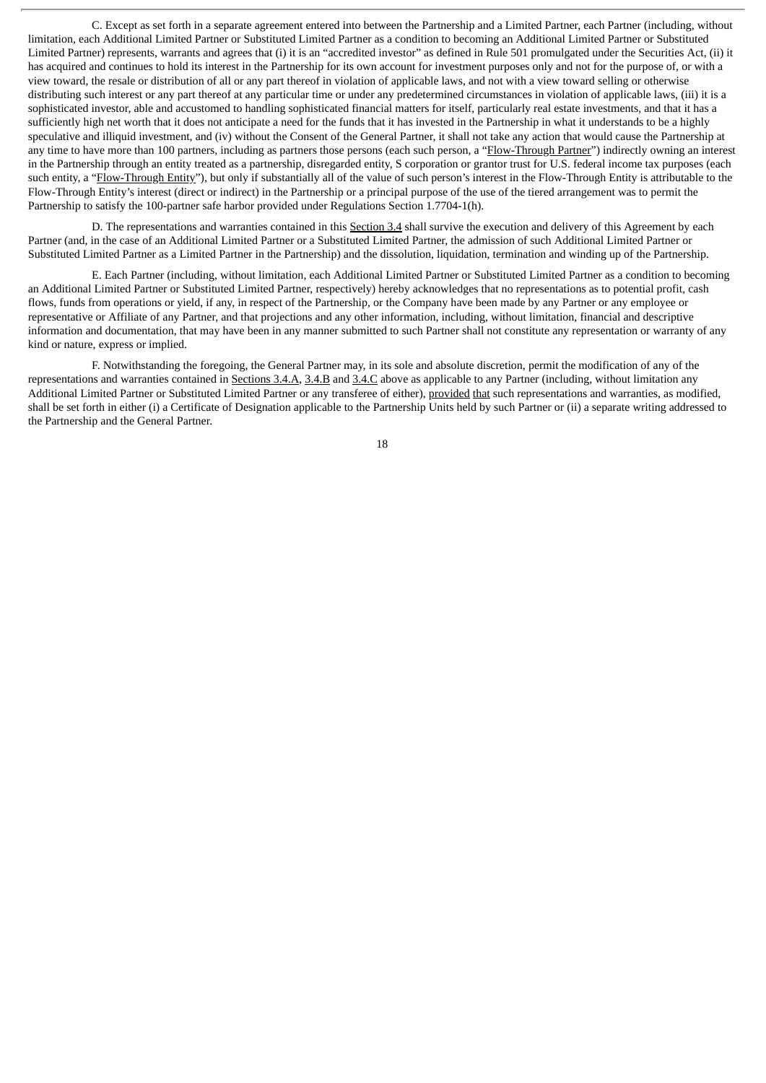C. Except as set forth in a separate agreement entered into between the Partnership and a Limited Partner, each Partner (including, without limitation, each Additional Limited Partner or Substituted Limited Partner as a condition to becoming an Additional Limited Partner or Substituted Limited Partner) represents, warrants and agrees that (i) it is an "accredited investor" as defined in Rule 501 promulgated under the Securities Act, (ii) it has acquired and continues to hold its interest in the Partnership for its own account for investment purposes only and not for the purpose of, or with a view toward, the resale or distribution of all or any part thereof in violation of applicable laws, and not with a view toward selling or otherwise distributing such interest or any part thereof at any particular time or under any predetermined circumstances in violation of applicable laws, (iii) it is a sophisticated investor, able and accustomed to handling sophisticated financial matters for itself, particularly real estate investments, and that it has a sufficiently high net worth that it does not anticipate a need for the funds that it has invested in the Partnership in what it understands to be a highly speculative and illiquid investment, and (iv) without the Consent of the General Partner, it shall not take any action that would cause the Partnership at any time to have more than 100 partners, including as partners those persons (each such person, a "Flow-Through Partner") indirectly owning an interest in the Partnership through an entity treated as a partnership, disregarded entity, S corporation or grantor trust for U.S. federal income tax purposes (each such entity, a "Flow-Through Entity"), but only if substantially all of the value of such person's interest in the Flow-Through Entity is attributable to the Flow-Through Entity's interest (direct or indirect) in the Partnership or a principal purpose of the use of the tiered arrangement was to permit the Partnership to satisfy the 100-partner safe harbor provided under Regulations Section 1.7704-1(h).

D. The representations and warranties contained in this Section 3.4 shall survive the execution and delivery of this Agreement by each Partner (and, in the case of an Additional Limited Partner or a Substituted Limited Partner, the admission of such Additional Limited Partner or Substituted Limited Partner as a Limited Partner in the Partnership) and the dissolution, liquidation, termination and winding up of the Partnership.

E. Each Partner (including, without limitation, each Additional Limited Partner or Substituted Limited Partner as a condition to becoming an Additional Limited Partner or Substituted Limited Partner, respectively) hereby acknowledges that no representations as to potential profit, cash flows, funds from operations or yield, if any, in respect of the Partnership, or the Company have been made by any Partner or any employee or representative or Affiliate of any Partner, and that projections and any other information, including, without limitation, financial and descriptive information and documentation, that may have been in any manner submitted to such Partner shall not constitute any representation or warranty of any kind or nature, express or implied.

F. Notwithstanding the foregoing, the General Partner may, in its sole and absolute discretion, permit the modification of any of the representations and warranties contained in Sections 3.4.A, 3.4.B and 3.4.C above as applicable to any Partner (including, without limitation any Additional Limited Partner or Substituted Limited Partner or any transferee of either), provided that such representations and warranties, as modified, shall be set forth in either (i) a Certificate of Designation applicable to the Partnership Units held by such Partner or (ii) a separate writing addressed to the Partnership and the General Partner.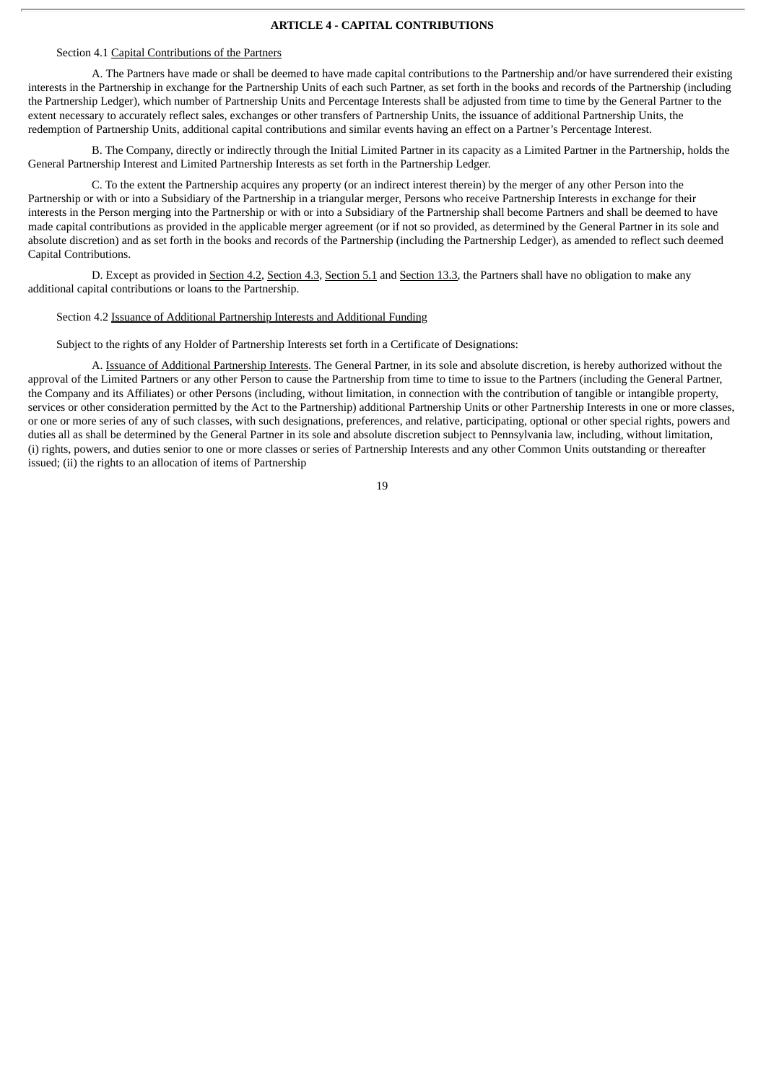#### **ARTICLE 4 - CAPITAL CONTRIBUTIONS**

#### Section 4.1 Capital Contributions of the Partners

A. The Partners have made or shall be deemed to have made capital contributions to the Partnership and/or have surrendered their existing interests in the Partnership in exchange for the Partnership Units of each such Partner, as set forth in the books and records of the Partnership (including the Partnership Ledger), which number of Partnership Units and Percentage Interests shall be adjusted from time to time by the General Partner to the extent necessary to accurately reflect sales, exchanges or other transfers of Partnership Units, the issuance of additional Partnership Units, the redemption of Partnership Units, additional capital contributions and similar events having an effect on a Partner's Percentage Interest.

B. The Company, directly or indirectly through the Initial Limited Partner in its capacity as a Limited Partner in the Partnership, holds the General Partnership Interest and Limited Partnership Interests as set forth in the Partnership Ledger.

C. To the extent the Partnership acquires any property (or an indirect interest therein) by the merger of any other Person into the Partnership or with or into a Subsidiary of the Partnership in a triangular merger, Persons who receive Partnership Interests in exchange for their interests in the Person merging into the Partnership or with or into a Subsidiary of the Partnership shall become Partners and shall be deemed to have made capital contributions as provided in the applicable merger agreement (or if not so provided, as determined by the General Partner in its sole and absolute discretion) and as set forth in the books and records of the Partnership (including the Partnership Ledger), as amended to reflect such deemed Capital Contributions.

D. Except as provided in Section 4.2, Section 4.3, Section 5.1 and Section 13.3, the Partners shall have no obligation to make any additional capital contributions or loans to the Partnership.

#### Section 4.2 Issuance of Additional Partnership Interests and Additional Funding

Subject to the rights of any Holder of Partnership Interests set forth in a Certificate of Designations:

A. Issuance of Additional Partnership Interests. The General Partner, in its sole and absolute discretion, is hereby authorized without the approval of the Limited Partners or any other Person to cause the Partnership from time to time to issue to the Partners (including the General Partner, the Company and its Affiliates) or other Persons (including, without limitation, in connection with the contribution of tangible or intangible property, services or other consideration permitted by the Act to the Partnership) additional Partnership Units or other Partnership Interests in one or more classes, or one or more series of any of such classes, with such designations, preferences, and relative, participating, optional or other special rights, powers and duties all as shall be determined by the General Partner in its sole and absolute discretion subject to Pennsylvania law, including, without limitation, (i) rights, powers, and duties senior to one or more classes or series of Partnership Interests and any other Common Units outstanding or thereafter issued; (ii) the rights to an allocation of items of Partnership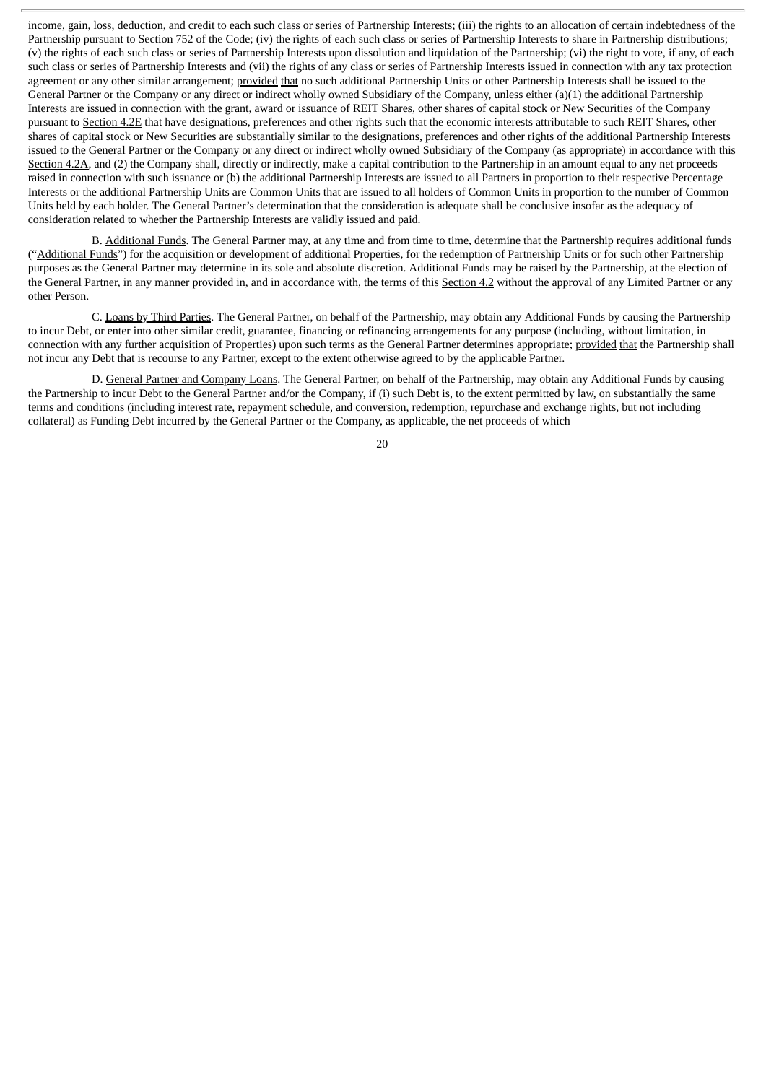income, gain, loss, deduction, and credit to each such class or series of Partnership Interests; (iii) the rights to an allocation of certain indebtedness of the Partnership pursuant to Section 752 of the Code; (iv) the rights of each such class or series of Partnership Interests to share in Partnership distributions; (v) the rights of each such class or series of Partnership Interests upon dissolution and liquidation of the Partnership; (vi) the right to vote, if any, of each such class or series of Partnership Interests and (vii) the rights of any class or series of Partnership Interests issued in connection with any tax protection agreement or any other similar arrangement; provided that no such additional Partnership Units or other Partnership Interests shall be issued to the General Partner or the Company or any direct or indirect wholly owned Subsidiary of the Company, unless either (a)(1) the additional Partnership Interests are issued in connection with the grant, award or issuance of REIT Shares, other shares of capital stock or New Securities of the Company pursuant to Section 4.2E that have designations, preferences and other rights such that the economic interests attributable to such REIT Shares, other shares of capital stock or New Securities are substantially similar to the designations, preferences and other rights of the additional Partnership Interests issued to the General Partner or the Company or any direct or indirect wholly owned Subsidiary of the Company (as appropriate) in accordance with this Section 4.2A, and (2) the Company shall, directly or indirectly, make a capital contribution to the Partnership in an amount equal to any net proceeds raised in connection with such issuance or (b) the additional Partnership Interests are issued to all Partners in proportion to their respective Percentage Interests or the additional Partnership Units are Common Units that are issued to all holders of Common Units in proportion to the number of Common Units held by each holder. The General Partner's determination that the consideration is adequate shall be conclusive insofar as the adequacy of consideration related to whether the Partnership Interests are validly issued and paid.

B. Additional Funds. The General Partner may, at any time and from time to time, determine that the Partnership requires additional funds ("Additional Funds") for the acquisition or development of additional Properties, for the redemption of Partnership Units or for such other Partnership purposes as the General Partner may determine in its sole and absolute discretion. Additional Funds may be raised by the Partnership, at the election of the General Partner, in any manner provided in, and in accordance with, the terms of this Section 4.2 without the approval of any Limited Partner or any other Person.

C. Loans by Third Parties. The General Partner, on behalf of the Partnership, may obtain any Additional Funds by causing the Partnership to incur Debt, or enter into other similar credit, guarantee, financing or refinancing arrangements for any purpose (including, without limitation, in connection with any further acquisition of Properties) upon such terms as the General Partner determines appropriate; provided that the Partnership shall not incur any Debt that is recourse to any Partner, except to the extent otherwise agreed to by the applicable Partner.

D. General Partner and Company Loans. The General Partner, on behalf of the Partnership, may obtain any Additional Funds by causing the Partnership to incur Debt to the General Partner and/or the Company, if (i) such Debt is, to the extent permitted by law, on substantially the same terms and conditions (including interest rate, repayment schedule, and conversion, redemption, repurchase and exchange rights, but not including collateral) as Funding Debt incurred by the General Partner or the Company, as applicable, the net proceeds of which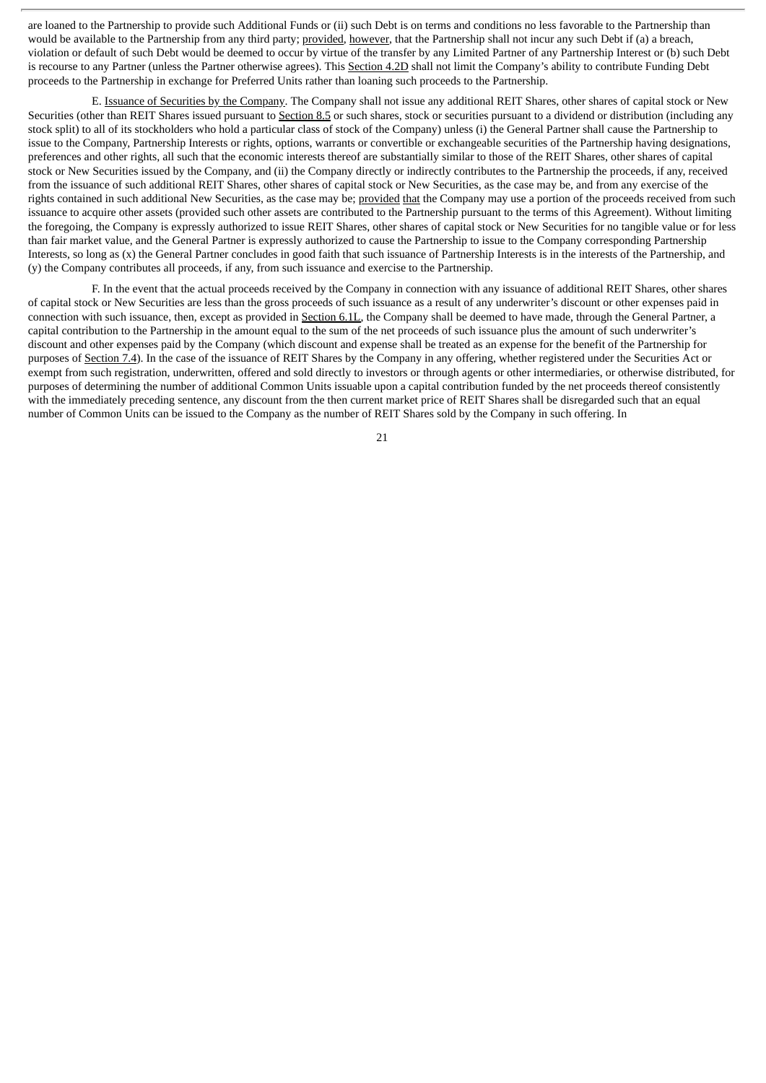are loaned to the Partnership to provide such Additional Funds or (ii) such Debt is on terms and conditions no less favorable to the Partnership than would be available to the Partnership from any third party; provided, however, that the Partnership shall not incur any such Debt if (a) a breach, violation or default of such Debt would be deemed to occur by virtue of the transfer by any Limited Partner of any Partnership Interest or (b) such Debt is recourse to any Partner (unless the Partner otherwise agrees). This Section 4.2D shall not limit the Company's ability to contribute Funding Debt proceeds to the Partnership in exchange for Preferred Units rather than loaning such proceeds to the Partnership.

E. Issuance of Securities by the Company. The Company shall not issue any additional REIT Shares, other shares of capital stock or New Securities (other than REIT Shares issued pursuant to Section 8.5 or such shares, stock or securities pursuant to a dividend or distribution (including any stock split) to all of its stockholders who hold a particular class of stock of the Company) unless (i) the General Partner shall cause the Partnership to issue to the Company, Partnership Interests or rights, options, warrants or convertible or exchangeable securities of the Partnership having designations, preferences and other rights, all such that the economic interests thereof are substantially similar to those of the REIT Shares, other shares of capital stock or New Securities issued by the Company, and (ii) the Company directly or indirectly contributes to the Partnership the proceeds, if any, received from the issuance of such additional REIT Shares, other shares of capital stock or New Securities, as the case may be, and from any exercise of the rights contained in such additional New Securities, as the case may be; provided that the Company may use a portion of the proceeds received from such issuance to acquire other assets (provided such other assets are contributed to the Partnership pursuant to the terms of this Agreement). Without limiting the foregoing, the Company is expressly authorized to issue REIT Shares, other shares of capital stock or New Securities for no tangible value or for less than fair market value, and the General Partner is expressly authorized to cause the Partnership to issue to the Company corresponding Partnership Interests, so long as (x) the General Partner concludes in good faith that such issuance of Partnership Interests is in the interests of the Partnership, and (y) the Company contributes all proceeds, if any, from such issuance and exercise to the Partnership.

F. In the event that the actual proceeds received by the Company in connection with any issuance of additional REIT Shares, other shares of capital stock or New Securities are less than the gross proceeds of such issuance as a result of any underwriter's discount or other expenses paid in connection with such issuance, then, except as provided in Section 6.1L, the Company shall be deemed to have made, through the General Partner, a capital contribution to the Partnership in the amount equal to the sum of the net proceeds of such issuance plus the amount of such underwriter's discount and other expenses paid by the Company (which discount and expense shall be treated as an expense for the benefit of the Partnership for purposes of Section 7.4). In the case of the issuance of REIT Shares by the Company in any offering, whether registered under the Securities Act or exempt from such registration, underwritten, offered and sold directly to investors or through agents or other intermediaries, or otherwise distributed, for purposes of determining the number of additional Common Units issuable upon a capital contribution funded by the net proceeds thereof consistently with the immediately preceding sentence, any discount from the then current market price of REIT Shares shall be disregarded such that an equal number of Common Units can be issued to the Company as the number of REIT Shares sold by the Company in such offering. In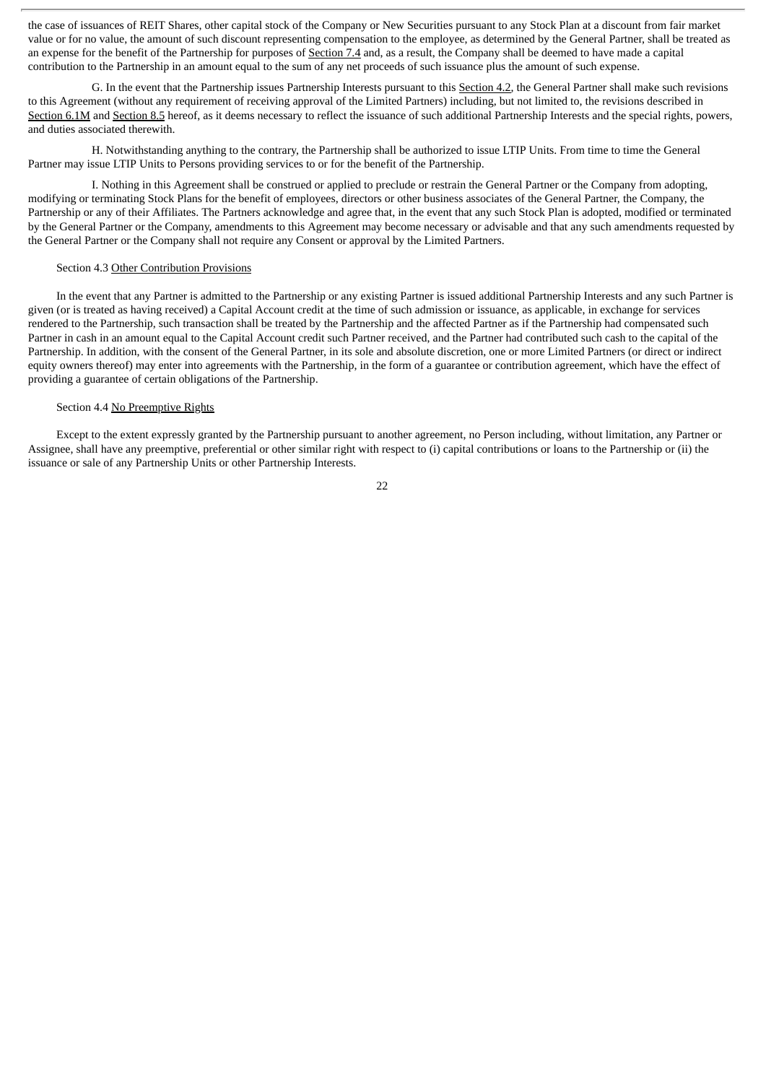the case of issuances of REIT Shares, other capital stock of the Company or New Securities pursuant to any Stock Plan at a discount from fair market value or for no value, the amount of such discount representing compensation to the employee, as determined by the General Partner, shall be treated as an expense for the benefit of the Partnership for purposes of Section 7.4 and, as a result, the Company shall be deemed to have made a capital contribution to the Partnership in an amount equal to the sum of any net proceeds of such issuance plus the amount of such expense.

G. In the event that the Partnership issues Partnership Interests pursuant to this Section 4.2, the General Partner shall make such revisions to this Agreement (without any requirement of receiving approval of the Limited Partners) including, but not limited to, the revisions described in Section 6.1M and Section 8.5 hereof, as it deems necessary to reflect the issuance of such additional Partnership Interests and the special rights, powers, and duties associated therewith.

H. Notwithstanding anything to the contrary, the Partnership shall be authorized to issue LTIP Units. From time to time the General Partner may issue LTIP Units to Persons providing services to or for the benefit of the Partnership.

I. Nothing in this Agreement shall be construed or applied to preclude or restrain the General Partner or the Company from adopting, modifying or terminating Stock Plans for the benefit of employees, directors or other business associates of the General Partner, the Company, the Partnership or any of their Affiliates. The Partners acknowledge and agree that, in the event that any such Stock Plan is adopted, modified or terminated by the General Partner or the Company, amendments to this Agreement may become necessary or advisable and that any such amendments requested by the General Partner or the Company shall not require any Consent or approval by the Limited Partners.

# Section 4.3 Other Contribution Provisions

In the event that any Partner is admitted to the Partnership or any existing Partner is issued additional Partnership Interests and any such Partner is given (or is treated as having received) a Capital Account credit at the time of such admission or issuance, as applicable, in exchange for services rendered to the Partnership, such transaction shall be treated by the Partnership and the affected Partner as if the Partnership had compensated such Partner in cash in an amount equal to the Capital Account credit such Partner received, and the Partner had contributed such cash to the capital of the Partnership. In addition, with the consent of the General Partner, in its sole and absolute discretion, one or more Limited Partners (or direct or indirect equity owners thereof) may enter into agreements with the Partnership, in the form of a guarantee or contribution agreement, which have the effect of providing a guarantee of certain obligations of the Partnership.

#### Section 4.4 No Preemptive Rights

Except to the extent expressly granted by the Partnership pursuant to another agreement, no Person including, without limitation, any Partner or Assignee, shall have any preemptive, preferential or other similar right with respect to (i) capital contributions or loans to the Partnership or (ii) the issuance or sale of any Partnership Units or other Partnership Interests.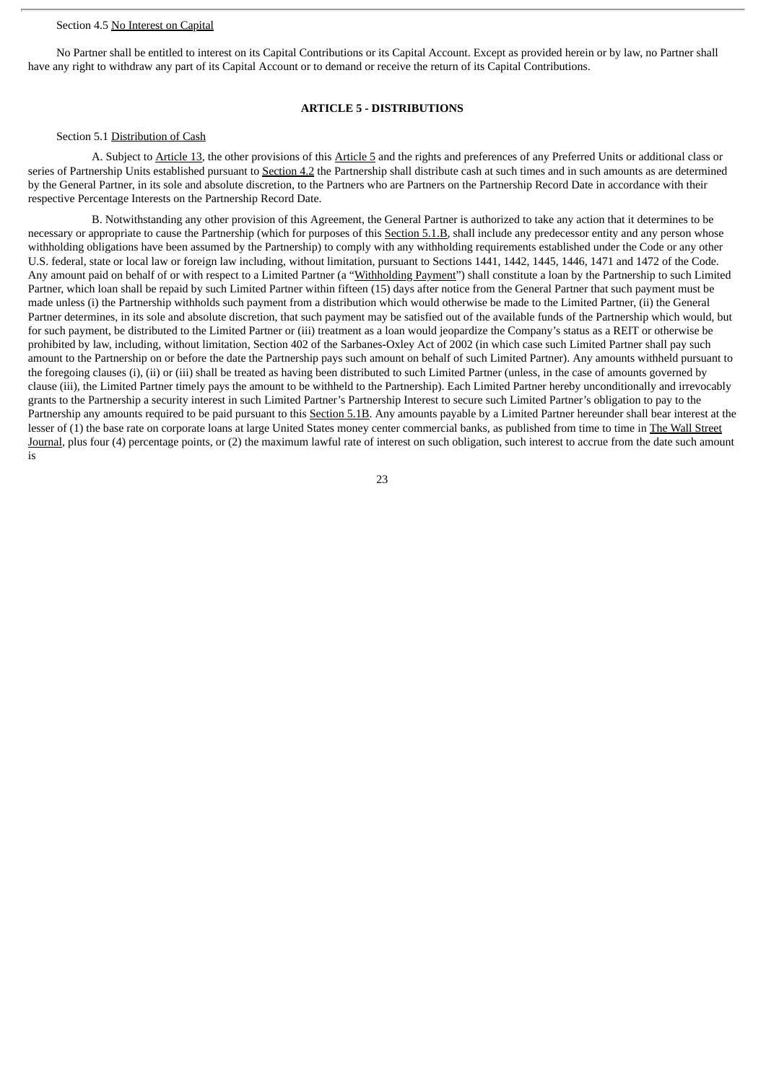#### Section 4.5 No Interest on Capital

No Partner shall be entitled to interest on its Capital Contributions or its Capital Account. Except as provided herein or by law, no Partner shall have any right to withdraw any part of its Capital Account or to demand or receive the return of its Capital Contributions.

#### **ARTICLE 5 - DISTRIBUTIONS**

#### Section 5.1 Distribution of Cash

A. Subject to Article 13, the other provisions of this Article 5 and the rights and preferences of any Preferred Units or additional class or series of Partnership Units established pursuant to Section 4.2 the Partnership shall distribute cash at such times and in such amounts as are determined by the General Partner, in its sole and absolute discretion, to the Partners who are Partners on the Partnership Record Date in accordance with their respective Percentage Interests on the Partnership Record Date.

B. Notwithstanding any other provision of this Agreement, the General Partner is authorized to take any action that it determines to be necessary or appropriate to cause the Partnership (which for purposes of this Section 5.1.B, shall include any predecessor entity and any person whose withholding obligations have been assumed by the Partnership) to comply with any withholding requirements established under the Code or any other U.S. federal, state or local law or foreign law including, without limitation, pursuant to Sections 1441, 1442, 1445, 1446, 1471 and 1472 of the Code. Any amount paid on behalf of or with respect to a Limited Partner (a "Withholding Payment") shall constitute a loan by the Partnership to such Limited Partner, which loan shall be repaid by such Limited Partner within fifteen (15) days after notice from the General Partner that such payment must be made unless (i) the Partnership withholds such payment from a distribution which would otherwise be made to the Limited Partner, (ii) the General Partner determines, in its sole and absolute discretion, that such payment may be satisfied out of the available funds of the Partnership which would, but for such payment, be distributed to the Limited Partner or (iii) treatment as a loan would jeopardize the Company's status as a REIT or otherwise be prohibited by law, including, without limitation, Section 402 of the Sarbanes-Oxley Act of 2002 (in which case such Limited Partner shall pay such amount to the Partnership on or before the date the Partnership pays such amount on behalf of such Limited Partner). Any amounts withheld pursuant to the foregoing clauses (i), (ii) or (iii) shall be treated as having been distributed to such Limited Partner (unless, in the case of amounts governed by clause (iii), the Limited Partner timely pays the amount to be withheld to the Partnership). Each Limited Partner hereby unconditionally and irrevocably grants to the Partnership a security interest in such Limited Partner's Partnership Interest to secure such Limited Partner's obligation to pay to the Partnership any amounts required to be paid pursuant to this Section 5.1B. Any amounts payable by a Limited Partner hereunder shall bear interest at the lesser of (1) the base rate on corporate loans at large United States money center commercial banks, as published from time to time in The Wall Street Journal, plus four (4) percentage points, or (2) the maximum lawful rate of interest on such obligation, such interest to accrue from the date such amount is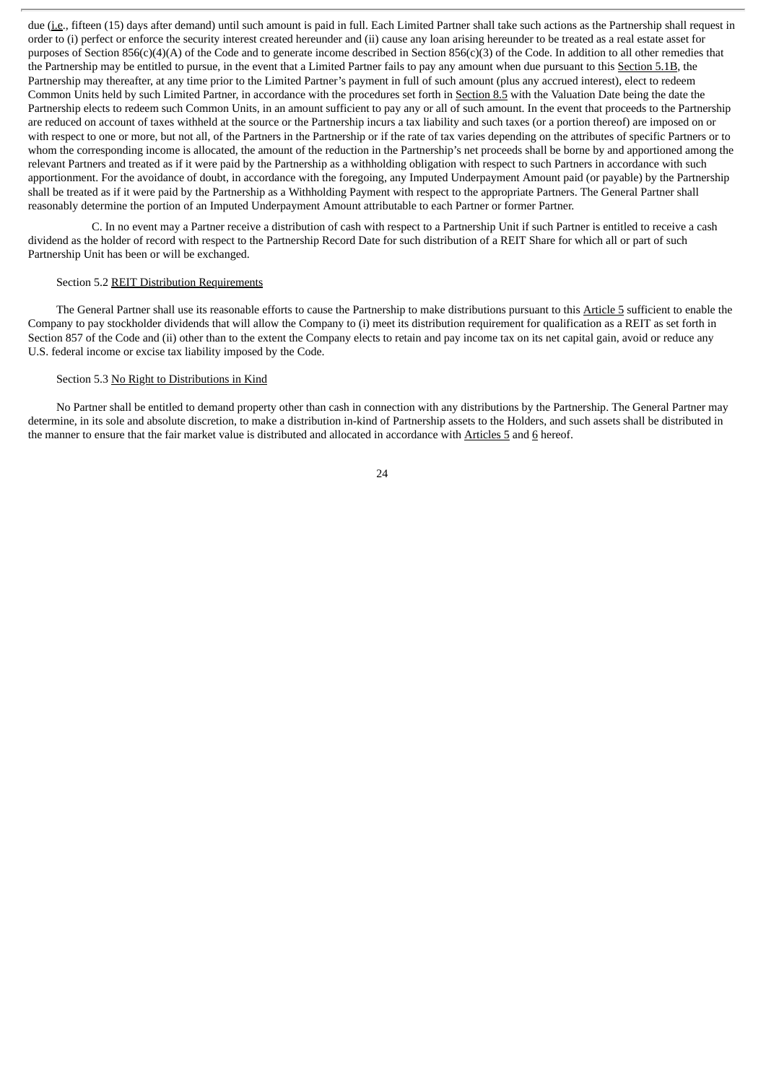due (i.e., fifteen (15) days after demand) until such amount is paid in full. Each Limited Partner shall take such actions as the Partnership shall request in order to (i) perfect or enforce the security interest created hereunder and (ii) cause any loan arising hereunder to be treated as a real estate asset for purposes of Section 856(c)(4)(A) of the Code and to generate income described in Section 856(c)(3) of the Code. In addition to all other remedies that the Partnership may be entitled to pursue, in the event that a Limited Partner fails to pay any amount when due pursuant to this Section 5.1B, the Partnership may thereafter, at any time prior to the Limited Partner's payment in full of such amount (plus any accrued interest), elect to redeem Common Units held by such Limited Partner, in accordance with the procedures set forth in Section 8.5 with the Valuation Date being the date the Partnership elects to redeem such Common Units, in an amount sufficient to pay any or all of such amount. In the event that proceeds to the Partnership are reduced on account of taxes withheld at the source or the Partnership incurs a tax liability and such taxes (or a portion thereof) are imposed on or with respect to one or more, but not all, of the Partners in the Partnership or if the rate of tax varies depending on the attributes of specific Partners or to whom the corresponding income is allocated, the amount of the reduction in the Partnership's net proceeds shall be borne by and apportioned among the relevant Partners and treated as if it were paid by the Partnership as a withholding obligation with respect to such Partners in accordance with such apportionment. For the avoidance of doubt, in accordance with the foregoing, any Imputed Underpayment Amount paid (or payable) by the Partnership shall be treated as if it were paid by the Partnership as a Withholding Payment with respect to the appropriate Partners. The General Partner shall reasonably determine the portion of an Imputed Underpayment Amount attributable to each Partner or former Partner.

C. In no event may a Partner receive a distribution of cash with respect to a Partnership Unit if such Partner is entitled to receive a cash dividend as the holder of record with respect to the Partnership Record Date for such distribution of a REIT Share for which all or part of such Partnership Unit has been or will be exchanged.

#### Section 5.2 REIT Distribution Requirements

The General Partner shall use its reasonable efforts to cause the Partnership to make distributions pursuant to this Article 5 sufficient to enable the Company to pay stockholder dividends that will allow the Company to (i) meet its distribution requirement for qualification as a REIT as set forth in Section 857 of the Code and (ii) other than to the extent the Company elects to retain and pay income tax on its net capital gain, avoid or reduce any U.S. federal income or excise tax liability imposed by the Code.

#### Section 5.3 No Right to Distributions in Kind

No Partner shall be entitled to demand property other than cash in connection with any distributions by the Partnership. The General Partner may determine, in its sole and absolute discretion, to make a distribution in-kind of Partnership assets to the Holders, and such assets shall be distributed in the manner to ensure that the fair market value is distributed and allocated in accordance with Articles 5 and 6 hereof.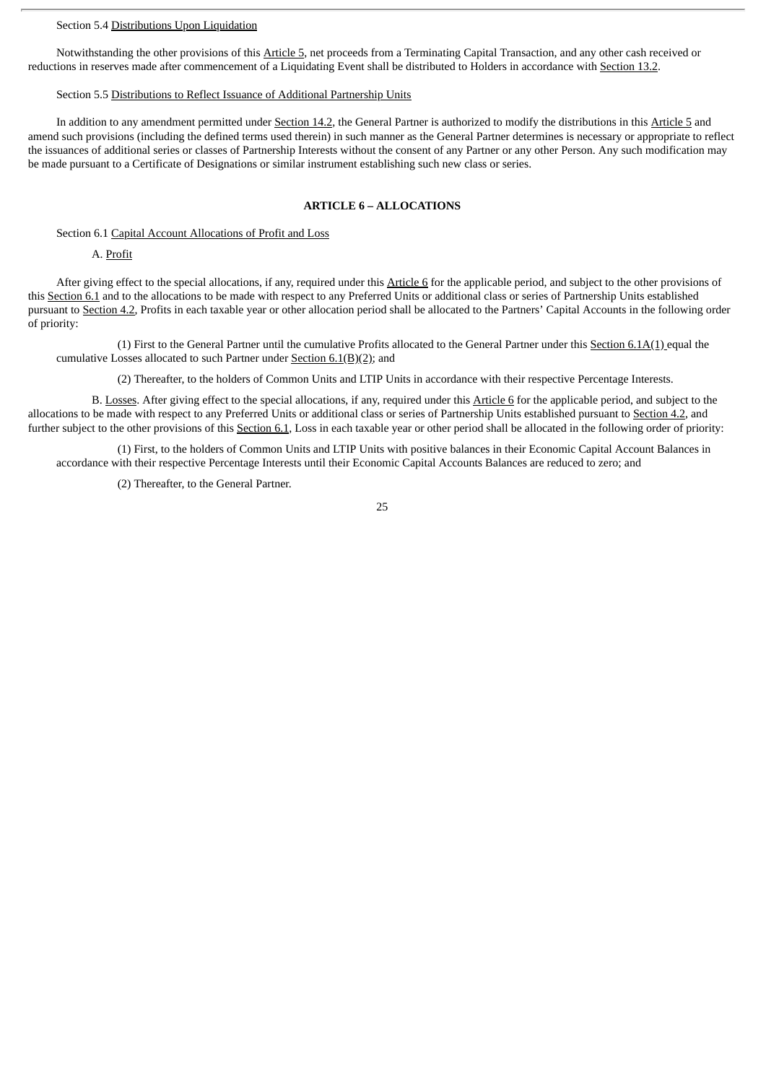# Section 5.4 Distributions Upon Liquidation

Notwithstanding the other provisions of this Article 5, net proceeds from a Terminating Capital Transaction, and any other cash received or reductions in reserves made after commencement of a Liquidating Event shall be distributed to Holders in accordance with Section 13.2.

#### Section 5.5 Distributions to Reflect Issuance of Additional Partnership Units

In addition to any amendment permitted under Section 14.2, the General Partner is authorized to modify the distributions in this Article 5 and amend such provisions (including the defined terms used therein) in such manner as the General Partner determines is necessary or appropriate to reflect the issuances of additional series or classes of Partnership Interests without the consent of any Partner or any other Person. Any such modification may be made pursuant to a Certificate of Designations or similar instrument establishing such new class or series.

#### **ARTICLE 6 – ALLOCATIONS**

Section 6.1 Capital Account Allocations of Profit and Loss

A. Profit

After giving effect to the special allocations, if any, required under this Article 6 for the applicable period, and subject to the other provisions of this Section 6.1 and to the allocations to be made with respect to any Preferred Units or additional class or series of Partnership Units established pursuant to Section 4.2, Profits in each taxable year or other allocation period shall be allocated to the Partners' Capital Accounts in the following order of priority:

(1) First to the General Partner until the cumulative Profits allocated to the General Partner under this Section  $6.1A(1)$  equal the cumulative Losses allocated to such Partner under Section  $6.1(B)(2)$ ; and

(2) Thereafter, to the holders of Common Units and LTIP Units in accordance with their respective Percentage Interests.

B. Losses. After giving effect to the special allocations, if any, required under this Article 6 for the applicable period, and subject to the allocations to be made with respect to any Preferred Units or additional class or series of Partnership Units established pursuant to Section 4.2, and further subject to the other provisions of this Section 6.1, Loss in each taxable year or other period shall be allocated in the following order of priority:

(1) First, to the holders of Common Units and LTIP Units with positive balances in their Economic Capital Account Balances in accordance with their respective Percentage Interests until their Economic Capital Accounts Balances are reduced to zero; and

(2) Thereafter, to the General Partner.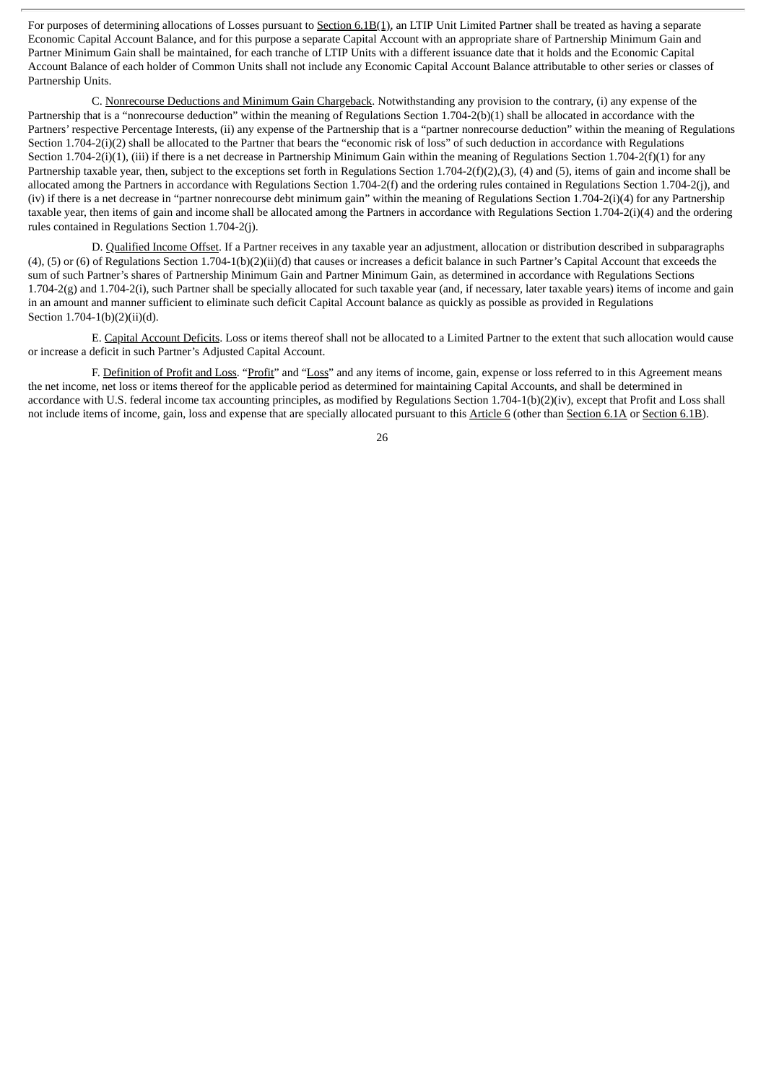For purposes of determining allocations of Losses pursuant to Section 6.1B(1), an LTIP Unit Limited Partner shall be treated as having a separate Economic Capital Account Balance, and for this purpose a separate Capital Account with an appropriate share of Partnership Minimum Gain and Partner Minimum Gain shall be maintained, for each tranche of LTIP Units with a different issuance date that it holds and the Economic Capital Account Balance of each holder of Common Units shall not include any Economic Capital Account Balance attributable to other series or classes of Partnership Units.

C. Nonrecourse Deductions and Minimum Gain Chargeback. Notwithstanding any provision to the contrary, (i) any expense of the Partnership that is a "nonrecourse deduction" within the meaning of Regulations Section 1.704-2(b)(1) shall be allocated in accordance with the Partners' respective Percentage Interests, (ii) any expense of the Partnership that is a "partner nonrecourse deduction" within the meaning of Regulations Section 1.704-2(i)(2) shall be allocated to the Partner that bears the "economic risk of loss" of such deduction in accordance with Regulations Section 1.704-2(i)(1), (iii) if there is a net decrease in Partnership Minimum Gain within the meaning of Regulations Section 1.704-2(f)(1) for any Partnership taxable year, then, subject to the exceptions set forth in Regulations Section 1.704-2(f)(2),(3), (4) and (5), items of gain and income shall be allocated among the Partners in accordance with Regulations Section 1.704-2(f) and the ordering rules contained in Regulations Section 1.704-2(j), and (iv) if there is a net decrease in "partner nonrecourse debt minimum gain" within the meaning of Regulations Section 1.704-2(i)(4) for any Partnership taxable year, then items of gain and income shall be allocated among the Partners in accordance with Regulations Section 1.704-2(i)(4) and the ordering rules contained in Regulations Section 1.704-2(j).

D. Qualified Income Offset. If a Partner receives in any taxable year an adjustment, allocation or distribution described in subparagraphs (4), (5) or (6) of Regulations Section 1.704-1(b)(2)(ii)(d) that causes or increases a deficit balance in such Partner's Capital Account that exceeds the sum of such Partner's shares of Partnership Minimum Gain and Partner Minimum Gain, as determined in accordance with Regulations Sections 1.704-2(g) and 1.704-2(i), such Partner shall be specially allocated for such taxable year (and, if necessary, later taxable years) items of income and gain in an amount and manner sufficient to eliminate such deficit Capital Account balance as quickly as possible as provided in Regulations Section 1.704-1(b)(2)(ii)(d).

E. Capital Account Deficits. Loss or items thereof shall not be allocated to a Limited Partner to the extent that such allocation would cause or increase a deficit in such Partner's Adjusted Capital Account.

F. Definition of Profit and Loss. "Profit" and "Loss" and any items of income, gain, expense or loss referred to in this Agreement means the net income, net loss or items thereof for the applicable period as determined for maintaining Capital Accounts, and shall be determined in accordance with U.S. federal income tax accounting principles, as modified by Regulations Section 1.704-1(b)(2)(iv), except that Profit and Loss shall not include items of income, gain, loss and expense that are specially allocated pursuant to this Article 6 (other than Section 6.1A or Section 6.1B).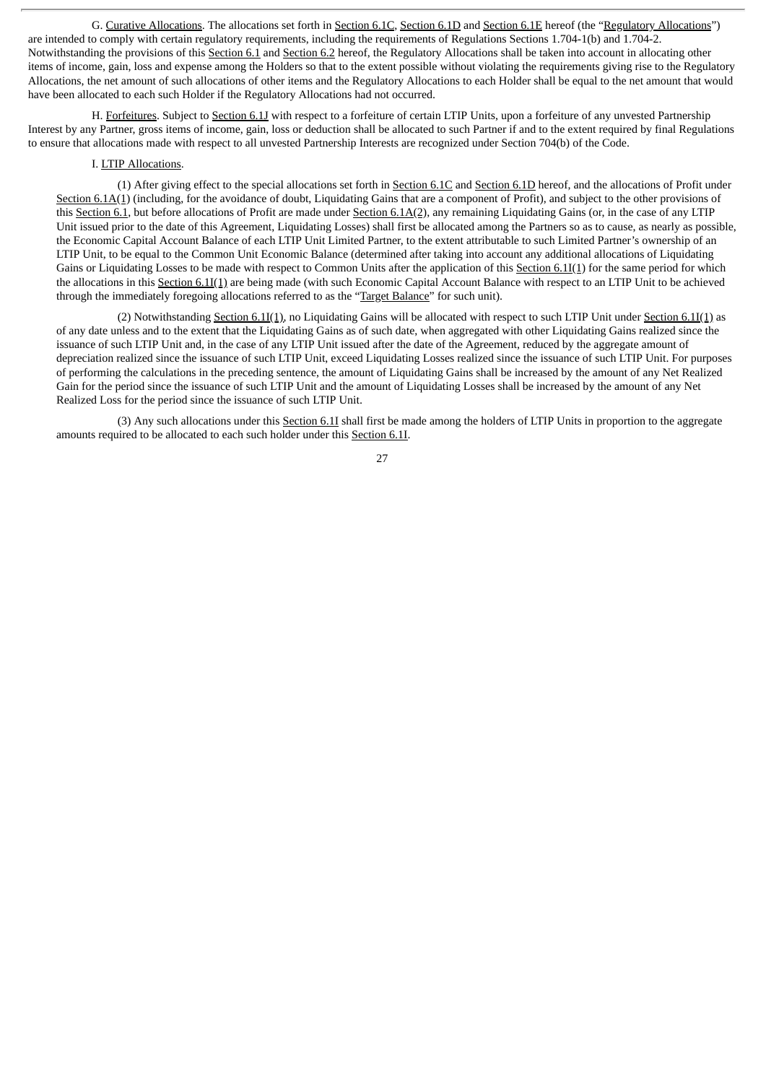G. Curative Allocations. The allocations set forth in Section 6.1C, Section 6.1D and Section 6.1E hereof (the "Regulatory Allocations") are intended to comply with certain regulatory requirements, including the requirements of Regulations Sections 1.704-1(b) and 1.704-2. Notwithstanding the provisions of this Section 6.1 and Section 6.2 hereof, the Regulatory Allocations shall be taken into account in allocating other items of income, gain, loss and expense among the Holders so that to the extent possible without violating the requirements giving rise to the Regulatory Allocations, the net amount of such allocations of other items and the Regulatory Allocations to each Holder shall be equal to the net amount that would have been allocated to each such Holder if the Regulatory Allocations had not occurred.

H. Forfeitures. Subject to Section 6.1J with respect to a forfeiture of certain LTIP Units, upon a forfeiture of any unvested Partnership Interest by any Partner, gross items of income, gain, loss or deduction shall be allocated to such Partner if and to the extent required by final Regulations to ensure that allocations made with respect to all unvested Partnership Interests are recognized under Section 704(b) of the Code.

# I. LTIP Allocations.

(1) After giving effect to the special allocations set forth in Section 6.1C and Section 6.1D hereof, and the allocations of Profit under Section 6.1A(1) (including, for the avoidance of doubt, Liquidating Gains that are a component of Profit), and subject to the other provisions of this Section 6.1, but before allocations of Profit are made under Section 6.1A(2), any remaining Liquidating Gains (or, in the case of any LTIP Unit issued prior to the date of this Agreement, Liquidating Losses) shall first be allocated among the Partners so as to cause, as nearly as possible, the Economic Capital Account Balance of each LTIP Unit Limited Partner, to the extent attributable to such Limited Partner's ownership of an LTIP Unit, to be equal to the Common Unit Economic Balance (determined after taking into account any additional allocations of Liquidating Gains or Liquidating Losses to be made with respect to Common Units after the application of this Section 6.1I(1) for the same period for which the allocations in this Section 6.1I(1) are being made (with such Economic Capital Account Balance with respect to an LTIP Unit to be achieved through the immediately foregoing allocations referred to as the "Target Balance" for such unit).

(2) Notwithstanding Section  $6.1I(1)$ , no Liquidating Gains will be allocated with respect to such LTIP Unit under Section  $6.1I(1)$  as of any date unless and to the extent that the Liquidating Gains as of such date, when aggregated with other Liquidating Gains realized since the issuance of such LTIP Unit and, in the case of any LTIP Unit issued after the date of the Agreement, reduced by the aggregate amount of depreciation realized since the issuance of such LTIP Unit, exceed Liquidating Losses realized since the issuance of such LTIP Unit. For purposes of performing the calculations in the preceding sentence, the amount of Liquidating Gains shall be increased by the amount of any Net Realized Gain for the period since the issuance of such LTIP Unit and the amount of Liquidating Losses shall be increased by the amount of any Net Realized Loss for the period since the issuance of such LTIP Unit.

(3) Any such allocations under this Section 6.1I shall first be made among the holders of LTIP Units in proportion to the aggregate amounts required to be allocated to each such holder under this Section 6.1I.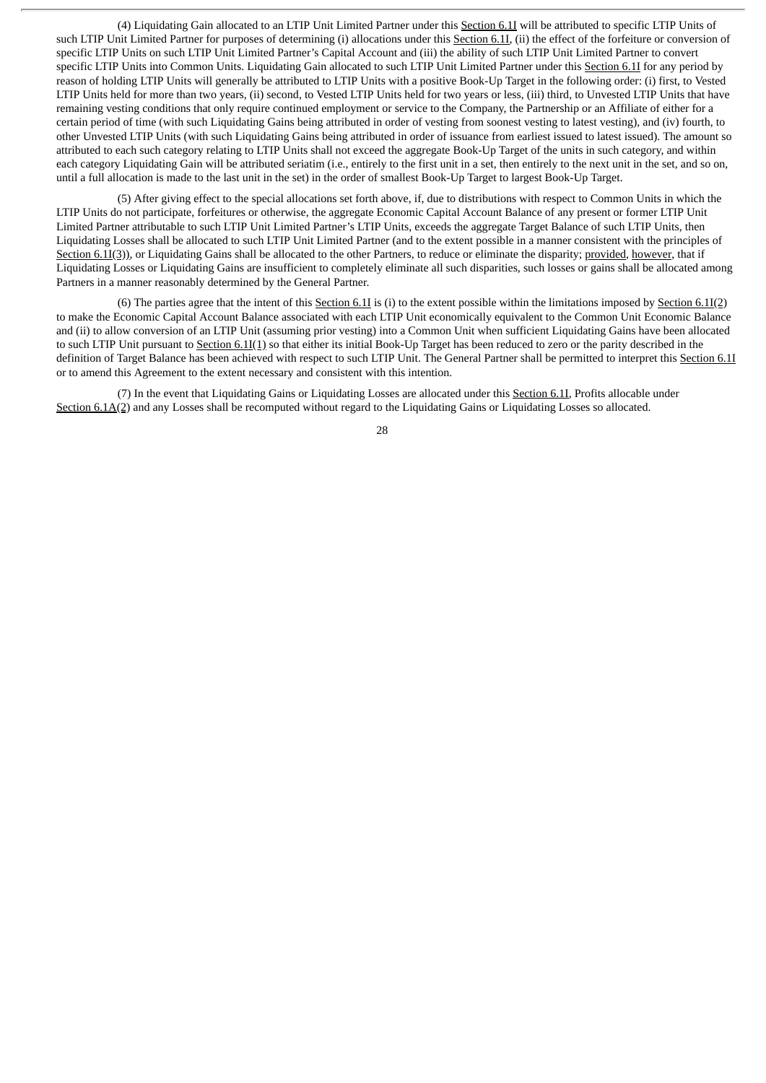(4) Liquidating Gain allocated to an LTIP Unit Limited Partner under this Section 6.1I will be attributed to specific LTIP Units of such LTIP Unit Limited Partner for purposes of determining (i) allocations under this Section 6.1I, (ii) the effect of the forfeiture or conversion of specific LTIP Units on such LTIP Unit Limited Partner's Capital Account and (iii) the ability of such LTIP Unit Limited Partner to convert specific LTIP Units into Common Units. Liquidating Gain allocated to such LTIP Unit Limited Partner under this Section 6.1I for any period by reason of holding LTIP Units will generally be attributed to LTIP Units with a positive Book-Up Target in the following order: (i) first, to Vested LTIP Units held for more than two years, (ii) second, to Vested LTIP Units held for two years or less, (iii) third, to Unvested LTIP Units that have remaining vesting conditions that only require continued employment or service to the Company, the Partnership or an Affiliate of either for a certain period of time (with such Liquidating Gains being attributed in order of vesting from soonest vesting to latest vesting), and (iv) fourth, to other Unvested LTIP Units (with such Liquidating Gains being attributed in order of issuance from earliest issued to latest issued). The amount so attributed to each such category relating to LTIP Units shall not exceed the aggregate Book-Up Target of the units in such category, and within each category Liquidating Gain will be attributed seriatim (i.e., entirely to the first unit in a set, then entirely to the next unit in the set, and so on, until a full allocation is made to the last unit in the set) in the order of smallest Book-Up Target to largest Book-Up Target.

(5) After giving effect to the special allocations set forth above, if, due to distributions with respect to Common Units in which the LTIP Units do not participate, forfeitures or otherwise, the aggregate Economic Capital Account Balance of any present or former LTIP Unit Limited Partner attributable to such LTIP Unit Limited Partner's LTIP Units, exceeds the aggregate Target Balance of such LTIP Units, then Liquidating Losses shall be allocated to such LTIP Unit Limited Partner (and to the extent possible in a manner consistent with the principles of Section 6.1I(3)), or Liquidating Gains shall be allocated to the other Partners, to reduce or eliminate the disparity; provided, however, that if Liquidating Losses or Liquidating Gains are insufficient to completely eliminate all such disparities, such losses or gains shall be allocated among Partners in a manner reasonably determined by the General Partner.

(6) The parties agree that the intent of this Section 6.1I is (i) to the extent possible within the limitations imposed by Section  $6.1I(2)$ to make the Economic Capital Account Balance associated with each LTIP Unit economically equivalent to the Common Unit Economic Balance and (ii) to allow conversion of an LTIP Unit (assuming prior vesting) into a Common Unit when sufficient Liquidating Gains have been allocated to such LTIP Unit pursuant to Section 6.1I(1) so that either its initial Book-Up Target has been reduced to zero or the parity described in the definition of Target Balance has been achieved with respect to such LTIP Unit. The General Partner shall be permitted to interpret this Section 6.1I or to amend this Agreement to the extent necessary and consistent with this intention.

(7) In the event that Liquidating Gains or Liquidating Losses are allocated under this Section 6.1I, Profits allocable under Section 6.1A(2) and any Losses shall be recomputed without regard to the Liquidating Gains or Liquidating Losses so allocated.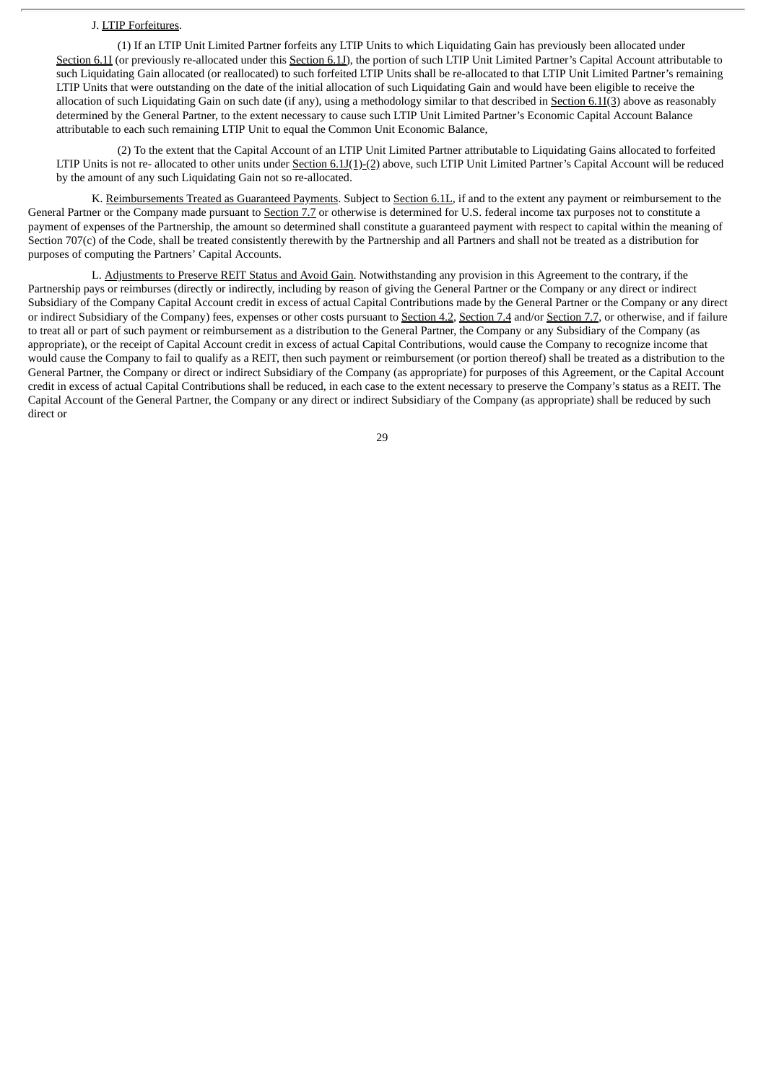## J. LTIP Forfeitures.

(1) If an LTIP Unit Limited Partner forfeits any LTIP Units to which Liquidating Gain has previously been allocated under Section 6.1I (or previously re-allocated under this Section 6.1J), the portion of such LTIP Unit Limited Partner's Capital Account attributable to such Liquidating Gain allocated (or reallocated) to such forfeited LTIP Units shall be re-allocated to that LTIP Unit Limited Partner's remaining LTIP Units that were outstanding on the date of the initial allocation of such Liquidating Gain and would have been eligible to receive the allocation of such Liquidating Gain on such date (if any), using a methodology similar to that described in Section 6.1I(3) above as reasonably determined by the General Partner, to the extent necessary to cause such LTIP Unit Limited Partner's Economic Capital Account Balance attributable to each such remaining LTIP Unit to equal the Common Unit Economic Balance,

(2) To the extent that the Capital Account of an LTIP Unit Limited Partner attributable to Liquidating Gains allocated to forfeited LTIP Units is not re- allocated to other units under Section 6.1J(1)-(2) above, such LTIP Unit Limited Partner's Capital Account will be reduced by the amount of any such Liquidating Gain not so re-allocated.

K. Reimbursements Treated as Guaranteed Payments. Subject to Section 6.1L, if and to the extent any payment or reimbursement to the General Partner or the Company made pursuant to Section 7.7 or otherwise is determined for U.S. federal income tax purposes not to constitute a payment of expenses of the Partnership, the amount so determined shall constitute a guaranteed payment with respect to capital within the meaning of Section 707(c) of the Code, shall be treated consistently therewith by the Partnership and all Partners and shall not be treated as a distribution for purposes of computing the Partners' Capital Accounts.

L. Adjustments to Preserve REIT Status and Avoid Gain. Notwithstanding any provision in this Agreement to the contrary, if the Partnership pays or reimburses (directly or indirectly, including by reason of giving the General Partner or the Company or any direct or indirect Subsidiary of the Company Capital Account credit in excess of actual Capital Contributions made by the General Partner or the Company or any direct or indirect Subsidiary of the Company) fees, expenses or other costs pursuant to Section 4.2, Section 7.4 and/or Section 7.7, or otherwise, and if failure to treat all or part of such payment or reimbursement as a distribution to the General Partner, the Company or any Subsidiary of the Company (as appropriate), or the receipt of Capital Account credit in excess of actual Capital Contributions, would cause the Company to recognize income that would cause the Company to fail to qualify as a REIT, then such payment or reimbursement (or portion thereof) shall be treated as a distribution to the General Partner, the Company or direct or indirect Subsidiary of the Company (as appropriate) for purposes of this Agreement, or the Capital Account credit in excess of actual Capital Contributions shall be reduced, in each case to the extent necessary to preserve the Company's status as a REIT. The Capital Account of the General Partner, the Company or any direct or indirect Subsidiary of the Company (as appropriate) shall be reduced by such direct or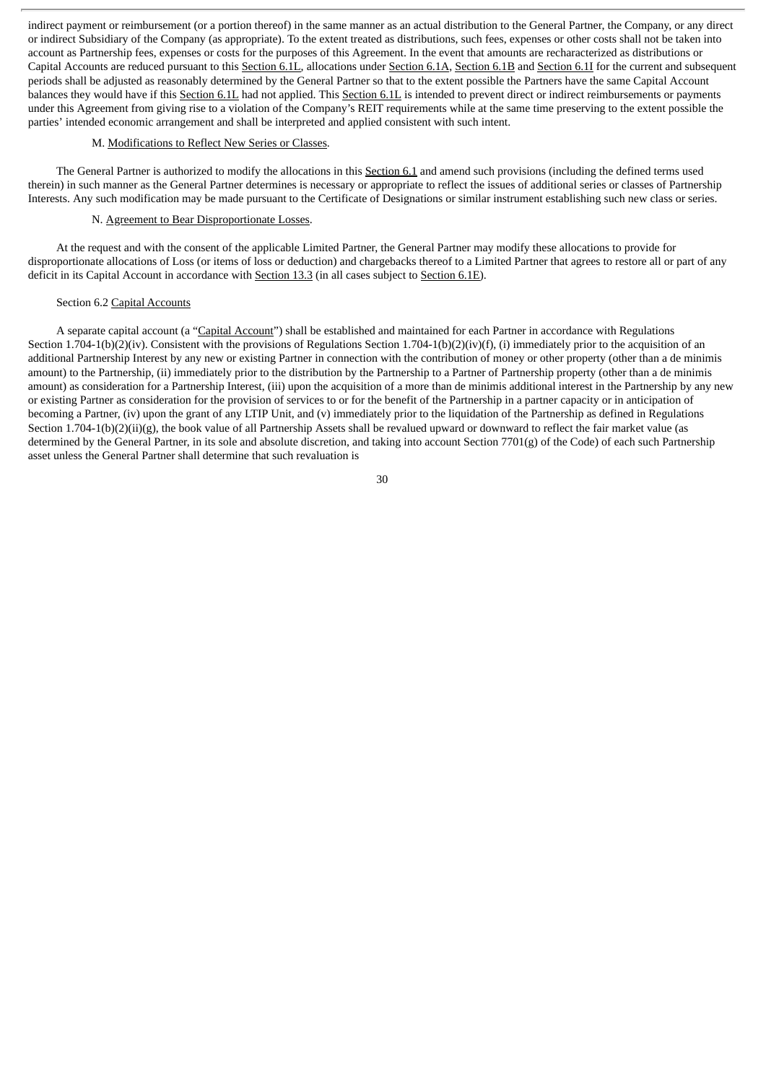indirect payment or reimbursement (or a portion thereof) in the same manner as an actual distribution to the General Partner, the Company, or any direct or indirect Subsidiary of the Company (as appropriate). To the extent treated as distributions, such fees, expenses or other costs shall not be taken into account as Partnership fees, expenses or costs for the purposes of this Agreement. In the event that amounts are recharacterized as distributions or Capital Accounts are reduced pursuant to this Section 6.1L, allocations under Section 6.1A, Section 6.1B and Section 6.1I for the current and subsequent periods shall be adjusted as reasonably determined by the General Partner so that to the extent possible the Partners have the same Capital Account balances they would have if this Section 6.1L had not applied. This Section 6.1L is intended to prevent direct or indirect reimbursements or payments under this Agreement from giving rise to a violation of the Company's REIT requirements while at the same time preserving to the extent possible the parties' intended economic arrangement and shall be interpreted and applied consistent with such intent.

### M. Modifications to Reflect New Series or Classes.

The General Partner is authorized to modify the allocations in this Section 6.1 and amend such provisions (including the defined terms used therein) in such manner as the General Partner determines is necessary or appropriate to reflect the issues of additional series or classes of Partnership Interests. Any such modification may be made pursuant to the Certificate of Designations or similar instrument establishing such new class or series.

## N. Agreement to Bear Disproportionate Losses.

At the request and with the consent of the applicable Limited Partner, the General Partner may modify these allocations to provide for disproportionate allocations of Loss (or items of loss or deduction) and chargebacks thereof to a Limited Partner that agrees to restore all or part of any deficit in its Capital Account in accordance with Section 13.3 (in all cases subject to Section 6.1E).

#### Section 6.2 Capital Accounts

A separate capital account (a "Capital Account") shall be established and maintained for each Partner in accordance with Regulations Section 1.704-1(b)(2)(iv). Consistent with the provisions of Regulations Section 1.704-1(b)(2)(iv)(f), (i) immediately prior to the acquisition of an additional Partnership Interest by any new or existing Partner in connection with the contribution of money or other property (other than a de minimis amount) to the Partnership, (ii) immediately prior to the distribution by the Partnership to a Partner of Partnership property (other than a de minimis amount) as consideration for a Partnership Interest, (iii) upon the acquisition of a more than de minimis additional interest in the Partnership by any new or existing Partner as consideration for the provision of services to or for the benefit of the Partnership in a partner capacity or in anticipation of becoming a Partner, (iv) upon the grant of any LTIP Unit, and (v) immediately prior to the liquidation of the Partnership as defined in Regulations Section 1.704-1(b)(2)(ii)(g), the book value of all Partnership Assets shall be revalued upward or downward to reflect the fair market value (as determined by the General Partner, in its sole and absolute discretion, and taking into account Section 7701(g) of the Code) of each such Partnership asset unless the General Partner shall determine that such revaluation is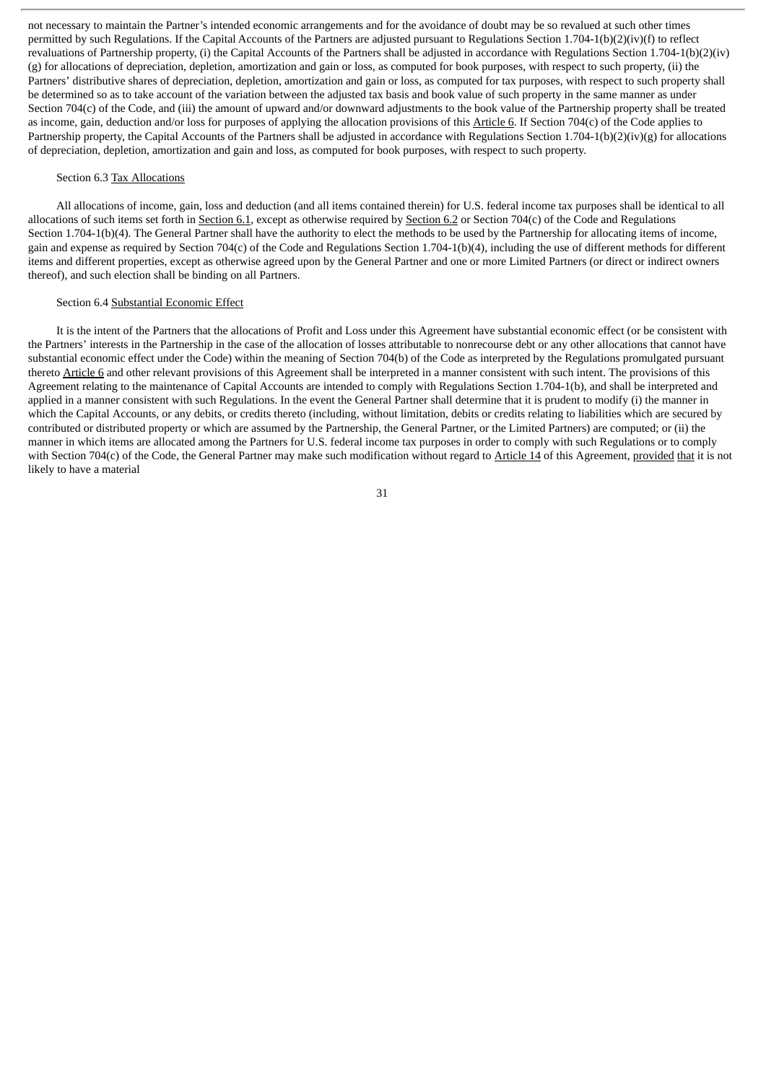not necessary to maintain the Partner's intended economic arrangements and for the avoidance of doubt may be so revalued at such other times permitted by such Regulations. If the Capital Accounts of the Partners are adjusted pursuant to Regulations Section 1.704-1(b)(2)(iv)(f) to reflect revaluations of Partnership property, (i) the Capital Accounts of the Partners shall be adjusted in accordance with Regulations Section 1.704-1(b)(2)(iv) (g) for allocations of depreciation, depletion, amortization and gain or loss, as computed for book purposes, with respect to such property, (ii) the Partners' distributive shares of depreciation, depletion, amortization and gain or loss, as computed for tax purposes, with respect to such property shall be determined so as to take account of the variation between the adjusted tax basis and book value of such property in the same manner as under Section 704(c) of the Code, and (iii) the amount of upward and/or downward adjustments to the book value of the Partnership property shall be treated as income, gain, deduction and/or loss for purposes of applying the allocation provisions of this Article 6. If Section 704(c) of the Code applies to Partnership property, the Capital Accounts of the Partners shall be adjusted in accordance with Regulations Section 1.704-1(b)(2)(iv)(g) for allocations of depreciation, depletion, amortization and gain and loss, as computed for book purposes, with respect to such property.

## Section 6.3 Tax Allocations

All allocations of income, gain, loss and deduction (and all items contained therein) for U.S. federal income tax purposes shall be identical to all allocations of such items set forth in Section 6.1, except as otherwise required by Section 6.2 or Section 704(c) of the Code and Regulations Section 1.704-1(b)(4). The General Partner shall have the authority to elect the methods to be used by the Partnership for allocating items of income, gain and expense as required by Section 704(c) of the Code and Regulations Section 1.704-1(b)(4), including the use of different methods for different items and different properties, except as otherwise agreed upon by the General Partner and one or more Limited Partners (or direct or indirect owners thereof), and such election shall be binding on all Partners.

#### Section 6.4 Substantial Economic Effect

It is the intent of the Partners that the allocations of Profit and Loss under this Agreement have substantial economic effect (or be consistent with the Partners' interests in the Partnership in the case of the allocation of losses attributable to nonrecourse debt or any other allocations that cannot have substantial economic effect under the Code) within the meaning of Section 704(b) of the Code as interpreted by the Regulations promulgated pursuant thereto Article 6 and other relevant provisions of this Agreement shall be interpreted in a manner consistent with such intent. The provisions of this Agreement relating to the maintenance of Capital Accounts are intended to comply with Regulations Section 1.704-1(b), and shall be interpreted and applied in a manner consistent with such Regulations. In the event the General Partner shall determine that it is prudent to modify (i) the manner in which the Capital Accounts, or any debits, or credits thereto (including, without limitation, debits or credits relating to liabilities which are secured by contributed or distributed property or which are assumed by the Partnership, the General Partner, or the Limited Partners) are computed; or (ii) the manner in which items are allocated among the Partners for U.S. federal income tax purposes in order to comply with such Regulations or to comply with Section 704(c) of the Code, the General Partner may make such modification without regard to Article 14 of this Agreement, provided that it is not likely to have a material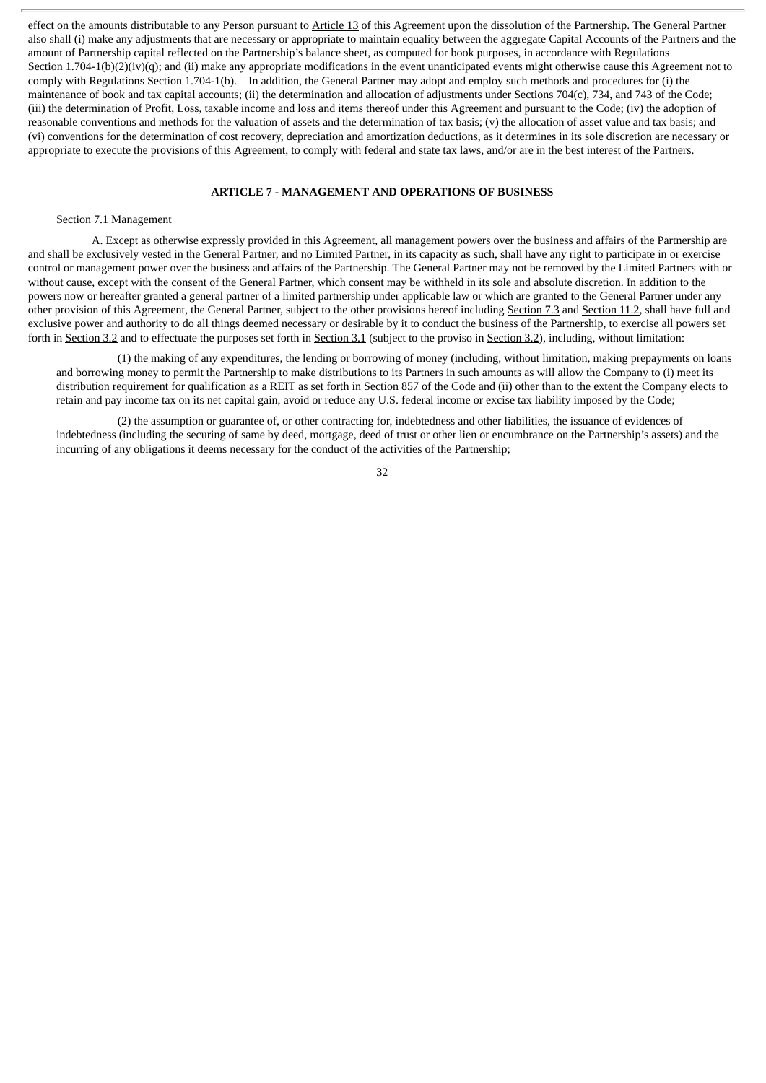effect on the amounts distributable to any Person pursuant to Article 13 of this Agreement upon the dissolution of the Partnership. The General Partner also shall (i) make any adjustments that are necessary or appropriate to maintain equality between the aggregate Capital Accounts of the Partners and the amount of Partnership capital reflected on the Partnership's balance sheet, as computed for book purposes, in accordance with Regulations Section 1.704-1(b)(2)(iv)(q); and (ii) make any appropriate modifications in the event unanticipated events might otherwise cause this Agreement not to comply with Regulations Section 1.704-1(b). In addition, the General Partner may adopt and employ such methods and procedures for (i) the maintenance of book and tax capital accounts; (ii) the determination and allocation of adjustments under Sections 704(c), 734, and 743 of the Code; (iii) the determination of Profit, Loss, taxable income and loss and items thereof under this Agreement and pursuant to the Code; (iv) the adoption of reasonable conventions and methods for the valuation of assets and the determination of tax basis; (v) the allocation of asset value and tax basis; and (vi) conventions for the determination of cost recovery, depreciation and amortization deductions, as it determines in its sole discretion are necessary or appropriate to execute the provisions of this Agreement, to comply with federal and state tax laws, and/or are in the best interest of the Partners.

# **ARTICLE 7 - MANAGEMENT AND OPERATIONS OF BUSINESS**

## Section 7.1 Management

A. Except as otherwise expressly provided in this Agreement, all management powers over the business and affairs of the Partnership are and shall be exclusively vested in the General Partner, and no Limited Partner, in its capacity as such, shall have any right to participate in or exercise control or management power over the business and affairs of the Partnership. The General Partner may not be removed by the Limited Partners with or without cause, except with the consent of the General Partner, which consent may be withheld in its sole and absolute discretion. In addition to the powers now or hereafter granted a general partner of a limited partnership under applicable law or which are granted to the General Partner under any other provision of this Agreement, the General Partner, subject to the other provisions hereof including Section 7.3 and Section 11.2, shall have full and exclusive power and authority to do all things deemed necessary or desirable by it to conduct the business of the Partnership, to exercise all powers set forth in Section 3.2 and to effectuate the purposes set forth in Section 3.1 (subject to the proviso in Section 3.2), including, without limitation:

(1) the making of any expenditures, the lending or borrowing of money (including, without limitation, making prepayments on loans and borrowing money to permit the Partnership to make distributions to its Partners in such amounts as will allow the Company to (i) meet its distribution requirement for qualification as a REIT as set forth in Section 857 of the Code and (ii) other than to the extent the Company elects to retain and pay income tax on its net capital gain, avoid or reduce any U.S. federal income or excise tax liability imposed by the Code;

(2) the assumption or guarantee of, or other contracting for, indebtedness and other liabilities, the issuance of evidences of indebtedness (including the securing of same by deed, mortgage, deed of trust or other lien or encumbrance on the Partnership's assets) and the incurring of any obligations it deems necessary for the conduct of the activities of the Partnership;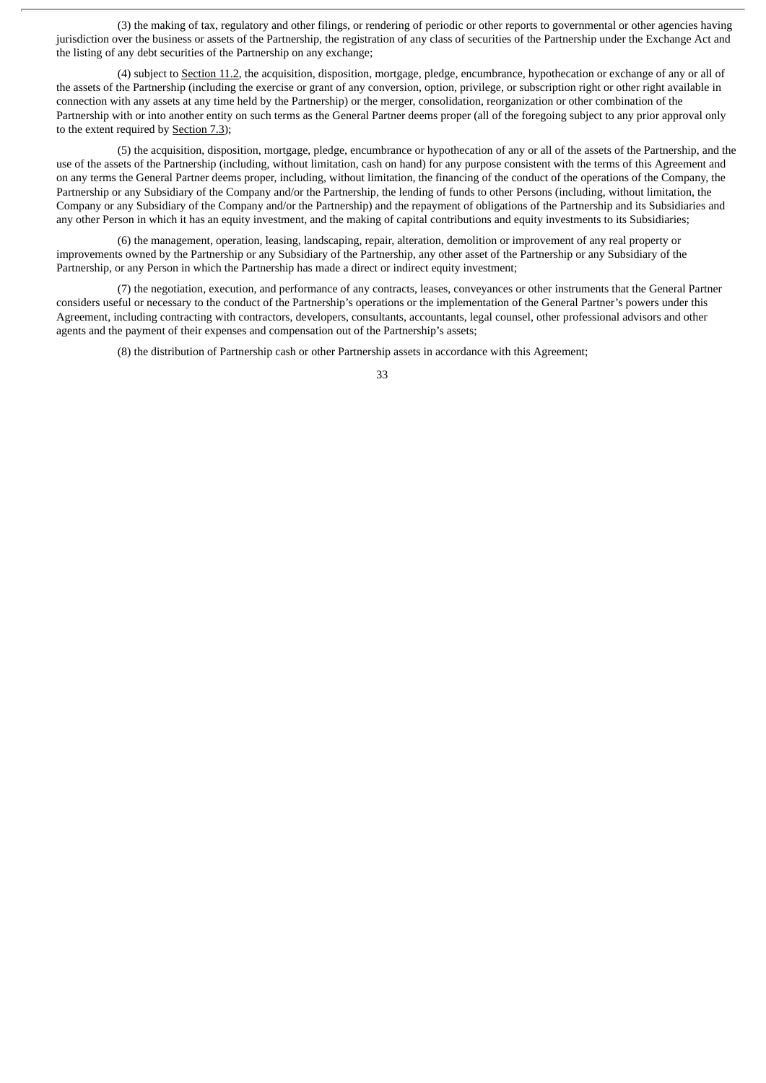(3) the making of tax, regulatory and other filings, or rendering of periodic or other reports to governmental or other agencies having jurisdiction over the business or assets of the Partnership, the registration of any class of securities of the Partnership under the Exchange Act and the listing of any debt securities of the Partnership on any exchange;

(4) subject to Section 11.2, the acquisition, disposition, mortgage, pledge, encumbrance, hypothecation or exchange of any or all of the assets of the Partnership (including the exercise or grant of any conversion, option, privilege, or subscription right or other right available in connection with any assets at any time held by the Partnership) or the merger, consolidation, reorganization or other combination of the Partnership with or into another entity on such terms as the General Partner deems proper (all of the foregoing subject to any prior approval only to the extent required by Section 7.3);

(5) the acquisition, disposition, mortgage, pledge, encumbrance or hypothecation of any or all of the assets of the Partnership, and the use of the assets of the Partnership (including, without limitation, cash on hand) for any purpose consistent with the terms of this Agreement and on any terms the General Partner deems proper, including, without limitation, the financing of the conduct of the operations of the Company, the Partnership or any Subsidiary of the Company and/or the Partnership, the lending of funds to other Persons (including, without limitation, the Company or any Subsidiary of the Company and/or the Partnership) and the repayment of obligations of the Partnership and its Subsidiaries and any other Person in which it has an equity investment, and the making of capital contributions and equity investments to its Subsidiaries;

(6) the management, operation, leasing, landscaping, repair, alteration, demolition or improvement of any real property or improvements owned by the Partnership or any Subsidiary of the Partnership, any other asset of the Partnership or any Subsidiary of the Partnership, or any Person in which the Partnership has made a direct or indirect equity investment;

(7) the negotiation, execution, and performance of any contracts, leases, conveyances or other instruments that the General Partner considers useful or necessary to the conduct of the Partnership's operations or the implementation of the General Partner's powers under this Agreement, including contracting with contractors, developers, consultants, accountants, legal counsel, other professional advisors and other agents and the payment of their expenses and compensation out of the Partnership's assets;

(8) the distribution of Partnership cash or other Partnership assets in accordance with this Agreement;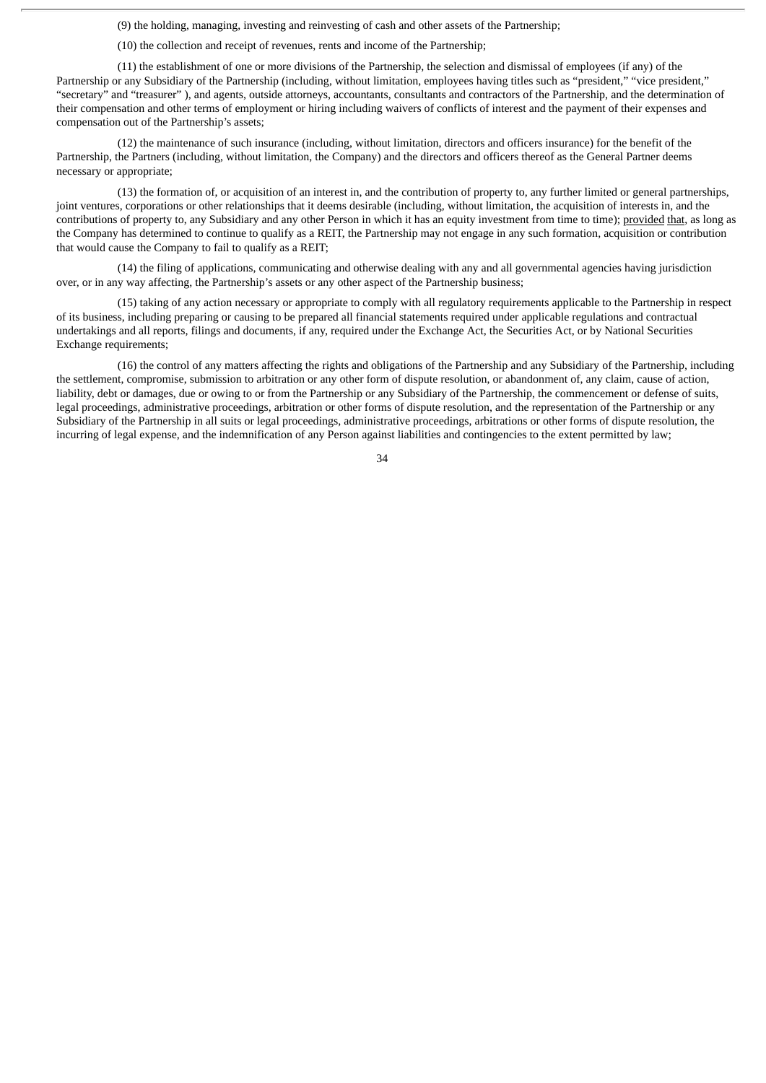(9) the holding, managing, investing and reinvesting of cash and other assets of the Partnership;

(10) the collection and receipt of revenues, rents and income of the Partnership;

(11) the establishment of one or more divisions of the Partnership, the selection and dismissal of employees (if any) of the Partnership or any Subsidiary of the Partnership (including, without limitation, employees having titles such as "president," "vice president," "secretary" and "treasurer" ), and agents, outside attorneys, accountants, consultants and contractors of the Partnership, and the determination of their compensation and other terms of employment or hiring including waivers of conflicts of interest and the payment of their expenses and compensation out of the Partnership's assets;

(12) the maintenance of such insurance (including, without limitation, directors and officers insurance) for the benefit of the Partnership, the Partners (including, without limitation, the Company) and the directors and officers thereof as the General Partner deems necessary or appropriate;

(13) the formation of, or acquisition of an interest in, and the contribution of property to, any further limited or general partnerships, joint ventures, corporations or other relationships that it deems desirable (including, without limitation, the acquisition of interests in, and the contributions of property to, any Subsidiary and any other Person in which it has an equity investment from time to time); provided that, as long as the Company has determined to continue to qualify as a REIT, the Partnership may not engage in any such formation, acquisition or contribution that would cause the Company to fail to qualify as a REIT;

(14) the filing of applications, communicating and otherwise dealing with any and all governmental agencies having jurisdiction over, or in any way affecting, the Partnership's assets or any other aspect of the Partnership business;

(15) taking of any action necessary or appropriate to comply with all regulatory requirements applicable to the Partnership in respect of its business, including preparing or causing to be prepared all financial statements required under applicable regulations and contractual undertakings and all reports, filings and documents, if any, required under the Exchange Act, the Securities Act, or by National Securities Exchange requirements;

(16) the control of any matters affecting the rights and obligations of the Partnership and any Subsidiary of the Partnership, including the settlement, compromise, submission to arbitration or any other form of dispute resolution, or abandonment of, any claim, cause of action, liability, debt or damages, due or owing to or from the Partnership or any Subsidiary of the Partnership, the commencement or defense of suits, legal proceedings, administrative proceedings, arbitration or other forms of dispute resolution, and the representation of the Partnership or any Subsidiary of the Partnership in all suits or legal proceedings, administrative proceedings, arbitrations or other forms of dispute resolution, the incurring of legal expense, and the indemnification of any Person against liabilities and contingencies to the extent permitted by law;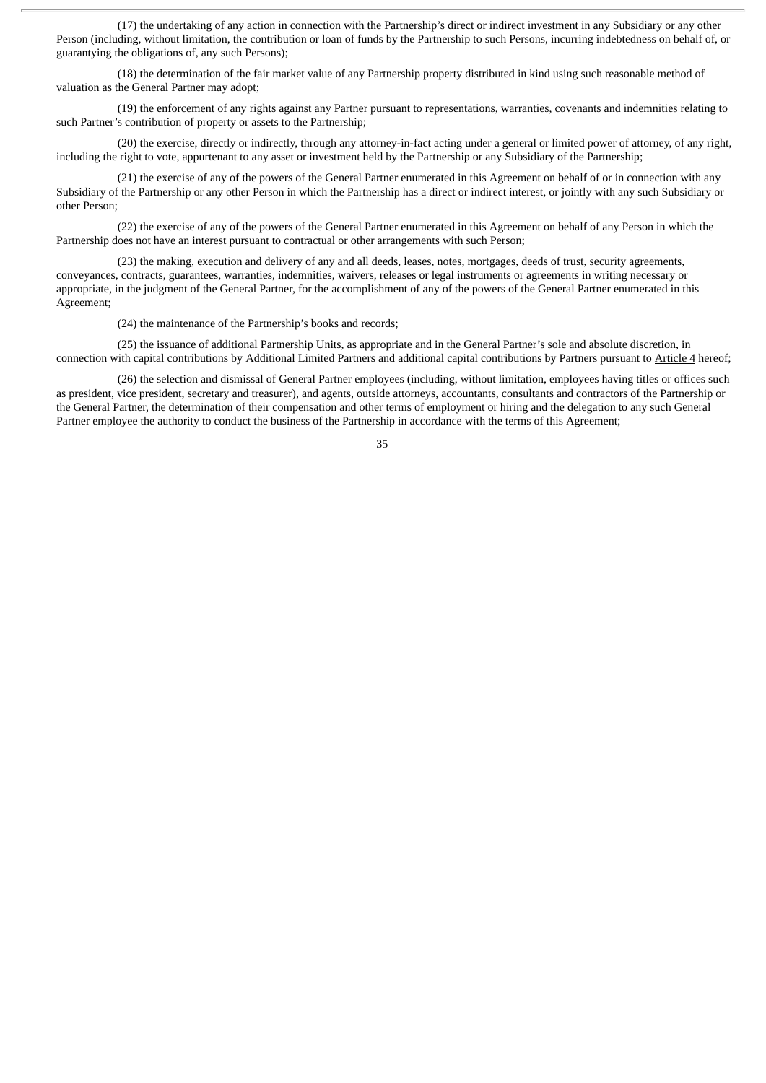(17) the undertaking of any action in connection with the Partnership's direct or indirect investment in any Subsidiary or any other Person (including, without limitation, the contribution or loan of funds by the Partnership to such Persons, incurring indebtedness on behalf of, or guarantying the obligations of, any such Persons);

(18) the determination of the fair market value of any Partnership property distributed in kind using such reasonable method of valuation as the General Partner may adopt;

(19) the enforcement of any rights against any Partner pursuant to representations, warranties, covenants and indemnities relating to such Partner's contribution of property or assets to the Partnership;

(20) the exercise, directly or indirectly, through any attorney-in-fact acting under a general or limited power of attorney, of any right, including the right to vote, appurtenant to any asset or investment held by the Partnership or any Subsidiary of the Partnership;

(21) the exercise of any of the powers of the General Partner enumerated in this Agreement on behalf of or in connection with any Subsidiary of the Partnership or any other Person in which the Partnership has a direct or indirect interest, or jointly with any such Subsidiary or other Person;

(22) the exercise of any of the powers of the General Partner enumerated in this Agreement on behalf of any Person in which the Partnership does not have an interest pursuant to contractual or other arrangements with such Person;

(23) the making, execution and delivery of any and all deeds, leases, notes, mortgages, deeds of trust, security agreements, conveyances, contracts, guarantees, warranties, indemnities, waivers, releases or legal instruments or agreements in writing necessary or appropriate, in the judgment of the General Partner, for the accomplishment of any of the powers of the General Partner enumerated in this Agreement;

(24) the maintenance of the Partnership's books and records;

(25) the issuance of additional Partnership Units, as appropriate and in the General Partner's sole and absolute discretion, in connection with capital contributions by Additional Limited Partners and additional capital contributions by Partners pursuant to Article 4 hereof;

(26) the selection and dismissal of General Partner employees (including, without limitation, employees having titles or offices such as president, vice president, secretary and treasurer), and agents, outside attorneys, accountants, consultants and contractors of the Partnership or the General Partner, the determination of their compensation and other terms of employment or hiring and the delegation to any such General Partner employee the authority to conduct the business of the Partnership in accordance with the terms of this Agreement;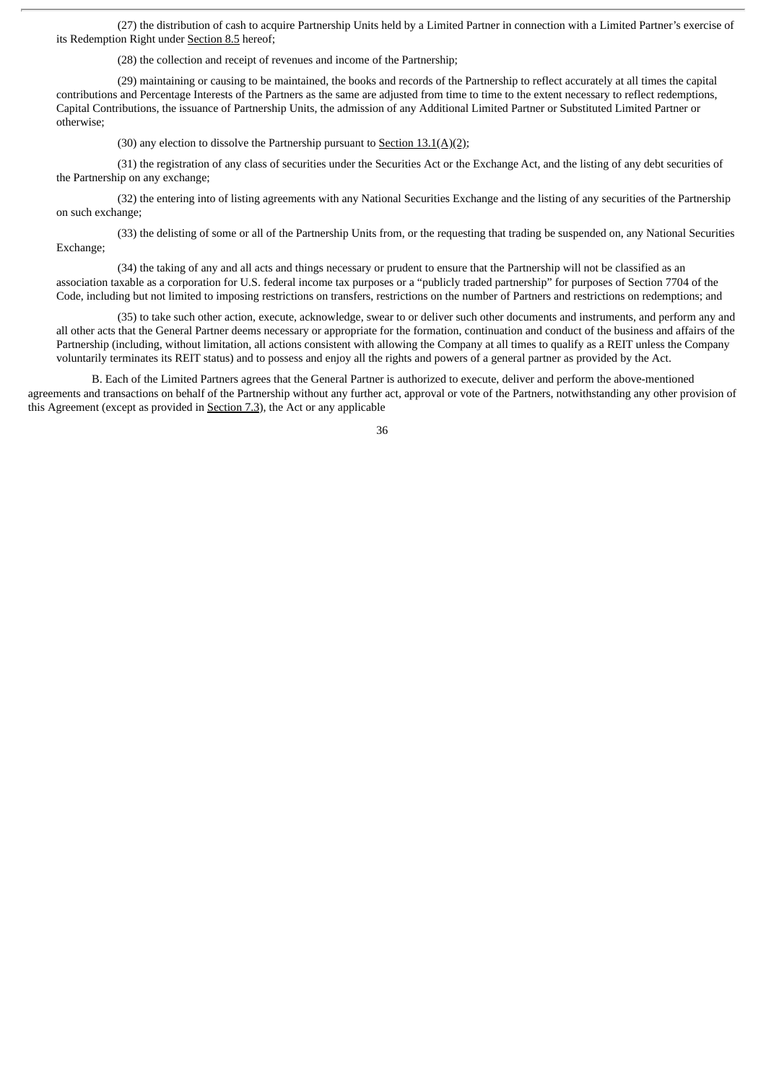(27) the distribution of cash to acquire Partnership Units held by a Limited Partner in connection with a Limited Partner's exercise of its Redemption Right under Section 8.5 hereof;

(28) the collection and receipt of revenues and income of the Partnership;

(29) maintaining or causing to be maintained, the books and records of the Partnership to reflect accurately at all times the capital contributions and Percentage Interests of the Partners as the same are adjusted from time to time to the extent necessary to reflect redemptions, Capital Contributions, the issuance of Partnership Units, the admission of any Additional Limited Partner or Substituted Limited Partner or otherwise;

(30) any election to dissolve the Partnership pursuant to Section 13.1(A)(2);

(31) the registration of any class of securities under the Securities Act or the Exchange Act, and the listing of any debt securities of the Partnership on any exchange;

(32) the entering into of listing agreements with any National Securities Exchange and the listing of any securities of the Partnership on such exchange;

(33) the delisting of some or all of the Partnership Units from, or the requesting that trading be suspended on, any National Securities Exchange;

(34) the taking of any and all acts and things necessary or prudent to ensure that the Partnership will not be classified as an association taxable as a corporation for U.S. federal income tax purposes or a "publicly traded partnership" for purposes of Section 7704 of the Code, including but not limited to imposing restrictions on transfers, restrictions on the number of Partners and restrictions on redemptions; and

(35) to take such other action, execute, acknowledge, swear to or deliver such other documents and instruments, and perform any and all other acts that the General Partner deems necessary or appropriate for the formation, continuation and conduct of the business and affairs of the Partnership (including, without limitation, all actions consistent with allowing the Company at all times to qualify as a REIT unless the Company voluntarily terminates its REIT status) and to possess and enjoy all the rights and powers of a general partner as provided by the Act.

B. Each of the Limited Partners agrees that the General Partner is authorized to execute, deliver and perform the above-mentioned agreements and transactions on behalf of the Partnership without any further act, approval or vote of the Partners, notwithstanding any other provision of this Agreement (except as provided in Section 7.3), the Act or any applicable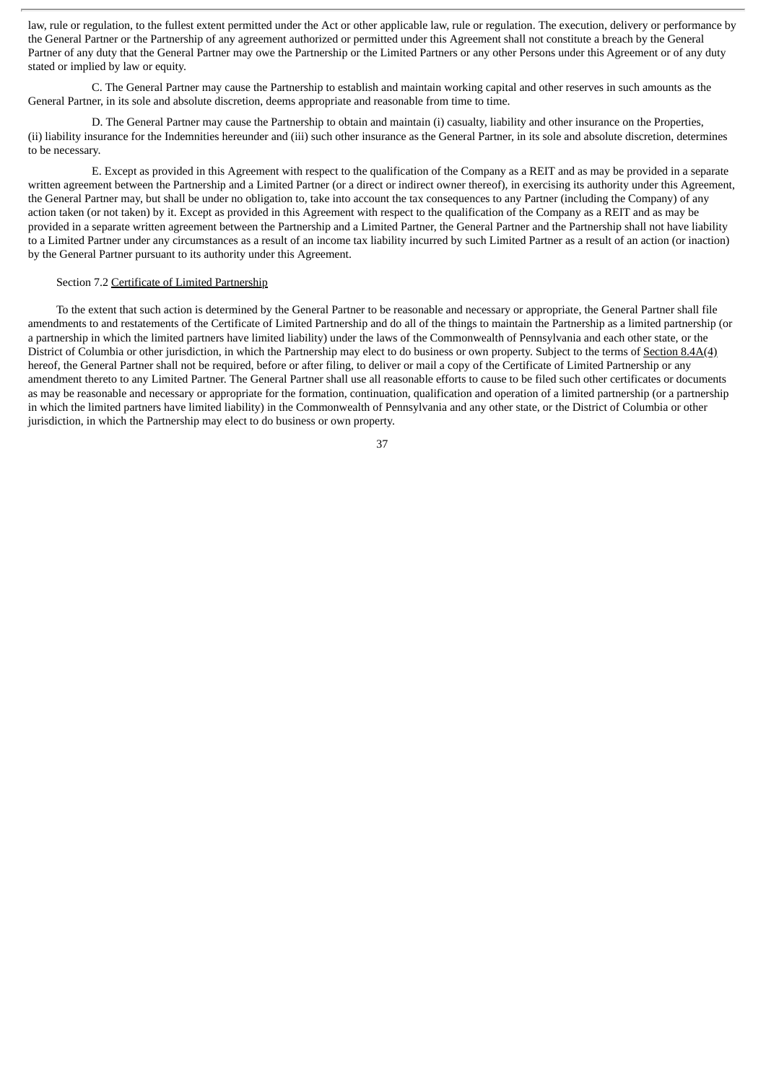law, rule or regulation, to the fullest extent permitted under the Act or other applicable law, rule or regulation. The execution, delivery or performance by the General Partner or the Partnership of any agreement authorized or permitted under this Agreement shall not constitute a breach by the General Partner of any duty that the General Partner may owe the Partnership or the Limited Partners or any other Persons under this Agreement or of any duty stated or implied by law or equity.

C. The General Partner may cause the Partnership to establish and maintain working capital and other reserves in such amounts as the General Partner, in its sole and absolute discretion, deems appropriate and reasonable from time to time.

D. The General Partner may cause the Partnership to obtain and maintain (i) casualty, liability and other insurance on the Properties, (ii) liability insurance for the Indemnities hereunder and (iii) such other insurance as the General Partner, in its sole and absolute discretion, determines to be necessary.

E. Except as provided in this Agreement with respect to the qualification of the Company as a REIT and as may be provided in a separate written agreement between the Partnership and a Limited Partner (or a direct or indirect owner thereof), in exercising its authority under this Agreement, the General Partner may, but shall be under no obligation to, take into account the tax consequences to any Partner (including the Company) of any action taken (or not taken) by it. Except as provided in this Agreement with respect to the qualification of the Company as a REIT and as may be provided in a separate written agreement between the Partnership and a Limited Partner, the General Partner and the Partnership shall not have liability to a Limited Partner under any circumstances as a result of an income tax liability incurred by such Limited Partner as a result of an action (or inaction) by the General Partner pursuant to its authority under this Agreement.

## Section 7.2 Certificate of Limited Partnership

To the extent that such action is determined by the General Partner to be reasonable and necessary or appropriate, the General Partner shall file amendments to and restatements of the Certificate of Limited Partnership and do all of the things to maintain the Partnership as a limited partnership (or a partnership in which the limited partners have limited liability) under the laws of the Commonwealth of Pennsylvania and each other state, or the District of Columbia or other jurisdiction, in which the Partnership may elect to do business or own property. Subject to the terms of Section 8.4A(4) hereof, the General Partner shall not be required, before or after filing, to deliver or mail a copy of the Certificate of Limited Partnership or any amendment thereto to any Limited Partner. The General Partner shall use all reasonable efforts to cause to be filed such other certificates or documents as may be reasonable and necessary or appropriate for the formation, continuation, qualification and operation of a limited partnership (or a partnership in which the limited partners have limited liability) in the Commonwealth of Pennsylvania and any other state, or the District of Columbia or other jurisdiction, in which the Partnership may elect to do business or own property.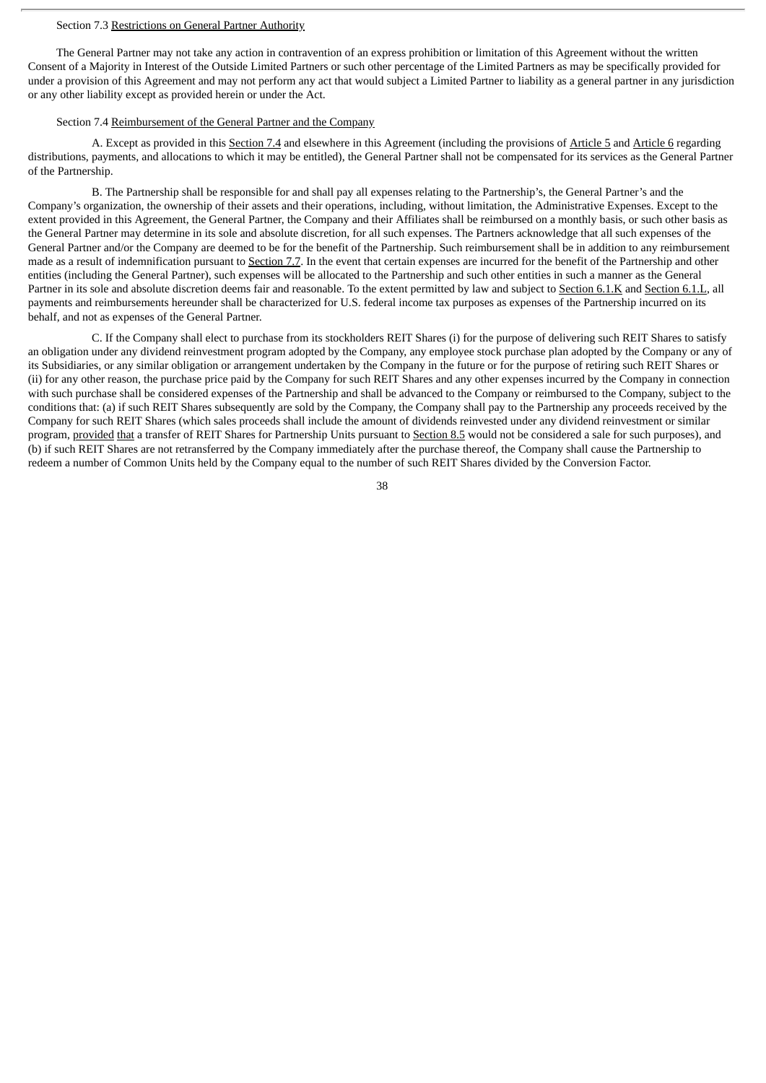## Section 7.3 Restrictions on General Partner Authority

The General Partner may not take any action in contravention of an express prohibition or limitation of this Agreement without the written Consent of a Majority in Interest of the Outside Limited Partners or such other percentage of the Limited Partners as may be specifically provided for under a provision of this Agreement and may not perform any act that would subject a Limited Partner to liability as a general partner in any jurisdiction or any other liability except as provided herein or under the Act.

## Section 7.4 Reimbursement of the General Partner and the Company

A. Except as provided in this Section 7.4 and elsewhere in this Agreement (including the provisions of Article 5 and Article 6 regarding distributions, payments, and allocations to which it may be entitled), the General Partner shall not be compensated for its services as the General Partner of the Partnership.

B. The Partnership shall be responsible for and shall pay all expenses relating to the Partnership's, the General Partner's and the Company's organization, the ownership of their assets and their operations, including, without limitation, the Administrative Expenses. Except to the extent provided in this Agreement, the General Partner, the Company and their Affiliates shall be reimbursed on a monthly basis, or such other basis as the General Partner may determine in its sole and absolute discretion, for all such expenses. The Partners acknowledge that all such expenses of the General Partner and/or the Company are deemed to be for the benefit of the Partnership. Such reimbursement shall be in addition to any reimbursement made as a result of indemnification pursuant to Section 7.7. In the event that certain expenses are incurred for the benefit of the Partnership and other entities (including the General Partner), such expenses will be allocated to the Partnership and such other entities in such a manner as the General Partner in its sole and absolute discretion deems fair and reasonable. To the extent permitted by law and subject to Section 6.1.K and Section 6.1.L, all payments and reimbursements hereunder shall be characterized for U.S. federal income tax purposes as expenses of the Partnership incurred on its behalf, and not as expenses of the General Partner.

C. If the Company shall elect to purchase from its stockholders REIT Shares (i) for the purpose of delivering such REIT Shares to satisfy an obligation under any dividend reinvestment program adopted by the Company, any employee stock purchase plan adopted by the Company or any of its Subsidiaries, or any similar obligation or arrangement undertaken by the Company in the future or for the purpose of retiring such REIT Shares or (ii) for any other reason, the purchase price paid by the Company for such REIT Shares and any other expenses incurred by the Company in connection with such purchase shall be considered expenses of the Partnership and shall be advanced to the Company or reimbursed to the Company, subject to the conditions that: (a) if such REIT Shares subsequently are sold by the Company, the Company shall pay to the Partnership any proceeds received by the Company for such REIT Shares (which sales proceeds shall include the amount of dividends reinvested under any dividend reinvestment or similar program, provided that a transfer of REIT Shares for Partnership Units pursuant to Section 8.5 would not be considered a sale for such purposes), and (b) if such REIT Shares are not retransferred by the Company immediately after the purchase thereof, the Company shall cause the Partnership to redeem a number of Common Units held by the Company equal to the number of such REIT Shares divided by the Conversion Factor.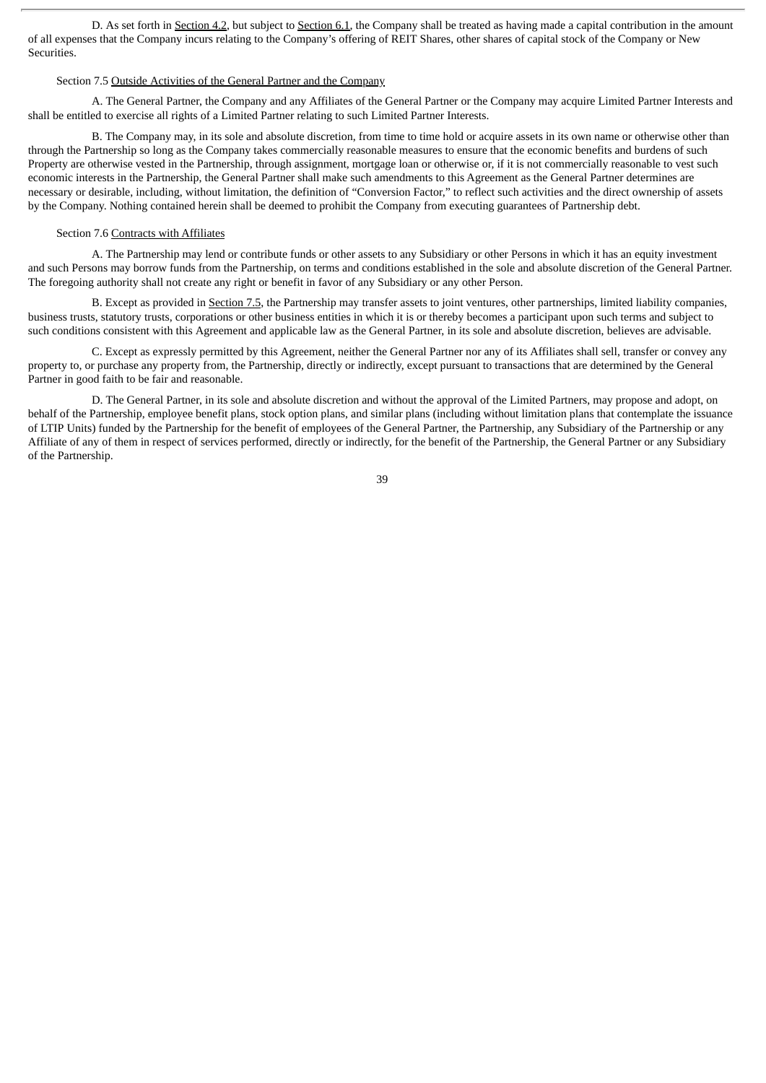D. As set forth in Section 4.2, but subject to Section 6.1, the Company shall be treated as having made a capital contribution in the amount of all expenses that the Company incurs relating to the Company's offering of REIT Shares, other shares of capital stock of the Company or New Securities.

## Section 7.5 Outside Activities of the General Partner and the Company

A. The General Partner, the Company and any Affiliates of the General Partner or the Company may acquire Limited Partner Interests and shall be entitled to exercise all rights of a Limited Partner relating to such Limited Partner Interests.

B. The Company may, in its sole and absolute discretion, from time to time hold or acquire assets in its own name or otherwise other than through the Partnership so long as the Company takes commercially reasonable measures to ensure that the economic benefits and burdens of such Property are otherwise vested in the Partnership, through assignment, mortgage loan or otherwise or, if it is not commercially reasonable to vest such economic interests in the Partnership, the General Partner shall make such amendments to this Agreement as the General Partner determines are necessary or desirable, including, without limitation, the definition of "Conversion Factor," to reflect such activities and the direct ownership of assets by the Company. Nothing contained herein shall be deemed to prohibit the Company from executing guarantees of Partnership debt.

#### Section 7.6 Contracts with Affiliates

A. The Partnership may lend or contribute funds or other assets to any Subsidiary or other Persons in which it has an equity investment and such Persons may borrow funds from the Partnership, on terms and conditions established in the sole and absolute discretion of the General Partner. The foregoing authority shall not create any right or benefit in favor of any Subsidiary or any other Person.

B. Except as provided in Section 7.5, the Partnership may transfer assets to joint ventures, other partnerships, limited liability companies, business trusts, statutory trusts, corporations or other business entities in which it is or thereby becomes a participant upon such terms and subject to such conditions consistent with this Agreement and applicable law as the General Partner, in its sole and absolute discretion, believes are advisable.

C. Except as expressly permitted by this Agreement, neither the General Partner nor any of its Affiliates shall sell, transfer or convey any property to, or purchase any property from, the Partnership, directly or indirectly, except pursuant to transactions that are determined by the General Partner in good faith to be fair and reasonable.

D. The General Partner, in its sole and absolute discretion and without the approval of the Limited Partners, may propose and adopt, on behalf of the Partnership, employee benefit plans, stock option plans, and similar plans (including without limitation plans that contemplate the issuance of LTIP Units) funded by the Partnership for the benefit of employees of the General Partner, the Partnership, any Subsidiary of the Partnership or any Affiliate of any of them in respect of services performed, directly or indirectly, for the benefit of the Partnership, the General Partner or any Subsidiary of the Partnership.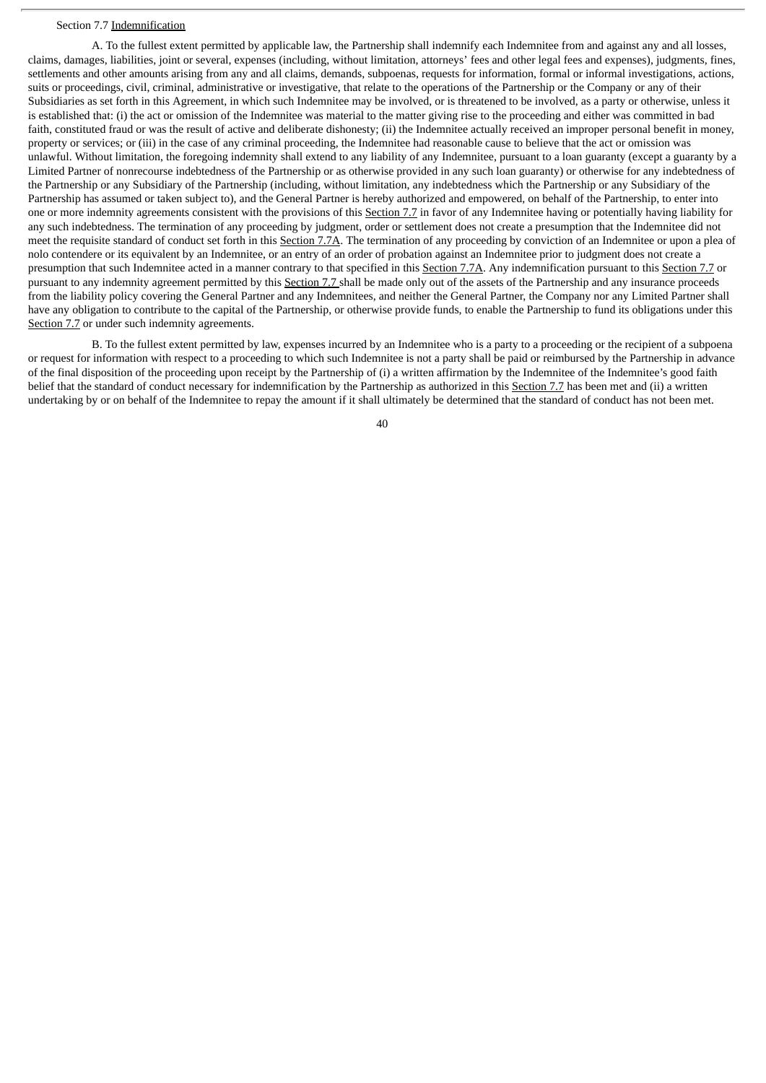#### Section 7.7 Indemnification

A. To the fullest extent permitted by applicable law, the Partnership shall indemnify each Indemnitee from and against any and all losses, claims, damages, liabilities, joint or several, expenses (including, without limitation, attorneys' fees and other legal fees and expenses), judgments, fines, settlements and other amounts arising from any and all claims, demands, subpoenas, requests for information, formal or informal investigations, actions, suits or proceedings, civil, criminal, administrative or investigative, that relate to the operations of the Partnership or the Company or any of their Subsidiaries as set forth in this Agreement, in which such Indemnitee may be involved, or is threatened to be involved, as a party or otherwise, unless it is established that: (i) the act or omission of the Indemnitee was material to the matter giving rise to the proceeding and either was committed in bad faith, constituted fraud or was the result of active and deliberate dishonesty; (ii) the Indemnitee actually received an improper personal benefit in money, property or services; or (iii) in the case of any criminal proceeding, the Indemnitee had reasonable cause to believe that the act or omission was unlawful. Without limitation, the foregoing indemnity shall extend to any liability of any Indemnitee, pursuant to a loan guaranty (except a guaranty by a Limited Partner of nonrecourse indebtedness of the Partnership or as otherwise provided in any such loan guaranty) or otherwise for any indebtedness of the Partnership or any Subsidiary of the Partnership (including, without limitation, any indebtedness which the Partnership or any Subsidiary of the Partnership has assumed or taken subject to), and the General Partner is hereby authorized and empowered, on behalf of the Partnership, to enter into one or more indemnity agreements consistent with the provisions of this Section 7.7 in favor of any Indemnitee having or potentially having liability for any such indebtedness. The termination of any proceeding by judgment, order or settlement does not create a presumption that the Indemnitee did not meet the requisite standard of conduct set forth in this Section 7.7A. The termination of any proceeding by conviction of an Indemnitee or upon a plea of nolo contendere or its equivalent by an Indemnitee, or an entry of an order of probation against an Indemnitee prior to judgment does not create a presumption that such Indemnitee acted in a manner contrary to that specified in this Section 7.7A. Any indemnification pursuant to this Section 7.7 or pursuant to any indemnity agreement permitted by this Section 7.7 shall be made only out of the assets of the Partnership and any insurance proceeds from the liability policy covering the General Partner and any Indemnitees, and neither the General Partner, the Company nor any Limited Partner shall have any obligation to contribute to the capital of the Partnership, or otherwise provide funds, to enable the Partnership to fund its obligations under this Section 7.7 or under such indemnity agreements.

B. To the fullest extent permitted by law, expenses incurred by an Indemnitee who is a party to a proceeding or the recipient of a subpoena or request for information with respect to a proceeding to which such Indemnitee is not a party shall be paid or reimbursed by the Partnership in advance of the final disposition of the proceeding upon receipt by the Partnership of (i) a written affirmation by the Indemnitee of the Indemnitee's good faith belief that the standard of conduct necessary for indemnification by the Partnership as authorized in this Section 7.7 has been met and (ii) a written undertaking by or on behalf of the Indemnitee to repay the amount if it shall ultimately be determined that the standard of conduct has not been met.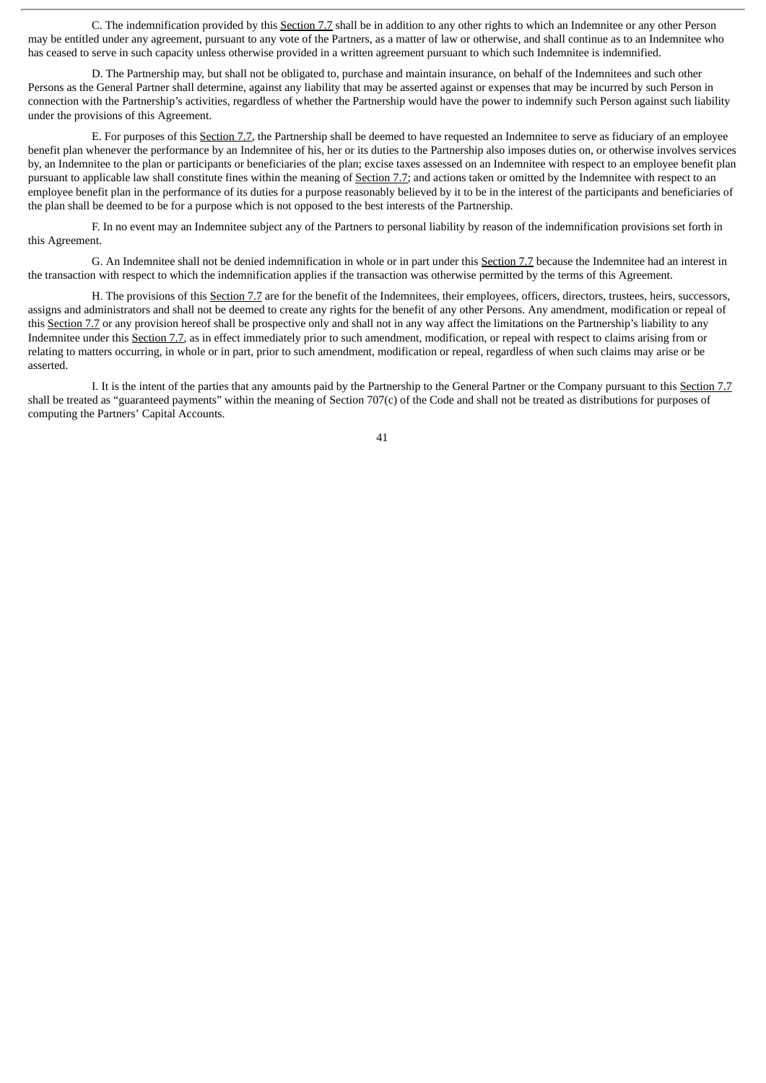C. The indemnification provided by this Section 7.7 shall be in addition to any other rights to which an Indemnitee or any other Person may be entitled under any agreement, pursuant to any vote of the Partners, as a matter of law or otherwise, and shall continue as to an Indemnitee who has ceased to serve in such capacity unless otherwise provided in a written agreement pursuant to which such Indemnitee is indemnified.

D. The Partnership may, but shall not be obligated to, purchase and maintain insurance, on behalf of the Indemnitees and such other Persons as the General Partner shall determine, against any liability that may be asserted against or expenses that may be incurred by such Person in connection with the Partnership's activities, regardless of whether the Partnership would have the power to indemnify such Person against such liability under the provisions of this Agreement.

E. For purposes of this Section 7.7, the Partnership shall be deemed to have requested an Indemnitee to serve as fiduciary of an employee benefit plan whenever the performance by an Indemnitee of his, her or its duties to the Partnership also imposes duties on, or otherwise involves services by, an Indemnitee to the plan or participants or beneficiaries of the plan; excise taxes assessed on an Indemnitee with respect to an employee benefit plan pursuant to applicable law shall constitute fines within the meaning of Section 7.7; and actions taken or omitted by the Indemnitee with respect to an employee benefit plan in the performance of its duties for a purpose reasonably believed by it to be in the interest of the participants and beneficiaries of the plan shall be deemed to be for a purpose which is not opposed to the best interests of the Partnership.

F. In no event may an Indemnitee subject any of the Partners to personal liability by reason of the indemnification provisions set forth in this Agreement.

G. An Indemnitee shall not be denied indemnification in whole or in part under this Section 7.7 because the Indemnitee had an interest in the transaction with respect to which the indemnification applies if the transaction was otherwise permitted by the terms of this Agreement.

H. The provisions of this Section 7.7 are for the benefit of the Indemnitees, their employees, officers, directors, trustees, heirs, successors, assigns and administrators and shall not be deemed to create any rights for the benefit of any other Persons. Any amendment, modification or repeal of this Section 7.7 or any provision hereof shall be prospective only and shall not in any way affect the limitations on the Partnership's liability to any Indemnitee under this Section 7.7, as in effect immediately prior to such amendment, modification, or repeal with respect to claims arising from or relating to matters occurring, in whole or in part, prior to such amendment, modification or repeal, regardless of when such claims may arise or be asserted.

I. It is the intent of the parties that any amounts paid by the Partnership to the General Partner or the Company pursuant to this Section 7.7 shall be treated as "guaranteed payments" within the meaning of Section 707(c) of the Code and shall not be treated as distributions for purposes of computing the Partners' Capital Accounts.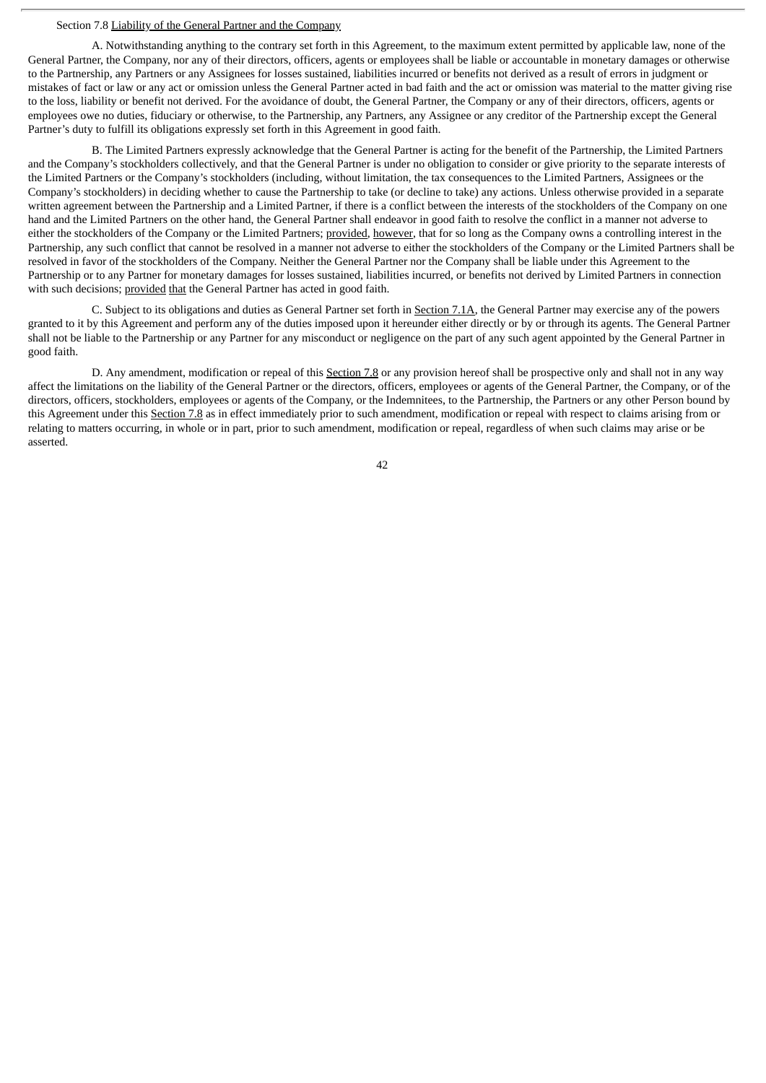## Section 7.8 Liability of the General Partner and the Company

A. Notwithstanding anything to the contrary set forth in this Agreement, to the maximum extent permitted by applicable law, none of the General Partner, the Company, nor any of their directors, officers, agents or employees shall be liable or accountable in monetary damages or otherwise to the Partnership, any Partners or any Assignees for losses sustained, liabilities incurred or benefits not derived as a result of errors in judgment or mistakes of fact or law or any act or omission unless the General Partner acted in bad faith and the act or omission was material to the matter giving rise to the loss, liability or benefit not derived. For the avoidance of doubt, the General Partner, the Company or any of their directors, officers, agents or employees owe no duties, fiduciary or otherwise, to the Partnership, any Partners, any Assignee or any creditor of the Partnership except the General Partner's duty to fulfill its obligations expressly set forth in this Agreement in good faith.

B. The Limited Partners expressly acknowledge that the General Partner is acting for the benefit of the Partnership, the Limited Partners and the Company's stockholders collectively, and that the General Partner is under no obligation to consider or give priority to the separate interests of the Limited Partners or the Company's stockholders (including, without limitation, the tax consequences to the Limited Partners, Assignees or the Company's stockholders) in deciding whether to cause the Partnership to take (or decline to take) any actions. Unless otherwise provided in a separate written agreement between the Partnership and a Limited Partner, if there is a conflict between the interests of the stockholders of the Company on one hand and the Limited Partners on the other hand, the General Partner shall endeavor in good faith to resolve the conflict in a manner not adverse to either the stockholders of the Company or the Limited Partners; provided, however, that for so long as the Company owns a controlling interest in the Partnership, any such conflict that cannot be resolved in a manner not adverse to either the stockholders of the Company or the Limited Partners shall be resolved in favor of the stockholders of the Company. Neither the General Partner nor the Company shall be liable under this Agreement to the Partnership or to any Partner for monetary damages for losses sustained, liabilities incurred, or benefits not derived by Limited Partners in connection with such decisions; provided that the General Partner has acted in good faith.

C. Subject to its obligations and duties as General Partner set forth in Section 7.1A, the General Partner may exercise any of the powers granted to it by this Agreement and perform any of the duties imposed upon it hereunder either directly or by or through its agents. The General Partner shall not be liable to the Partnership or any Partner for any misconduct or negligence on the part of any such agent appointed by the General Partner in good faith.

D. Any amendment, modification or repeal of this Section 7.8 or any provision hereof shall be prospective only and shall not in any way affect the limitations on the liability of the General Partner or the directors, officers, employees or agents of the General Partner, the Company, or of the directors, officers, stockholders, employees or agents of the Company, or the Indemnitees, to the Partnership, the Partners or any other Person bound by this Agreement under this Section 7.8 as in effect immediately prior to such amendment, modification or repeal with respect to claims arising from or relating to matters occurring, in whole or in part, prior to such amendment, modification or repeal, regardless of when such claims may arise or be asserted.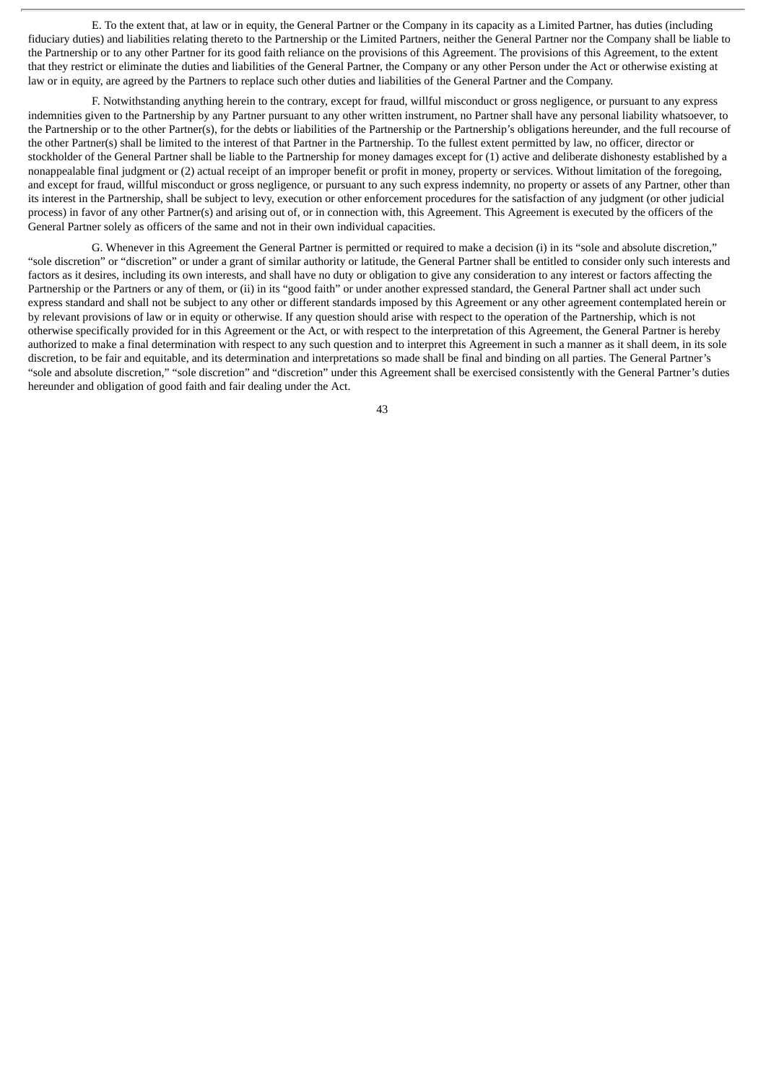E. To the extent that, at law or in equity, the General Partner or the Company in its capacity as a Limited Partner, has duties (including fiduciary duties) and liabilities relating thereto to the Partnership or the Limited Partners, neither the General Partner nor the Company shall be liable to the Partnership or to any other Partner for its good faith reliance on the provisions of this Agreement. The provisions of this Agreement, to the extent that they restrict or eliminate the duties and liabilities of the General Partner, the Company or any other Person under the Act or otherwise existing at law or in equity, are agreed by the Partners to replace such other duties and liabilities of the General Partner and the Company.

F. Notwithstanding anything herein to the contrary, except for fraud, willful misconduct or gross negligence, or pursuant to any express indemnities given to the Partnership by any Partner pursuant to any other written instrument, no Partner shall have any personal liability whatsoever, to the Partnership or to the other Partner(s), for the debts or liabilities of the Partnership or the Partnership's obligations hereunder, and the full recourse of the other Partner(s) shall be limited to the interest of that Partner in the Partnership. To the fullest extent permitted by law, no officer, director or stockholder of the General Partner shall be liable to the Partnership for money damages except for (1) active and deliberate dishonesty established by a nonappealable final judgment or (2) actual receipt of an improper benefit or profit in money, property or services. Without limitation of the foregoing, and except for fraud, willful misconduct or gross negligence, or pursuant to any such express indemnity, no property or assets of any Partner, other than its interest in the Partnership, shall be subject to levy, execution or other enforcement procedures for the satisfaction of any judgment (or other judicial process) in favor of any other Partner(s) and arising out of, or in connection with, this Agreement. This Agreement is executed by the officers of the General Partner solely as officers of the same and not in their own individual capacities.

G. Whenever in this Agreement the General Partner is permitted or required to make a decision (i) in its "sole and absolute discretion," "sole discretion" or "discretion" or under a grant of similar authority or latitude, the General Partner shall be entitled to consider only such interests and factors as it desires, including its own interests, and shall have no duty or obligation to give any consideration to any interest or factors affecting the Partnership or the Partners or any of them, or (ii) in its "good faith" or under another expressed standard, the General Partner shall act under such express standard and shall not be subject to any other or different standards imposed by this Agreement or any other agreement contemplated herein or by relevant provisions of law or in equity or otherwise. If any question should arise with respect to the operation of the Partnership, which is not otherwise specifically provided for in this Agreement or the Act, or with respect to the interpretation of this Agreement, the General Partner is hereby authorized to make a final determination with respect to any such question and to interpret this Agreement in such a manner as it shall deem, in its sole discretion, to be fair and equitable, and its determination and interpretations so made shall be final and binding on all parties. The General Partner's "sole and absolute discretion," "sole discretion" and "discretion" under this Agreement shall be exercised consistently with the General Partner's duties hereunder and obligation of good faith and fair dealing under the Act.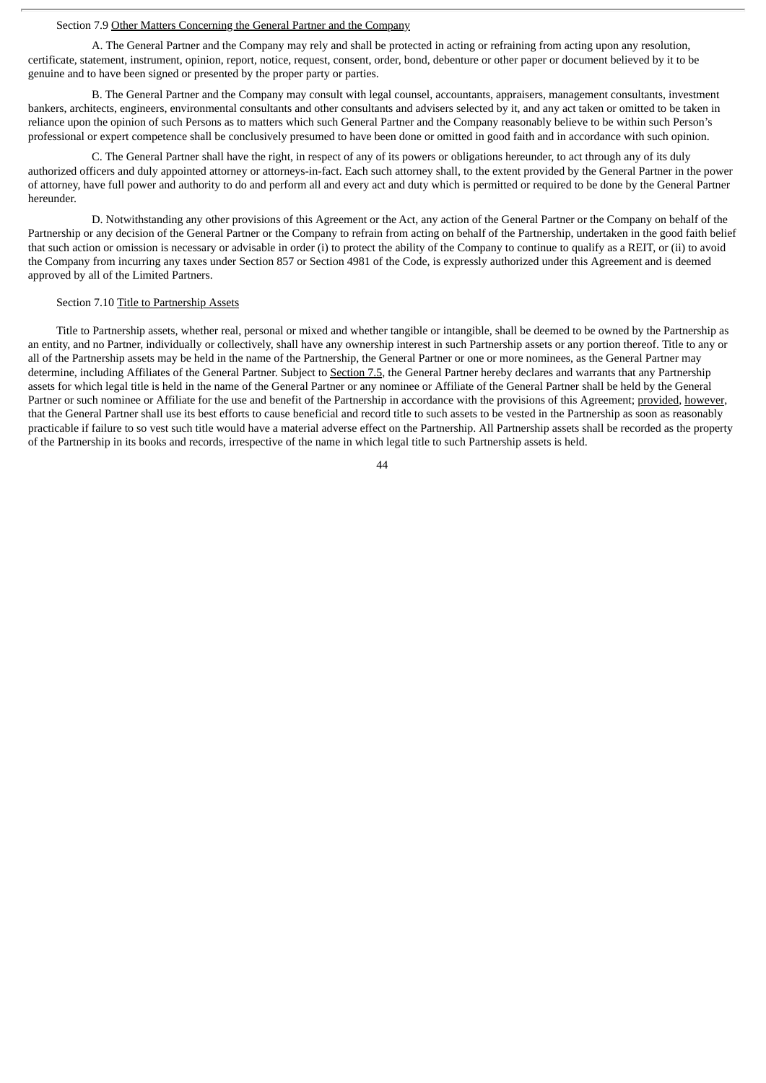#### Section 7.9 Other Matters Concerning the General Partner and the Company

A. The General Partner and the Company may rely and shall be protected in acting or refraining from acting upon any resolution, certificate, statement, instrument, opinion, report, notice, request, consent, order, bond, debenture or other paper or document believed by it to be genuine and to have been signed or presented by the proper party or parties.

B. The General Partner and the Company may consult with legal counsel, accountants, appraisers, management consultants, investment bankers, architects, engineers, environmental consultants and other consultants and advisers selected by it, and any act taken or omitted to be taken in reliance upon the opinion of such Persons as to matters which such General Partner and the Company reasonably believe to be within such Person's professional or expert competence shall be conclusively presumed to have been done or omitted in good faith and in accordance with such opinion.

C. The General Partner shall have the right, in respect of any of its powers or obligations hereunder, to act through any of its duly authorized officers and duly appointed attorney or attorneys-in-fact. Each such attorney shall, to the extent provided by the General Partner in the power of attorney, have full power and authority to do and perform all and every act and duty which is permitted or required to be done by the General Partner hereunder.

D. Notwithstanding any other provisions of this Agreement or the Act, any action of the General Partner or the Company on behalf of the Partnership or any decision of the General Partner or the Company to refrain from acting on behalf of the Partnership, undertaken in the good faith belief that such action or omission is necessary or advisable in order (i) to protect the ability of the Company to continue to qualify as a REIT, or (ii) to avoid the Company from incurring any taxes under Section 857 or Section 4981 of the Code, is expressly authorized under this Agreement and is deemed approved by all of the Limited Partners.

#### Section 7.10 Title to Partnership Assets

Title to Partnership assets, whether real, personal or mixed and whether tangible or intangible, shall be deemed to be owned by the Partnership as an entity, and no Partner, individually or collectively, shall have any ownership interest in such Partnership assets or any portion thereof. Title to any or all of the Partnership assets may be held in the name of the Partnership, the General Partner or one or more nominees, as the General Partner may determine, including Affiliates of the General Partner. Subject to Section 7.5, the General Partner hereby declares and warrants that any Partnership assets for which legal title is held in the name of the General Partner or any nominee or Affiliate of the General Partner shall be held by the General Partner or such nominee or Affiliate for the use and benefit of the Partnership in accordance with the provisions of this Agreement; provided, however, that the General Partner shall use its best efforts to cause beneficial and record title to such assets to be vested in the Partnership as soon as reasonably practicable if failure to so vest such title would have a material adverse effect on the Partnership. All Partnership assets shall be recorded as the property of the Partnership in its books and records, irrespective of the name in which legal title to such Partnership assets is held.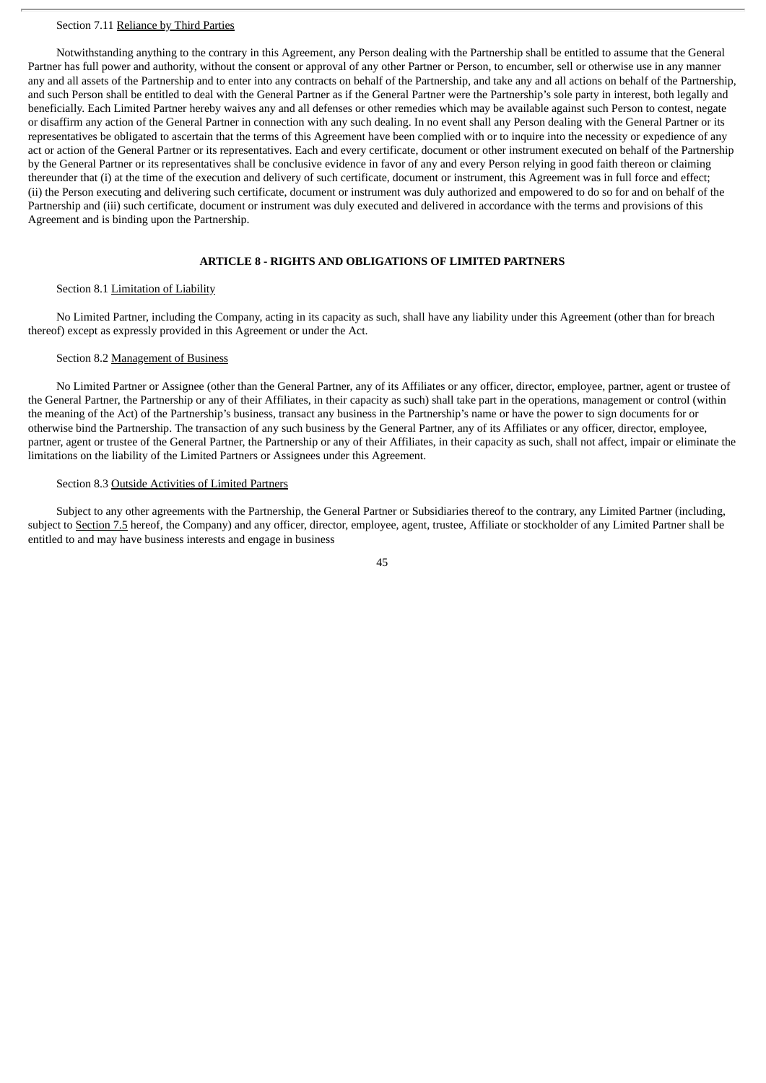#### Section 7.11 Reliance by Third Parties

Notwithstanding anything to the contrary in this Agreement, any Person dealing with the Partnership shall be entitled to assume that the General Partner has full power and authority, without the consent or approval of any other Partner or Person, to encumber, sell or otherwise use in any manner any and all assets of the Partnership and to enter into any contracts on behalf of the Partnership, and take any and all actions on behalf of the Partnership, and such Person shall be entitled to deal with the General Partner as if the General Partner were the Partnership's sole party in interest, both legally and beneficially. Each Limited Partner hereby waives any and all defenses or other remedies which may be available against such Person to contest, negate or disaffirm any action of the General Partner in connection with any such dealing. In no event shall any Person dealing with the General Partner or its representatives be obligated to ascertain that the terms of this Agreement have been complied with or to inquire into the necessity or expedience of any act or action of the General Partner or its representatives. Each and every certificate, document or other instrument executed on behalf of the Partnership by the General Partner or its representatives shall be conclusive evidence in favor of any and every Person relying in good faith thereon or claiming thereunder that (i) at the time of the execution and delivery of such certificate, document or instrument, this Agreement was in full force and effect; (ii) the Person executing and delivering such certificate, document or instrument was duly authorized and empowered to do so for and on behalf of the Partnership and (iii) such certificate, document or instrument was duly executed and delivered in accordance with the terms and provisions of this Agreement and is binding upon the Partnership.

## **ARTICLE 8 - RIGHTS AND OBLIGATIONS OF LIMITED PARTNERS**

## Section 8.1 Limitation of Liability

No Limited Partner, including the Company, acting in its capacity as such, shall have any liability under this Agreement (other than for breach thereof) except as expressly provided in this Agreement or under the Act.

## Section 8.2 Management of Business

No Limited Partner or Assignee (other than the General Partner, any of its Affiliates or any officer, director, employee, partner, agent or trustee of the General Partner, the Partnership or any of their Affiliates, in their capacity as such) shall take part in the operations, management or control (within the meaning of the Act) of the Partnership's business, transact any business in the Partnership's name or have the power to sign documents for or otherwise bind the Partnership. The transaction of any such business by the General Partner, any of its Affiliates or any officer, director, employee, partner, agent or trustee of the General Partner, the Partnership or any of their Affiliates, in their capacity as such, shall not affect, impair or eliminate the limitations on the liability of the Limited Partners or Assignees under this Agreement.

### Section 8.3 Outside Activities of Limited Partners

Subject to any other agreements with the Partnership, the General Partner or Subsidiaries thereof to the contrary, any Limited Partner (including, subject to Section 7.5 hereof, the Company) and any officer, director, employee, agent, trustee, Affiliate or stockholder of any Limited Partner shall be entitled to and may have business interests and engage in business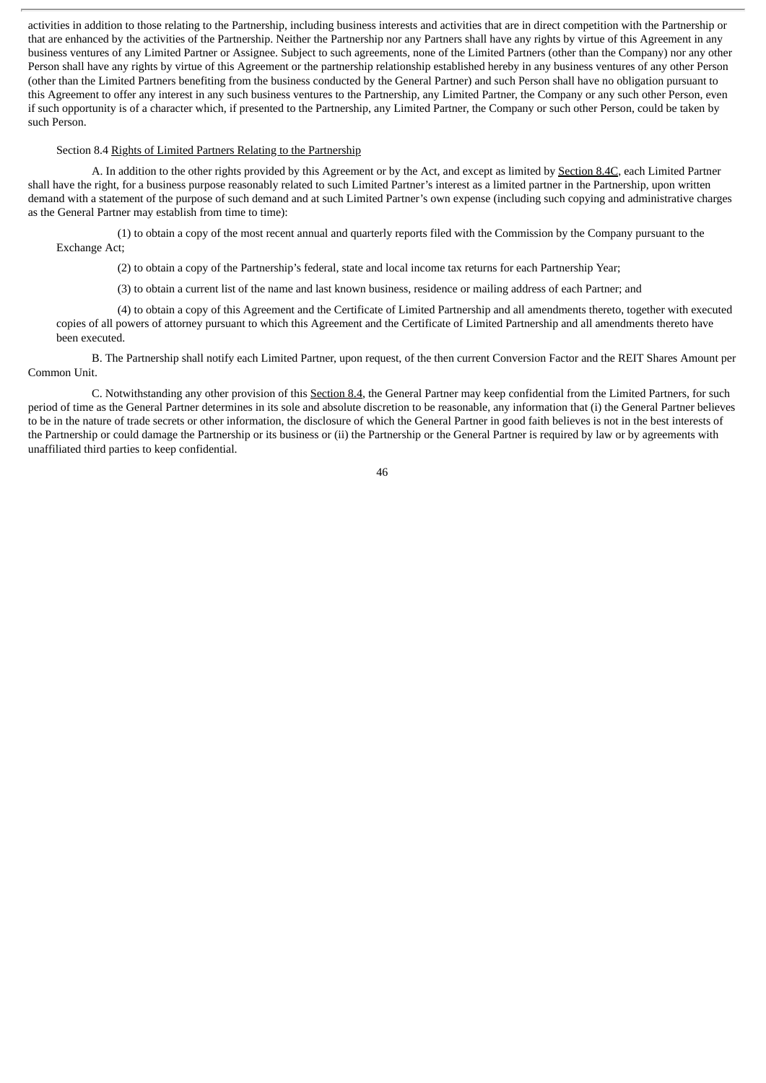activities in addition to those relating to the Partnership, including business interests and activities that are in direct competition with the Partnership or that are enhanced by the activities of the Partnership. Neither the Partnership nor any Partners shall have any rights by virtue of this Agreement in any business ventures of any Limited Partner or Assignee. Subject to such agreements, none of the Limited Partners (other than the Company) nor any other Person shall have any rights by virtue of this Agreement or the partnership relationship established hereby in any business ventures of any other Person (other than the Limited Partners benefiting from the business conducted by the General Partner) and such Person shall have no obligation pursuant to this Agreement to offer any interest in any such business ventures to the Partnership, any Limited Partner, the Company or any such other Person, even if such opportunity is of a character which, if presented to the Partnership, any Limited Partner, the Company or such other Person, could be taken by such Person.

## Section 8.4 Rights of Limited Partners Relating to the Partnership

A. In addition to the other rights provided by this Agreement or by the Act, and except as limited by Section 8.4C, each Limited Partner shall have the right, for a business purpose reasonably related to such Limited Partner's interest as a limited partner in the Partnership, upon written demand with a statement of the purpose of such demand and at such Limited Partner's own expense (including such copying and administrative charges as the General Partner may establish from time to time):

(1) to obtain a copy of the most recent annual and quarterly reports filed with the Commission by the Company pursuant to the Exchange Act;

(2) to obtain a copy of the Partnership's federal, state and local income tax returns for each Partnership Year;

(3) to obtain a current list of the name and last known business, residence or mailing address of each Partner; and

(4) to obtain a copy of this Agreement and the Certificate of Limited Partnership and all amendments thereto, together with executed copies of all powers of attorney pursuant to which this Agreement and the Certificate of Limited Partnership and all amendments thereto have been executed.

B. The Partnership shall notify each Limited Partner, upon request, of the then current Conversion Factor and the REIT Shares Amount per Common Unit.

C. Notwithstanding any other provision of this Section 8.4, the General Partner may keep confidential from the Limited Partners, for such period of time as the General Partner determines in its sole and absolute discretion to be reasonable, any information that (i) the General Partner believes to be in the nature of trade secrets or other information, the disclosure of which the General Partner in good faith believes is not in the best interests of the Partnership or could damage the Partnership or its business or (ii) the Partnership or the General Partner is required by law or by agreements with unaffiliated third parties to keep confidential.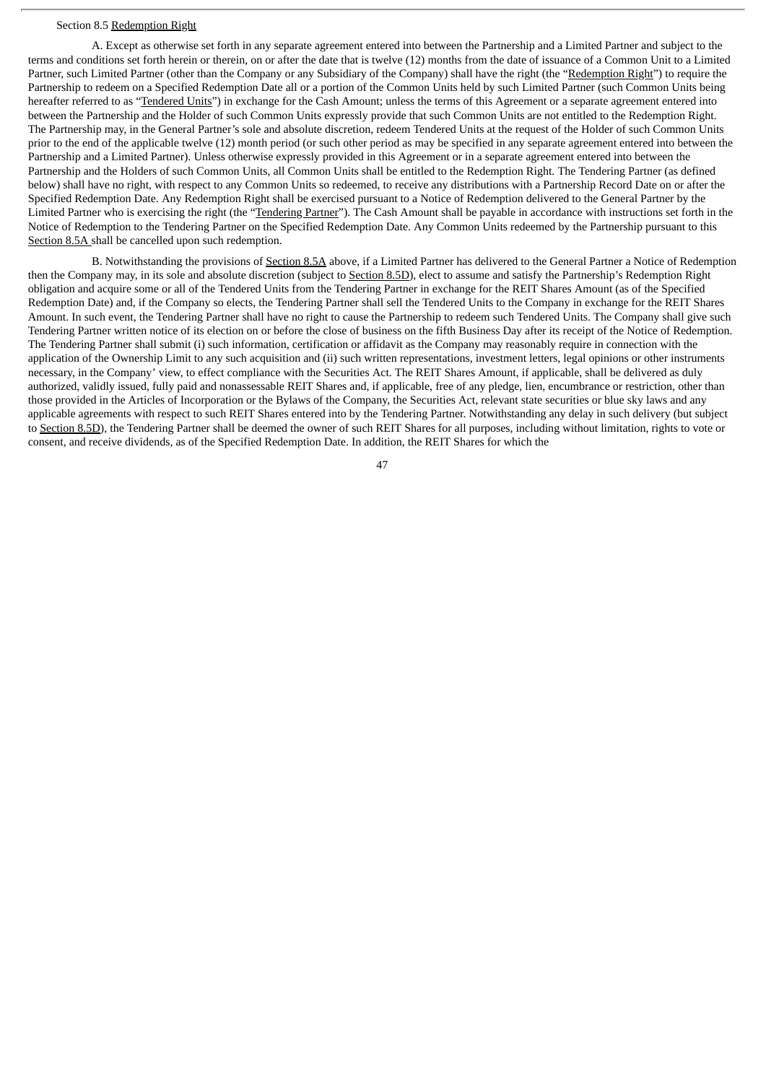## Section 8.5 Redemption Right

A. Except as otherwise set forth in any separate agreement entered into between the Partnership and a Limited Partner and subject to the terms and conditions set forth herein or therein, on or after the date that is twelve (12) months from the date of issuance of a Common Unit to a Limited Partner, such Limited Partner (other than the Company or any Subsidiary of the Company) shall have the right (the "Redemption Right") to require the Partnership to redeem on a Specified Redemption Date all or a portion of the Common Units held by such Limited Partner (such Common Units being hereafter referred to as "Tendered Units") in exchange for the Cash Amount; unless the terms of this Agreement or a separate agreement entered into between the Partnership and the Holder of such Common Units expressly provide that such Common Units are not entitled to the Redemption Right. The Partnership may, in the General Partner's sole and absolute discretion, redeem Tendered Units at the request of the Holder of such Common Units prior to the end of the applicable twelve (12) month period (or such other period as may be specified in any separate agreement entered into between the Partnership and a Limited Partner). Unless otherwise expressly provided in this Agreement or in a separate agreement entered into between the Partnership and the Holders of such Common Units, all Common Units shall be entitled to the Redemption Right. The Tendering Partner (as defined below) shall have no right, with respect to any Common Units so redeemed, to receive any distributions with a Partnership Record Date on or after the Specified Redemption Date. Any Redemption Right shall be exercised pursuant to a Notice of Redemption delivered to the General Partner by the Limited Partner who is exercising the right (the "Tendering Partner"). The Cash Amount shall be payable in accordance with instructions set forth in the Notice of Redemption to the Tendering Partner on the Specified Redemption Date. Any Common Units redeemed by the Partnership pursuant to this Section 8.5A shall be cancelled upon such redemption.

B. Notwithstanding the provisions of Section 8.5A above, if a Limited Partner has delivered to the General Partner a Notice of Redemption then the Company may, in its sole and absolute discretion (subject to Section 8.5D), elect to assume and satisfy the Partnership's Redemption Right obligation and acquire some or all of the Tendered Units from the Tendering Partner in exchange for the REIT Shares Amount (as of the Specified Redemption Date) and, if the Company so elects, the Tendering Partner shall sell the Tendered Units to the Company in exchange for the REIT Shares Amount. In such event, the Tendering Partner shall have no right to cause the Partnership to redeem such Tendered Units. The Company shall give such Tendering Partner written notice of its election on or before the close of business on the fifth Business Day after its receipt of the Notice of Redemption. The Tendering Partner shall submit (i) such information, certification or affidavit as the Company may reasonably require in connection with the application of the Ownership Limit to any such acquisition and (ii) such written representations, investment letters, legal opinions or other instruments necessary, in the Company' view, to effect compliance with the Securities Act. The REIT Shares Amount, if applicable, shall be delivered as duly authorized, validly issued, fully paid and nonassessable REIT Shares and, if applicable, free of any pledge, lien, encumbrance or restriction, other than those provided in the Articles of Incorporation or the Bylaws of the Company, the Securities Act, relevant state securities or blue sky laws and any applicable agreements with respect to such REIT Shares entered into by the Tendering Partner. Notwithstanding any delay in such delivery (but subject to Section 8.5D), the Tendering Partner shall be deemed the owner of such REIT Shares for all purposes, including without limitation, rights to vote or consent, and receive dividends, as of the Specified Redemption Date. In addition, the REIT Shares for which the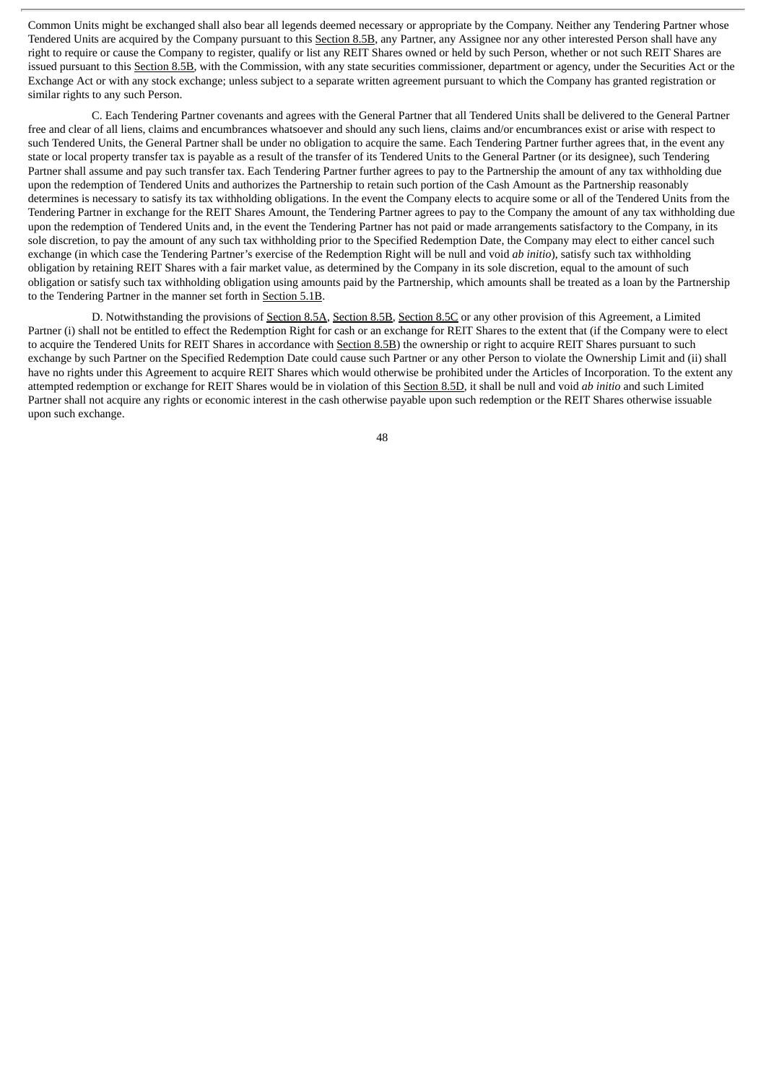Common Units might be exchanged shall also bear all legends deemed necessary or appropriate by the Company. Neither any Tendering Partner whose Tendered Units are acquired by the Company pursuant to this Section 8.5B, any Partner, any Assignee nor any other interested Person shall have any right to require or cause the Company to register, qualify or list any REIT Shares owned or held by such Person, whether or not such REIT Shares are issued pursuant to this Section 8.5B, with the Commission, with any state securities commissioner, department or agency, under the Securities Act or the Exchange Act or with any stock exchange; unless subject to a separate written agreement pursuant to which the Company has granted registration or similar rights to any such Person.

C. Each Tendering Partner covenants and agrees with the General Partner that all Tendered Units shall be delivered to the General Partner free and clear of all liens, claims and encumbrances whatsoever and should any such liens, claims and/or encumbrances exist or arise with respect to such Tendered Units, the General Partner shall be under no obligation to acquire the same. Each Tendering Partner further agrees that, in the event any state or local property transfer tax is payable as a result of the transfer of its Tendered Units to the General Partner (or its designee), such Tendering Partner shall assume and pay such transfer tax. Each Tendering Partner further agrees to pay to the Partnership the amount of any tax withholding due upon the redemption of Tendered Units and authorizes the Partnership to retain such portion of the Cash Amount as the Partnership reasonably determines is necessary to satisfy its tax withholding obligations. In the event the Company elects to acquire some or all of the Tendered Units from the Tendering Partner in exchange for the REIT Shares Amount, the Tendering Partner agrees to pay to the Company the amount of any tax withholding due upon the redemption of Tendered Units and, in the event the Tendering Partner has not paid or made arrangements satisfactory to the Company, in its sole discretion, to pay the amount of any such tax withholding prior to the Specified Redemption Date, the Company may elect to either cancel such exchange (in which case the Tendering Partner's exercise of the Redemption Right will be null and void *ab initio*), satisfy such tax withholding obligation by retaining REIT Shares with a fair market value, as determined by the Company in its sole discretion, equal to the amount of such obligation or satisfy such tax withholding obligation using amounts paid by the Partnership, which amounts shall be treated as a loan by the Partnership to the Tendering Partner in the manner set forth in Section 5.1B.

D. Notwithstanding the provisions of Section 8.5A, Section 8.5B, Section 8.5C or any other provision of this Agreement, a Limited Partner (i) shall not be entitled to effect the Redemption Right for cash or an exchange for REIT Shares to the extent that (if the Company were to elect to acquire the Tendered Units for REIT Shares in accordance with Section 8.5B) the ownership or right to acquire REIT Shares pursuant to such exchange by such Partner on the Specified Redemption Date could cause such Partner or any other Person to violate the Ownership Limit and (ii) shall have no rights under this Agreement to acquire REIT Shares which would otherwise be prohibited under the Articles of Incorporation. To the extent any attempted redemption or exchange for REIT Shares would be in violation of this Section 8.5D, it shall be null and void *ab initio* and such Limited Partner shall not acquire any rights or economic interest in the cash otherwise payable upon such redemption or the REIT Shares otherwise issuable upon such exchange.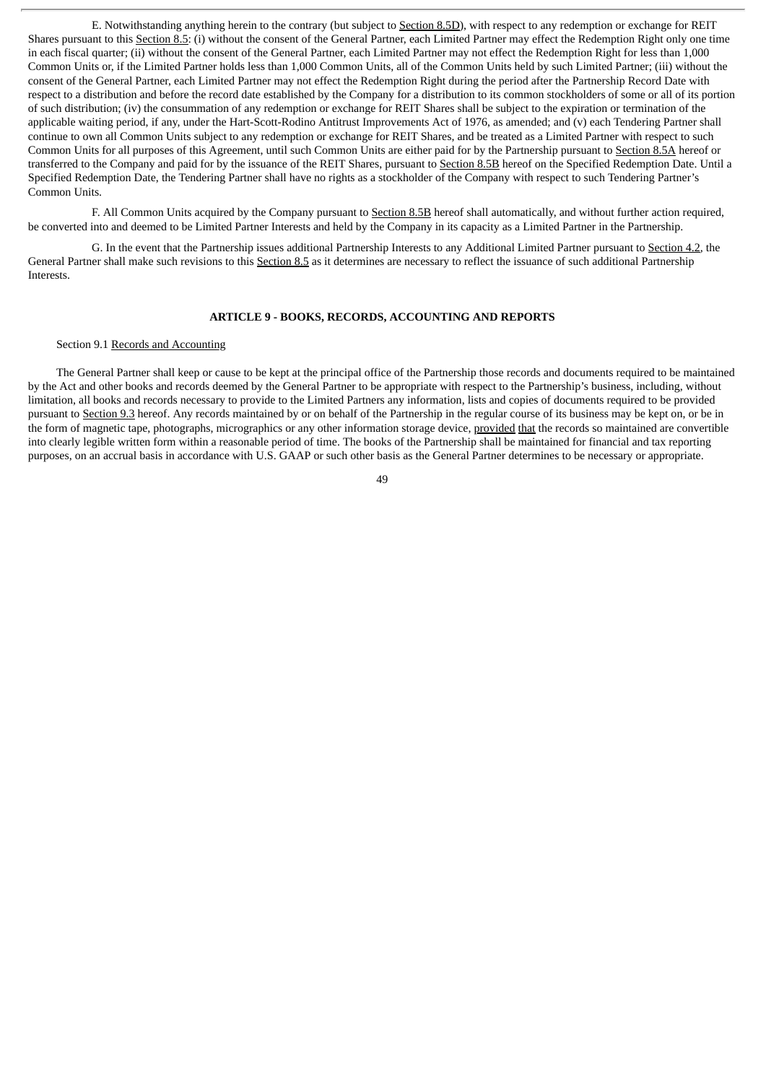E. Notwithstanding anything herein to the contrary (but subject to Section 8.5D), with respect to any redemption or exchange for REIT Shares pursuant to this Section 8.5: (i) without the consent of the General Partner, each Limited Partner may effect the Redemption Right only one time in each fiscal quarter; (ii) without the consent of the General Partner, each Limited Partner may not effect the Redemption Right for less than 1,000 Common Units or, if the Limited Partner holds less than 1,000 Common Units, all of the Common Units held by such Limited Partner; (iii) without the consent of the General Partner, each Limited Partner may not effect the Redemption Right during the period after the Partnership Record Date with respect to a distribution and before the record date established by the Company for a distribution to its common stockholders of some or all of its portion of such distribution; (iv) the consummation of any redemption or exchange for REIT Shares shall be subject to the expiration or termination of the applicable waiting period, if any, under the Hart-Scott-Rodino Antitrust Improvements Act of 1976, as amended; and (v) each Tendering Partner shall continue to own all Common Units subject to any redemption or exchange for REIT Shares, and be treated as a Limited Partner with respect to such Common Units for all purposes of this Agreement, until such Common Units are either paid for by the Partnership pursuant to Section 8.5A hereof or transferred to the Company and paid for by the issuance of the REIT Shares, pursuant to Section 8.5B hereof on the Specified Redemption Date. Until a Specified Redemption Date, the Tendering Partner shall have no rights as a stockholder of the Company with respect to such Tendering Partner's Common Units.

F. All Common Units acquired by the Company pursuant to Section 8.5B hereof shall automatically, and without further action required, be converted into and deemed to be Limited Partner Interests and held by the Company in its capacity as a Limited Partner in the Partnership.

G. In the event that the Partnership issues additional Partnership Interests to any Additional Limited Partner pursuant to Section 4.2, the General Partner shall make such revisions to this Section 8.5 as it determines are necessary to reflect the issuance of such additional Partnership Interests.

## **ARTICLE 9 - BOOKS, RECORDS, ACCOUNTING AND REPORTS**

# Section 9.1 Records and Accounting

The General Partner shall keep or cause to be kept at the principal office of the Partnership those records and documents required to be maintained by the Act and other books and records deemed by the General Partner to be appropriate with respect to the Partnership's business, including, without limitation, all books and records necessary to provide to the Limited Partners any information, lists and copies of documents required to be provided pursuant to Section 9.3 hereof. Any records maintained by or on behalf of the Partnership in the regular course of its business may be kept on, or be in the form of magnetic tape, photographs, micrographics or any other information storage device, provided that the records so maintained are convertible into clearly legible written form within a reasonable period of time. The books of the Partnership shall be maintained for financial and tax reporting purposes, on an accrual basis in accordance with U.S. GAAP or such other basis as the General Partner determines to be necessary or appropriate.

 $\overline{A}Q$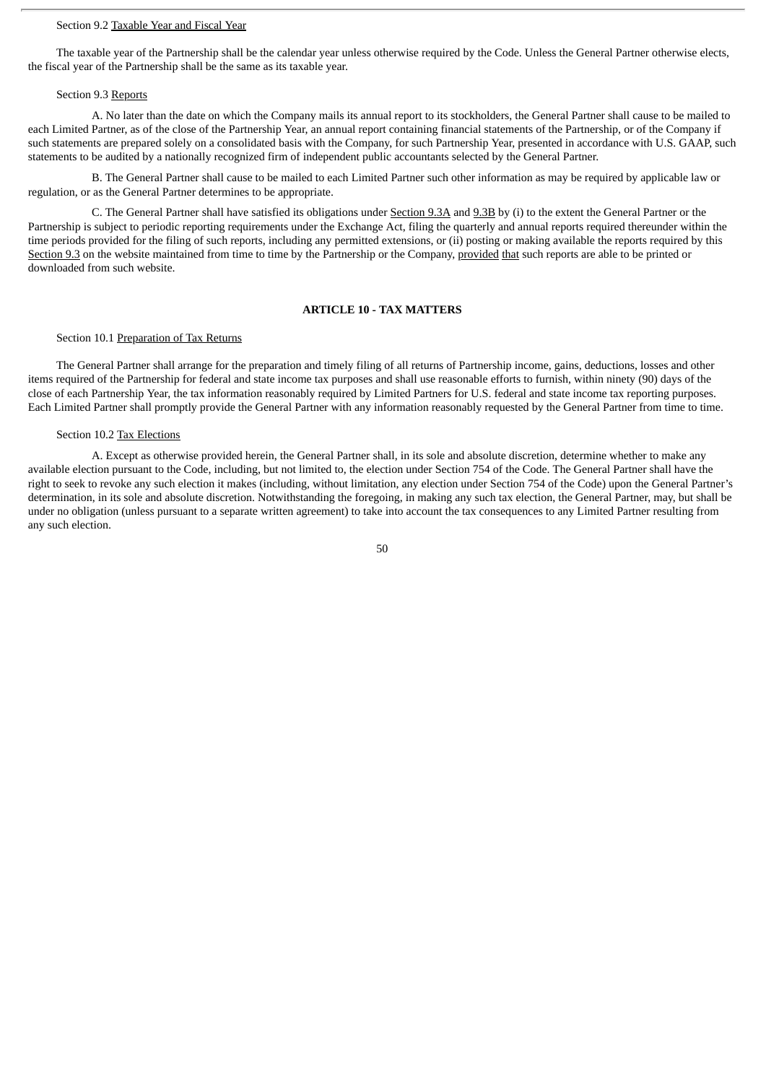## Section 9.2 Taxable Year and Fiscal Year

The taxable year of the Partnership shall be the calendar year unless otherwise required by the Code. Unless the General Partner otherwise elects, the fiscal year of the Partnership shall be the same as its taxable year.

#### Section 9.3 Reports

A. No later than the date on which the Company mails its annual report to its stockholders, the General Partner shall cause to be mailed to each Limited Partner, as of the close of the Partnership Year, an annual report containing financial statements of the Partnership, or of the Company if such statements are prepared solely on a consolidated basis with the Company, for such Partnership Year, presented in accordance with U.S. GAAP, such statements to be audited by a nationally recognized firm of independent public accountants selected by the General Partner.

B. The General Partner shall cause to be mailed to each Limited Partner such other information as may be required by applicable law or regulation, or as the General Partner determines to be appropriate.

C. The General Partner shall have satisfied its obligations under Section 9.3A and 9.3B by (i) to the extent the General Partner or the Partnership is subject to periodic reporting requirements under the Exchange Act, filing the quarterly and annual reports required thereunder within the time periods provided for the filing of such reports, including any permitted extensions, or (ii) posting or making available the reports required by this Section 9.3 on the website maintained from time to time by the Partnership or the Company, provided that such reports are able to be printed or downloaded from such website.

#### **ARTICLE 10 - TAX MATTERS**

#### Section 10.1 Preparation of Tax Returns

The General Partner shall arrange for the preparation and timely filing of all returns of Partnership income, gains, deductions, losses and other items required of the Partnership for federal and state income tax purposes and shall use reasonable efforts to furnish, within ninety (90) days of the close of each Partnership Year, the tax information reasonably required by Limited Partners for U.S. federal and state income tax reporting purposes. Each Limited Partner shall promptly provide the General Partner with any information reasonably requested by the General Partner from time to time.

#### Section 10.2 Tax Elections

A. Except as otherwise provided herein, the General Partner shall, in its sole and absolute discretion, determine whether to make any available election pursuant to the Code, including, but not limited to, the election under Section 754 of the Code. The General Partner shall have the right to seek to revoke any such election it makes (including, without limitation, any election under Section 754 of the Code) upon the General Partner's determination, in its sole and absolute discretion. Notwithstanding the foregoing, in making any such tax election, the General Partner, may, but shall be under no obligation (unless pursuant to a separate written agreement) to take into account the tax consequences to any Limited Partner resulting from any such election.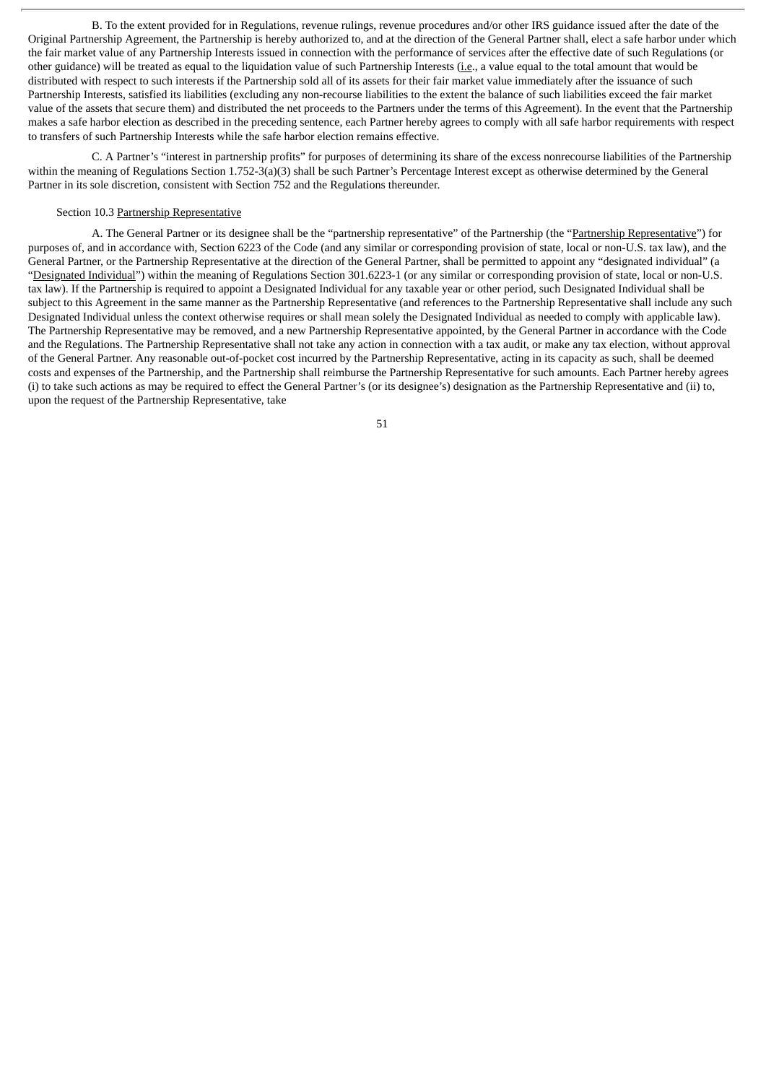B. To the extent provided for in Regulations, revenue rulings, revenue procedures and/or other IRS guidance issued after the date of the Original Partnership Agreement, the Partnership is hereby authorized to, and at the direction of the General Partner shall, elect a safe harbor under which the fair market value of any Partnership Interests issued in connection with the performance of services after the effective date of such Regulations (or other guidance) will be treated as equal to the liquidation value of such Partnership Interests (i.e., a value equal to the total amount that would be distributed with respect to such interests if the Partnership sold all of its assets for their fair market value immediately after the issuance of such Partnership Interests, satisfied its liabilities (excluding any non-recourse liabilities to the extent the balance of such liabilities exceed the fair market value of the assets that secure them) and distributed the net proceeds to the Partners under the terms of this Agreement). In the event that the Partnership makes a safe harbor election as described in the preceding sentence, each Partner hereby agrees to comply with all safe harbor requirements with respect to transfers of such Partnership Interests while the safe harbor election remains effective.

C. A Partner's "interest in partnership profits" for purposes of determining its share of the excess nonrecourse liabilities of the Partnership within the meaning of Regulations Section 1.752-3(a)(3) shall be such Partner's Percentage Interest except as otherwise determined by the General Partner in its sole discretion, consistent with Section 752 and the Regulations thereunder.

## Section 10.3 Partnership Representative

A. The General Partner or its designee shall be the "partnership representative" of the Partnership (the "Partnership Representative") for purposes of, and in accordance with, Section 6223 of the Code (and any similar or corresponding provision of state, local or non-U.S. tax law), and the General Partner, or the Partnership Representative at the direction of the General Partner, shall be permitted to appoint any "designated individual" (a "Designated Individual") within the meaning of Regulations Section 301.6223-1 (or any similar or corresponding provision of state, local or non-U.S. tax law). If the Partnership is required to appoint a Designated Individual for any taxable year or other period, such Designated Individual shall be subject to this Agreement in the same manner as the Partnership Representative (and references to the Partnership Representative shall include any such Designated Individual unless the context otherwise requires or shall mean solely the Designated Individual as needed to comply with applicable law). The Partnership Representative may be removed, and a new Partnership Representative appointed, by the General Partner in accordance with the Code and the Regulations. The Partnership Representative shall not take any action in connection with a tax audit, or make any tax election, without approval of the General Partner. Any reasonable out-of-pocket cost incurred by the Partnership Representative, acting in its capacity as such, shall be deemed costs and expenses of the Partnership, and the Partnership shall reimburse the Partnership Representative for such amounts. Each Partner hereby agrees (i) to take such actions as may be required to effect the General Partner's (or its designee's) designation as the Partnership Representative and (ii) to, upon the request of the Partnership Representative, take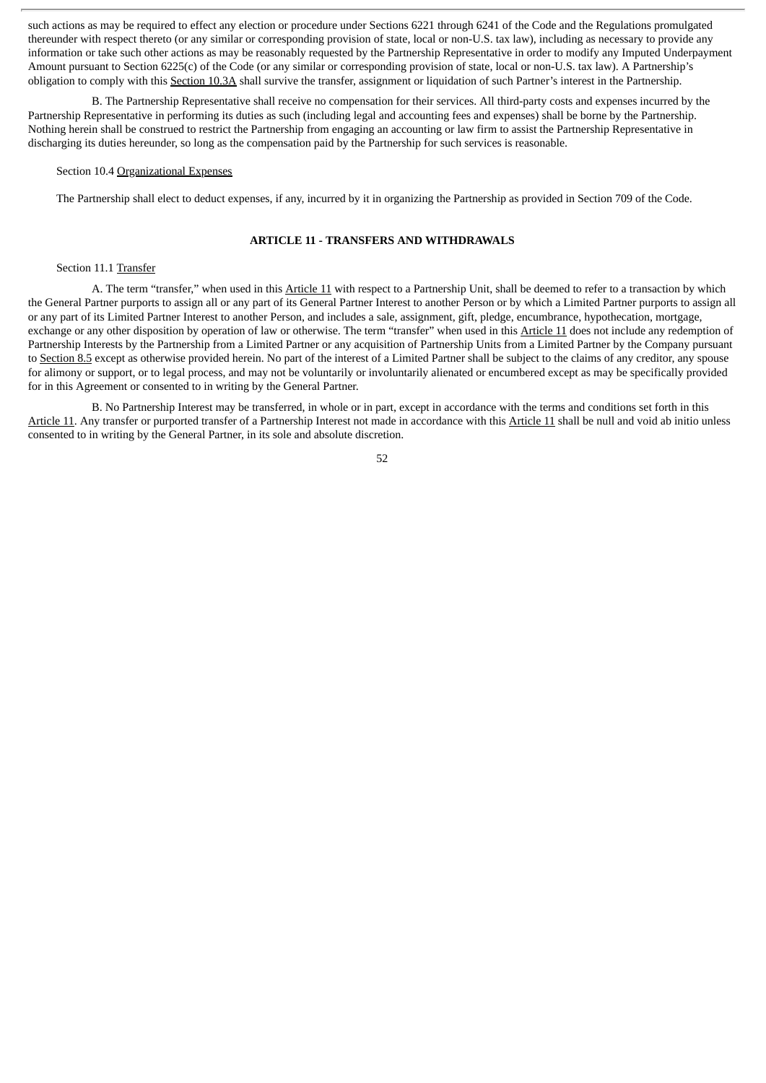such actions as may be required to effect any election or procedure under Sections 6221 through 6241 of the Code and the Regulations promulgated thereunder with respect thereto (or any similar or corresponding provision of state, local or non-U.S. tax law), including as necessary to provide any information or take such other actions as may be reasonably requested by the Partnership Representative in order to modify any Imputed Underpayment Amount pursuant to Section 6225(c) of the Code (or any similar or corresponding provision of state, local or non-U.S. tax law). A Partnership's obligation to comply with this Section 10.3A shall survive the transfer, assignment or liquidation of such Partner's interest in the Partnership.

B. The Partnership Representative shall receive no compensation for their services. All third-party costs and expenses incurred by the Partnership Representative in performing its duties as such (including legal and accounting fees and expenses) shall be borne by the Partnership. Nothing herein shall be construed to restrict the Partnership from engaging an accounting or law firm to assist the Partnership Representative in discharging its duties hereunder, so long as the compensation paid by the Partnership for such services is reasonable.

#### Section 10.4 Organizational Expenses

The Partnership shall elect to deduct expenses, if any, incurred by it in organizing the Partnership as provided in Section 709 of the Code.

# **ARTICLE 11 - TRANSFERS AND WITHDRAWALS**

#### Section 11.1 Transfer

A. The term "transfer," when used in this Article 11 with respect to a Partnership Unit, shall be deemed to refer to a transaction by which the General Partner purports to assign all or any part of its General Partner Interest to another Person or by which a Limited Partner purports to assign all or any part of its Limited Partner Interest to another Person, and includes a sale, assignment, gift, pledge, encumbrance, hypothecation, mortgage, exchange or any other disposition by operation of law or otherwise. The term "transfer" when used in this Article 11 does not include any redemption of Partnership Interests by the Partnership from a Limited Partner or any acquisition of Partnership Units from a Limited Partner by the Company pursuant to Section 8.5 except as otherwise provided herein. No part of the interest of a Limited Partner shall be subject to the claims of any creditor, any spouse for alimony or support, or to legal process, and may not be voluntarily or involuntarily alienated or encumbered except as may be specifically provided for in this Agreement or consented to in writing by the General Partner.

B. No Partnership Interest may be transferred, in whole or in part, except in accordance with the terms and conditions set forth in this Article 11. Any transfer or purported transfer of a Partnership Interest not made in accordance with this Article 11 shall be null and void ab initio unless consented to in writing by the General Partner, in its sole and absolute discretion.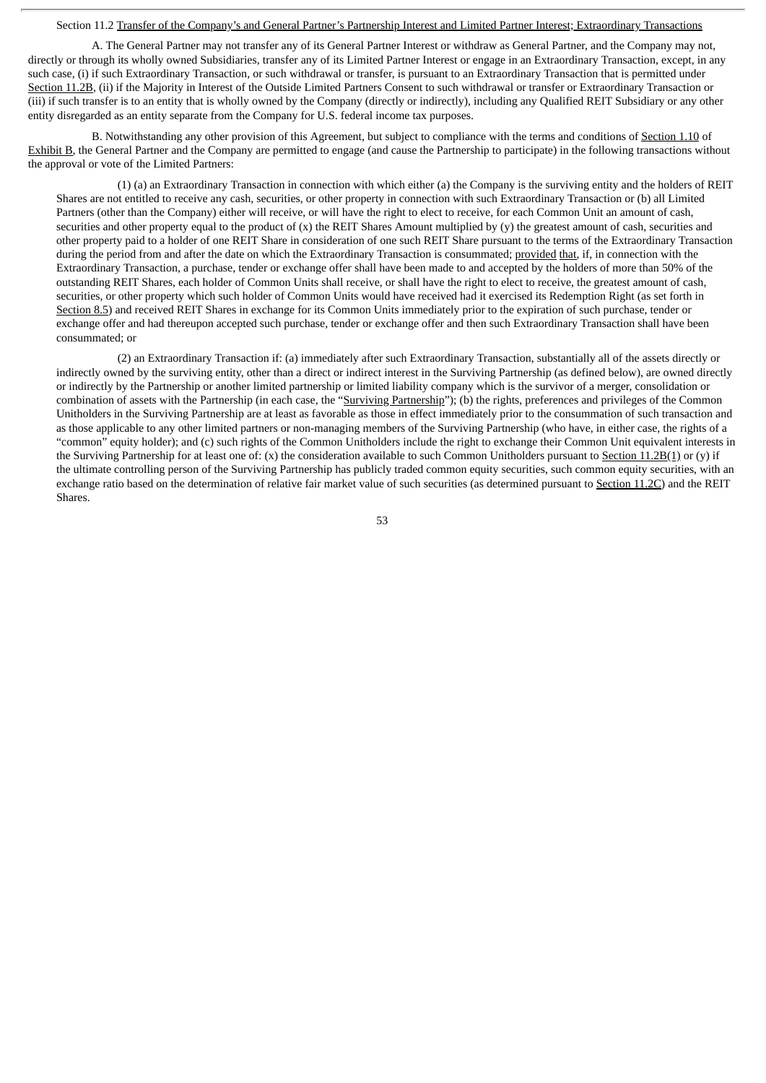#### Section 11.2 Transfer of the Company's and General Partner's Partnership Interest and Limited Partner Interest; Extraordinary Transactions

A. The General Partner may not transfer any of its General Partner Interest or withdraw as General Partner, and the Company may not, directly or through its wholly owned Subsidiaries, transfer any of its Limited Partner Interest or engage in an Extraordinary Transaction, except, in any such case, (i) if such Extraordinary Transaction, or such withdrawal or transfer, is pursuant to an Extraordinary Transaction that is permitted under Section 11.2B, (ii) if the Majority in Interest of the Outside Limited Partners Consent to such withdrawal or transfer or Extraordinary Transaction or (iii) if such transfer is to an entity that is wholly owned by the Company (directly or indirectly), including any Qualified REIT Subsidiary or any other entity disregarded as an entity separate from the Company for U.S. federal income tax purposes.

B. Notwithstanding any other provision of this Agreement, but subject to compliance with the terms and conditions of Section 1.10 of Exhibit B, the General Partner and the Company are permitted to engage (and cause the Partnership to participate) in the following transactions without the approval or vote of the Limited Partners:

(1) (a) an Extraordinary Transaction in connection with which either (a) the Company is the surviving entity and the holders of REIT Shares are not entitled to receive any cash, securities, or other property in connection with such Extraordinary Transaction or (b) all Limited Partners (other than the Company) either will receive, or will have the right to elect to receive, for each Common Unit an amount of cash, securities and other property equal to the product of  $(x)$  the REIT Shares Amount multiplied by  $(y)$  the greatest amount of cash, securities and other property paid to a holder of one REIT Share in consideration of one such REIT Share pursuant to the terms of the Extraordinary Transaction during the period from and after the date on which the Extraordinary Transaction is consummated; provided that, if, in connection with the Extraordinary Transaction, a purchase, tender or exchange offer shall have been made to and accepted by the holders of more than 50% of the outstanding REIT Shares, each holder of Common Units shall receive, or shall have the right to elect to receive, the greatest amount of cash, securities, or other property which such holder of Common Units would have received had it exercised its Redemption Right (as set forth in Section 8.5) and received REIT Shares in exchange for its Common Units immediately prior to the expiration of such purchase, tender or exchange offer and had thereupon accepted such purchase, tender or exchange offer and then such Extraordinary Transaction shall have been consummated; or

(2) an Extraordinary Transaction if: (a) immediately after such Extraordinary Transaction, substantially all of the assets directly or indirectly owned by the surviving entity, other than a direct or indirect interest in the Surviving Partnership (as defined below), are owned directly or indirectly by the Partnership or another limited partnership or limited liability company which is the survivor of a merger, consolidation or combination of assets with the Partnership (in each case, the "Surviving Partnership"); (b) the rights, preferences and privileges of the Common Unitholders in the Surviving Partnership are at least as favorable as those in effect immediately prior to the consummation of such transaction and as those applicable to any other limited partners or non-managing members of the Surviving Partnership (who have, in either case, the rights of a "common" equity holder); and (c) such rights of the Common Unitholders include the right to exchange their Common Unit equivalent interests in the Surviving Partnership for at least one of: (x) the consideration available to such Common Unitholders pursuant to Section 11.2B(1) or (y) if the ultimate controlling person of the Surviving Partnership has publicly traded common equity securities, such common equity securities, with an exchange ratio based on the determination of relative fair market value of such securities (as determined pursuant to Section 11.2C) and the REIT Shares.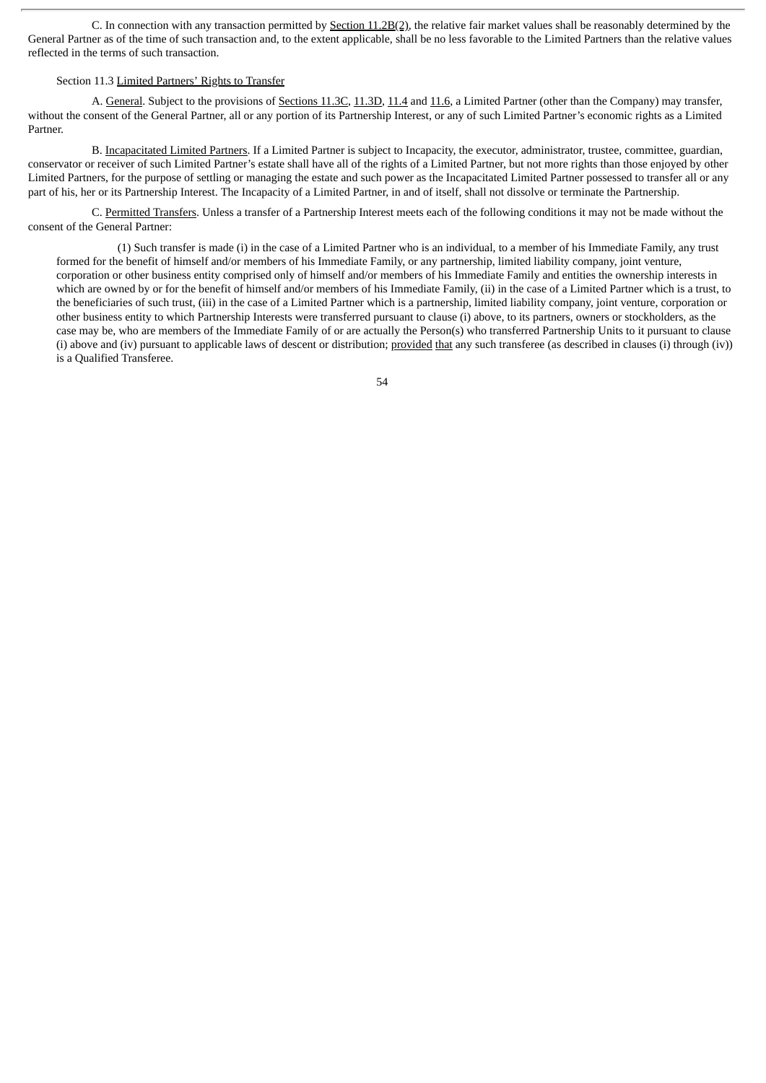C. In connection with any transaction permitted by Section 11.2B(2), the relative fair market values shall be reasonably determined by the General Partner as of the time of such transaction and, to the extent applicable, shall be no less favorable to the Limited Partners than the relative values reflected in the terms of such transaction.

# Section 11.3 Limited Partners' Rights to Transfer

A. General. Subject to the provisions of Sections 11.3C, 11.3D, 11.4 and 11.6, a Limited Partner (other than the Company) may transfer, without the consent of the General Partner, all or any portion of its Partnership Interest, or any of such Limited Partner's economic rights as a Limited Partner.

B. Incapacitated Limited Partners. If a Limited Partner is subject to Incapacity, the executor, administrator, trustee, committee, guardian, conservator or receiver of such Limited Partner's estate shall have all of the rights of a Limited Partner, but not more rights than those enjoyed by other Limited Partners, for the purpose of settling or managing the estate and such power as the Incapacitated Limited Partner possessed to transfer all or any part of his, her or its Partnership Interest. The Incapacity of a Limited Partner, in and of itself, shall not dissolve or terminate the Partnership.

C. Permitted Transfers. Unless a transfer of a Partnership Interest meets each of the following conditions it may not be made without the consent of the General Partner:

(1) Such transfer is made (i) in the case of a Limited Partner who is an individual, to a member of his Immediate Family, any trust formed for the benefit of himself and/or members of his Immediate Family, or any partnership, limited liability company, joint venture, corporation or other business entity comprised only of himself and/or members of his Immediate Family and entities the ownership interests in which are owned by or for the benefit of himself and/or members of his Immediate Family, (ii) in the case of a Limited Partner which is a trust, to the beneficiaries of such trust, (iii) in the case of a Limited Partner which is a partnership, limited liability company, joint venture, corporation or other business entity to which Partnership Interests were transferred pursuant to clause (i) above, to its partners, owners or stockholders, as the case may be, who are members of the Immediate Family of or are actually the Person(s) who transferred Partnership Units to it pursuant to clause (i) above and (iv) pursuant to applicable laws of descent or distribution; provided that any such transferee (as described in clauses (i) through (iv)) is a Qualified Transferee.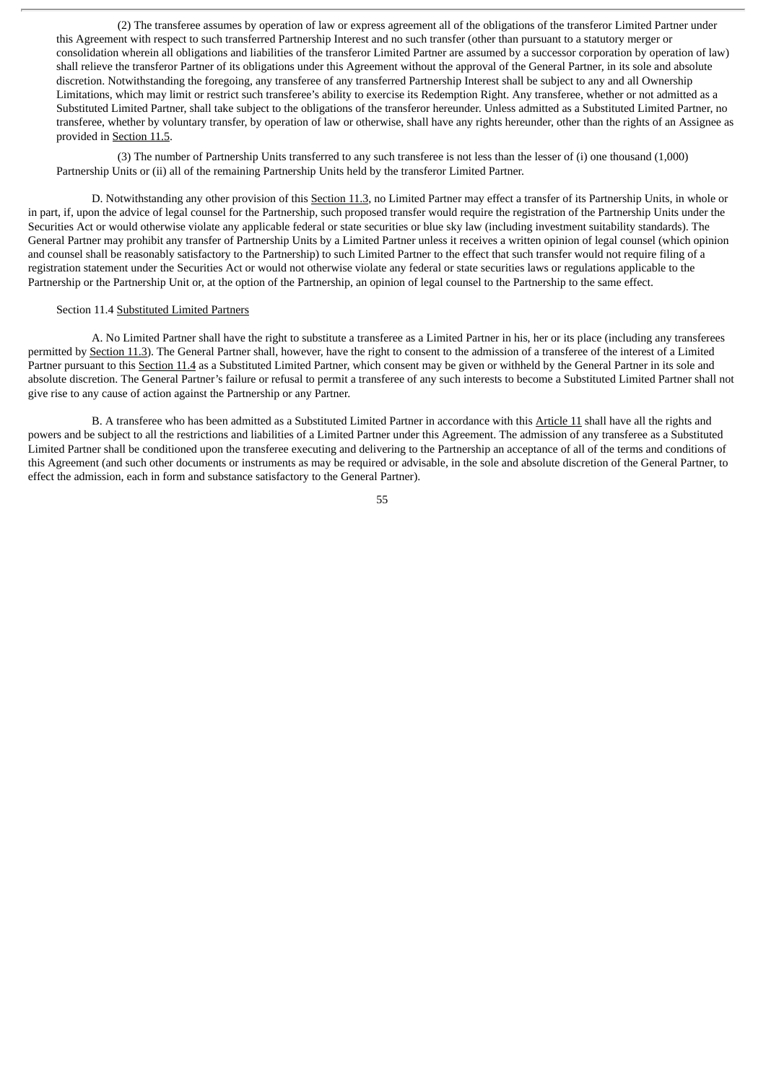(2) The transferee assumes by operation of law or express agreement all of the obligations of the transferor Limited Partner under this Agreement with respect to such transferred Partnership Interest and no such transfer (other than pursuant to a statutory merger or consolidation wherein all obligations and liabilities of the transferor Limited Partner are assumed by a successor corporation by operation of law) shall relieve the transferor Partner of its obligations under this Agreement without the approval of the General Partner, in its sole and absolute discretion. Notwithstanding the foregoing, any transferee of any transferred Partnership Interest shall be subject to any and all Ownership Limitations, which may limit or restrict such transferee's ability to exercise its Redemption Right. Any transferee, whether or not admitted as a Substituted Limited Partner, shall take subject to the obligations of the transferor hereunder. Unless admitted as a Substituted Limited Partner, no transferee, whether by voluntary transfer, by operation of law or otherwise, shall have any rights hereunder, other than the rights of an Assignee as provided in Section 11.5.

(3) The number of Partnership Units transferred to any such transferee is not less than the lesser of (i) one thousand (1,000) Partnership Units or (ii) all of the remaining Partnership Units held by the transferor Limited Partner.

D. Notwithstanding any other provision of this Section 11.3, no Limited Partner may effect a transfer of its Partnership Units, in whole or in part, if, upon the advice of legal counsel for the Partnership, such proposed transfer would require the registration of the Partnership Units under the Securities Act or would otherwise violate any applicable federal or state securities or blue sky law (including investment suitability standards). The General Partner may prohibit any transfer of Partnership Units by a Limited Partner unless it receives a written opinion of legal counsel (which opinion and counsel shall be reasonably satisfactory to the Partnership) to such Limited Partner to the effect that such transfer would not require filing of a registration statement under the Securities Act or would not otherwise violate any federal or state securities laws or regulations applicable to the Partnership or the Partnership Unit or, at the option of the Partnership, an opinion of legal counsel to the Partnership to the same effect.

#### Section 11.4 Substituted Limited Partners

A. No Limited Partner shall have the right to substitute a transferee as a Limited Partner in his, her or its place (including any transferees permitted by Section 11.3). The General Partner shall, however, have the right to consent to the admission of a transferee of the interest of a Limited Partner pursuant to this Section 11.4 as a Substituted Limited Partner, which consent may be given or withheld by the General Partner in its sole and absolute discretion. The General Partner's failure or refusal to permit a transferee of any such interests to become a Substituted Limited Partner shall not give rise to any cause of action against the Partnership or any Partner.

B. A transferee who has been admitted as a Substituted Limited Partner in accordance with this Article 11 shall have all the rights and powers and be subject to all the restrictions and liabilities of a Limited Partner under this Agreement. The admission of any transferee as a Substituted Limited Partner shall be conditioned upon the transferee executing and delivering to the Partnership an acceptance of all of the terms and conditions of this Agreement (and such other documents or instruments as may be required or advisable, in the sole and absolute discretion of the General Partner, to effect the admission, each in form and substance satisfactory to the General Partner).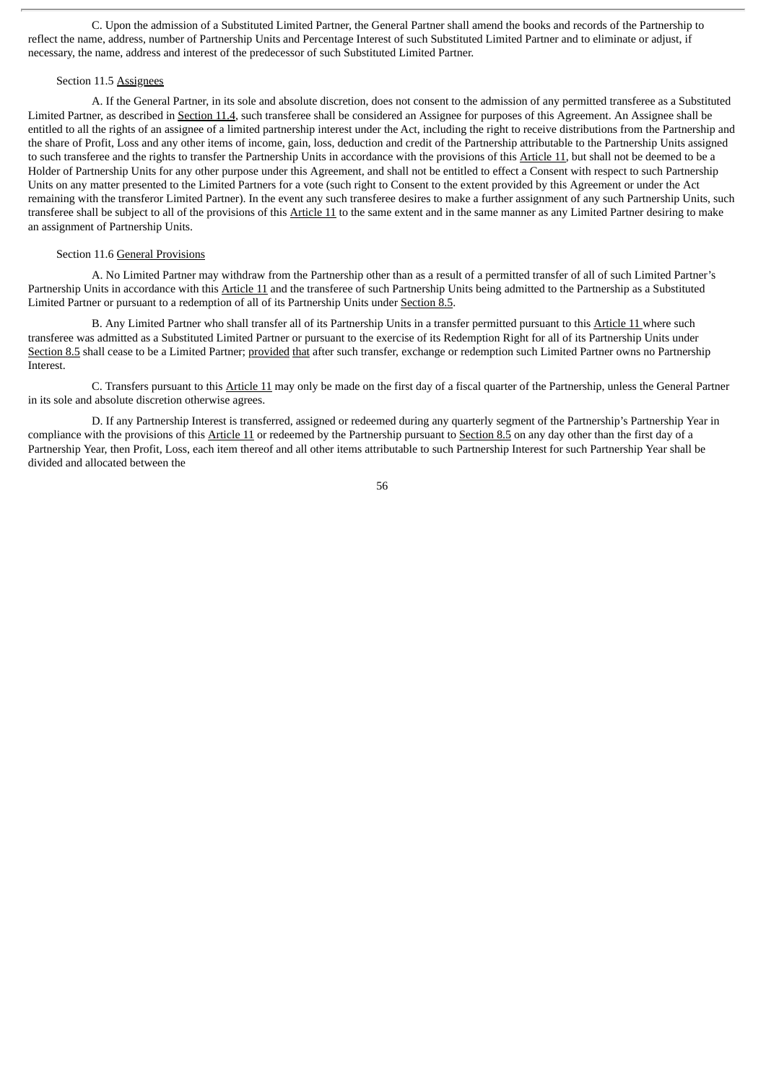C. Upon the admission of a Substituted Limited Partner, the General Partner shall amend the books and records of the Partnership to reflect the name, address, number of Partnership Units and Percentage Interest of such Substituted Limited Partner and to eliminate or adjust, if necessary, the name, address and interest of the predecessor of such Substituted Limited Partner.

## Section 11.5 Assignees

A. If the General Partner, in its sole and absolute discretion, does not consent to the admission of any permitted transferee as a Substituted Limited Partner, as described in Section 11.4, such transferee shall be considered an Assignee for purposes of this Agreement. An Assignee shall be entitled to all the rights of an assignee of a limited partnership interest under the Act, including the right to receive distributions from the Partnership and the share of Profit, Loss and any other items of income, gain, loss, deduction and credit of the Partnership attributable to the Partnership Units assigned to such transferee and the rights to transfer the Partnership Units in accordance with the provisions of this Article 11, but shall not be deemed to be a Holder of Partnership Units for any other purpose under this Agreement, and shall not be entitled to effect a Consent with respect to such Partnership Units on any matter presented to the Limited Partners for a vote (such right to Consent to the extent provided by this Agreement or under the Act remaining with the transferor Limited Partner). In the event any such transferee desires to make a further assignment of any such Partnership Units, such transferee shall be subject to all of the provisions of this Article 11 to the same extent and in the same manner as any Limited Partner desiring to make an assignment of Partnership Units.

#### Section 11.6 General Provisions

A. No Limited Partner may withdraw from the Partnership other than as a result of a permitted transfer of all of such Limited Partner's Partnership Units in accordance with this Article 11 and the transferee of such Partnership Units being admitted to the Partnership as a Substituted Limited Partner or pursuant to a redemption of all of its Partnership Units under Section 8.5.

B. Any Limited Partner who shall transfer all of its Partnership Units in a transfer permitted pursuant to this Article 11 where such transferee was admitted as a Substituted Limited Partner or pursuant to the exercise of its Redemption Right for all of its Partnership Units under Section 8.5 shall cease to be a Limited Partner; provided that after such transfer, exchange or redemption such Limited Partner owns no Partnership Interest.

C. Transfers pursuant to this Article 11 may only be made on the first day of a fiscal quarter of the Partnership, unless the General Partner in its sole and absolute discretion otherwise agrees.

D. If any Partnership Interest is transferred, assigned or redeemed during any quarterly segment of the Partnership's Partnership Year in compliance with the provisions of this Article 11 or redeemed by the Partnership pursuant to Section 8.5 on any day other than the first day of a Partnership Year, then Profit, Loss, each item thereof and all other items attributable to such Partnership Interest for such Partnership Year shall be divided and allocated between the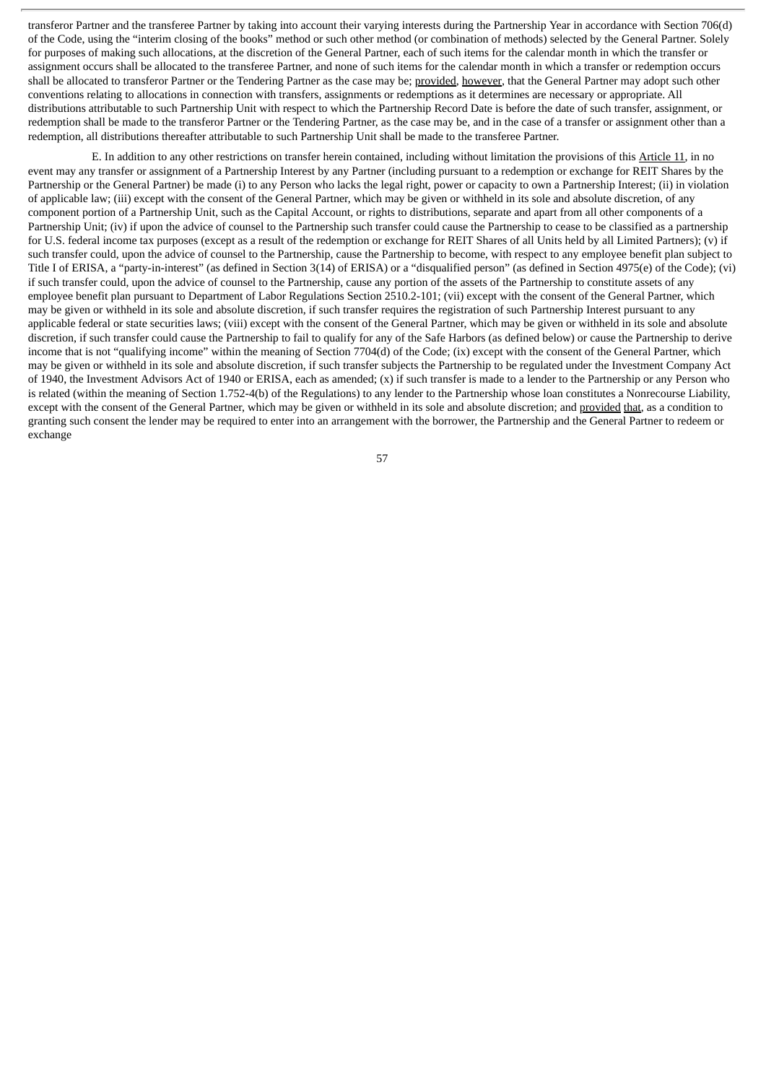transferor Partner and the transferee Partner by taking into account their varying interests during the Partnership Year in accordance with Section 706(d) of the Code, using the "interim closing of the books" method or such other method (or combination of methods) selected by the General Partner. Solely for purposes of making such allocations, at the discretion of the General Partner, each of such items for the calendar month in which the transfer or assignment occurs shall be allocated to the transferee Partner, and none of such items for the calendar month in which a transfer or redemption occurs shall be allocated to transferor Partner or the Tendering Partner as the case may be; provided, however, that the General Partner may adopt such other conventions relating to allocations in connection with transfers, assignments or redemptions as it determines are necessary or appropriate. All distributions attributable to such Partnership Unit with respect to which the Partnership Record Date is before the date of such transfer, assignment, or redemption shall be made to the transferor Partner or the Tendering Partner, as the case may be, and in the case of a transfer or assignment other than a redemption, all distributions thereafter attributable to such Partnership Unit shall be made to the transferee Partner.

E. In addition to any other restrictions on transfer herein contained, including without limitation the provisions of this Article 11, in no event may any transfer or assignment of a Partnership Interest by any Partner (including pursuant to a redemption or exchange for REIT Shares by the Partnership or the General Partner) be made (i) to any Person who lacks the legal right, power or capacity to own a Partnership Interest; (ii) in violation of applicable law; (iii) except with the consent of the General Partner, which may be given or withheld in its sole and absolute discretion, of any component portion of a Partnership Unit, such as the Capital Account, or rights to distributions, separate and apart from all other components of a Partnership Unit; (iv) if upon the advice of counsel to the Partnership such transfer could cause the Partnership to cease to be classified as a partnership for U.S. federal income tax purposes (except as a result of the redemption or exchange for REIT Shares of all Units held by all Limited Partners); (v) if such transfer could, upon the advice of counsel to the Partnership, cause the Partnership to become, with respect to any employee benefit plan subject to Title I of ERISA, a "party-in-interest" (as defined in Section 3(14) of ERISA) or a "disqualified person" (as defined in Section 4975(e) of the Code); (vi) if such transfer could, upon the advice of counsel to the Partnership, cause any portion of the assets of the Partnership to constitute assets of any employee benefit plan pursuant to Department of Labor Regulations Section 2510.2-101; (vii) except with the consent of the General Partner, which may be given or withheld in its sole and absolute discretion, if such transfer requires the registration of such Partnership Interest pursuant to any applicable federal or state securities laws; (viii) except with the consent of the General Partner, which may be given or withheld in its sole and absolute discretion, if such transfer could cause the Partnership to fail to qualify for any of the Safe Harbors (as defined below) or cause the Partnership to derive income that is not "qualifying income" within the meaning of Section 7704(d) of the Code; (ix) except with the consent of the General Partner, which may be given or withheld in its sole and absolute discretion, if such transfer subjects the Partnership to be regulated under the Investment Company Act of 1940, the Investment Advisors Act of 1940 or ERISA, each as amended; (x) if such transfer is made to a lender to the Partnership or any Person who is related (within the meaning of Section 1.752-4(b) of the Regulations) to any lender to the Partnership whose loan constitutes a Nonrecourse Liability, except with the consent of the General Partner, which may be given or withheld in its sole and absolute discretion; and provided that, as a condition to granting such consent the lender may be required to enter into an arrangement with the borrower, the Partnership and the General Partner to redeem or exchange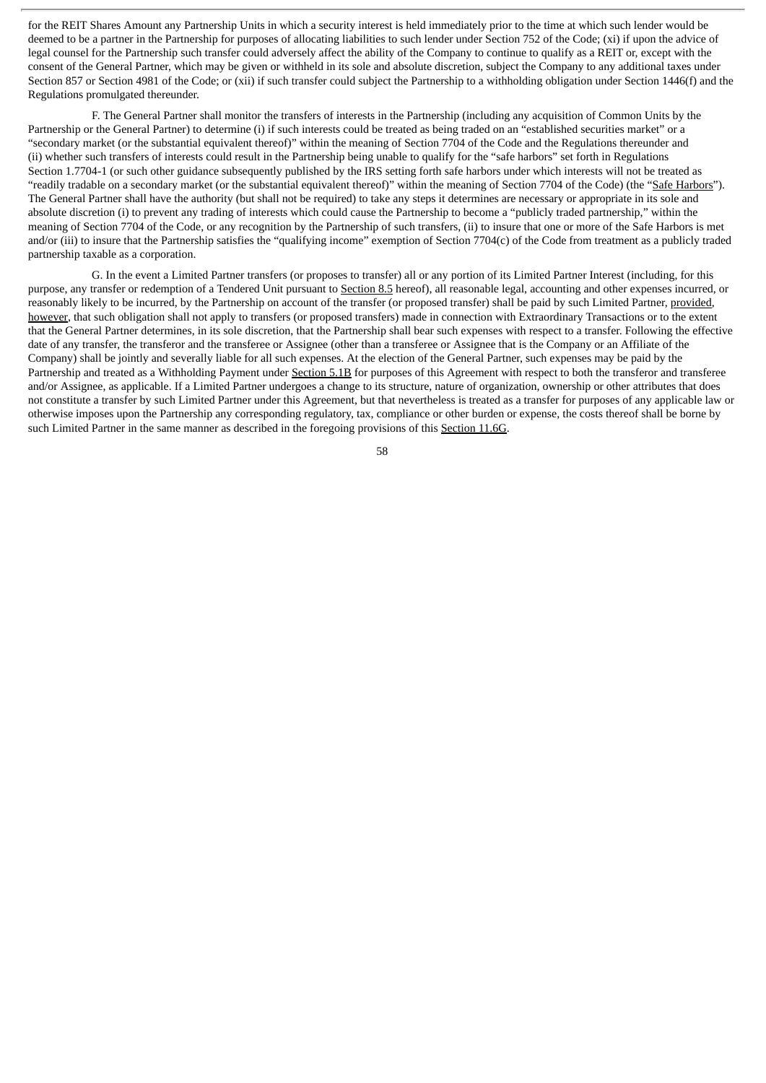for the REIT Shares Amount any Partnership Units in which a security interest is held immediately prior to the time at which such lender would be deemed to be a partner in the Partnership for purposes of allocating liabilities to such lender under Section 752 of the Code; (xi) if upon the advice of legal counsel for the Partnership such transfer could adversely affect the ability of the Company to continue to qualify as a REIT or, except with the consent of the General Partner, which may be given or withheld in its sole and absolute discretion, subject the Company to any additional taxes under Section 857 or Section 4981 of the Code; or (xii) if such transfer could subject the Partnership to a withholding obligation under Section 1446(f) and the Regulations promulgated thereunder.

F. The General Partner shall monitor the transfers of interests in the Partnership (including any acquisition of Common Units by the Partnership or the General Partner) to determine (i) if such interests could be treated as being traded on an "established securities market" or a "secondary market (or the substantial equivalent thereof)" within the meaning of Section 7704 of the Code and the Regulations thereunder and (ii) whether such transfers of interests could result in the Partnership being unable to qualify for the "safe harbors" set forth in Regulations Section 1.7704-1 (or such other guidance subsequently published by the IRS setting forth safe harbors under which interests will not be treated as "readily tradable on a secondary market (or the substantial equivalent thereof)" within the meaning of Section 7704 of the Code) (the "Safe Harbors"). The General Partner shall have the authority (but shall not be required) to take any steps it determines are necessary or appropriate in its sole and absolute discretion (i) to prevent any trading of interests which could cause the Partnership to become a "publicly traded partnership," within the meaning of Section 7704 of the Code, or any recognition by the Partnership of such transfers, (ii) to insure that one or more of the Safe Harbors is met and/or (iii) to insure that the Partnership satisfies the "qualifying income" exemption of Section 7704(c) of the Code from treatment as a publicly traded partnership taxable as a corporation.

G. In the event a Limited Partner transfers (or proposes to transfer) all or any portion of its Limited Partner Interest (including, for this purpose, any transfer or redemption of a Tendered Unit pursuant to Section 8.5 hereof), all reasonable legal, accounting and other expenses incurred, or reasonably likely to be incurred, by the Partnership on account of the transfer (or proposed transfer) shall be paid by such Limited Partner, provided, however, that such obligation shall not apply to transfers (or proposed transfers) made in connection with Extraordinary Transactions or to the extent that the General Partner determines, in its sole discretion, that the Partnership shall bear such expenses with respect to a transfer. Following the effective date of any transfer, the transferor and the transferee or Assignee (other than a transferee or Assignee that is the Company or an Affiliate of the Company) shall be jointly and severally liable for all such expenses. At the election of the General Partner, such expenses may be paid by the Partnership and treated as a Withholding Payment under Section 5.1B for purposes of this Agreement with respect to both the transferor and transferee and/or Assignee, as applicable. If a Limited Partner undergoes a change to its structure, nature of organization, ownership or other attributes that does not constitute a transfer by such Limited Partner under this Agreement, but that nevertheless is treated as a transfer for purposes of any applicable law or otherwise imposes upon the Partnership any corresponding regulatory, tax, compliance or other burden or expense, the costs thereof shall be borne by such Limited Partner in the same manner as described in the foregoing provisions of this Section 11.6G.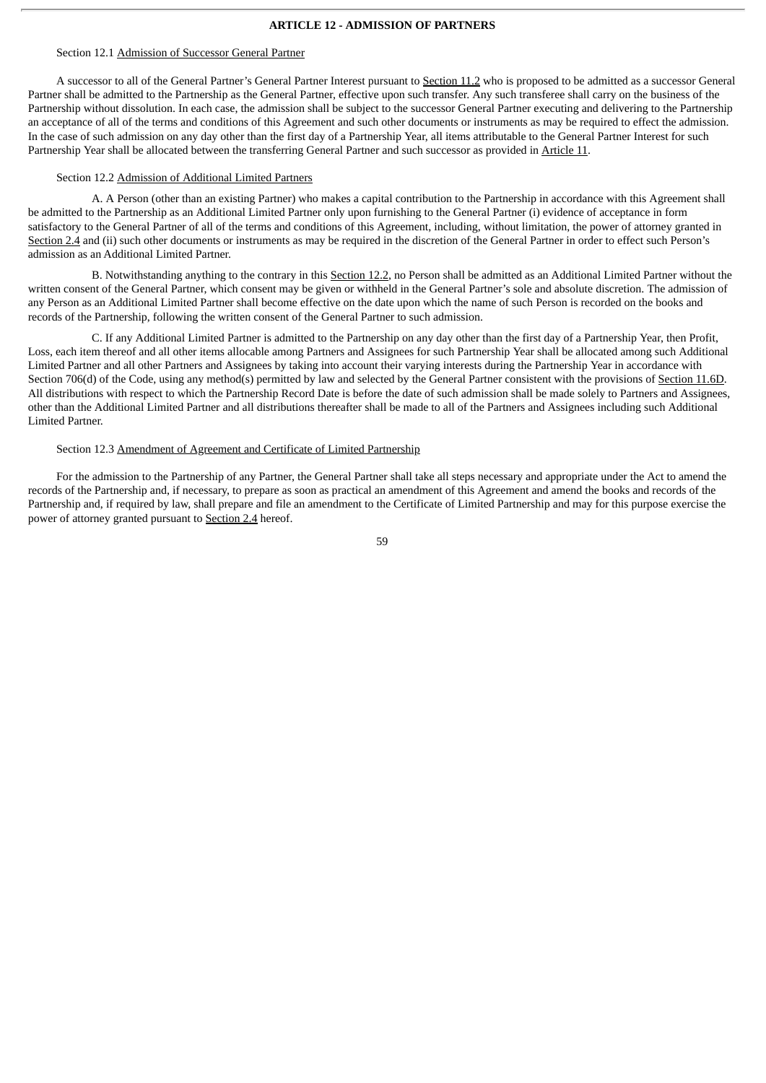## **ARTICLE 12 - ADMISSION OF PARTNERS**

#### Section 12.1 Admission of Successor General Partner

A successor to all of the General Partner's General Partner Interest pursuant to Section 11.2 who is proposed to be admitted as a successor General Partner shall be admitted to the Partnership as the General Partner, effective upon such transfer. Any such transferee shall carry on the business of the Partnership without dissolution. In each case, the admission shall be subject to the successor General Partner executing and delivering to the Partnership an acceptance of all of the terms and conditions of this Agreement and such other documents or instruments as may be required to effect the admission. In the case of such admission on any day other than the first day of a Partnership Year, all items attributable to the General Partner Interest for such Partnership Year shall be allocated between the transferring General Partner and such successor as provided in Article 11.

## Section 12.2 Admission of Additional Limited Partners

A. A Person (other than an existing Partner) who makes a capital contribution to the Partnership in accordance with this Agreement shall be admitted to the Partnership as an Additional Limited Partner only upon furnishing to the General Partner (i) evidence of acceptance in form satisfactory to the General Partner of all of the terms and conditions of this Agreement, including, without limitation, the power of attorney granted in Section 2.4 and (ii) such other documents or instruments as may be required in the discretion of the General Partner in order to effect such Person's admission as an Additional Limited Partner.

B. Notwithstanding anything to the contrary in this Section 12.2, no Person shall be admitted as an Additional Limited Partner without the written consent of the General Partner, which consent may be given or withheld in the General Partner's sole and absolute discretion. The admission of any Person as an Additional Limited Partner shall become effective on the date upon which the name of such Person is recorded on the books and records of the Partnership, following the written consent of the General Partner to such admission.

C. If any Additional Limited Partner is admitted to the Partnership on any day other than the first day of a Partnership Year, then Profit, Loss, each item thereof and all other items allocable among Partners and Assignees for such Partnership Year shall be allocated among such Additional Limited Partner and all other Partners and Assignees by taking into account their varying interests during the Partnership Year in accordance with Section 706(d) of the Code, using any method(s) permitted by law and selected by the General Partner consistent with the provisions of Section 11.6D. All distributions with respect to which the Partnership Record Date is before the date of such admission shall be made solely to Partners and Assignees, other than the Additional Limited Partner and all distributions thereafter shall be made to all of the Partners and Assignees including such Additional Limited Partner.

## Section 12.3 Amendment of Agreement and Certificate of Limited Partnership

For the admission to the Partnership of any Partner, the General Partner shall take all steps necessary and appropriate under the Act to amend the records of the Partnership and, if necessary, to prepare as soon as practical an amendment of this Agreement and amend the books and records of the Partnership and, if required by law, shall prepare and file an amendment to the Certificate of Limited Partnership and may for this purpose exercise the power of attorney granted pursuant to Section 2.4 hereof.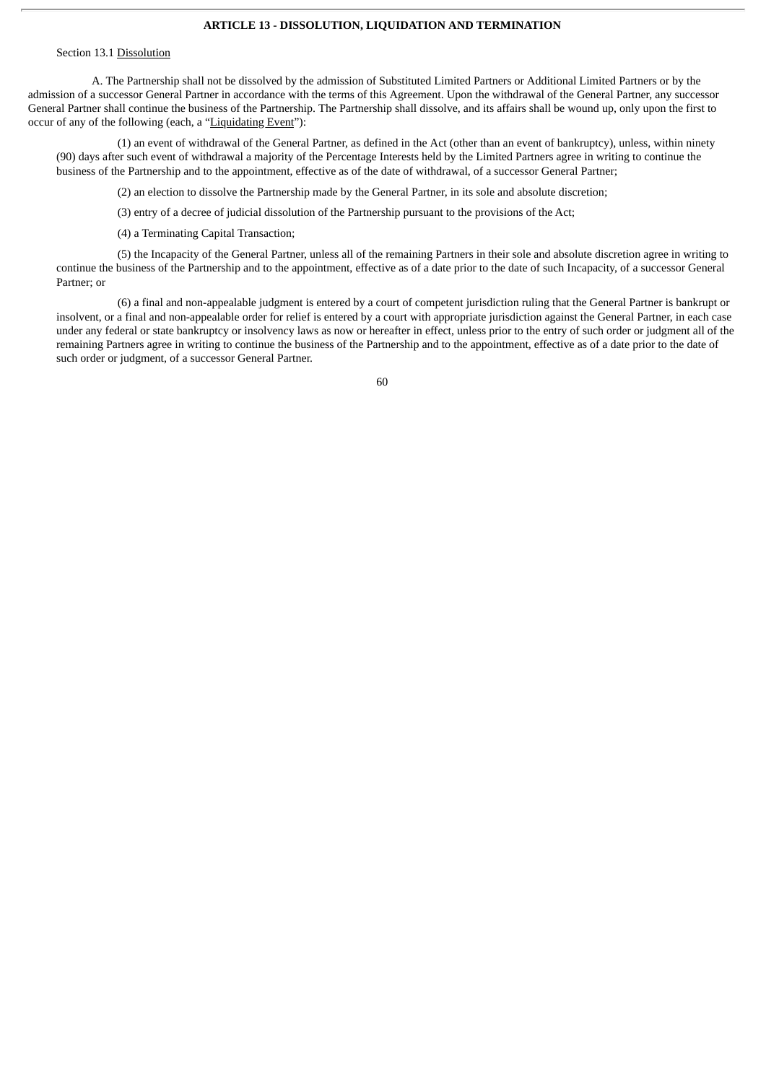## **ARTICLE 13 - DISSOLUTION, LIQUIDATION AND TERMINATION**

#### Section 13.1 Dissolution

A. The Partnership shall not be dissolved by the admission of Substituted Limited Partners or Additional Limited Partners or by the admission of a successor General Partner in accordance with the terms of this Agreement. Upon the withdrawal of the General Partner, any successor General Partner shall continue the business of the Partnership. The Partnership shall dissolve, and its affairs shall be wound up, only upon the first to occur of any of the following (each, a "Liquidating Event"):

(1) an event of withdrawal of the General Partner, as defined in the Act (other than an event of bankruptcy), unless, within ninety (90) days after such event of withdrawal a majority of the Percentage Interests held by the Limited Partners agree in writing to continue the business of the Partnership and to the appointment, effective as of the date of withdrawal, of a successor General Partner;

(2) an election to dissolve the Partnership made by the General Partner, in its sole and absolute discretion;

(3) entry of a decree of judicial dissolution of the Partnership pursuant to the provisions of the Act;

(4) a Terminating Capital Transaction;

(5) the Incapacity of the General Partner, unless all of the remaining Partners in their sole and absolute discretion agree in writing to continue the business of the Partnership and to the appointment, effective as of a date prior to the date of such Incapacity, of a successor General Partner; or

(6) a final and non-appealable judgment is entered by a court of competent jurisdiction ruling that the General Partner is bankrupt or insolvent, or a final and non-appealable order for relief is entered by a court with appropriate jurisdiction against the General Partner, in each case under any federal or state bankruptcy or insolvency laws as now or hereafter in effect, unless prior to the entry of such order or judgment all of the remaining Partners agree in writing to continue the business of the Partnership and to the appointment, effective as of a date prior to the date of such order or judgment, of a successor General Partner.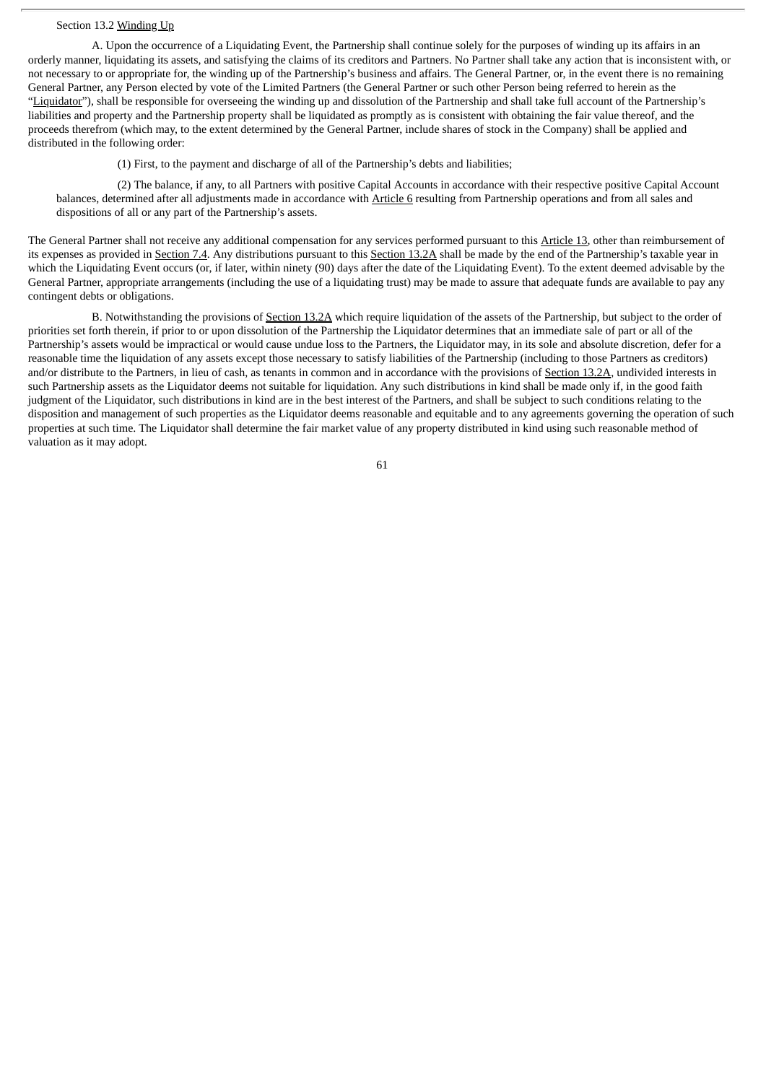## Section 13.2 Winding Up

A. Upon the occurrence of a Liquidating Event, the Partnership shall continue solely for the purposes of winding up its affairs in an orderly manner, liquidating its assets, and satisfying the claims of its creditors and Partners. No Partner shall take any action that is inconsistent with, or not necessary to or appropriate for, the winding up of the Partnership's business and affairs. The General Partner, or, in the event there is no remaining General Partner, any Person elected by vote of the Limited Partners (the General Partner or such other Person being referred to herein as the "Liquidator"), shall be responsible for overseeing the winding up and dissolution of the Partnership and shall take full account of the Partnership's liabilities and property and the Partnership property shall be liquidated as promptly as is consistent with obtaining the fair value thereof, and the proceeds therefrom (which may, to the extent determined by the General Partner, include shares of stock in the Company) shall be applied and distributed in the following order:

(1) First, to the payment and discharge of all of the Partnership's debts and liabilities;

(2) The balance, if any, to all Partners with positive Capital Accounts in accordance with their respective positive Capital Account balances, determined after all adjustments made in accordance with Article 6 resulting from Partnership operations and from all sales and dispositions of all or any part of the Partnership's assets.

The General Partner shall not receive any additional compensation for any services performed pursuant to this Article 13, other than reimbursement of its expenses as provided in Section 7.4. Any distributions pursuant to this Section 13.2A shall be made by the end of the Partnership's taxable year in which the Liquidating Event occurs (or, if later, within ninety (90) days after the date of the Liquidating Event). To the extent deemed advisable by the General Partner, appropriate arrangements (including the use of a liquidating trust) may be made to assure that adequate funds are available to pay any contingent debts or obligations.

B. Notwithstanding the provisions of Section 13.2A which require liquidation of the assets of the Partnership, but subject to the order of priorities set forth therein, if prior to or upon dissolution of the Partnership the Liquidator determines that an immediate sale of part or all of the Partnership's assets would be impractical or would cause undue loss to the Partners, the Liquidator may, in its sole and absolute discretion, defer for a reasonable time the liquidation of any assets except those necessary to satisfy liabilities of the Partnership (including to those Partners as creditors) and/or distribute to the Partners, in lieu of cash, as tenants in common and in accordance with the provisions of Section 13.2A, undivided interests in such Partnership assets as the Liquidator deems not suitable for liquidation. Any such distributions in kind shall be made only if, in the good faith judgment of the Liquidator, such distributions in kind are in the best interest of the Partners, and shall be subject to such conditions relating to the disposition and management of such properties as the Liquidator deems reasonable and equitable and to any agreements governing the operation of such properties at such time. The Liquidator shall determine the fair market value of any property distributed in kind using such reasonable method of valuation as it may adopt.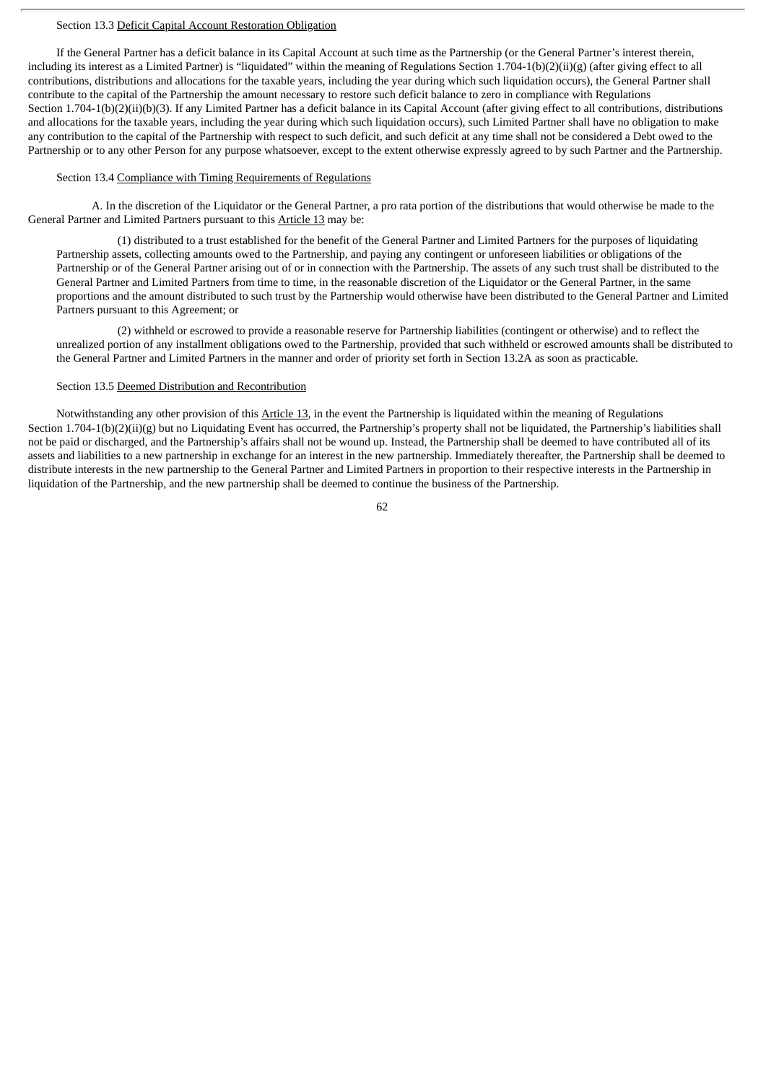## Section 13.3 Deficit Capital Account Restoration Obligation

If the General Partner has a deficit balance in its Capital Account at such time as the Partnership (or the General Partner's interest therein, including its interest as a Limited Partner) is "liquidated" within the meaning of Regulations Section 1.704-1(b)(2)(ii)(g) (after giving effect to all contributions, distributions and allocations for the taxable years, including the year during which such liquidation occurs), the General Partner shall contribute to the capital of the Partnership the amount necessary to restore such deficit balance to zero in compliance with Regulations Section 1.704-1(b)(2)(ii)(b)(3). If any Limited Partner has a deficit balance in its Capital Account (after giving effect to all contributions, distributions and allocations for the taxable years, including the year during which such liquidation occurs), such Limited Partner shall have no obligation to make any contribution to the capital of the Partnership with respect to such deficit, and such deficit at any time shall not be considered a Debt owed to the Partnership or to any other Person for any purpose whatsoever, except to the extent otherwise expressly agreed to by such Partner and the Partnership.

### Section 13.4 Compliance with Timing Requirements of Regulations

A. In the discretion of the Liquidator or the General Partner, a pro rata portion of the distributions that would otherwise be made to the General Partner and Limited Partners pursuant to this Article 13 may be:

(1) distributed to a trust established for the benefit of the General Partner and Limited Partners for the purposes of liquidating Partnership assets, collecting amounts owed to the Partnership, and paying any contingent or unforeseen liabilities or obligations of the Partnership or of the General Partner arising out of or in connection with the Partnership. The assets of any such trust shall be distributed to the General Partner and Limited Partners from time to time, in the reasonable discretion of the Liquidator or the General Partner, in the same proportions and the amount distributed to such trust by the Partnership would otherwise have been distributed to the General Partner and Limited Partners pursuant to this Agreement; or

(2) withheld or escrowed to provide a reasonable reserve for Partnership liabilities (contingent or otherwise) and to reflect the unrealized portion of any installment obligations owed to the Partnership, provided that such withheld or escrowed amounts shall be distributed to the General Partner and Limited Partners in the manner and order of priority set forth in Section 13.2A as soon as practicable.

# Section 13.5 Deemed Distribution and Recontribution

Notwithstanding any other provision of this Article 13, in the event the Partnership is liquidated within the meaning of Regulations Section 1.704-1(b)(2)(ii)(g) but no Liquidating Event has occurred, the Partnership's property shall not be liquidated, the Partnership's liabilities shall not be paid or discharged, and the Partnership's affairs shall not be wound up. Instead, the Partnership shall be deemed to have contributed all of its assets and liabilities to a new partnership in exchange for an interest in the new partnership. Immediately thereafter, the Partnership shall be deemed to distribute interests in the new partnership to the General Partner and Limited Partners in proportion to their respective interests in the Partnership in liquidation of the Partnership, and the new partnership shall be deemed to continue the business of the Partnership.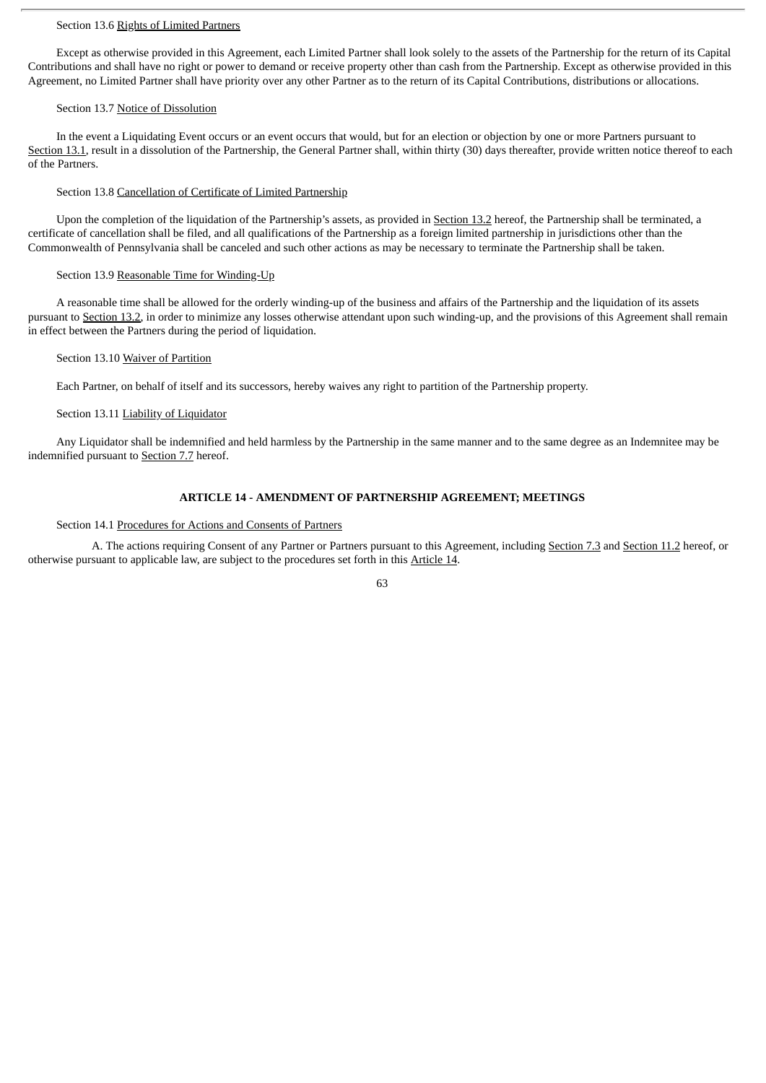# Section 13.6 Rights of Limited Partners

Except as otherwise provided in this Agreement, each Limited Partner shall look solely to the assets of the Partnership for the return of its Capital Contributions and shall have no right or power to demand or receive property other than cash from the Partnership. Except as otherwise provided in this Agreement, no Limited Partner shall have priority over any other Partner as to the return of its Capital Contributions, distributions or allocations.

### Section 13.7 Notice of Dissolution

In the event a Liquidating Event occurs or an event occurs that would, but for an election or objection by one or more Partners pursuant to Section 13.1, result in a dissolution of the Partnership, the General Partner shall, within thirty (30) days thereafter, provide written notice thereof to each of the Partners.

# Section 13.8 Cancellation of Certificate of Limited Partnership

Upon the completion of the liquidation of the Partnership's assets, as provided in Section 13.2 hereof, the Partnership shall be terminated, a certificate of cancellation shall be filed, and all qualifications of the Partnership as a foreign limited partnership in jurisdictions other than the Commonwealth of Pennsylvania shall be canceled and such other actions as may be necessary to terminate the Partnership shall be taken.

### Section 13.9 Reasonable Time for Winding-Up

A reasonable time shall be allowed for the orderly winding-up of the business and affairs of the Partnership and the liquidation of its assets pursuant to Section 13.2, in order to minimize any losses otherwise attendant upon such winding-up, and the provisions of this Agreement shall remain in effect between the Partners during the period of liquidation.

### Section 13.10 Waiver of Partition

Each Partner, on behalf of itself and its successors, hereby waives any right to partition of the Partnership property.

# Section 13.11 Liability of Liquidator

Any Liquidator shall be indemnified and held harmless by the Partnership in the same manner and to the same degree as an Indemnitee may be indemnified pursuant to Section 7.7 hereof.

# **ARTICLE 14 - AMENDMENT OF PARTNERSHIP AGREEMENT; MEETINGS**

#### Section 14.1 Procedures for Actions and Consents of Partners

A. The actions requiring Consent of any Partner or Partners pursuant to this Agreement, including Section 7.3 and Section 11.2 hereof, or otherwise pursuant to applicable law, are subject to the procedures set forth in this Article 14.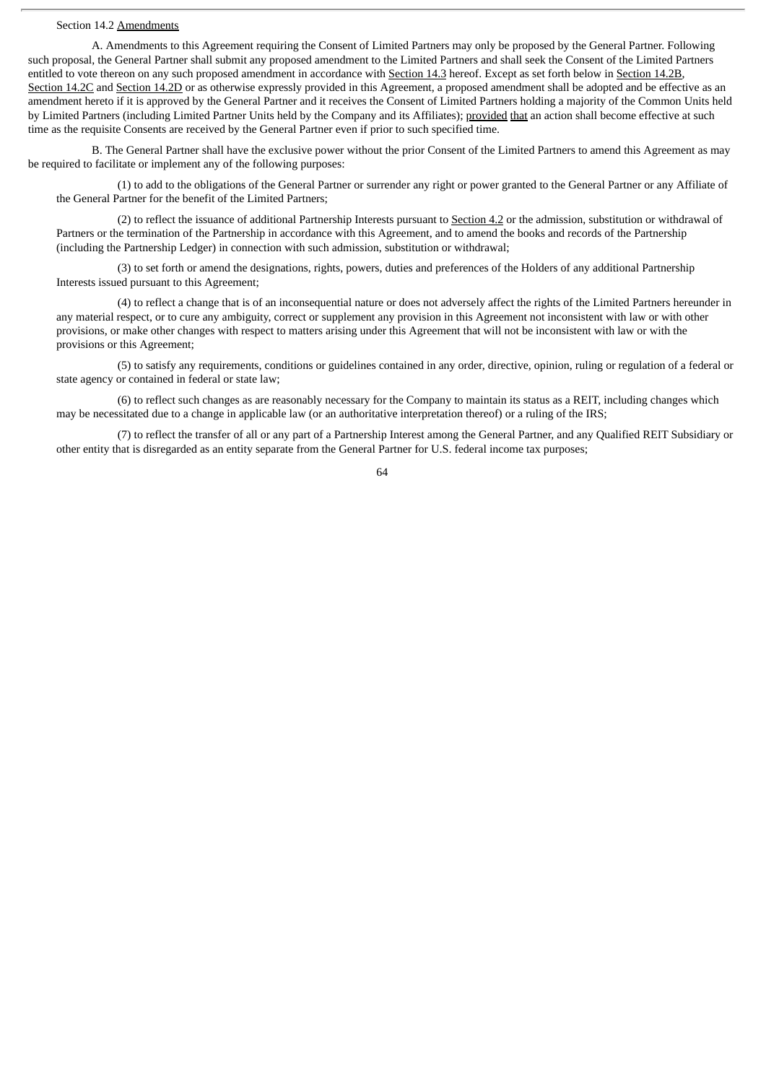#### Section 14.2 Amendments

A. Amendments to this Agreement requiring the Consent of Limited Partners may only be proposed by the General Partner. Following such proposal, the General Partner shall submit any proposed amendment to the Limited Partners and shall seek the Consent of the Limited Partners entitled to vote thereon on any such proposed amendment in accordance with Section 14.3 hereof. Except as set forth below in Section 14.2B, Section 14.2C and Section 14.2D or as otherwise expressly provided in this Agreement, a proposed amendment shall be adopted and be effective as an amendment hereto if it is approved by the General Partner and it receives the Consent of Limited Partners holding a majority of the Common Units held by Limited Partners (including Limited Partner Units held by the Company and its Affiliates); provided that an action shall become effective at such time as the requisite Consents are received by the General Partner even if prior to such specified time.

B. The General Partner shall have the exclusive power without the prior Consent of the Limited Partners to amend this Agreement as may be required to facilitate or implement any of the following purposes:

(1) to add to the obligations of the General Partner or surrender any right or power granted to the General Partner or any Affiliate of the General Partner for the benefit of the Limited Partners;

(2) to reflect the issuance of additional Partnership Interests pursuant to Section 4.2 or the admission, substitution or withdrawal of Partners or the termination of the Partnership in accordance with this Agreement, and to amend the books and records of the Partnership (including the Partnership Ledger) in connection with such admission, substitution or withdrawal;

(3) to set forth or amend the designations, rights, powers, duties and preferences of the Holders of any additional Partnership Interests issued pursuant to this Agreement;

(4) to reflect a change that is of an inconsequential nature or does not adversely affect the rights of the Limited Partners hereunder in any material respect, or to cure any ambiguity, correct or supplement any provision in this Agreement not inconsistent with law or with other provisions, or make other changes with respect to matters arising under this Agreement that will not be inconsistent with law or with the provisions or this Agreement;

(5) to satisfy any requirements, conditions or guidelines contained in any order, directive, opinion, ruling or regulation of a federal or state agency or contained in federal or state law;

(6) to reflect such changes as are reasonably necessary for the Company to maintain its status as a REIT, including changes which may be necessitated due to a change in applicable law (or an authoritative interpretation thereof) or a ruling of the IRS;

(7) to reflect the transfer of all or any part of a Partnership Interest among the General Partner, and any Qualified REIT Subsidiary or other entity that is disregarded as an entity separate from the General Partner for U.S. federal income tax purposes;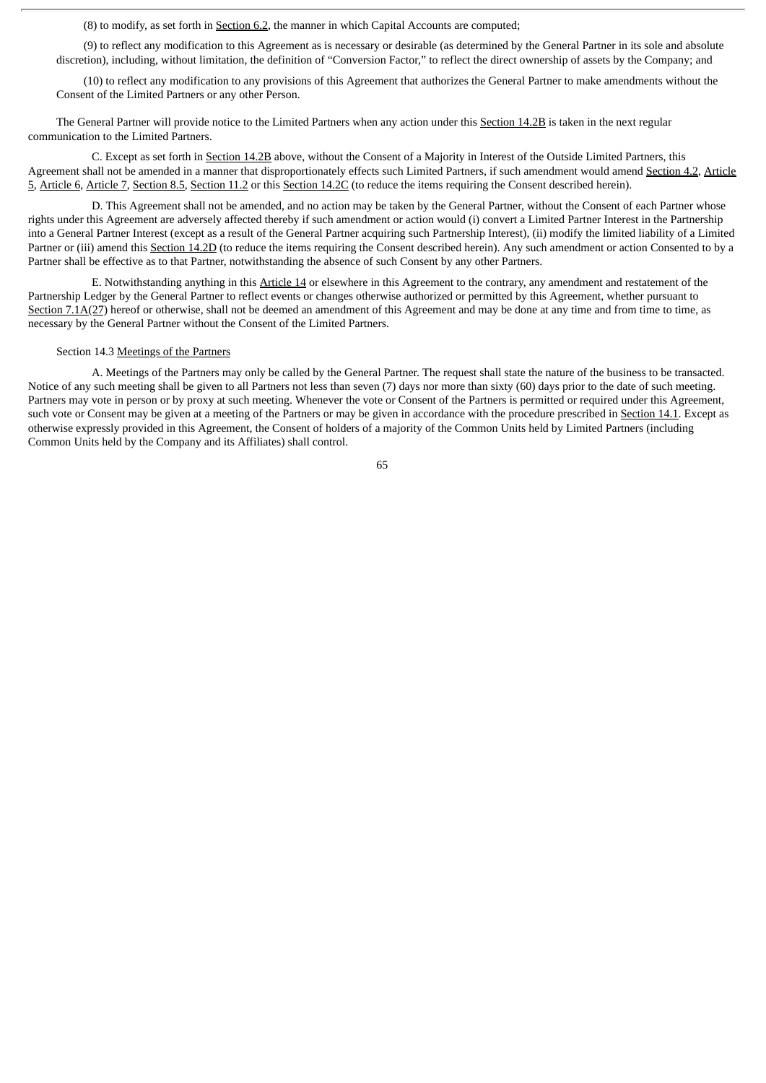(8) to modify, as set forth in Section 6.2, the manner in which Capital Accounts are computed;

(9) to reflect any modification to this Agreement as is necessary or desirable (as determined by the General Partner in its sole and absolute discretion), including, without limitation, the definition of "Conversion Factor," to reflect the direct ownership of assets by the Company; and

(10) to reflect any modification to any provisions of this Agreement that authorizes the General Partner to make amendments without the Consent of the Limited Partners or any other Person.

The General Partner will provide notice to the Limited Partners when any action under this Section 14.2B is taken in the next regular communication to the Limited Partners.

C. Except as set forth in Section 14.2B above, without the Consent of a Majority in Interest of the Outside Limited Partners, this Agreement shall not be amended in a manner that disproportionately effects such Limited Partners, if such amendment would amend Section 4.2, Article 5, Article 6, Article 7, Section 8.5, Section 11.2 or this Section 14.2C (to reduce the items requiring the Consent described herein).

D. This Agreement shall not be amended, and no action may be taken by the General Partner, without the Consent of each Partner whose rights under this Agreement are adversely affected thereby if such amendment or action would (i) convert a Limited Partner Interest in the Partnership into a General Partner Interest (except as a result of the General Partner acquiring such Partnership Interest), (ii) modify the limited liability of a Limited Partner or (iii) amend this Section 14.2D (to reduce the items requiring the Consent described herein). Any such amendment or action Consented to by a Partner shall be effective as to that Partner, notwithstanding the absence of such Consent by any other Partners.

E. Notwithstanding anything in this Article 14 or elsewhere in this Agreement to the contrary, any amendment and restatement of the Partnership Ledger by the General Partner to reflect events or changes otherwise authorized or permitted by this Agreement, whether pursuant to Section 7.1A(27) hereof or otherwise, shall not be deemed an amendment of this Agreement and may be done at any time and from time to time, as necessary by the General Partner without the Consent of the Limited Partners.

#### Section 14.3 Meetings of the Partners

A. Meetings of the Partners may only be called by the General Partner. The request shall state the nature of the business to be transacted. Notice of any such meeting shall be given to all Partners not less than seven (7) days nor more than sixty (60) days prior to the date of such meeting. Partners may vote in person or by proxy at such meeting. Whenever the vote or Consent of the Partners is permitted or required under this Agreement, such vote or Consent may be given at a meeting of the Partners or may be given in accordance with the procedure prescribed in Section 14.1. Except as otherwise expressly provided in this Agreement, the Consent of holders of a majority of the Common Units held by Limited Partners (including Common Units held by the Company and its Affiliates) shall control.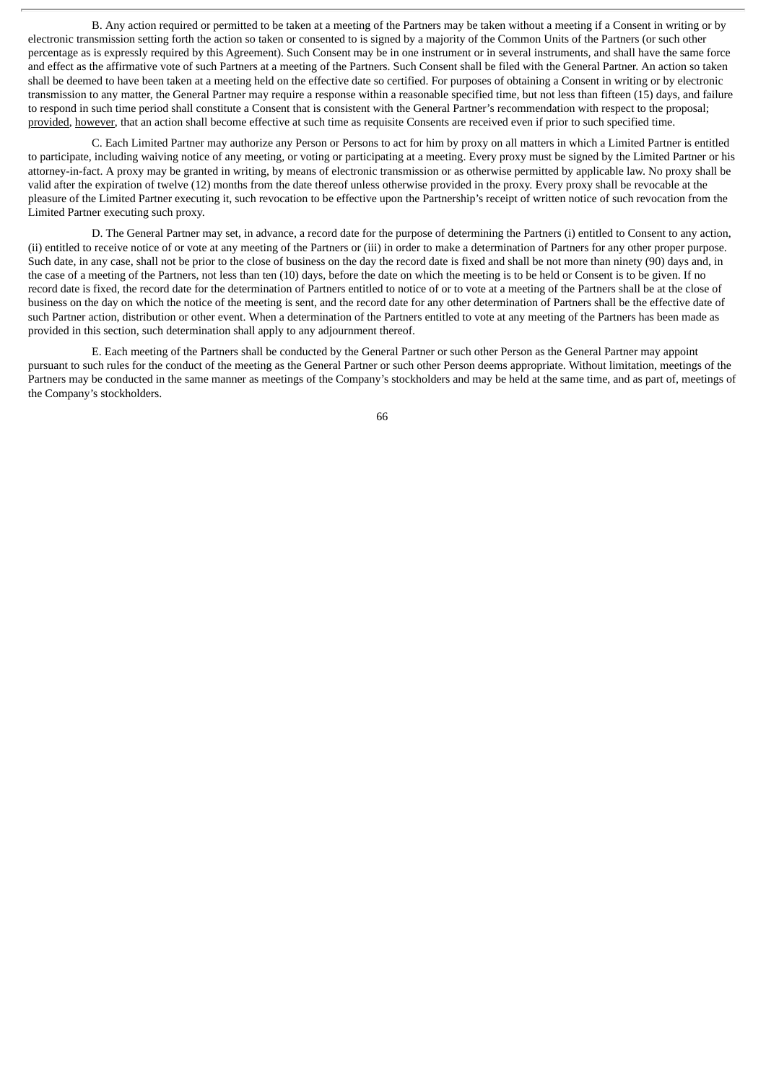B. Any action required or permitted to be taken at a meeting of the Partners may be taken without a meeting if a Consent in writing or by electronic transmission setting forth the action so taken or consented to is signed by a majority of the Common Units of the Partners (or such other percentage as is expressly required by this Agreement). Such Consent may be in one instrument or in several instruments, and shall have the same force and effect as the affirmative vote of such Partners at a meeting of the Partners. Such Consent shall be filed with the General Partner. An action so taken shall be deemed to have been taken at a meeting held on the effective date so certified. For purposes of obtaining a Consent in writing or by electronic transmission to any matter, the General Partner may require a response within a reasonable specified time, but not less than fifteen (15) days, and failure to respond in such time period shall constitute a Consent that is consistent with the General Partner's recommendation with respect to the proposal; provided, however, that an action shall become effective at such time as requisite Consents are received even if prior to such specified time.

C. Each Limited Partner may authorize any Person or Persons to act for him by proxy on all matters in which a Limited Partner is entitled to participate, including waiving notice of any meeting, or voting or participating at a meeting. Every proxy must be signed by the Limited Partner or his attorney-in-fact. A proxy may be granted in writing, by means of electronic transmission or as otherwise permitted by applicable law. No proxy shall be valid after the expiration of twelve (12) months from the date thereof unless otherwise provided in the proxy. Every proxy shall be revocable at the pleasure of the Limited Partner executing it, such revocation to be effective upon the Partnership's receipt of written notice of such revocation from the Limited Partner executing such proxy.

D. The General Partner may set, in advance, a record date for the purpose of determining the Partners (i) entitled to Consent to any action, (ii) entitled to receive notice of or vote at any meeting of the Partners or (iii) in order to make a determination of Partners for any other proper purpose. Such date, in any case, shall not be prior to the close of business on the day the record date is fixed and shall be not more than ninety (90) days and, in the case of a meeting of the Partners, not less than ten (10) days, before the date on which the meeting is to be held or Consent is to be given. If no record date is fixed, the record date for the determination of Partners entitled to notice of or to vote at a meeting of the Partners shall be at the close of business on the day on which the notice of the meeting is sent, and the record date for any other determination of Partners shall be the effective date of such Partner action, distribution or other event. When a determination of the Partners entitled to vote at any meeting of the Partners has been made as provided in this section, such determination shall apply to any adjournment thereof.

E. Each meeting of the Partners shall be conducted by the General Partner or such other Person as the General Partner may appoint pursuant to such rules for the conduct of the meeting as the General Partner or such other Person deems appropriate. Without limitation, meetings of the Partners may be conducted in the same manner as meetings of the Company's stockholders and may be held at the same time, and as part of, meetings of the Company's stockholders.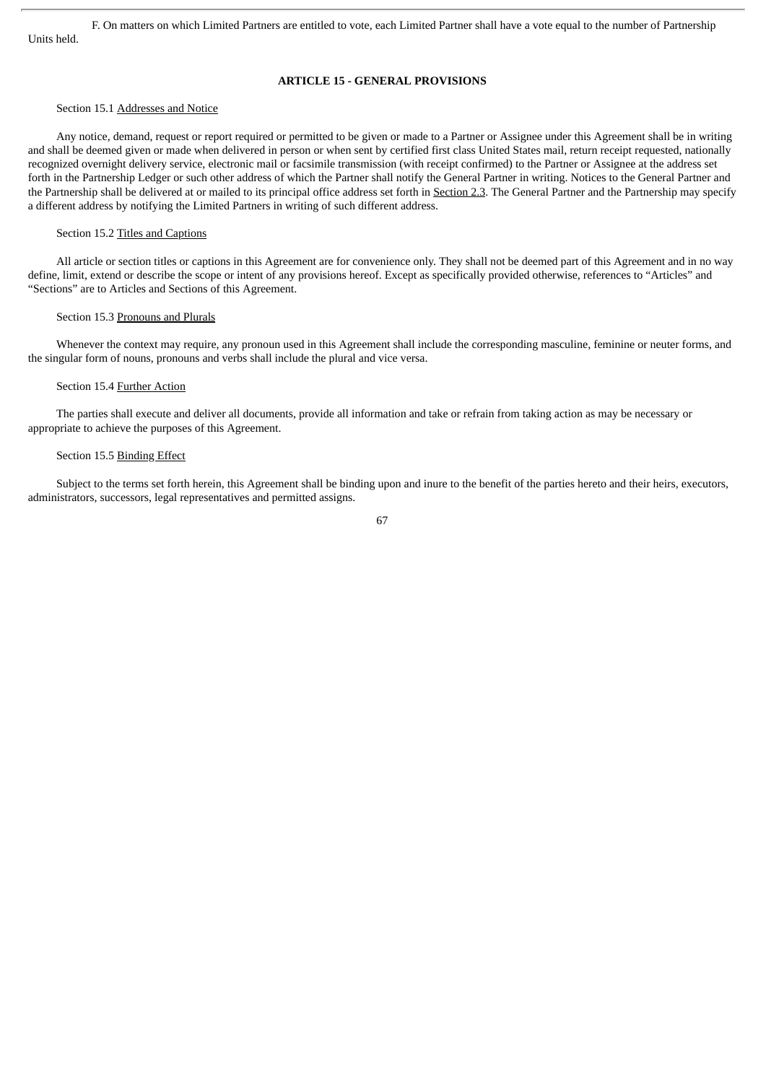F. On matters on which Limited Partners are entitled to vote, each Limited Partner shall have a vote equal to the number of Partnership Units held.

# **ARTICLE 15 - GENERAL PROVISIONS**

# Section 15.1 Addresses and Notice

Any notice, demand, request or report required or permitted to be given or made to a Partner or Assignee under this Agreement shall be in writing and shall be deemed given or made when delivered in person or when sent by certified first class United States mail, return receipt requested, nationally recognized overnight delivery service, electronic mail or facsimile transmission (with receipt confirmed) to the Partner or Assignee at the address set forth in the Partnership Ledger or such other address of which the Partner shall notify the General Partner in writing. Notices to the General Partner and the Partnership shall be delivered at or mailed to its principal office address set forth in Section 2.3. The General Partner and the Partnership may specify a different address by notifying the Limited Partners in writing of such different address.

#### Section 15.2 Titles and Captions

All article or section titles or captions in this Agreement are for convenience only. They shall not be deemed part of this Agreement and in no way define, limit, extend or describe the scope or intent of any provisions hereof. Except as specifically provided otherwise, references to "Articles" and "Sections" are to Articles and Sections of this Agreement.

#### Section 15.3 Pronouns and Plurals

Whenever the context may require, any pronoun used in this Agreement shall include the corresponding masculine, feminine or neuter forms, and the singular form of nouns, pronouns and verbs shall include the plural and vice versa.

## Section 15.4 Further Action

The parties shall execute and deliver all documents, provide all information and take or refrain from taking action as may be necessary or appropriate to achieve the purposes of this Agreement.

# Section 15.5 Binding Effect

Subject to the terms set forth herein, this Agreement shall be binding upon and inure to the benefit of the parties hereto and their heirs, executors, administrators, successors, legal representatives and permitted assigns.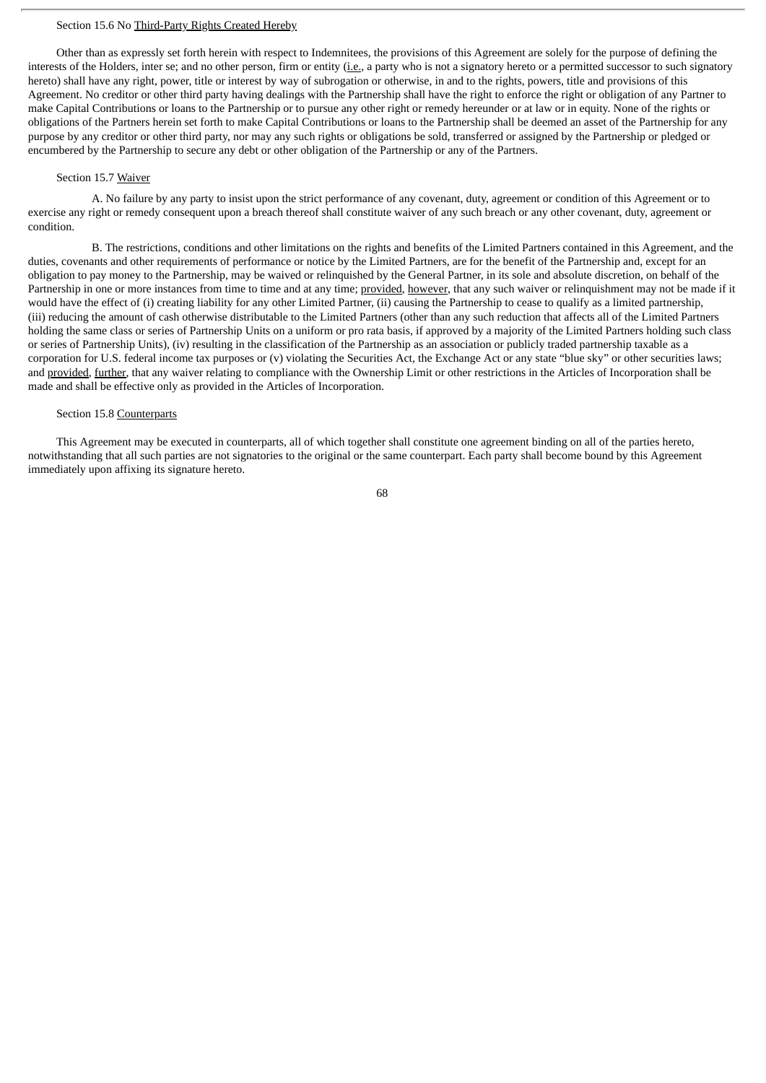## Section 15.6 No Third-Party Rights Created Hereby

Other than as expressly set forth herein with respect to Indemnitees, the provisions of this Agreement are solely for the purpose of defining the interests of the Holders, inter se; and no other person, firm or entity (i.e., a party who is not a signatory hereto or a permitted successor to such signatory hereto) shall have any right, power, title or interest by way of subrogation or otherwise, in and to the rights, powers, title and provisions of this Agreement. No creditor or other third party having dealings with the Partnership shall have the right to enforce the right or obligation of any Partner to make Capital Contributions or loans to the Partnership or to pursue any other right or remedy hereunder or at law or in equity. None of the rights or obligations of the Partners herein set forth to make Capital Contributions or loans to the Partnership shall be deemed an asset of the Partnership for any purpose by any creditor or other third party, nor may any such rights or obligations be sold, transferred or assigned by the Partnership or pledged or encumbered by the Partnership to secure any debt or other obligation of the Partnership or any of the Partners.

### Section 15.7 Waiver

A. No failure by any party to insist upon the strict performance of any covenant, duty, agreement or condition of this Agreement or to exercise any right or remedy consequent upon a breach thereof shall constitute waiver of any such breach or any other covenant, duty, agreement or condition.

B. The restrictions, conditions and other limitations on the rights and benefits of the Limited Partners contained in this Agreement, and the duties, covenants and other requirements of performance or notice by the Limited Partners, are for the benefit of the Partnership and, except for an obligation to pay money to the Partnership, may be waived or relinquished by the General Partner, in its sole and absolute discretion, on behalf of the Partnership in one or more instances from time to time and at any time; provided, however, that any such waiver or relinquishment may not be made if it would have the effect of (i) creating liability for any other Limited Partner, (ii) causing the Partnership to cease to qualify as a limited partnership, (iii) reducing the amount of cash otherwise distributable to the Limited Partners (other than any such reduction that affects all of the Limited Partners holding the same class or series of Partnership Units on a uniform or pro rata basis, if approved by a majority of the Limited Partners holding such class or series of Partnership Units), (iv) resulting in the classification of the Partnership as an association or publicly traded partnership taxable as a corporation for U.S. federal income tax purposes or (v) violating the Securities Act, the Exchange Act or any state "blue sky" or other securities laws; and provided, further, that any waiver relating to compliance with the Ownership Limit or other restrictions in the Articles of Incorporation shall be made and shall be effective only as provided in the Articles of Incorporation.

### Section 15.8 Counterparts

This Agreement may be executed in counterparts, all of which together shall constitute one agreement binding on all of the parties hereto, notwithstanding that all such parties are not signatories to the original or the same counterpart. Each party shall become bound by this Agreement immediately upon affixing its signature hereto.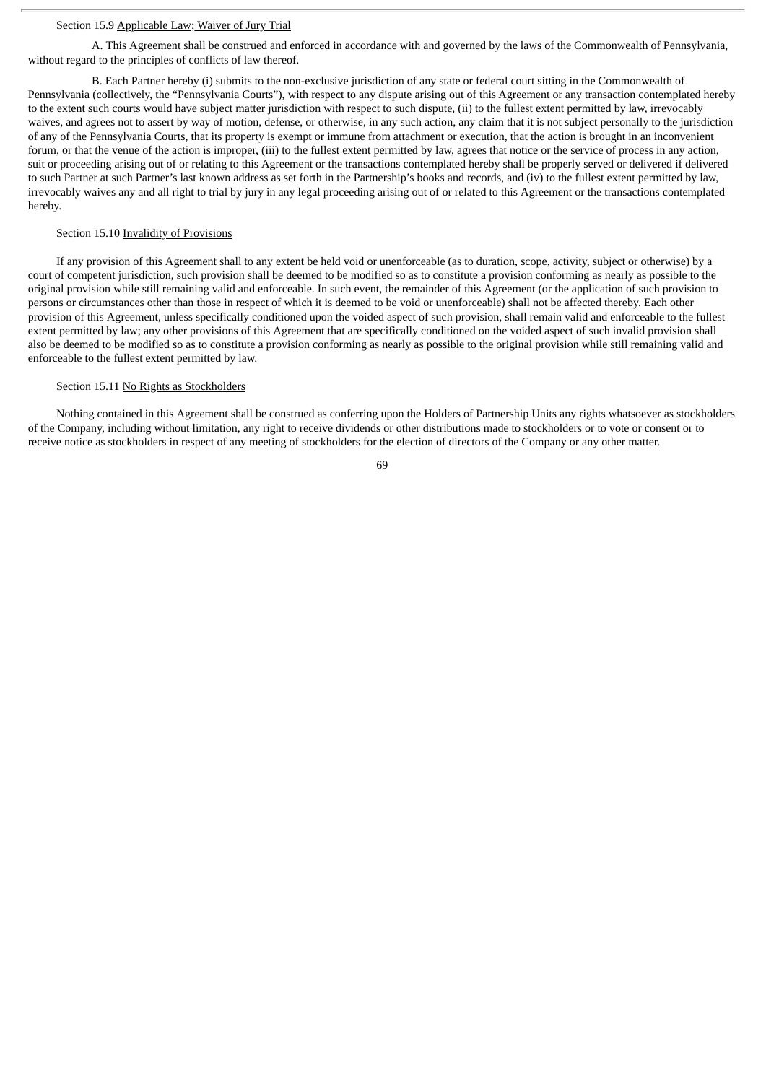#### Section 15.9 Applicable Law; Waiver of Jury Trial

A. This Agreement shall be construed and enforced in accordance with and governed by the laws of the Commonwealth of Pennsylvania, without regard to the principles of conflicts of law thereof.

B. Each Partner hereby (i) submits to the non-exclusive jurisdiction of any state or federal court sitting in the Commonwealth of Pennsylvania (collectively, the "Pennsylvania Courts"), with respect to any dispute arising out of this Agreement or any transaction contemplated hereby to the extent such courts would have subject matter jurisdiction with respect to such dispute, (ii) to the fullest extent permitted by law, irrevocably waives, and agrees not to assert by way of motion, defense, or otherwise, in any such action, any claim that it is not subject personally to the jurisdiction of any of the Pennsylvania Courts, that its property is exempt or immune from attachment or execution, that the action is brought in an inconvenient forum, or that the venue of the action is improper, (iii) to the fullest extent permitted by law, agrees that notice or the service of process in any action, suit or proceeding arising out of or relating to this Agreement or the transactions contemplated hereby shall be properly served or delivered if delivered to such Partner at such Partner's last known address as set forth in the Partnership's books and records, and (iv) to the fullest extent permitted by law, irrevocably waives any and all right to trial by jury in any legal proceeding arising out of or related to this Agreement or the transactions contemplated hereby.

### Section 15.10 Invalidity of Provisions

If any provision of this Agreement shall to any extent be held void or unenforceable (as to duration, scope, activity, subject or otherwise) by a court of competent jurisdiction, such provision shall be deemed to be modified so as to constitute a provision conforming as nearly as possible to the original provision while still remaining valid and enforceable. In such event, the remainder of this Agreement (or the application of such provision to persons or circumstances other than those in respect of which it is deemed to be void or unenforceable) shall not be affected thereby. Each other provision of this Agreement, unless specifically conditioned upon the voided aspect of such provision, shall remain valid and enforceable to the fullest extent permitted by law; any other provisions of this Agreement that are specifically conditioned on the voided aspect of such invalid provision shall also be deemed to be modified so as to constitute a provision conforming as nearly as possible to the original provision while still remaining valid and enforceable to the fullest extent permitted by law.

## Section 15.11 No Rights as Stockholders

Nothing contained in this Agreement shall be construed as conferring upon the Holders of Partnership Units any rights whatsoever as stockholders of the Company, including without limitation, any right to receive dividends or other distributions made to stockholders or to vote or consent or to receive notice as stockholders in respect of any meeting of stockholders for the election of directors of the Company or any other matter.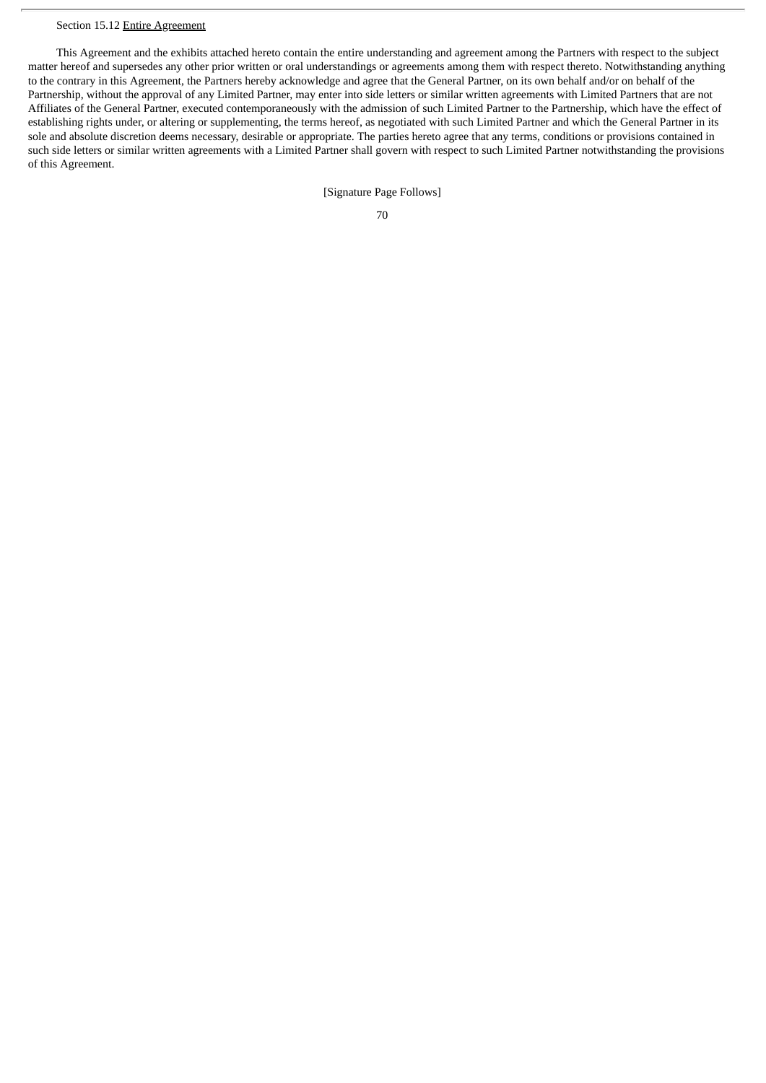# Section 15.12 Entire Agreement

This Agreement and the exhibits attached hereto contain the entire understanding and agreement among the Partners with respect to the subject matter hereof and supersedes any other prior written or oral understandings or agreements among them with respect thereto. Notwithstanding anything to the contrary in this Agreement, the Partners hereby acknowledge and agree that the General Partner, on its own behalf and/or on behalf of the Partnership, without the approval of any Limited Partner, may enter into side letters or similar written agreements with Limited Partners that are not Affiliates of the General Partner, executed contemporaneously with the admission of such Limited Partner to the Partnership, which have the effect of establishing rights under, or altering or supplementing, the terms hereof, as negotiated with such Limited Partner and which the General Partner in its sole and absolute discretion deems necessary, desirable or appropriate. The parties hereto agree that any terms, conditions or provisions contained in such side letters or similar written agreements with a Limited Partner shall govern with respect to such Limited Partner notwithstanding the provisions of this Agreement.

[Signature Page Follows]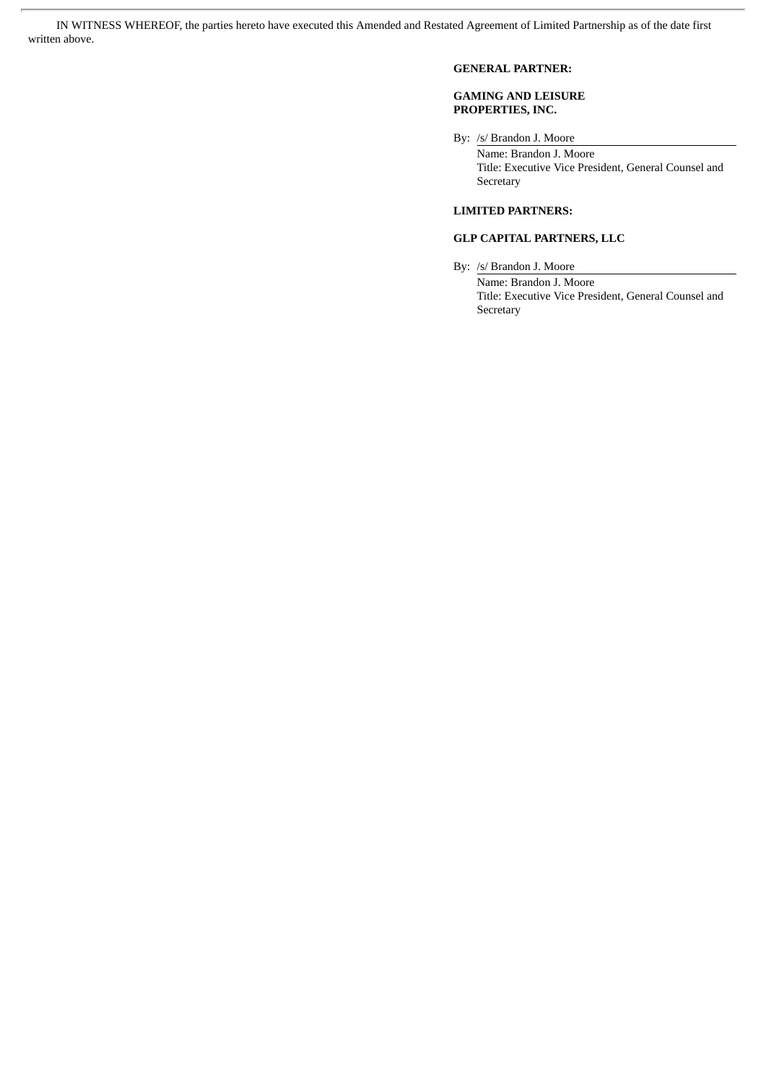IN WITNESS WHEREOF, the parties hereto have executed this Amended and Restated Agreement of Limited Partnership as of the date first written above.

# **GENERAL PARTNER:**

# **GAMING AND LEISURE PROPERTIES, INC.**

By: /s/ Brandon J. Moore

Name: Brandon J. Moore Title: Executive Vice President, General Counsel and Secretary

# **LIMITED PARTNERS:**

# **GLP CAPITAL PARTNERS, LLC**

By: /s/ Brandon J. Moore

Name: Brandon J. Moore Title: Executive Vice President, General Counsel and Secretary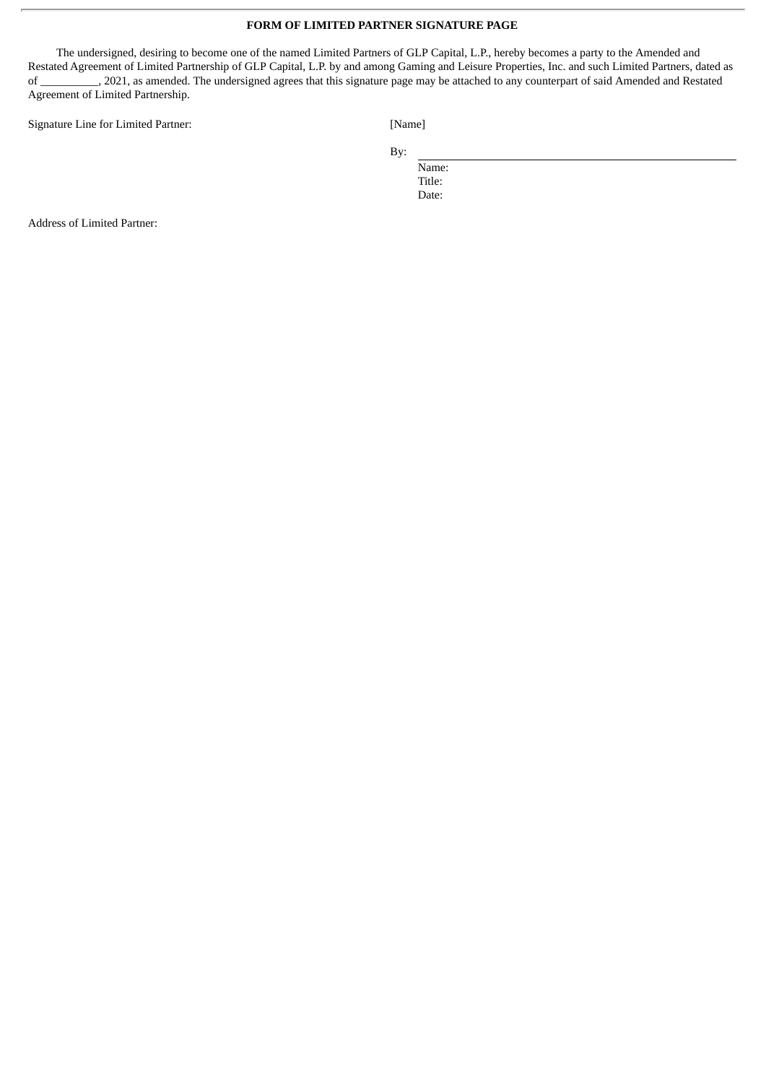# **FORM OF LIMITED PARTNER SIGNATURE PAGE**

The undersigned, desiring to become one of the named Limited Partners of GLP Capital, L.P., hereby becomes a party to the Amended and Restated Agreement of Limited Partnership of GLP Capital, L.P. by and among Gaming and Leisure Properties, Inc. and such Limited Partners, dated as of \_\_\_\_\_\_\_\_\_\_, 2021, as amended. The undersigned agrees that this signature page may be attached to any counterpart of said Amended and Restated Agreement of Limited Partnership.

Signature Line for Limited Partner: [Name]

By:

Name: Title: Date:

Address of Limited Partner: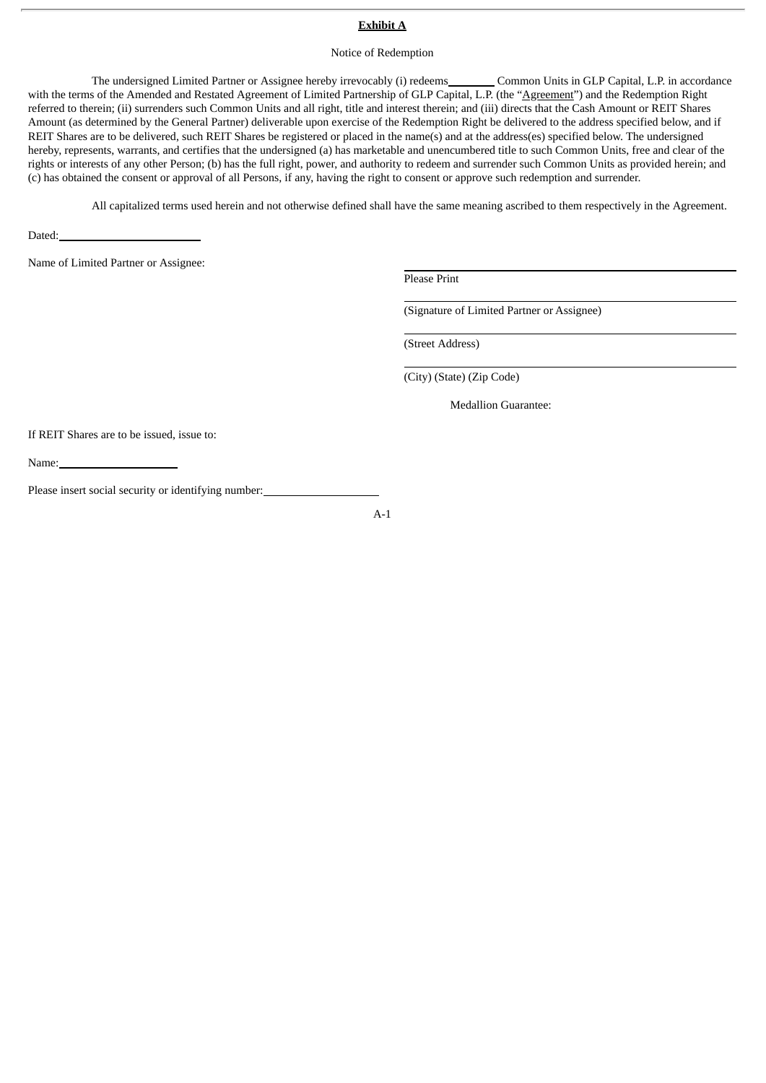# **Exhibit A**

#### Notice of Redemption

The undersigned Limited Partner or Assignee hereby irrevocably (i) redeems\_\_\_\_\_\_\_\_\_ Common Units in GLP Capital, L.P. in accordance with the terms of the Amended and Restated Agreement of Limited Partnership of GLP Capital, L.P. (the "<u>Agreement</u>") and the Redemption Right referred to therein; (ii) surrenders such Common Units and all right, title and interest therein; and (iii) directs that the Cash Amount or REIT Shares Amount (as determined by the General Partner) deliverable upon exercise of the Redemption Right be delivered to the address specified below, and if REIT Shares are to be delivered, such REIT Shares be registered or placed in the name(s) and at the address(es) specified below. The undersigned hereby, represents, warrants, and certifies that the undersigned (a) has marketable and unencumbered title to such Common Units, free and clear of the rights or interests of any other Person; (b) has the full right, power, and authority to redeem and surrender such Common Units as provided herein; and (c) has obtained the consent or approval of all Persons, if any, having the right to consent or approve such redemption and surrender.

All capitalized terms used herein and not otherwise defined shall have the same meaning ascribed to them respectively in the Agreement.

Dated:

Name of Limited Partner or Assignee:

Please Print

(Signature of Limited Partner or Assignee)

(Street Address)

(City) (State) (Zip Code)

Medallion Guarantee:

If REIT Shares are to be issued, issue to:

Name:

Please insert social security or identifying number:

A-1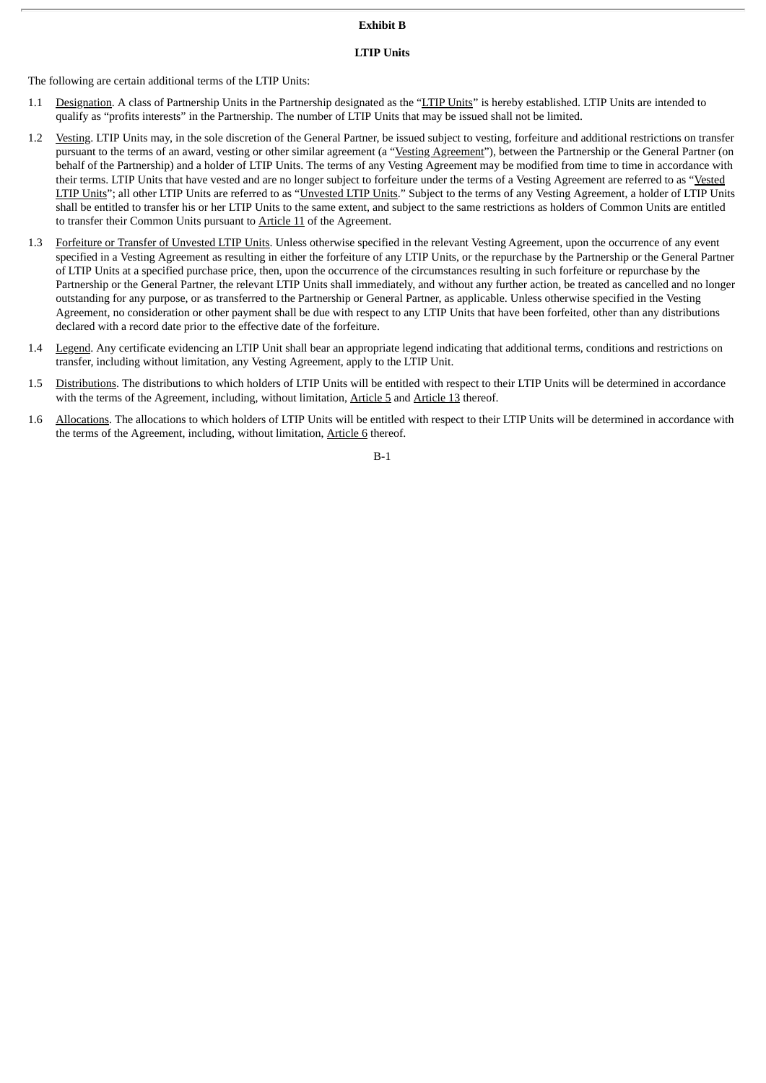# **Exhibit B**

## **LTIP Units**

The following are certain additional terms of the LTIP Units:

- 1.1 Designation. A class of Partnership Units in the Partnership designated as the "LTIP Units" is hereby established. LTIP Units are intended to qualify as "profits interests" in the Partnership. The number of LTIP Units that may be issued shall not be limited.
- 1.2 Vesting. LTIP Units may, in the sole discretion of the General Partner, be issued subject to vesting, forfeiture and additional restrictions on transfer pursuant to the terms of an award, vesting or other similar agreement (a "Vesting Agreement"), between the Partnership or the General Partner (on behalf of the Partnership) and a holder of LTIP Units. The terms of any Vesting Agreement may be modified from time to time in accordance with their terms. LTIP Units that have vested and are no longer subject to forfeiture under the terms of a Vesting Agreement are referred to as "Vested LTIP Units"; all other LTIP Units are referred to as "Unvested LTIP Units." Subject to the terms of any Vesting Agreement, a holder of LTIP Units shall be entitled to transfer his or her LTIP Units to the same extent, and subject to the same restrictions as holders of Common Units are entitled to transfer their Common Units pursuant to Article 11 of the Agreement.
- 1.3 Forfeiture or Transfer of Unvested LTIP Units. Unless otherwise specified in the relevant Vesting Agreement, upon the occurrence of any event specified in a Vesting Agreement as resulting in either the forfeiture of any LTIP Units, or the repurchase by the Partnership or the General Partner of LTIP Units at a specified purchase price, then, upon the occurrence of the circumstances resulting in such forfeiture or repurchase by the Partnership or the General Partner, the relevant LTIP Units shall immediately, and without any further action, be treated as cancelled and no longer outstanding for any purpose, or as transferred to the Partnership or General Partner, as applicable. Unless otherwise specified in the Vesting Agreement, no consideration or other payment shall be due with respect to any LTIP Units that have been forfeited, other than any distributions declared with a record date prior to the effective date of the forfeiture.
- 1.4 Legend. Any certificate evidencing an LTIP Unit shall bear an appropriate legend indicating that additional terms, conditions and restrictions on transfer, including without limitation, any Vesting Agreement, apply to the LTIP Unit.
- 1.5 Distributions. The distributions to which holders of LTIP Units will be entitled with respect to their LTIP Units will be determined in accordance with the terms of the Agreement, including, without limitation, Article 5 and Article 13 thereof.
- 1.6 Allocations. The allocations to which holders of LTIP Units will be entitled with respect to their LTIP Units will be determined in accordance with the terms of the Agreement, including, without limitation, Article 6 thereof.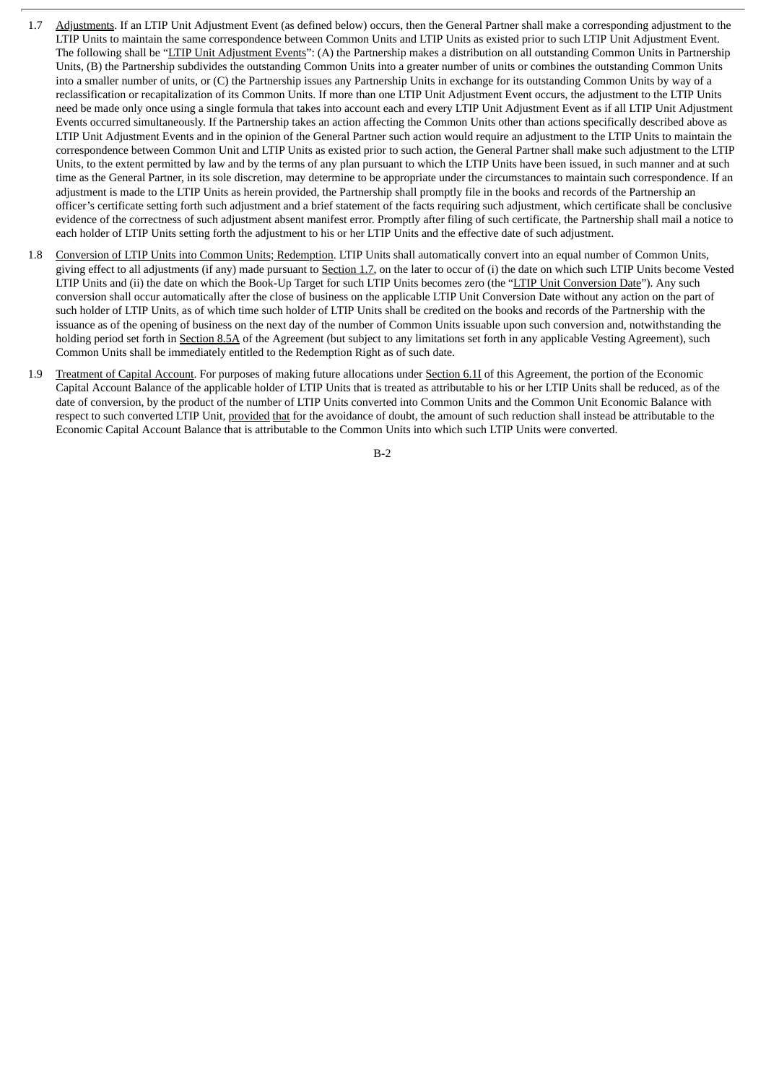- 1.7 Adjustments. If an LTIP Unit Adjustment Event (as defined below) occurs, then the General Partner shall make a corresponding adjustment to the LTIP Units to maintain the same correspondence between Common Units and LTIP Units as existed prior to such LTIP Unit Adjustment Event. The following shall be "LTIP Unit Adjustment Events": (A) the Partnership makes a distribution on all outstanding Common Units in Partnership Units, (B) the Partnership subdivides the outstanding Common Units into a greater number of units or combines the outstanding Common Units into a smaller number of units, or (C) the Partnership issues any Partnership Units in exchange for its outstanding Common Units by way of a reclassification or recapitalization of its Common Units. If more than one LTIP Unit Adjustment Event occurs, the adjustment to the LTIP Units need be made only once using a single formula that takes into account each and every LTIP Unit Adjustment Event as if all LTIP Unit Adjustment Events occurred simultaneously. If the Partnership takes an action affecting the Common Units other than actions specifically described above as LTIP Unit Adjustment Events and in the opinion of the General Partner such action would require an adjustment to the LTIP Units to maintain the correspondence between Common Unit and LTIP Units as existed prior to such action, the General Partner shall make such adjustment to the LTIP Units, to the extent permitted by law and by the terms of any plan pursuant to which the LTIP Units have been issued, in such manner and at such time as the General Partner, in its sole discretion, may determine to be appropriate under the circumstances to maintain such correspondence. If an adjustment is made to the LTIP Units as herein provided, the Partnership shall promptly file in the books and records of the Partnership an officer's certificate setting forth such adjustment and a brief statement of the facts requiring such adjustment, which certificate shall be conclusive evidence of the correctness of such adjustment absent manifest error. Promptly after filing of such certificate, the Partnership shall mail a notice to each holder of LTIP Units setting forth the adjustment to his or her LTIP Units and the effective date of such adjustment.
- 1.8 Conversion of LTIP Units into Common Units; Redemption. LTIP Units shall automatically convert into an equal number of Common Units, giving effect to all adjustments (if any) made pursuant to Section 1.7, on the later to occur of (i) the date on which such LTIP Units become Vested LTIP Units and (ii) the date on which the Book-Up Target for such LTIP Units becomes zero (the "LTIP Unit Conversion Date"). Any such conversion shall occur automatically after the close of business on the applicable LTIP Unit Conversion Date without any action on the part of such holder of LTIP Units, as of which time such holder of LTIP Units shall be credited on the books and records of the Partnership with the issuance as of the opening of business on the next day of the number of Common Units issuable upon such conversion and, notwithstanding the holding period set forth in Section 8.5A of the Agreement (but subject to any limitations set forth in any applicable Vesting Agreement), such Common Units shall be immediately entitled to the Redemption Right as of such date.
- 1.9 Treatment of Capital Account. For purposes of making future allocations under Section 6.1I of this Agreement, the portion of the Economic Capital Account Balance of the applicable holder of LTIP Units that is treated as attributable to his or her LTIP Units shall be reduced, as of the date of conversion, by the product of the number of LTIP Units converted into Common Units and the Common Unit Economic Balance with respect to such converted LTIP Unit, provided that for the avoidance of doubt, the amount of such reduction shall instead be attributable to the Economic Capital Account Balance that is attributable to the Common Units into which such LTIP Units were converted.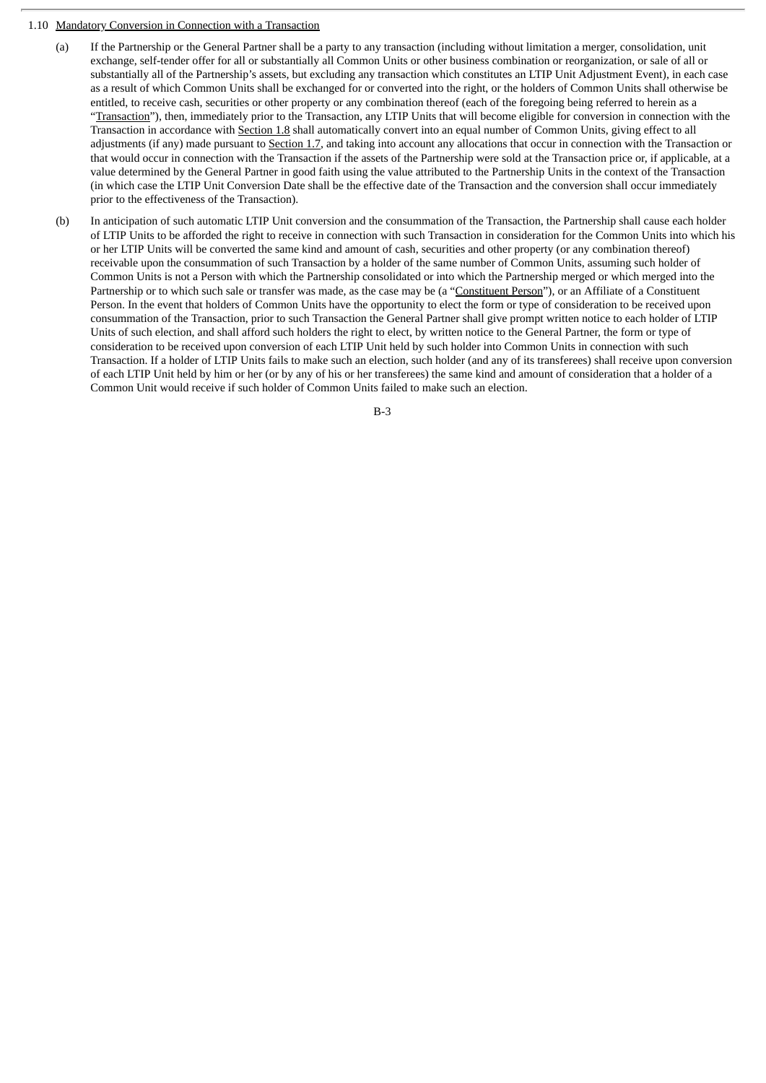### 1.10 Mandatory Conversion in Connection with a Transaction

- (a) If the Partnership or the General Partner shall be a party to any transaction (including without limitation a merger, consolidation, unit exchange, self-tender offer for all or substantially all Common Units or other business combination or reorganization, or sale of all or substantially all of the Partnership's assets, but excluding any transaction which constitutes an LTIP Unit Adjustment Event), in each case as a result of which Common Units shall be exchanged for or converted into the right, or the holders of Common Units shall otherwise be entitled, to receive cash, securities or other property or any combination thereof (each of the foregoing being referred to herein as a "Transaction"), then, immediately prior to the Transaction, any LTIP Units that will become eligible for conversion in connection with the Transaction in accordance with Section 1.8 shall automatically convert into an equal number of Common Units, giving effect to all adjustments (if any) made pursuant to Section 1.7, and taking into account any allocations that occur in connection with the Transaction or that would occur in connection with the Transaction if the assets of the Partnership were sold at the Transaction price or, if applicable, at a value determined by the General Partner in good faith using the value attributed to the Partnership Units in the context of the Transaction (in which case the LTIP Unit Conversion Date shall be the effective date of the Transaction and the conversion shall occur immediately prior to the effectiveness of the Transaction).
- (b) In anticipation of such automatic LTIP Unit conversion and the consummation of the Transaction, the Partnership shall cause each holder of LTIP Units to be afforded the right to receive in connection with such Transaction in consideration for the Common Units into which his or her LTIP Units will be converted the same kind and amount of cash, securities and other property (or any combination thereof) receivable upon the consummation of such Transaction by a holder of the same number of Common Units, assuming such holder of Common Units is not a Person with which the Partnership consolidated or into which the Partnership merged or which merged into the Partnership or to which such sale or transfer was made, as the case may be (a "Constituent Person"), or an Affiliate of a Constituent Person. In the event that holders of Common Units have the opportunity to elect the form or type of consideration to be received upon consummation of the Transaction, prior to such Transaction the General Partner shall give prompt written notice to each holder of LTIP Units of such election, and shall afford such holders the right to elect, by written notice to the General Partner, the form or type of consideration to be received upon conversion of each LTIP Unit held by such holder into Common Units in connection with such Transaction. If a holder of LTIP Units fails to make such an election, such holder (and any of its transferees) shall receive upon conversion of each LTIP Unit held by him or her (or by any of his or her transferees) the same kind and amount of consideration that a holder of a Common Unit would receive if such holder of Common Units failed to make such an election.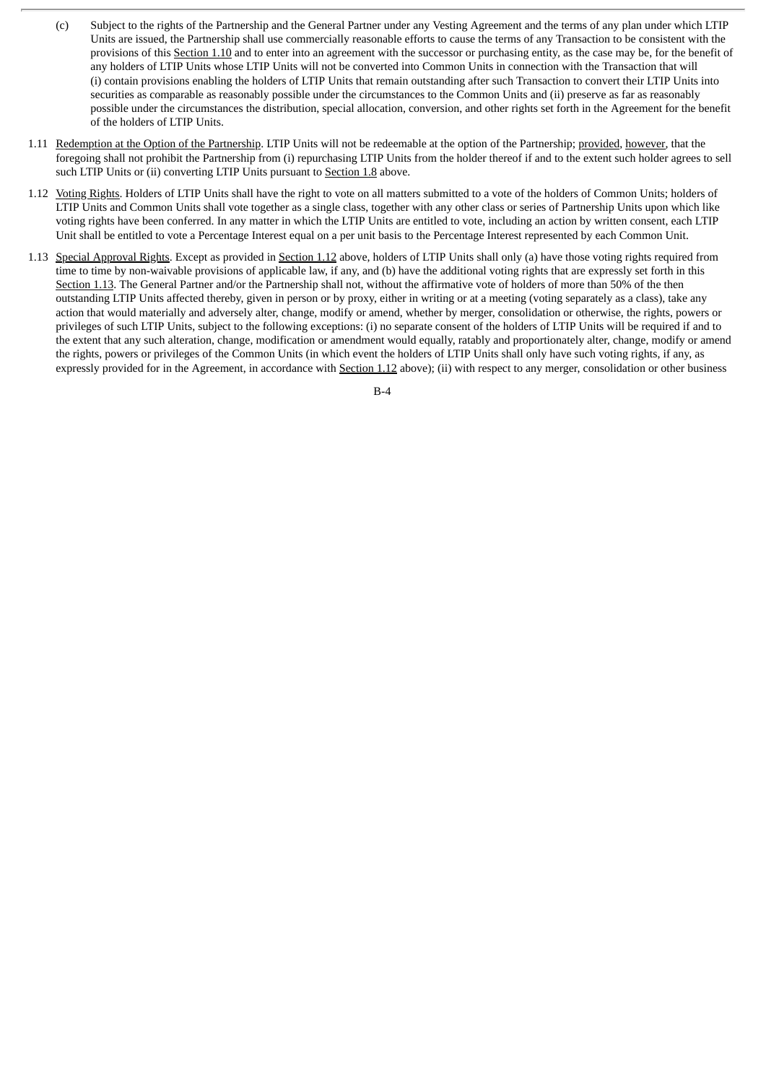- (c) Subject to the rights of the Partnership and the General Partner under any Vesting Agreement and the terms of any plan under which LTIP Units are issued, the Partnership shall use commercially reasonable efforts to cause the terms of any Transaction to be consistent with the provisions of this Section 1.10 and to enter into an agreement with the successor or purchasing entity, as the case may be, for the benefit of any holders of LTIP Units whose LTIP Units will not be converted into Common Units in connection with the Transaction that will (i) contain provisions enabling the holders of LTIP Units that remain outstanding after such Transaction to convert their LTIP Units into securities as comparable as reasonably possible under the circumstances to the Common Units and (ii) preserve as far as reasonably possible under the circumstances the distribution, special allocation, conversion, and other rights set forth in the Agreement for the benefit of the holders of LTIP Units.
- 1.11 Redemption at the Option of the Partnership. LTIP Units will not be redeemable at the option of the Partnership; provided, however, that the foregoing shall not prohibit the Partnership from (i) repurchasing LTIP Units from the holder thereof if and to the extent such holder agrees to sell such LTIP Units or (ii) converting LTIP Units pursuant to Section 1.8 above.
- 1.12 Voting Rights. Holders of LTIP Units shall have the right to vote on all matters submitted to a vote of the holders of Common Units; holders of LTIP Units and Common Units shall vote together as a single class, together with any other class or series of Partnership Units upon which like voting rights have been conferred. In any matter in which the LTIP Units are entitled to vote, including an action by written consent, each LTIP Unit shall be entitled to vote a Percentage Interest equal on a per unit basis to the Percentage Interest represented by each Common Unit.
- 1.13 Special Approval Rights. Except as provided in Section 1.12 above, holders of LTIP Units shall only (a) have those voting rights required from time to time by non-waivable provisions of applicable law, if any, and (b) have the additional voting rights that are expressly set forth in this Section 1.13. The General Partner and/or the Partnership shall not, without the affirmative vote of holders of more than 50% of the then outstanding LTIP Units affected thereby, given in person or by proxy, either in writing or at a meeting (voting separately as a class), take any action that would materially and adversely alter, change, modify or amend, whether by merger, consolidation or otherwise, the rights, powers or privileges of such LTIP Units, subject to the following exceptions: (i) no separate consent of the holders of LTIP Units will be required if and to the extent that any such alteration, change, modification or amendment would equally, ratably and proportionately alter, change, modify or amend the rights, powers or privileges of the Common Units (in which event the holders of LTIP Units shall only have such voting rights, if any, as expressly provided for in the Agreement, in accordance with Section 1.12 above); (ii) with respect to any merger, consolidation or other business

 $B-A$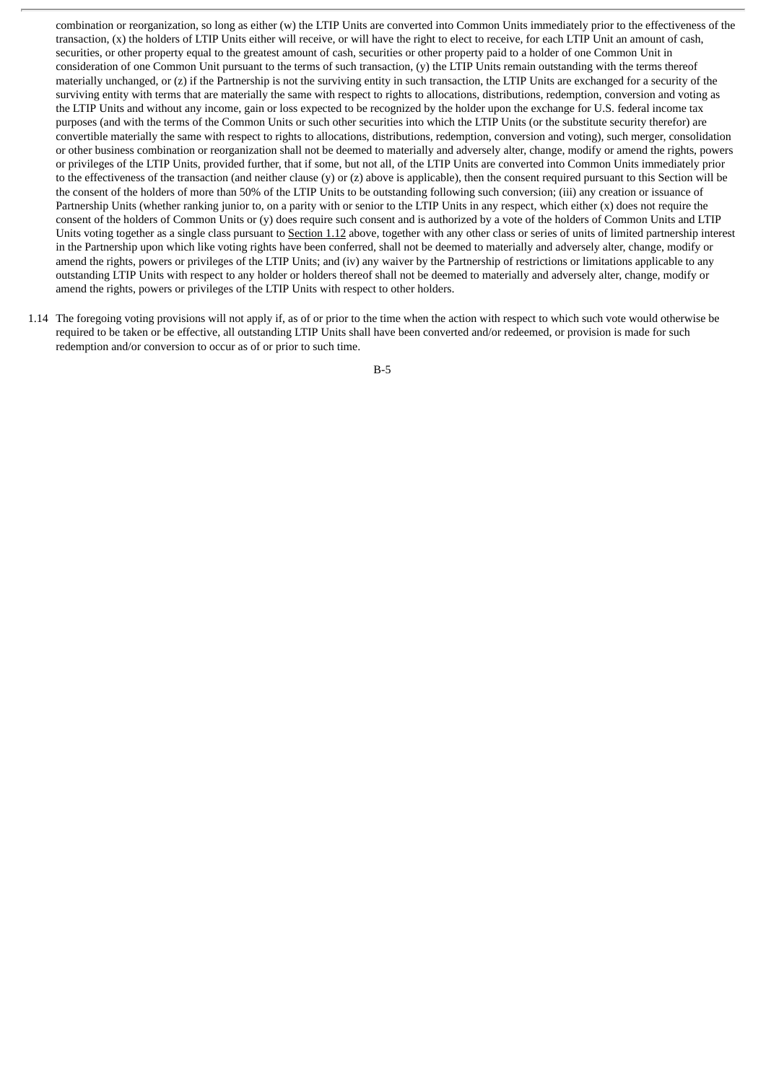combination or reorganization, so long as either (w) the LTIP Units are converted into Common Units immediately prior to the effectiveness of the transaction, (x) the holders of LTIP Units either will receive, or will have the right to elect to receive, for each LTIP Unit an amount of cash, securities, or other property equal to the greatest amount of cash, securities or other property paid to a holder of one Common Unit in consideration of one Common Unit pursuant to the terms of such transaction, (y) the LTIP Units remain outstanding with the terms thereof materially unchanged, or (z) if the Partnership is not the surviving entity in such transaction, the LTIP Units are exchanged for a security of the surviving entity with terms that are materially the same with respect to rights to allocations, distributions, redemption, conversion and voting as the LTIP Units and without any income, gain or loss expected to be recognized by the holder upon the exchange for U.S. federal income tax purposes (and with the terms of the Common Units or such other securities into which the LTIP Units (or the substitute security therefor) are convertible materially the same with respect to rights to allocations, distributions, redemption, conversion and voting), such merger, consolidation or other business combination or reorganization shall not be deemed to materially and adversely alter, change, modify or amend the rights, powers or privileges of the LTIP Units, provided further, that if some, but not all, of the LTIP Units are converted into Common Units immediately prior to the effectiveness of the transaction (and neither clause (y) or (z) above is applicable), then the consent required pursuant to this Section will be the consent of the holders of more than 50% of the LTIP Units to be outstanding following such conversion; (iii) any creation or issuance of Partnership Units (whether ranking junior to, on a parity with or senior to the LTIP Units in any respect, which either (x) does not require the consent of the holders of Common Units or (y) does require such consent and is authorized by a vote of the holders of Common Units and LTIP Units voting together as a single class pursuant to Section 1.12 above, together with any other class or series of units of limited partnership interest in the Partnership upon which like voting rights have been conferred, shall not be deemed to materially and adversely alter, change, modify or amend the rights, powers or privileges of the LTIP Units; and (iv) any waiver by the Partnership of restrictions or limitations applicable to any outstanding LTIP Units with respect to any holder or holders thereof shall not be deemed to materially and adversely alter, change, modify or amend the rights, powers or privileges of the LTIP Units with respect to other holders.

1.14 The foregoing voting provisions will not apply if, as of or prior to the time when the action with respect to which such vote would otherwise be required to be taken or be effective, all outstanding LTIP Units shall have been converted and/or redeemed, or provision is made for such redemption and/or conversion to occur as of or prior to such time.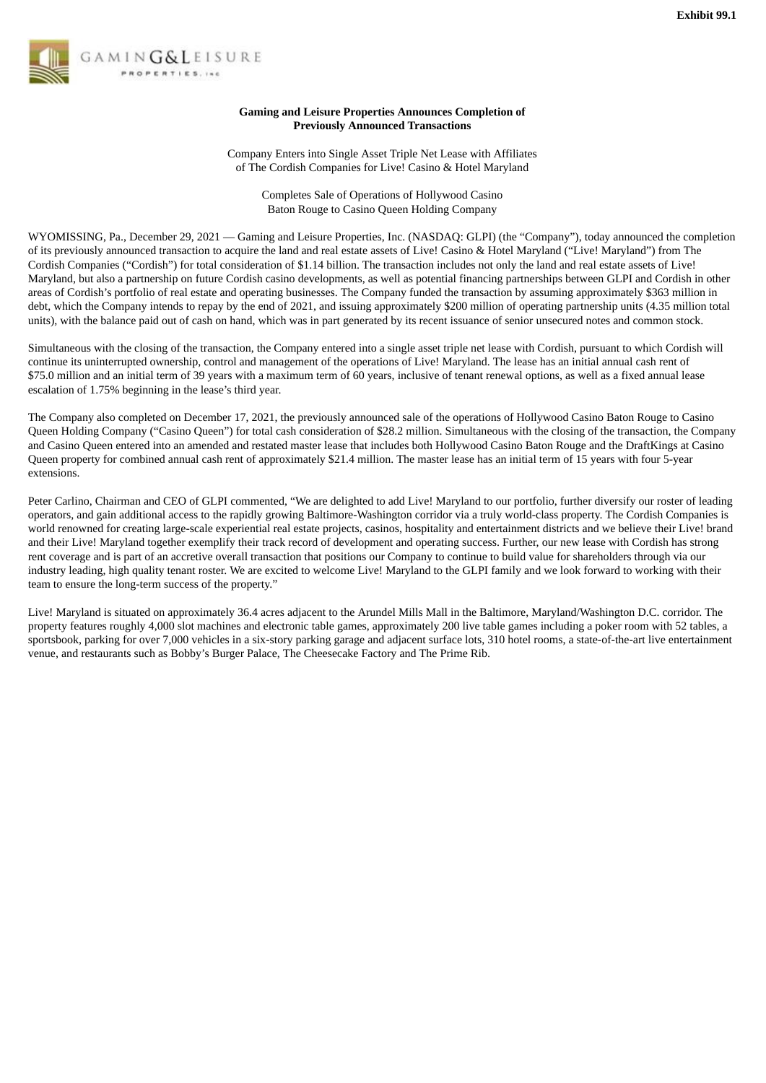

# **Gaming and Leisure Properties Announces Completion of Previously Announced Transactions**

Company Enters into Single Asset Triple Net Lease with Affiliates of The Cordish Companies for Live! Casino & Hotel Maryland

> Completes Sale of Operations of Hollywood Casino Baton Rouge to Casino Queen Holding Company

WYOMISSING, Pa., December 29, 2021 — Gaming and Leisure Properties, Inc. (NASDAQ: GLPI) (the "Company"), today announced the completion of its previously announced transaction to acquire the land and real estate assets of Live! Casino & Hotel Maryland ("Live! Maryland") from The Cordish Companies ("Cordish") for total consideration of \$1.14 billion. The transaction includes not only the land and real estate assets of Live! Maryland, but also a partnership on future Cordish casino developments, as well as potential financing partnerships between GLPI and Cordish in other areas of Cordish's portfolio of real estate and operating businesses. The Company funded the transaction by assuming approximately \$363 million in debt, which the Company intends to repay by the end of 2021, and issuing approximately \$200 million of operating partnership units (4.35 million total units), with the balance paid out of cash on hand, which was in part generated by its recent issuance of senior unsecured notes and common stock.

Simultaneous with the closing of the transaction, the Company entered into a single asset triple net lease with Cordish, pursuant to which Cordish will continue its uninterrupted ownership, control and management of the operations of Live! Maryland. The lease has an initial annual cash rent of \$75.0 million and an initial term of 39 years with a maximum term of 60 years, inclusive of tenant renewal options, as well as a fixed annual lease escalation of 1.75% beginning in the lease's third year.

The Company also completed on December 17, 2021, the previously announced sale of the operations of Hollywood Casino Baton Rouge to Casino Queen Holding Company ("Casino Queen") for total cash consideration of \$28.2 million. Simultaneous with the closing of the transaction, the Company and Casino Queen entered into an amended and restated master lease that includes both Hollywood Casino Baton Rouge and the DraftKings at Casino Queen property for combined annual cash rent of approximately \$21.4 million. The master lease has an initial term of 15 years with four 5-year extensions.

Peter Carlino, Chairman and CEO of GLPI commented, "We are delighted to add Live! Maryland to our portfolio, further diversify our roster of leading operators, and gain additional access to the rapidly growing Baltimore-Washington corridor via a truly world-class property. The Cordish Companies is world renowned for creating large-scale experiential real estate projects, casinos, hospitality and entertainment districts and we believe their Live! brand and their Live! Maryland together exemplify their track record of development and operating success. Further, our new lease with Cordish has strong rent coverage and is part of an accretive overall transaction that positions our Company to continue to build value for shareholders through via our industry leading, high quality tenant roster. We are excited to welcome Live! Maryland to the GLPI family and we look forward to working with their team to ensure the long-term success of the property."

Live! Maryland is situated on approximately 36.4 acres adjacent to the Arundel Mills Mall in the Baltimore, Maryland/Washington D.C. corridor. The property features roughly 4,000 slot machines and electronic table games, approximately 200 live table games including a poker room with 52 tables, a sportsbook, parking for over 7,000 vehicles in a six-story parking garage and adjacent surface lots, 310 hotel rooms, a state-of-the-art live entertainment venue, and restaurants such as Bobby's Burger Palace, The Cheesecake Factory and The Prime Rib.